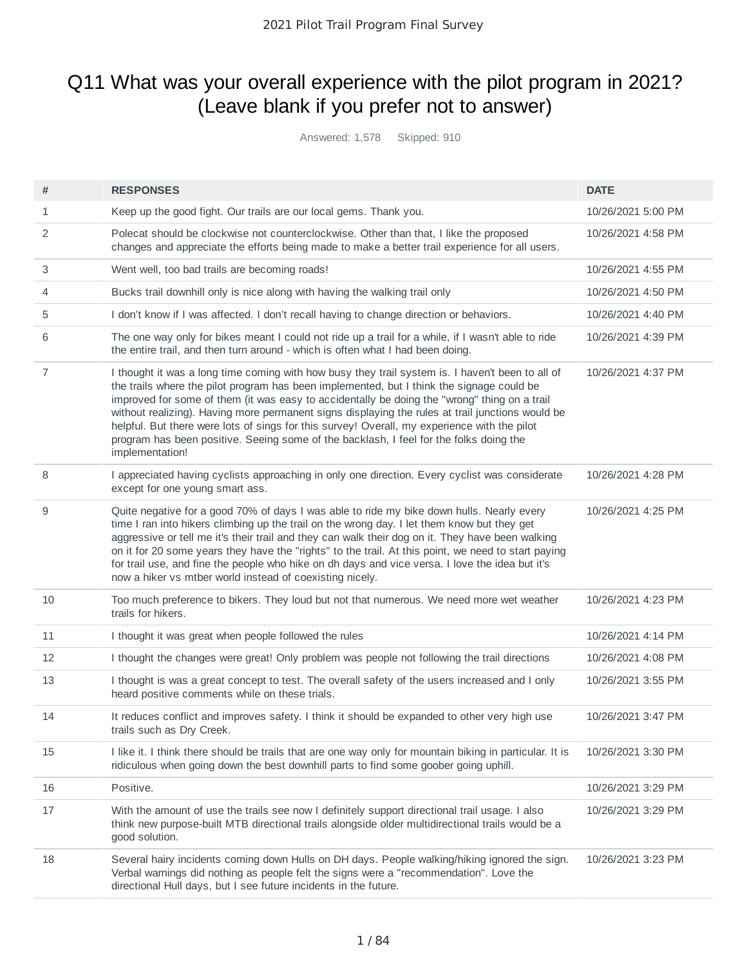# Q11 What was your overall experience with the pilot program in 2021? (Leave blank if you prefer not to answer)

Answered: 1,578 Skipped: 910

| #              | <b>RESPONSES</b>                                                                                                                                                                                                                                                                                                                                                                                                                                                                                                                                                                                               | <b>DATE</b>        |
|----------------|----------------------------------------------------------------------------------------------------------------------------------------------------------------------------------------------------------------------------------------------------------------------------------------------------------------------------------------------------------------------------------------------------------------------------------------------------------------------------------------------------------------------------------------------------------------------------------------------------------------|--------------------|
| 1              | Keep up the good fight. Our trails are our local gems. Thank you.                                                                                                                                                                                                                                                                                                                                                                                                                                                                                                                                              | 10/26/2021 5:00 PM |
| 2              | Polecat should be clockwise not counterclockwise. Other than that, I like the proposed<br>changes and appreciate the efforts being made to make a better trail experience for all users.                                                                                                                                                                                                                                                                                                                                                                                                                       | 10/26/2021 4:58 PM |
| 3              | Went well, too bad trails are becoming roads!                                                                                                                                                                                                                                                                                                                                                                                                                                                                                                                                                                  | 10/26/2021 4:55 PM |
| 4              | Bucks trail downhill only is nice along with having the walking trail only                                                                                                                                                                                                                                                                                                                                                                                                                                                                                                                                     | 10/26/2021 4:50 PM |
| 5              | I don't know if I was affected. I don't recall having to change direction or behaviors.                                                                                                                                                                                                                                                                                                                                                                                                                                                                                                                        | 10/26/2021 4:40 PM |
| 6              | The one way only for bikes meant I could not ride up a trail for a while, if I wasn't able to ride<br>the entire trail, and then turn around - which is often what I had been doing.                                                                                                                                                                                                                                                                                                                                                                                                                           | 10/26/2021 4:39 PM |
| $\overline{7}$ | I thought it was a long time coming with how busy they trail system is. I haven't been to all of<br>the trails where the pilot program has been implemented, but I think the signage could be<br>improved for some of them (it was easy to accidentally be doing the "wrong" thing on a trail<br>without realizing). Having more permanent signs displaying the rules at trail junctions would be<br>helpful. But there were lots of sings for this survey! Overall, my experience with the pilot<br>program has been positive. Seeing some of the backlash, I feel for the folks doing the<br>implementation! | 10/26/2021 4:37 PM |
| 8              | I appreciated having cyclists approaching in only one direction. Every cyclist was considerate<br>except for one young smart ass.                                                                                                                                                                                                                                                                                                                                                                                                                                                                              | 10/26/2021 4:28 PM |
| 9              | Quite negative for a good 70% of days I was able to ride my bike down hulls. Nearly every<br>time I ran into hikers climbing up the trail on the wrong day. I let them know but they get<br>aggressive or tell me it's their trail and they can walk their dog on it. They have been walking<br>on it for 20 some years they have the "rights" to the trail. At this point, we need to start paying<br>for trail use, and fine the people who hike on dh days and vice versa. I love the idea but it's<br>now a hiker vs mtber world instead of coexisting nicely.                                             | 10/26/2021 4:25 PM |
| 10             | Too much preference to bikers. They loud but not that numerous. We need more wet weather<br>trails for hikers.                                                                                                                                                                                                                                                                                                                                                                                                                                                                                                 | 10/26/2021 4:23 PM |
| 11             | I thought it was great when people followed the rules                                                                                                                                                                                                                                                                                                                                                                                                                                                                                                                                                          | 10/26/2021 4:14 PM |
| 12             | I thought the changes were great! Only problem was people not following the trail directions                                                                                                                                                                                                                                                                                                                                                                                                                                                                                                                   | 10/26/2021 4:08 PM |
| 13             | I thought is was a great concept to test. The overall safety of the users increased and I only<br>heard positive comments while on these trials.                                                                                                                                                                                                                                                                                                                                                                                                                                                               | 10/26/2021 3:55 PM |
| 14             | It reduces conflict and improves safety. I think it should be expanded to other very high use<br>trails such as Dry Creek.                                                                                                                                                                                                                                                                                                                                                                                                                                                                                     | 10/26/2021 3:47 PM |
| 15             | I like it. I think there should be trails that are one way only for mountain biking in particular. It is<br>ridiculous when going down the best downhill parts to find some goober going uphill.                                                                                                                                                                                                                                                                                                                                                                                                               | 10/26/2021 3:30 PM |
| 16             | Positive.                                                                                                                                                                                                                                                                                                                                                                                                                                                                                                                                                                                                      | 10/26/2021 3:29 PM |
| 17             | With the amount of use the trails see now I definitely support directional trail usage. I also<br>think new purpose-built MTB directional trails alongside older multidirectional trails would be a<br>good solution.                                                                                                                                                                                                                                                                                                                                                                                          | 10/26/2021 3:29 PM |
| 18             | Several hairy incidents coming down Hulls on DH days. People walking/hiking ignored the sign.<br>Verbal warnings did nothing as people felt the signs were a "recommendation". Love the<br>directional Hull days, but I see future incidents in the future.                                                                                                                                                                                                                                                                                                                                                    | 10/26/2021 3:23 PM |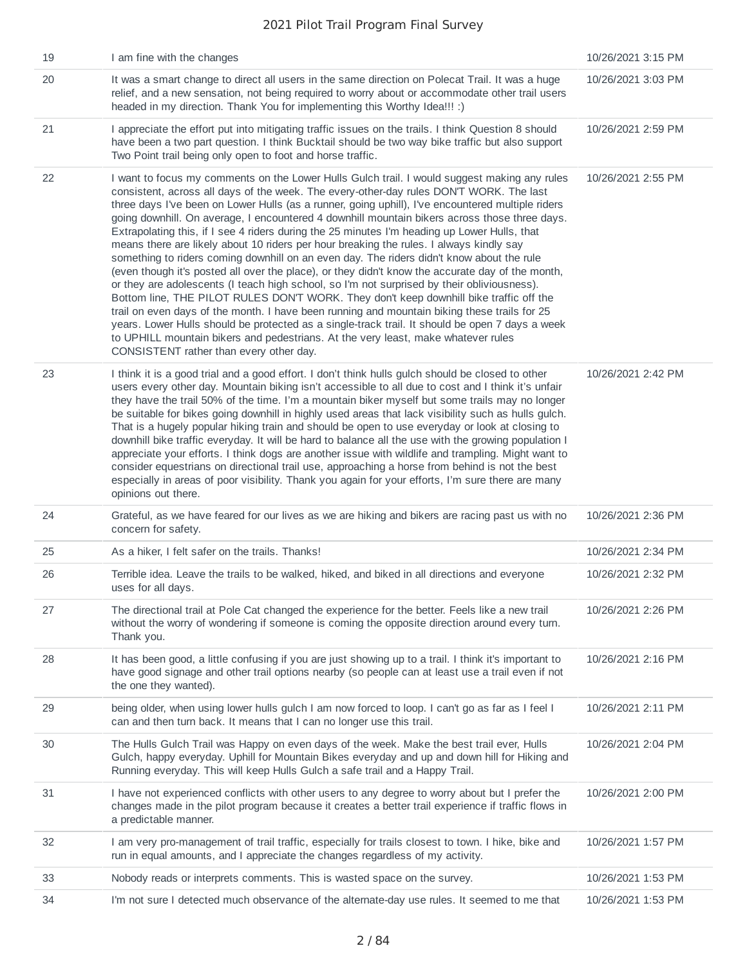| 19 | I am fine with the changes                                                                                                                                                                                                                                                                                                                                                                                                                                                                                                                                                                                                                                                                                                                                                                                                                                                                                                                                                                                                                                                                                                                                                                                                                                                                                            | 10/26/2021 3:15 PM |
|----|-----------------------------------------------------------------------------------------------------------------------------------------------------------------------------------------------------------------------------------------------------------------------------------------------------------------------------------------------------------------------------------------------------------------------------------------------------------------------------------------------------------------------------------------------------------------------------------------------------------------------------------------------------------------------------------------------------------------------------------------------------------------------------------------------------------------------------------------------------------------------------------------------------------------------------------------------------------------------------------------------------------------------------------------------------------------------------------------------------------------------------------------------------------------------------------------------------------------------------------------------------------------------------------------------------------------------|--------------------|
| 20 | It was a smart change to direct all users in the same direction on Polecat Trail. It was a huge<br>relief, and a new sensation, not being required to worry about or accommodate other trail users<br>headed in my direction. Thank You for implementing this Worthy Idea!!! :)                                                                                                                                                                                                                                                                                                                                                                                                                                                                                                                                                                                                                                                                                                                                                                                                                                                                                                                                                                                                                                       | 10/26/2021 3:03 PM |
| 21 | I appreciate the effort put into mitigating traffic issues on the trails. I think Question 8 should<br>have been a two part question. I think Bucktail should be two way bike traffic but also support<br>Two Point trail being only open to foot and horse traffic.                                                                                                                                                                                                                                                                                                                                                                                                                                                                                                                                                                                                                                                                                                                                                                                                                                                                                                                                                                                                                                                  | 10/26/2021 2:59 PM |
| 22 | I want to focus my comments on the Lower Hulls Gulch trail. I would suggest making any rules<br>consistent, across all days of the week. The every-other-day rules DON'T WORK. The last<br>three days I've been on Lower Hulls (as a runner, going uphill), I've encountered multiple riders<br>going downhill. On average, I encountered 4 downhill mountain bikers across those three days.<br>Extrapolating this, if I see 4 riders during the 25 minutes I'm heading up Lower Hulls, that<br>means there are likely about 10 riders per hour breaking the rules. I always kindly say<br>something to riders coming downhill on an even day. The riders didn't know about the rule<br>(even though it's posted all over the place), or they didn't know the accurate day of the month,<br>or they are adolescents (I teach high school, so I'm not surprised by their obliviousness).<br>Bottom line, THE PILOT RULES DON'T WORK. They don't keep downhill bike traffic off the<br>trail on even days of the month. I have been running and mountain biking these trails for 25<br>years. Lower Hulls should be protected as a single-track trail. It should be open 7 days a week<br>to UPHILL mountain bikers and pedestrians. At the very least, make whatever rules<br>CONSISTENT rather than every other day. | 10/26/2021 2:55 PM |
| 23 | I think it is a good trial and a good effort. I don't think hulls gulch should be closed to other<br>users every other day. Mountain biking isn't accessible to all due to cost and I think it's unfair<br>they have the trail 50% of the time. I'm a mountain biker myself but some trails may no longer<br>be suitable for bikes going downhill in highly used areas that lack visibility such as hulls gulch.<br>That is a hugely popular hiking train and should be open to use everyday or look at closing to<br>downhill bike traffic everyday. It will be hard to balance all the use with the growing population I<br>appreciate your efforts. I think dogs are another issue with wildlife and trampling. Might want to<br>consider equestrians on directional trail use, approaching a horse from behind is not the best<br>especially in areas of poor visibility. Thank you again for your efforts, I'm sure there are many<br>opinions out there.                                                                                                                                                                                                                                                                                                                                                        | 10/26/2021 2:42 PM |
| 24 | Grateful, as we have feared for our lives as we are hiking and bikers are racing past us with no<br>concern for safety.                                                                                                                                                                                                                                                                                                                                                                                                                                                                                                                                                                                                                                                                                                                                                                                                                                                                                                                                                                                                                                                                                                                                                                                               | 10/26/2021 2:36 PM |
| 25 | As a hiker, I felt safer on the trails. Thanks!                                                                                                                                                                                                                                                                                                                                                                                                                                                                                                                                                                                                                                                                                                                                                                                                                                                                                                                                                                                                                                                                                                                                                                                                                                                                       | 10/26/2021 2:34 PM |
| 26 | Terrible idea. Leave the trails to be walked, hiked, and biked in all directions and everyone<br>uses for all days.                                                                                                                                                                                                                                                                                                                                                                                                                                                                                                                                                                                                                                                                                                                                                                                                                                                                                                                                                                                                                                                                                                                                                                                                   | 10/26/2021 2:32 PM |
| 27 | The directional trail at Pole Cat changed the experience for the better. Feels like a new trail<br>without the worry of wondering if someone is coming the opposite direction around every turn.<br>Thank you.                                                                                                                                                                                                                                                                                                                                                                                                                                                                                                                                                                                                                                                                                                                                                                                                                                                                                                                                                                                                                                                                                                        | 10/26/2021 2:26 PM |
| 28 | It has been good, a little confusing if you are just showing up to a trail. I think it's important to<br>have good signage and other trail options nearby (so people can at least use a trail even if not<br>the one they wanted).                                                                                                                                                                                                                                                                                                                                                                                                                                                                                                                                                                                                                                                                                                                                                                                                                                                                                                                                                                                                                                                                                    | 10/26/2021 2:16 PM |
| 29 | being older, when using lower hulls gulch I am now forced to loop. I can't go as far as I feel I<br>can and then turn back. It means that I can no longer use this trail.                                                                                                                                                                                                                                                                                                                                                                                                                                                                                                                                                                                                                                                                                                                                                                                                                                                                                                                                                                                                                                                                                                                                             | 10/26/2021 2:11 PM |
| 30 | The Hulls Gulch Trail was Happy on even days of the week. Make the best trail ever, Hulls<br>Gulch, happy everyday. Uphill for Mountain Bikes everyday and up and down hill for Hiking and<br>Running everyday. This will keep Hulls Gulch a safe trail and a Happy Trail.                                                                                                                                                                                                                                                                                                                                                                                                                                                                                                                                                                                                                                                                                                                                                                                                                                                                                                                                                                                                                                            | 10/26/2021 2:04 PM |
| 31 | I have not experienced conflicts with other users to any degree to worry about but I prefer the<br>changes made in the pilot program because it creates a better trail experience if traffic flows in<br>a predictable manner.                                                                                                                                                                                                                                                                                                                                                                                                                                                                                                                                                                                                                                                                                                                                                                                                                                                                                                                                                                                                                                                                                        | 10/26/2021 2:00 PM |
| 32 | I am very pro-management of trail traffic, especially for trails closest to town. I hike, bike and<br>run in equal amounts, and I appreciate the changes regardless of my activity.                                                                                                                                                                                                                                                                                                                                                                                                                                                                                                                                                                                                                                                                                                                                                                                                                                                                                                                                                                                                                                                                                                                                   | 10/26/2021 1:57 PM |
| 33 | Nobody reads or interprets comments. This is wasted space on the survey.                                                                                                                                                                                                                                                                                                                                                                                                                                                                                                                                                                                                                                                                                                                                                                                                                                                                                                                                                                                                                                                                                                                                                                                                                                              | 10/26/2021 1:53 PM |
| 34 | I'm not sure I detected much observance of the alternate-day use rules. It seemed to me that                                                                                                                                                                                                                                                                                                                                                                                                                                                                                                                                                                                                                                                                                                                                                                                                                                                                                                                                                                                                                                                                                                                                                                                                                          | 10/26/2021 1:53 PM |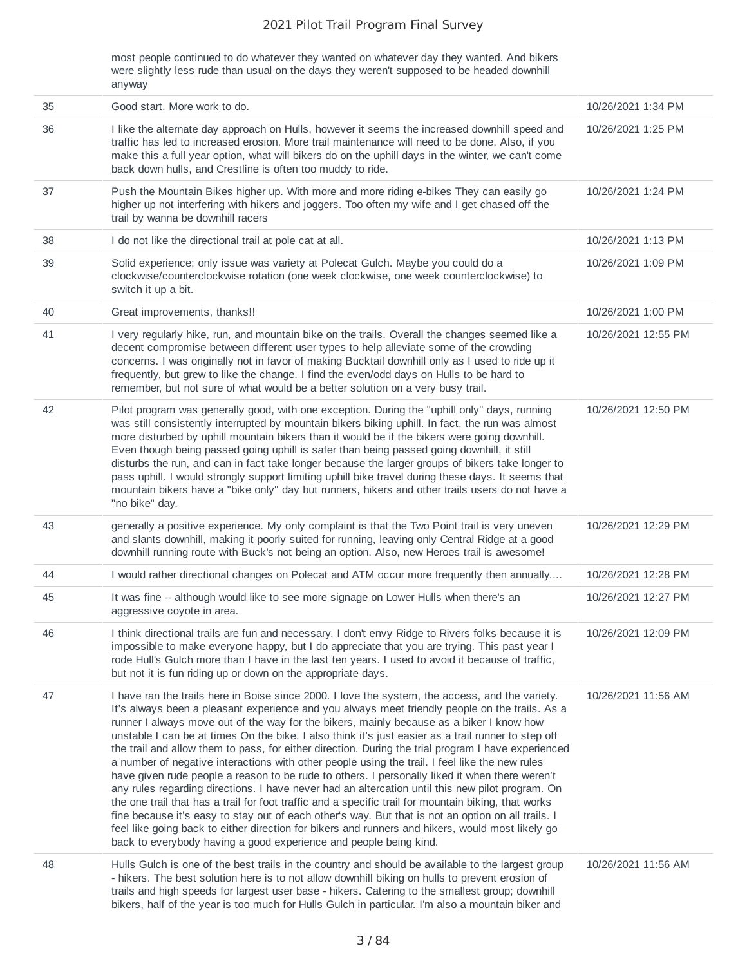most people continued to do whatever they wanted on whatever day they wanted. And bikers were slightly less rude than usual on the days they weren't supposed to be headed downhill anyway

| 35 | Good start. More work to do.                                                                                                                                                                                                                                                                                                                                                                                                                                                                                                                                                                                                                                                                                                                                                                                                                                                                                                                                                                                                                                                                                                                                                                               | 10/26/2021 1:34 PM  |
|----|------------------------------------------------------------------------------------------------------------------------------------------------------------------------------------------------------------------------------------------------------------------------------------------------------------------------------------------------------------------------------------------------------------------------------------------------------------------------------------------------------------------------------------------------------------------------------------------------------------------------------------------------------------------------------------------------------------------------------------------------------------------------------------------------------------------------------------------------------------------------------------------------------------------------------------------------------------------------------------------------------------------------------------------------------------------------------------------------------------------------------------------------------------------------------------------------------------|---------------------|
| 36 | I like the alternate day approach on Hulls, however it seems the increased downhill speed and<br>traffic has led to increased erosion. More trail maintenance will need to be done. Also, if you<br>make this a full year option, what will bikers do on the uphill days in the winter, we can't come<br>back down hulls, and Crestline is often too muddy to ride.                                                                                                                                                                                                                                                                                                                                                                                                                                                                                                                                                                                                                                                                                                                                                                                                                                        | 10/26/2021 1:25 PM  |
| 37 | Push the Mountain Bikes higher up. With more and more riding e-bikes They can easily go<br>higher up not interfering with hikers and joggers. Too often my wife and I get chased off the<br>trail by wanna be downhill racers                                                                                                                                                                                                                                                                                                                                                                                                                                                                                                                                                                                                                                                                                                                                                                                                                                                                                                                                                                              | 10/26/2021 1:24 PM  |
| 38 | I do not like the directional trail at pole cat at all.                                                                                                                                                                                                                                                                                                                                                                                                                                                                                                                                                                                                                                                                                                                                                                                                                                                                                                                                                                                                                                                                                                                                                    | 10/26/2021 1:13 PM  |
| 39 | Solid experience; only issue was variety at Polecat Gulch. Maybe you could do a<br>clockwise/counterclockwise rotation (one week clockwise, one week counterclockwise) to<br>switch it up a bit.                                                                                                                                                                                                                                                                                                                                                                                                                                                                                                                                                                                                                                                                                                                                                                                                                                                                                                                                                                                                           | 10/26/2021 1:09 PM  |
| 40 | Great improvements, thanks!!                                                                                                                                                                                                                                                                                                                                                                                                                                                                                                                                                                                                                                                                                                                                                                                                                                                                                                                                                                                                                                                                                                                                                                               | 10/26/2021 1:00 PM  |
| 41 | I very regularly hike, run, and mountain bike on the trails. Overall the changes seemed like a<br>decent compromise between different user types to help alleviate some of the crowding<br>concerns. I was originally not in favor of making Bucktail downhill only as I used to ride up it<br>frequently, but grew to like the change. I find the even/odd days on Hulls to be hard to<br>remember, but not sure of what would be a better solution on a very busy trail.                                                                                                                                                                                                                                                                                                                                                                                                                                                                                                                                                                                                                                                                                                                                 | 10/26/2021 12:55 PM |
| 42 | Pilot program was generally good, with one exception. During the "uphill only" days, running<br>was still consistently interrupted by mountain bikers biking uphill. In fact, the run was almost<br>more disturbed by uphill mountain bikers than it would be if the bikers were going downhill.<br>Even though being passed going uphill is safer than being passed going downhill, it still<br>disturbs the run, and can in fact take longer because the larger groups of bikers take longer to<br>pass uphill. I would strongly support limiting uphill bike travel during these days. It seems that<br>mountain bikers have a "bike only" day but runners, hikers and other trails users do not have a<br>"no bike" day.                                                                                                                                                                                                                                                                                                                                                                                                                                                                               | 10/26/2021 12:50 PM |
| 43 | generally a positive experience. My only complaint is that the Two Point trail is very uneven<br>and slants downhill, making it poorly suited for running, leaving only Central Ridge at a good<br>downhill running route with Buck's not being an option. Also, new Heroes trail is awesome!                                                                                                                                                                                                                                                                                                                                                                                                                                                                                                                                                                                                                                                                                                                                                                                                                                                                                                              | 10/26/2021 12:29 PM |
| 44 | I would rather directional changes on Polecat and ATM occur more frequently then annually                                                                                                                                                                                                                                                                                                                                                                                                                                                                                                                                                                                                                                                                                                                                                                                                                                                                                                                                                                                                                                                                                                                  | 10/26/2021 12:28 PM |
| 45 | It was fine -- although would like to see more signage on Lower Hulls when there's an<br>aggressive coyote in area.                                                                                                                                                                                                                                                                                                                                                                                                                                                                                                                                                                                                                                                                                                                                                                                                                                                                                                                                                                                                                                                                                        | 10/26/2021 12:27 PM |
| 46 | I think directional trails are fun and necessary. I don't envy Ridge to Rivers folks because it is<br>impossible to make everyone happy, but I do appreciate that you are trying. This past year I<br>rode Hull's Gulch more than I have in the last ten years. I used to avoid it because of traffic,<br>but not it is fun riding up or down on the appropriate days.                                                                                                                                                                                                                                                                                                                                                                                                                                                                                                                                                                                                                                                                                                                                                                                                                                     | 10/26/2021 12:09 PM |
| 47 | I have ran the trails here in Boise since 2000. I love the system, the access, and the variety.<br>It's always been a pleasant experience and you always meet friendly people on the trails. As a<br>runner I always move out of the way for the bikers, mainly because as a biker I know how<br>unstable I can be at times On the bike. I also think it's just easier as a trail runner to step off<br>the trail and allow them to pass, for either direction. During the trial program I have experienced<br>a number of negative interactions with other people using the trail. I feel like the new rules<br>have given rude people a reason to be rude to others. I personally liked it when there weren't<br>any rules regarding directions. I have never had an altercation until this new pilot program. On<br>the one trail that has a trail for foot traffic and a specific trail for mountain biking, that works<br>fine because it's easy to stay out of each other's way. But that is not an option on all trails. I<br>feel like going back to either direction for bikers and runners and hikers, would most likely go<br>back to everybody having a good experience and people being kind. | 10/26/2021 11:56 AM |
| 48 | Hulls Gulch is one of the best trails in the country and should be available to the largest group<br>- hikers. The best solution here is to not allow downhill biking on hulls to prevent erosion of<br>trails and high speeds for largest user base - hikers. Catering to the smallest group; downhill<br>bikers, half of the year is too much for Hulls Gulch in particular. I'm also a mountain biker and                                                                                                                                                                                                                                                                                                                                                                                                                                                                                                                                                                                                                                                                                                                                                                                               | 10/26/2021 11:56 AM |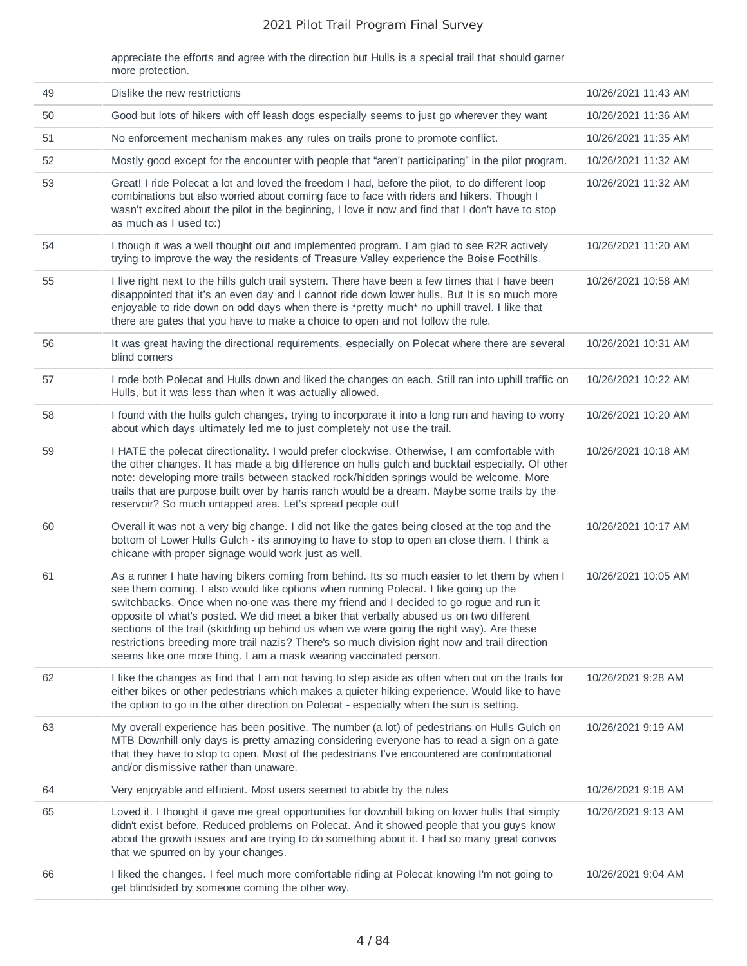appreciate the efforts and agree with the direction but Hulls is a special trail that should garner more protection.

| 49 | Dislike the new restrictions                                                                                                                                                                                                                                                                                                                                                                                                                                                                                                                                                                                                                   | 10/26/2021 11:43 AM |
|----|------------------------------------------------------------------------------------------------------------------------------------------------------------------------------------------------------------------------------------------------------------------------------------------------------------------------------------------------------------------------------------------------------------------------------------------------------------------------------------------------------------------------------------------------------------------------------------------------------------------------------------------------|---------------------|
| 50 | Good but lots of hikers with off leash dogs especially seems to just go wherever they want                                                                                                                                                                                                                                                                                                                                                                                                                                                                                                                                                     | 10/26/2021 11:36 AM |
| 51 | No enforcement mechanism makes any rules on trails prone to promote conflict.                                                                                                                                                                                                                                                                                                                                                                                                                                                                                                                                                                  | 10/26/2021 11:35 AM |
| 52 | Mostly good except for the encounter with people that "aren't participating" in the pilot program.                                                                                                                                                                                                                                                                                                                                                                                                                                                                                                                                             | 10/26/2021 11:32 AM |
| 53 | Great! I ride Polecat a lot and loved the freedom I had, before the pilot, to do different loop<br>combinations but also worried about coming face to face with riders and hikers. Though I<br>wasn't excited about the pilot in the beginning, I love it now and find that I don't have to stop<br>as much as I used to:)                                                                                                                                                                                                                                                                                                                     | 10/26/2021 11:32 AM |
| 54 | I though it was a well thought out and implemented program. I am glad to see R2R actively<br>trying to improve the way the residents of Treasure Valley experience the Boise Foothills.                                                                                                                                                                                                                                                                                                                                                                                                                                                        | 10/26/2021 11:20 AM |
| 55 | I live right next to the hills gulch trail system. There have been a few times that I have been<br>disappointed that it's an even day and I cannot ride down lower hulls. But It is so much more<br>enjoyable to ride down on odd days when there is *pretty much* no uphill travel. I like that<br>there are gates that you have to make a choice to open and not follow the rule.                                                                                                                                                                                                                                                            | 10/26/2021 10:58 AM |
| 56 | It was great having the directional requirements, especially on Polecat where there are several<br>blind corners                                                                                                                                                                                                                                                                                                                                                                                                                                                                                                                               | 10/26/2021 10:31 AM |
| 57 | I rode both Polecat and Hulls down and liked the changes on each. Still ran into uphill traffic on<br>Hulls, but it was less than when it was actually allowed.                                                                                                                                                                                                                                                                                                                                                                                                                                                                                | 10/26/2021 10:22 AM |
| 58 | I found with the hulls gulch changes, trying to incorporate it into a long run and having to worry<br>about which days ultimately led me to just completely not use the trail.                                                                                                                                                                                                                                                                                                                                                                                                                                                                 | 10/26/2021 10:20 AM |
| 59 | I HATE the polecat directionality. I would prefer clockwise. Otherwise, I am comfortable with<br>the other changes. It has made a big difference on hulls gulch and bucktail especially. Of other<br>note: developing more trails between stacked rock/hidden springs would be welcome. More<br>trails that are purpose built over by harris ranch would be a dream. Maybe some trails by the<br>reservoir? So much untapped area. Let's spread people out!                                                                                                                                                                                    | 10/26/2021 10:18 AM |
| 60 | Overall it was not a very big change. I did not like the gates being closed at the top and the<br>bottom of Lower Hulls Gulch - its annoying to have to stop to open an close them. I think a<br>chicane with proper signage would work just as well.                                                                                                                                                                                                                                                                                                                                                                                          | 10/26/2021 10:17 AM |
| 61 | As a runner I hate having bikers coming from behind. Its so much easier to let them by when I<br>see them coming. I also would like options when running Polecat. I like going up the<br>switchbacks. Once when no-one was there my friend and I decided to go rogue and run it<br>opposite of what's posted. We did meet a biker that verbally abused us on two different<br>sections of the trail (skidding up behind us when we were going the right way). Are these<br>restrictions breeding more trail nazis? There's so much division right now and trail direction<br>seems like one more thing. I am a mask wearing vaccinated person. | 10/26/2021 10:05 AM |
| 62 | I like the changes as find that I am not having to step aside as often when out on the trails for<br>either bikes or other pedestrians which makes a quieter hiking experience. Would like to have<br>the option to go in the other direction on Polecat - especially when the sun is setting.                                                                                                                                                                                                                                                                                                                                                 | 10/26/2021 9:28 AM  |
| 63 | My overall experience has been positive. The number (a lot) of pedestrians on Hulls Gulch on<br>MTB Downhill only days is pretty amazing considering everyone has to read a sign on a gate<br>that they have to stop to open. Most of the pedestrians I've encountered are confrontational<br>and/or dismissive rather than unaware.                                                                                                                                                                                                                                                                                                           | 10/26/2021 9:19 AM  |
| 64 | Very enjoyable and efficient. Most users seemed to abide by the rules                                                                                                                                                                                                                                                                                                                                                                                                                                                                                                                                                                          | 10/26/2021 9:18 AM  |
| 65 | Loved it. I thought it gave me great opportunities for downhill biking on lower hulls that simply<br>didn't exist before. Reduced problems on Polecat. And it showed people that you guys know<br>about the growth issues and are trying to do something about it. I had so many great convos<br>that we spurred on by your changes.                                                                                                                                                                                                                                                                                                           | 10/26/2021 9:13 AM  |
| 66 | I liked the changes. I feel much more comfortable riding at Polecat knowing I'm not going to<br>get blindsided by someone coming the other way.                                                                                                                                                                                                                                                                                                                                                                                                                                                                                                | 10/26/2021 9:04 AM  |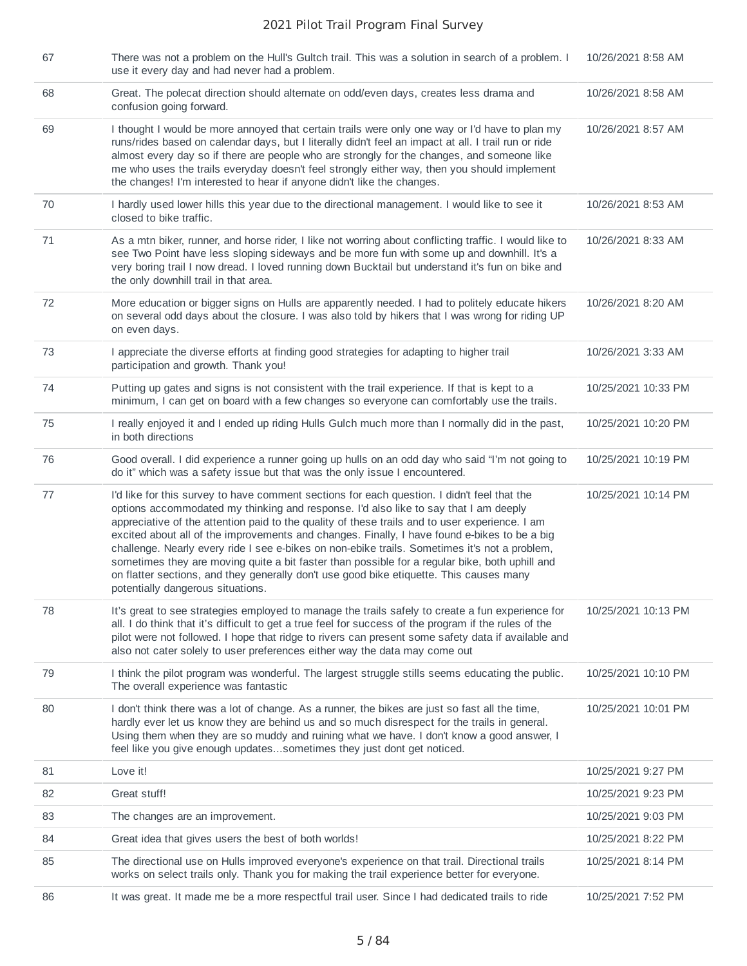| 67 | There was not a problem on the Hull's Gultch trail. This was a solution in search of a problem. I<br>use it every day and had never had a problem.                                                                                                                                                                                                                                                                                                                                                                                                                                                                                                                                                                       | 10/26/2021 8:58 AM  |
|----|--------------------------------------------------------------------------------------------------------------------------------------------------------------------------------------------------------------------------------------------------------------------------------------------------------------------------------------------------------------------------------------------------------------------------------------------------------------------------------------------------------------------------------------------------------------------------------------------------------------------------------------------------------------------------------------------------------------------------|---------------------|
| 68 | Great. The polecat direction should alternate on odd/even days, creates less drama and<br>confusion going forward.                                                                                                                                                                                                                                                                                                                                                                                                                                                                                                                                                                                                       | 10/26/2021 8:58 AM  |
| 69 | I thought I would be more annoyed that certain trails were only one way or I'd have to plan my<br>runs/rides based on calendar days, but I literally didn't feel an impact at all. I trail run or ride<br>almost every day so if there are people who are strongly for the changes, and someone like<br>me who uses the trails everyday doesn't feel strongly either way, then you should implement<br>the changes! I'm interested to hear if anyone didn't like the changes.                                                                                                                                                                                                                                            | 10/26/2021 8:57 AM  |
| 70 | I hardly used lower hills this year due to the directional management. I would like to see it<br>closed to bike traffic.                                                                                                                                                                                                                                                                                                                                                                                                                                                                                                                                                                                                 | 10/26/2021 8:53 AM  |
| 71 | As a mtn biker, runner, and horse rider, I like not worring about conflicting traffic. I would like to<br>see Two Point have less sloping sideways and be more fun with some up and downhill. It's a<br>very boring trail I now dread. I loved running down Bucktail but understand it's fun on bike and<br>the only downhill trail in that area.                                                                                                                                                                                                                                                                                                                                                                        | 10/26/2021 8:33 AM  |
| 72 | More education or bigger signs on Hulls are apparently needed. I had to politely educate hikers<br>on several odd days about the closure. I was also told by hikers that I was wrong for riding UP<br>on even days.                                                                                                                                                                                                                                                                                                                                                                                                                                                                                                      | 10/26/2021 8:20 AM  |
| 73 | I appreciate the diverse efforts at finding good strategies for adapting to higher trail<br>participation and growth. Thank you!                                                                                                                                                                                                                                                                                                                                                                                                                                                                                                                                                                                         | 10/26/2021 3:33 AM  |
| 74 | Putting up gates and signs is not consistent with the trail experience. If that is kept to a<br>minimum, I can get on board with a few changes so everyone can comfortably use the trails.                                                                                                                                                                                                                                                                                                                                                                                                                                                                                                                               | 10/25/2021 10:33 PM |
| 75 | I really enjoyed it and I ended up riding Hulls Gulch much more than I normally did in the past,<br>in both directions                                                                                                                                                                                                                                                                                                                                                                                                                                                                                                                                                                                                   | 10/25/2021 10:20 PM |
| 76 | Good overall. I did experience a runner going up hulls on an odd day who said "I'm not going to<br>do it" which was a safety issue but that was the only issue I encountered.                                                                                                                                                                                                                                                                                                                                                                                                                                                                                                                                            | 10/25/2021 10:19 PM |
| 77 | I'd like for this survey to have comment sections for each question. I didn't feel that the<br>options accommodated my thinking and response. I'd also like to say that I am deeply<br>appreciative of the attention paid to the quality of these trails and to user experience. I am<br>excited about all of the improvements and changes. Finally, I have found e-bikes to be a big<br>challenge. Nearly every ride I see e-bikes on non-ebike trails. Sometimes it's not a problem,<br>sometimes they are moving quite a bit faster than possible for a regular bike, both uphill and<br>on flatter sections, and they generally don't use good bike etiquette. This causes many<br>potentially dangerous situations. | 10/25/2021 10:14 PM |
| 78 | It's great to see strategies employed to manage the trails safely to create a fun experience for<br>all. I do think that it's difficult to get a true feel for success of the program if the rules of the<br>pilot were not followed. I hope that ridge to rivers can present some safety data if available and<br>also not cater solely to user preferences either way the data may come out                                                                                                                                                                                                                                                                                                                            | 10/25/2021 10:13 PM |
| 79 | I think the pilot program was wonderful. The largest struggle stills seems educating the public.<br>The overall experience was fantastic                                                                                                                                                                                                                                                                                                                                                                                                                                                                                                                                                                                 | 10/25/2021 10:10 PM |
| 80 | I don't think there was a lot of change. As a runner, the bikes are just so fast all the time,<br>hardly ever let us know they are behind us and so much disrespect for the trails in general.<br>Using them when they are so muddy and ruining what we have. I don't know a good answer, I<br>feel like you give enough updatessometimes they just dont get noticed.                                                                                                                                                                                                                                                                                                                                                    | 10/25/2021 10:01 PM |
| 81 | Love it!                                                                                                                                                                                                                                                                                                                                                                                                                                                                                                                                                                                                                                                                                                                 | 10/25/2021 9:27 PM  |
| 82 | Great stuff!                                                                                                                                                                                                                                                                                                                                                                                                                                                                                                                                                                                                                                                                                                             | 10/25/2021 9:23 PM  |
| 83 | The changes are an improvement.                                                                                                                                                                                                                                                                                                                                                                                                                                                                                                                                                                                                                                                                                          | 10/25/2021 9:03 PM  |
| 84 | Great idea that gives users the best of both worlds!                                                                                                                                                                                                                                                                                                                                                                                                                                                                                                                                                                                                                                                                     | 10/25/2021 8:22 PM  |
| 85 | The directional use on Hulls improved everyone's experience on that trail. Directional trails<br>works on select trails only. Thank you for making the trail experience better for everyone.                                                                                                                                                                                                                                                                                                                                                                                                                                                                                                                             | 10/25/2021 8:14 PM  |
| 86 | It was great. It made me be a more respectful trail user. Since I had dedicated trails to ride                                                                                                                                                                                                                                                                                                                                                                                                                                                                                                                                                                                                                           | 10/25/2021 7:52 PM  |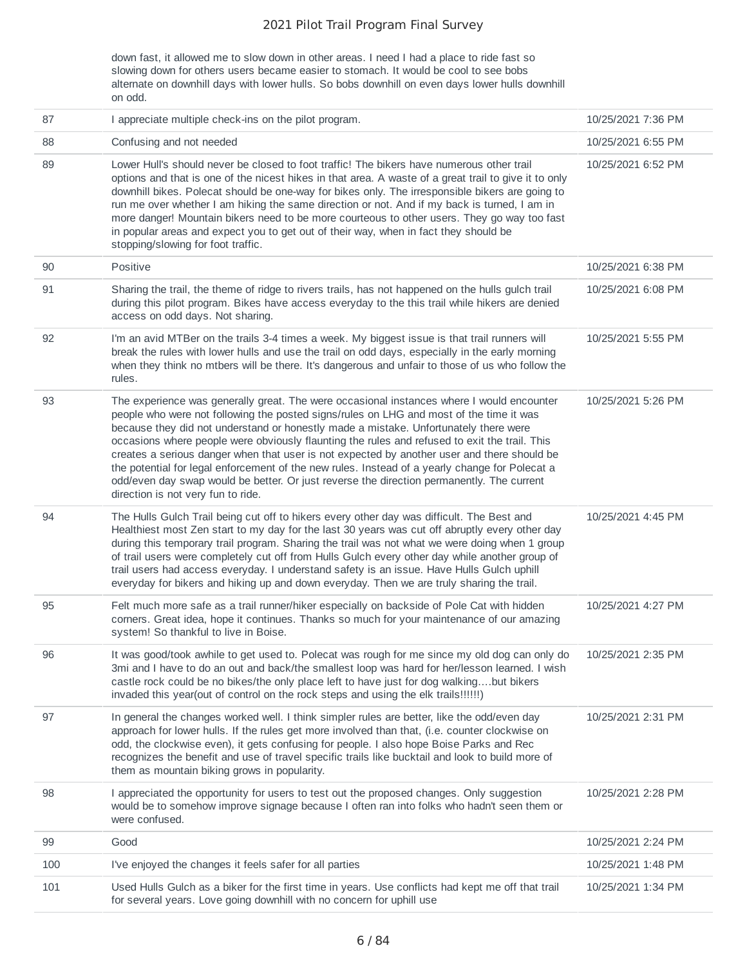down fast, it allowed me to slow down in other areas. I need I had a place to ride fast so slowing down for others users became easier to stomach. It would be cool to see bobs alternate on downhill days with lower hulls. So bobs downhill on even days lower hulls downhill on odd.

| 87  | I appreciate multiple check-ins on the pilot program.                                                                                                                                                                                                                                                                                                                                                                                                                                                                                                                                                                                                                                                             | 10/25/2021 7:36 PM |
|-----|-------------------------------------------------------------------------------------------------------------------------------------------------------------------------------------------------------------------------------------------------------------------------------------------------------------------------------------------------------------------------------------------------------------------------------------------------------------------------------------------------------------------------------------------------------------------------------------------------------------------------------------------------------------------------------------------------------------------|--------------------|
| 88  | Confusing and not needed                                                                                                                                                                                                                                                                                                                                                                                                                                                                                                                                                                                                                                                                                          | 10/25/2021 6:55 PM |
| 89  | Lower Hull's should never be closed to foot traffic! The bikers have numerous other trail<br>options and that is one of the nicest hikes in that area. A waste of a great trail to give it to only<br>downhill bikes. Polecat should be one-way for bikes only. The irresponsible bikers are going to<br>run me over whether I am hiking the same direction or not. And if my back is turned, I am in<br>more danger! Mountain bikers need to be more courteous to other users. They go way too fast<br>in popular areas and expect you to get out of their way, when in fact they should be<br>stopping/slowing for foot traffic.                                                                                | 10/25/2021 6:52 PM |
| 90  | Positive                                                                                                                                                                                                                                                                                                                                                                                                                                                                                                                                                                                                                                                                                                          | 10/25/2021 6:38 PM |
| 91  | Sharing the trail, the theme of ridge to rivers trails, has not happened on the hulls gulch trail<br>during this pilot program. Bikes have access everyday to the this trail while hikers are denied<br>access on odd days. Not sharing.                                                                                                                                                                                                                                                                                                                                                                                                                                                                          | 10/25/2021 6:08 PM |
| 92  | I'm an avid MTBer on the trails 3-4 times a week. My biggest issue is that trail runners will<br>break the rules with lower hulls and use the trail on odd days, especially in the early morning<br>when they think no mtbers will be there. It's dangerous and unfair to those of us who follow the<br>rules.                                                                                                                                                                                                                                                                                                                                                                                                    | 10/25/2021 5:55 PM |
| 93  | The experience was generally great. The were occasional instances where I would encounter<br>people who were not following the posted signs/rules on LHG and most of the time it was<br>because they did not understand or honestly made a mistake. Unfortunately there were<br>occasions where people were obviously flaunting the rules and refused to exit the trail. This<br>creates a serious danger when that user is not expected by another user and there should be<br>the potential for legal enforcement of the new rules. Instead of a yearly change for Polecat a<br>odd/even day swap would be better. Or just reverse the direction permanently. The current<br>direction is not very fun to ride. | 10/25/2021 5:26 PM |
| 94  | The Hulls Gulch Trail being cut off to hikers every other day was difficult. The Best and<br>Healthiest most Zen start to my day for the last 30 years was cut off abruptly every other day<br>during this temporary trail program. Sharing the trail was not what we were doing when 1 group<br>of trail users were completely cut off from Hulls Gulch every other day while another group of<br>trail users had access everyday. I understand safety is an issue. Have Hulls Gulch uphill<br>everyday for bikers and hiking up and down everyday. Then we are truly sharing the trail.                                                                                                                         | 10/25/2021 4:45 PM |
| 95  | Felt much more safe as a trail runner/hiker especially on backside of Pole Cat with hidden<br>corners. Great idea, hope it continues. Thanks so much for your maintenance of our amazing<br>system! So thankful to live in Boise.                                                                                                                                                                                                                                                                                                                                                                                                                                                                                 | 10/25/2021 4:27 PM |
| 96  | It was good/took awhile to get used to. Polecat was rough for me since my old dog can only do<br>3mi and I have to do an out and back/the smallest loop was hard for her/lesson learned. I wish<br>castle rock could be no bikes/the only place left to have just for dog walkingbut bikers<br>invaded this year(out of control on the rock steps and using the elk trails!!!!!!)                                                                                                                                                                                                                                                                                                                                 | 10/25/2021 2:35 PM |
| 97  | In general the changes worked well. I think simpler rules are better, like the odd/even day<br>approach for lower hulls. If the rules get more involved than that, (i.e. counter clockwise on<br>odd, the clockwise even), it gets confusing for people. I also hope Boise Parks and Rec<br>recognizes the benefit and use of travel specific trails like bucktail and look to build more of<br>them as mountain biking grows in popularity.                                                                                                                                                                                                                                                                      | 10/25/2021 2:31 PM |
| 98  | I appreciated the opportunity for users to test out the proposed changes. Only suggestion<br>would be to somehow improve signage because I often ran into folks who hadn't seen them or<br>were confused.                                                                                                                                                                                                                                                                                                                                                                                                                                                                                                         | 10/25/2021 2:28 PM |
| 99  | Good                                                                                                                                                                                                                                                                                                                                                                                                                                                                                                                                                                                                                                                                                                              | 10/25/2021 2:24 PM |
| 100 | I've enjoyed the changes it feels safer for all parties                                                                                                                                                                                                                                                                                                                                                                                                                                                                                                                                                                                                                                                           | 10/25/2021 1:48 PM |
| 101 | Used Hulls Gulch as a biker for the first time in years. Use conflicts had kept me off that trail<br>for several years. Love going downhill with no concern for uphill use                                                                                                                                                                                                                                                                                                                                                                                                                                                                                                                                        | 10/25/2021 1:34 PM |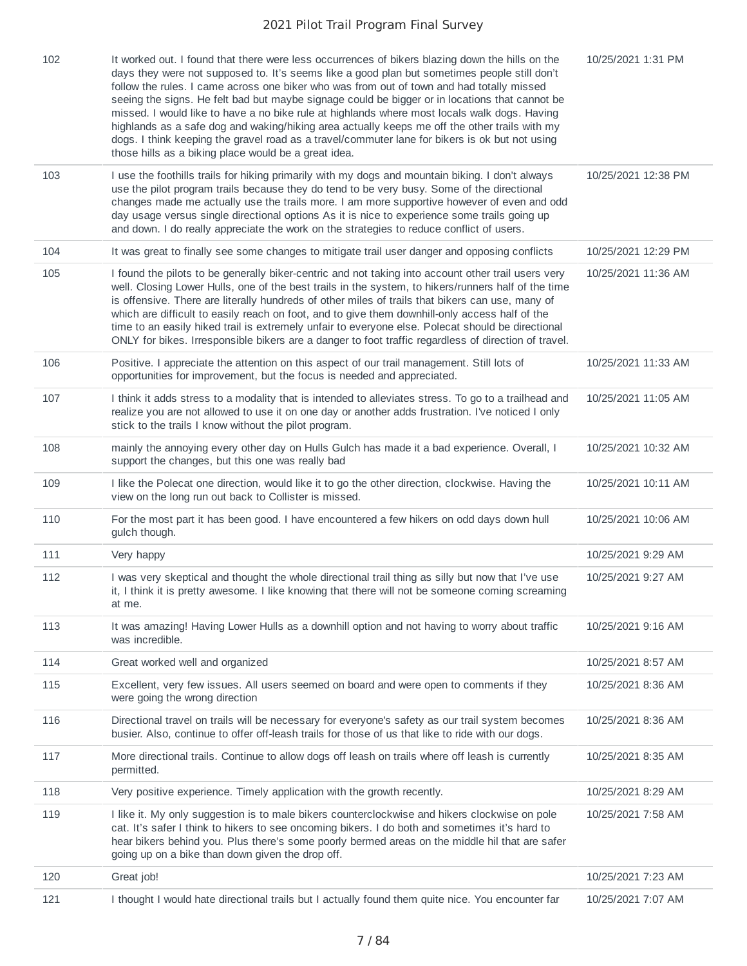| 102 | It worked out. I found that there were less occurrences of bikers blazing down the hills on the<br>days they were not supposed to. It's seems like a good plan but sometimes people still don't<br>follow the rules. I came across one biker who was from out of town and had totally missed<br>seeing the signs. He felt bad but maybe signage could be bigger or in locations that cannot be<br>missed. I would like to have a no bike rule at highlands where most locals walk dogs. Having<br>highlands as a safe dog and waking/hiking area actually keeps me off the other trails with my<br>dogs. I think keeping the gravel road as a travel/commuter lane for bikers is ok but not using<br>those hills as a biking place would be a great idea. | 10/25/2021 1:31 PM  |
|-----|-----------------------------------------------------------------------------------------------------------------------------------------------------------------------------------------------------------------------------------------------------------------------------------------------------------------------------------------------------------------------------------------------------------------------------------------------------------------------------------------------------------------------------------------------------------------------------------------------------------------------------------------------------------------------------------------------------------------------------------------------------------|---------------------|
| 103 | I use the foothills trails for hiking primarily with my dogs and mountain biking. I don't always<br>use the pilot program trails because they do tend to be very busy. Some of the directional<br>changes made me actually use the trails more. I am more supportive however of even and odd<br>day usage versus single directional options As it is nice to experience some trails going up<br>and down. I do really appreciate the work on the strategies to reduce conflict of users.                                                                                                                                                                                                                                                                  | 10/25/2021 12:38 PM |
| 104 | It was great to finally see some changes to mitigate trail user danger and opposing conflicts                                                                                                                                                                                                                                                                                                                                                                                                                                                                                                                                                                                                                                                             | 10/25/2021 12:29 PM |
| 105 | I found the pilots to be generally biker-centric and not taking into account other trail users very<br>well. Closing Lower Hulls, one of the best trails in the system, to hikers/runners half of the time<br>is offensive. There are literally hundreds of other miles of trails that bikers can use, many of<br>which are difficult to easily reach on foot, and to give them downhill-only access half of the<br>time to an easily hiked trail is extremely unfair to everyone else. Polecat should be directional<br>ONLY for bikes. Irresponsible bikers are a danger to foot traffic regardless of direction of travel.                                                                                                                             | 10/25/2021 11:36 AM |
| 106 | Positive. I appreciate the attention on this aspect of our trail management. Still lots of<br>opportunities for improvement, but the focus is needed and appreciated.                                                                                                                                                                                                                                                                                                                                                                                                                                                                                                                                                                                     | 10/25/2021 11:33 AM |
| 107 | I think it adds stress to a modality that is intended to alleviates stress. To go to a trailhead and<br>realize you are not allowed to use it on one day or another adds frustration. I've noticed I only<br>stick to the trails I know without the pilot program.                                                                                                                                                                                                                                                                                                                                                                                                                                                                                        | 10/25/2021 11:05 AM |
| 108 | mainly the annoying every other day on Hulls Gulch has made it a bad experience. Overall, I<br>support the changes, but this one was really bad                                                                                                                                                                                                                                                                                                                                                                                                                                                                                                                                                                                                           | 10/25/2021 10:32 AM |
| 109 | I like the Polecat one direction, would like it to go the other direction, clockwise. Having the<br>view on the long run out back to Collister is missed.                                                                                                                                                                                                                                                                                                                                                                                                                                                                                                                                                                                                 | 10/25/2021 10:11 AM |
| 110 | For the most part it has been good. I have encountered a few hikers on odd days down hull<br>gulch though.                                                                                                                                                                                                                                                                                                                                                                                                                                                                                                                                                                                                                                                | 10/25/2021 10:06 AM |
| 111 | Very happy                                                                                                                                                                                                                                                                                                                                                                                                                                                                                                                                                                                                                                                                                                                                                | 10/25/2021 9:29 AM  |
| 112 | I was very skeptical and thought the whole directional trail thing as silly but now that I've use<br>it, I think it is pretty awesome. I like knowing that there will not be someone coming screaming<br>at me.                                                                                                                                                                                                                                                                                                                                                                                                                                                                                                                                           | 10/25/2021 9:27 AM  |
| 113 | It was amazing! Having Lower Hulls as a downhill option and not having to worry about traffic<br>was incredible.                                                                                                                                                                                                                                                                                                                                                                                                                                                                                                                                                                                                                                          | 10/25/2021 9:16 AM  |
| 114 | Great worked well and organized                                                                                                                                                                                                                                                                                                                                                                                                                                                                                                                                                                                                                                                                                                                           | 10/25/2021 8:57 AM  |
| 115 | Excellent, very few issues. All users seemed on board and were open to comments if they<br>were going the wrong direction                                                                                                                                                                                                                                                                                                                                                                                                                                                                                                                                                                                                                                 | 10/25/2021 8:36 AM  |
| 116 | Directional travel on trails will be necessary for everyone's safety as our trail system becomes<br>busier. Also, continue to offer off-leash trails for those of us that like to ride with our dogs.                                                                                                                                                                                                                                                                                                                                                                                                                                                                                                                                                     | 10/25/2021 8:36 AM  |
| 117 | More directional trails. Continue to allow dogs off leash on trails where off leash is currently<br>permitted.                                                                                                                                                                                                                                                                                                                                                                                                                                                                                                                                                                                                                                            | 10/25/2021 8:35 AM  |
| 118 | Very positive experience. Timely application with the growth recently.                                                                                                                                                                                                                                                                                                                                                                                                                                                                                                                                                                                                                                                                                    | 10/25/2021 8:29 AM  |
| 119 | I like it. My only suggestion is to male bikers counterclockwise and hikers clockwise on pole<br>cat. It's safer I think to hikers to see oncoming bikers. I do both and sometimes it's hard to<br>hear bikers behind you. Plus there's some poorly bermed areas on the middle hil that are safer<br>going up on a bike than down given the drop off.                                                                                                                                                                                                                                                                                                                                                                                                     | 10/25/2021 7:58 AM  |
| 120 | Great job!                                                                                                                                                                                                                                                                                                                                                                                                                                                                                                                                                                                                                                                                                                                                                | 10/25/2021 7:23 AM  |
| 121 | I thought I would hate directional trails but I actually found them quite nice. You encounter far                                                                                                                                                                                                                                                                                                                                                                                                                                                                                                                                                                                                                                                         | 10/25/2021 7:07 AM  |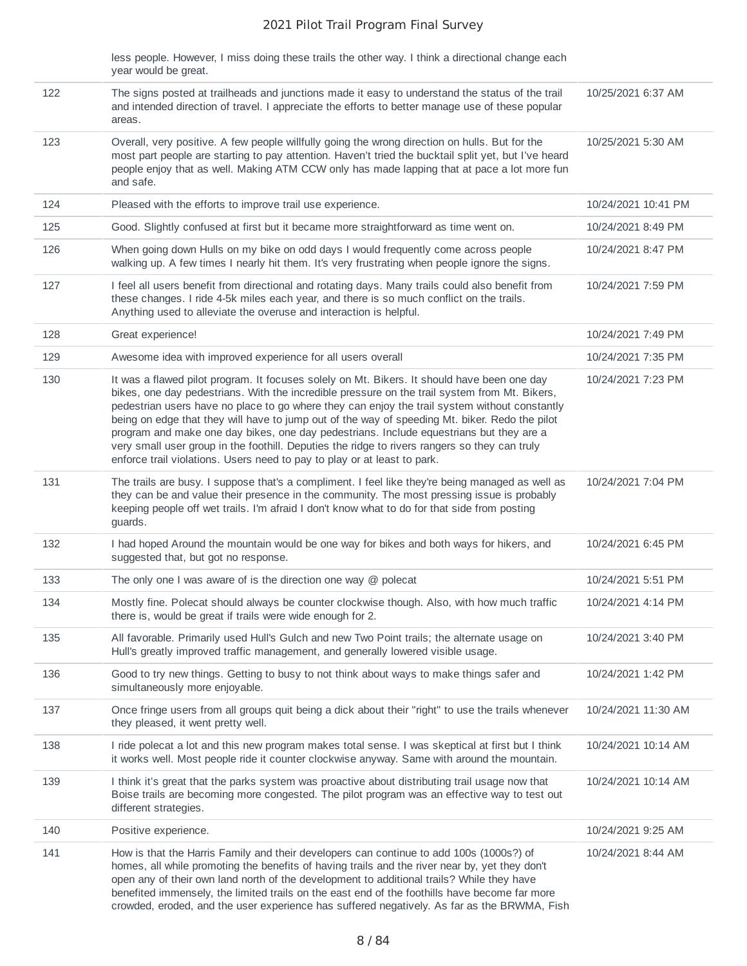|     | less people. However, I miss doing these trails the other way. I think a directional change each<br>year would be great.                                                                                                                                                                                                                                                                                                                                                                                                                                                                                                                                                |                     |
|-----|-------------------------------------------------------------------------------------------------------------------------------------------------------------------------------------------------------------------------------------------------------------------------------------------------------------------------------------------------------------------------------------------------------------------------------------------------------------------------------------------------------------------------------------------------------------------------------------------------------------------------------------------------------------------------|---------------------|
| 122 | The signs posted at trailheads and junctions made it easy to understand the status of the trail<br>and intended direction of travel. I appreciate the efforts to better manage use of these popular<br>areas.                                                                                                                                                                                                                                                                                                                                                                                                                                                           | 10/25/2021 6:37 AM  |
| 123 | Overall, very positive. A few people willfully going the wrong direction on hulls. But for the<br>most part people are starting to pay attention. Haven't tried the bucktail split yet, but I've heard<br>people enjoy that as well. Making ATM CCW only has made lapping that at pace a lot more fun<br>and safe.                                                                                                                                                                                                                                                                                                                                                      | 10/25/2021 5:30 AM  |
| 124 | Pleased with the efforts to improve trail use experience.                                                                                                                                                                                                                                                                                                                                                                                                                                                                                                                                                                                                               | 10/24/2021 10:41 PM |
| 125 | Good. Slightly confused at first but it became more straightforward as time went on.                                                                                                                                                                                                                                                                                                                                                                                                                                                                                                                                                                                    | 10/24/2021 8:49 PM  |
| 126 | When going down Hulls on my bike on odd days I would frequently come across people<br>walking up. A few times I nearly hit them. It's very frustrating when people ignore the signs.                                                                                                                                                                                                                                                                                                                                                                                                                                                                                    | 10/24/2021 8:47 PM  |
| 127 | I feel all users benefit from directional and rotating days. Many trails could also benefit from<br>these changes. I ride 4-5k miles each year, and there is so much conflict on the trails.<br>Anything used to alleviate the overuse and interaction is helpful.                                                                                                                                                                                                                                                                                                                                                                                                      | 10/24/2021 7:59 PM  |
| 128 | Great experience!                                                                                                                                                                                                                                                                                                                                                                                                                                                                                                                                                                                                                                                       | 10/24/2021 7:49 PM  |
| 129 | Awesome idea with improved experience for all users overall                                                                                                                                                                                                                                                                                                                                                                                                                                                                                                                                                                                                             | 10/24/2021 7:35 PM  |
| 130 | It was a flawed pilot program. It focuses solely on Mt. Bikers. It should have been one day<br>bikes, one day pedestrians. With the incredible pressure on the trail system from Mt. Bikers,<br>pedestrian users have no place to go where they can enjoy the trail system without constantly<br>being on edge that they will have to jump out of the way of speeding Mt. biker. Redo the pilot<br>program and make one day bikes, one day pedestrians. Include equestrians but they are a<br>very small user group in the foothill. Deputies the ridge to rivers rangers so they can truly<br>enforce trail violations. Users need to pay to play or at least to park. | 10/24/2021 7:23 PM  |
| 131 | The trails are busy. I suppose that's a compliment. I feel like they're being managed as well as<br>they can be and value their presence in the community. The most pressing issue is probably<br>keeping people off wet trails. I'm afraid I don't know what to do for that side from posting<br>guards.                                                                                                                                                                                                                                                                                                                                                               | 10/24/2021 7:04 PM  |
| 132 | I had hoped Around the mountain would be one way for bikes and both ways for hikers, and<br>suggested that, but got no response.                                                                                                                                                                                                                                                                                                                                                                                                                                                                                                                                        | 10/24/2021 6:45 PM  |
| 133 | The only one I was aware of is the direction one way $@$ polecat                                                                                                                                                                                                                                                                                                                                                                                                                                                                                                                                                                                                        | 10/24/2021 5:51 PM  |
| 134 | Mostly fine. Polecat should always be counter clockwise though. Also, with how much traffic<br>there is, would be great if trails were wide enough for 2.                                                                                                                                                                                                                                                                                                                                                                                                                                                                                                               | 10/24/2021 4:14 PM  |
| 135 | All favorable. Primarily used Hull's Gulch and new Two Point trails; the alternate usage on<br>Hull's greatly improved traffic management, and generally lowered visible usage.                                                                                                                                                                                                                                                                                                                                                                                                                                                                                         | 10/24/2021 3:40 PM  |
| 136 | Good to try new things. Getting to busy to not think about ways to make things safer and<br>simultaneously more enjoyable.                                                                                                                                                                                                                                                                                                                                                                                                                                                                                                                                              | 10/24/2021 1:42 PM  |
| 137 | Once fringe users from all groups quit being a dick about their "right" to use the trails whenever<br>they pleased, it went pretty well.                                                                                                                                                                                                                                                                                                                                                                                                                                                                                                                                | 10/24/2021 11:30 AM |
| 138 | I ride polecat a lot and this new program makes total sense. I was skeptical at first but I think<br>it works well. Most people ride it counter clockwise anyway. Same with around the mountain.                                                                                                                                                                                                                                                                                                                                                                                                                                                                        | 10/24/2021 10:14 AM |
| 139 | I think it's great that the parks system was proactive about distributing trail usage now that<br>Boise trails are becoming more congested. The pilot program was an effective way to test out<br>different strategies.                                                                                                                                                                                                                                                                                                                                                                                                                                                 | 10/24/2021 10:14 AM |
| 140 | Positive experience.                                                                                                                                                                                                                                                                                                                                                                                                                                                                                                                                                                                                                                                    | 10/24/2021 9:25 AM  |
| 141 | How is that the Harris Family and their developers can continue to add 100s (1000s?) of<br>homes, all while promoting the benefits of having trails and the river near by, yet they don't<br>open any of their own land north of the development to additional trails? While they have<br>benefited immensely, the limited trails on the east end of the foothills have become far more<br>crowded, eroded, and the user experience has suffered negatively. As far as the BRWMA, Fish                                                                                                                                                                                  | 10/24/2021 8:44 AM  |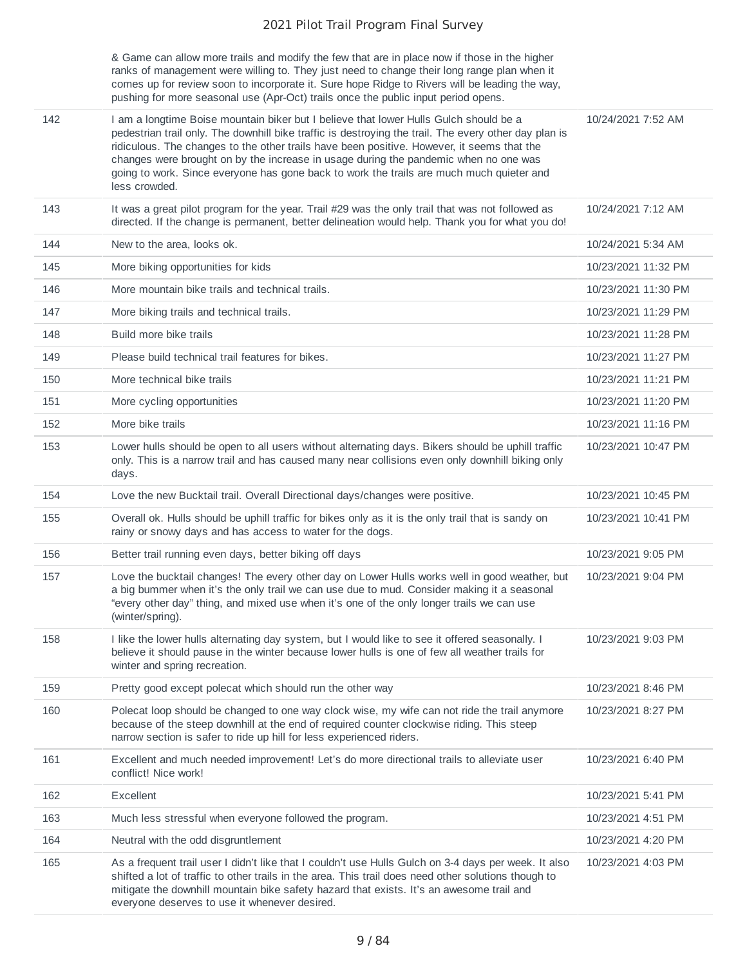& Game can allow more trails and modify the few that are in place now if those in the higher ranks of management were willing to. They just need to change their long range plan when it comes up for review soon to incorporate it. Sure hope Ridge to Rivers will be leading the way, pushing for more seasonal use (Apr-Oct) trails once the public input period opens.

|     | pushing for more seasonal use (Apr-Oct) trails once the public input period opens.                                                                                                                                                                                                                                                                                                                                                                                                                |                     |
|-----|---------------------------------------------------------------------------------------------------------------------------------------------------------------------------------------------------------------------------------------------------------------------------------------------------------------------------------------------------------------------------------------------------------------------------------------------------------------------------------------------------|---------------------|
| 142 | I am a longtime Boise mountain biker but I believe that lower Hulls Gulch should be a<br>pedestrian trail only. The downhill bike traffic is destroying the trail. The every other day plan is<br>ridiculous. The changes to the other trails have been positive. However, it seems that the<br>changes were brought on by the increase in usage during the pandemic when no one was<br>going to work. Since everyone has gone back to work the trails are much much quieter and<br>less crowded. | 10/24/2021 7:52 AM  |
| 143 | It was a great pilot program for the year. Trail #29 was the only trail that was not followed as<br>directed. If the change is permanent, better delineation would help. Thank you for what you do!                                                                                                                                                                                                                                                                                               | 10/24/2021 7:12 AM  |
| 144 | New to the area. looks ok.                                                                                                                                                                                                                                                                                                                                                                                                                                                                        | 10/24/2021 5:34 AM  |
| 145 | More biking opportunities for kids                                                                                                                                                                                                                                                                                                                                                                                                                                                                | 10/23/2021 11:32 PM |
| 146 | More mountain bike trails and technical trails.                                                                                                                                                                                                                                                                                                                                                                                                                                                   | 10/23/2021 11:30 PM |
| 147 | More biking trails and technical trails.                                                                                                                                                                                                                                                                                                                                                                                                                                                          | 10/23/2021 11:29 PM |
| 148 | Build more bike trails                                                                                                                                                                                                                                                                                                                                                                                                                                                                            | 10/23/2021 11:28 PM |
| 149 | Please build technical trail features for bikes.                                                                                                                                                                                                                                                                                                                                                                                                                                                  | 10/23/2021 11:27 PM |
| 150 | More technical bike trails                                                                                                                                                                                                                                                                                                                                                                                                                                                                        | 10/23/2021 11:21 PM |
| 151 | More cycling opportunities                                                                                                                                                                                                                                                                                                                                                                                                                                                                        | 10/23/2021 11:20 PM |
| 152 | More bike trails                                                                                                                                                                                                                                                                                                                                                                                                                                                                                  | 10/23/2021 11:16 PM |
| 153 | Lower hulls should be open to all users without alternating days. Bikers should be uphill traffic<br>only. This is a narrow trail and has caused many near collisions even only downhill biking only<br>days.                                                                                                                                                                                                                                                                                     | 10/23/2021 10:47 PM |
| 154 | Love the new Bucktail trail. Overall Directional days/changes were positive.                                                                                                                                                                                                                                                                                                                                                                                                                      | 10/23/2021 10:45 PM |
| 155 | Overall ok. Hulls should be uphill traffic for bikes only as it is the only trail that is sandy on<br>rainy or snowy days and has access to water for the dogs.                                                                                                                                                                                                                                                                                                                                   | 10/23/2021 10:41 PM |
| 156 | Better trail running even days, better biking off days                                                                                                                                                                                                                                                                                                                                                                                                                                            | 10/23/2021 9:05 PM  |
| 157 | Love the bucktail changes! The every other day on Lower Hulls works well in good weather, but<br>a big bummer when it's the only trail we can use due to mud. Consider making it a seasonal<br>"every other day" thing, and mixed use when it's one of the only longer trails we can use<br>(winter/spring).                                                                                                                                                                                      | 10/23/2021 9:04 PM  |
| 158 | I like the lower hulls alternating day system, but I would like to see it offered seasonally. I<br>believe it should pause in the winter because lower hulls is one of few all weather trails for<br>winter and spring recreation.                                                                                                                                                                                                                                                                | 10/23/2021 9:03 PM  |
| 159 | Pretty good except polecat which should run the other way                                                                                                                                                                                                                                                                                                                                                                                                                                         | 10/23/2021 8:46 PM  |
| 160 | Polecat loop should be changed to one way clock wise, my wife can not ride the trail anymore<br>because of the steep downhill at the end of required counter clockwise riding. This steep<br>narrow section is safer to ride up hill for less experienced riders.                                                                                                                                                                                                                                 | 10/23/2021 8:27 PM  |
| 161 | Excellent and much needed improvement! Let's do more directional trails to alleviate user<br>conflict! Nice work!                                                                                                                                                                                                                                                                                                                                                                                 | 10/23/2021 6:40 PM  |
| 162 | Excellent                                                                                                                                                                                                                                                                                                                                                                                                                                                                                         | 10/23/2021 5:41 PM  |
| 163 | Much less stressful when everyone followed the program.                                                                                                                                                                                                                                                                                                                                                                                                                                           | 10/23/2021 4:51 PM  |
| 164 | Neutral with the odd disgruntlement                                                                                                                                                                                                                                                                                                                                                                                                                                                               | 10/23/2021 4:20 PM  |
| 165 | As a frequent trail user I didn't like that I couldn't use Hulls Gulch on 3-4 days per week. It also<br>shifted a lot of traffic to other trails in the area. This trail does need other solutions though to<br>mitigate the downhill mountain bike safety hazard that exists. It's an awesome trail and<br>everyone deserves to use it whenever desired.                                                                                                                                         | 10/23/2021 4:03 PM  |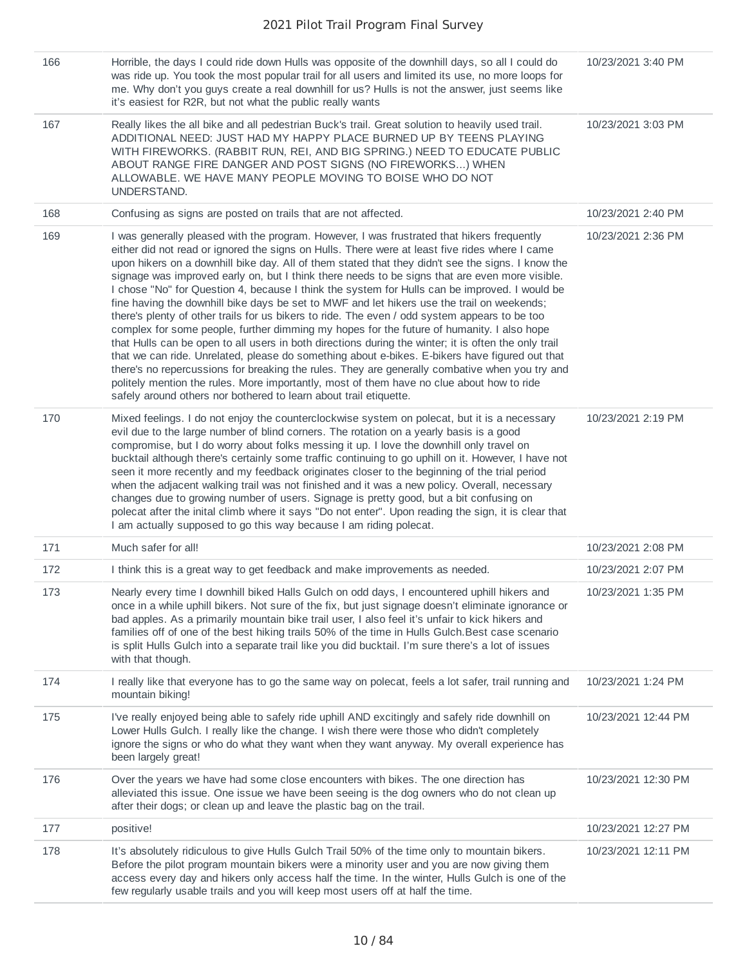| 166 | Horrible, the days I could ride down Hulls was opposite of the downhill days, so all I could do<br>was ride up. You took the most popular trail for all users and limited its use, no more loops for<br>me. Why don't you guys create a real downhill for us? Hulls is not the answer, just seems like<br>it's easiest for R2R, but not what the public really wants                                                                                                                                                                                                                                                                                                                                                                                                                                                                                                                                                                                                                                                                                                                                                                                                                                                                                                           | 10/23/2021 3:40 PM  |
|-----|--------------------------------------------------------------------------------------------------------------------------------------------------------------------------------------------------------------------------------------------------------------------------------------------------------------------------------------------------------------------------------------------------------------------------------------------------------------------------------------------------------------------------------------------------------------------------------------------------------------------------------------------------------------------------------------------------------------------------------------------------------------------------------------------------------------------------------------------------------------------------------------------------------------------------------------------------------------------------------------------------------------------------------------------------------------------------------------------------------------------------------------------------------------------------------------------------------------------------------------------------------------------------------|---------------------|
| 167 | Really likes the all bike and all pedestrian Buck's trail. Great solution to heavily used trail.<br>ADDITIONAL NEED: JUST HAD MY HAPPY PLACE BURNED UP BY TEENS PLAYING<br>WITH FIREWORKS. (RABBIT RUN, REI, AND BIG SPRING.) NEED TO EDUCATE PUBLIC<br>ABOUT RANGE FIRE DANGER AND POST SIGNS (NO FIREWORKS) WHEN<br>ALLOWABLE. WE HAVE MANY PEOPLE MOVING TO BOISE WHO DO NOT<br>UNDERSTAND.                                                                                                                                                                                                                                                                                                                                                                                                                                                                                                                                                                                                                                                                                                                                                                                                                                                                                 | 10/23/2021 3:03 PM  |
| 168 | Confusing as signs are posted on trails that are not affected.                                                                                                                                                                                                                                                                                                                                                                                                                                                                                                                                                                                                                                                                                                                                                                                                                                                                                                                                                                                                                                                                                                                                                                                                                 | 10/23/2021 2:40 PM  |
| 169 | I was generally pleased with the program. However, I was frustrated that hikers frequently<br>either did not read or ignored the signs on Hulls. There were at least five rides where I came<br>upon hikers on a downhill bike day. All of them stated that they didn't see the signs. I know the<br>signage was improved early on, but I think there needs to be signs that are even more visible.<br>I chose "No" for Question 4, because I think the system for Hulls can be improved. I would be<br>fine having the downhill bike days be set to MWF and let hikers use the trail on weekends;<br>there's plenty of other trails for us bikers to ride. The even / odd system appears to be too<br>complex for some people, further dimming my hopes for the future of humanity. I also hope<br>that Hulls can be open to all users in both directions during the winter; it is often the only trail<br>that we can ride. Unrelated, please do something about e-bikes. E-bikers have figured out that<br>there's no repercussions for breaking the rules. They are generally combative when you try and<br>politely mention the rules. More importantly, most of them have no clue about how to ride<br>safely around others nor bothered to learn about trail etiquette. | 10/23/2021 2:36 PM  |
| 170 | Mixed feelings. I do not enjoy the counterclockwise system on polecat, but it is a necessary<br>evil due to the large number of blind corners. The rotation on a yearly basis is a good<br>compromise, but I do worry about folks messing it up. I love the downhill only travel on<br>bucktail although there's certainly some traffic continuing to go uphill on it. However, I have not<br>seen it more recently and my feedback originates closer to the beginning of the trial period<br>when the adjacent walking trail was not finished and it was a new policy. Overall, necessary<br>changes due to growing number of users. Signage is pretty good, but a bit confusing on<br>polecat after the inital climb where it says "Do not enter". Upon reading the sign, it is clear that<br>I am actually supposed to go this way because I am riding polecat.                                                                                                                                                                                                                                                                                                                                                                                                             | 10/23/2021 2:19 PM  |
| 171 | Much safer for all!                                                                                                                                                                                                                                                                                                                                                                                                                                                                                                                                                                                                                                                                                                                                                                                                                                                                                                                                                                                                                                                                                                                                                                                                                                                            | 10/23/2021 2:08 PM  |
| 172 | I think this is a great way to get feedback and make improvements as needed.                                                                                                                                                                                                                                                                                                                                                                                                                                                                                                                                                                                                                                                                                                                                                                                                                                                                                                                                                                                                                                                                                                                                                                                                   | 10/23/2021 2:07 PM  |
| 173 | Nearly every time I downhill biked Halls Gulch on odd days, I encountered uphill hikers and<br>once in a while uphill bikers. Not sure of the fix, but just signage doesn't eliminate ignorance or<br>bad apples. As a primarily mountain bike trail user, I also feel it's unfair to kick hikers and<br>families off of one of the best hiking trails 50% of the time in Hulls Gulch. Best case scenario<br>is split Hulls Gulch into a separate trail like you did bucktail. I'm sure there's a lot of issues<br>with that though.                                                                                                                                                                                                                                                                                                                                                                                                                                                                                                                                                                                                                                                                                                                                           | 10/23/2021 1:35 PM  |
| 174 | I really like that everyone has to go the same way on polecat, feels a lot safer, trail running and<br>mountain biking!                                                                                                                                                                                                                                                                                                                                                                                                                                                                                                                                                                                                                                                                                                                                                                                                                                                                                                                                                                                                                                                                                                                                                        | 10/23/2021 1:24 PM  |
| 175 | I've really enjoyed being able to safely ride uphill AND excitingly and safely ride downhill on<br>Lower Hulls Gulch. I really like the change. I wish there were those who didn't completely<br>ignore the signs or who do what they want when they want anyway. My overall experience has<br>been largely great!                                                                                                                                                                                                                                                                                                                                                                                                                                                                                                                                                                                                                                                                                                                                                                                                                                                                                                                                                             | 10/23/2021 12:44 PM |
| 176 | Over the years we have had some close encounters with bikes. The one direction has<br>alleviated this issue. One issue we have been seeing is the dog owners who do not clean up<br>after their dogs; or clean up and leave the plastic bag on the trail.                                                                                                                                                                                                                                                                                                                                                                                                                                                                                                                                                                                                                                                                                                                                                                                                                                                                                                                                                                                                                      | 10/23/2021 12:30 PM |
| 177 | positive!                                                                                                                                                                                                                                                                                                                                                                                                                                                                                                                                                                                                                                                                                                                                                                                                                                                                                                                                                                                                                                                                                                                                                                                                                                                                      | 10/23/2021 12:27 PM |
| 178 | It's absolutely ridiculous to give Hulls Gulch Trail 50% of the time only to mountain bikers.<br>Before the pilot program mountain bikers were a minority user and you are now giving them<br>access every day and hikers only access half the time. In the winter, Hulls Gulch is one of the<br>few regularly usable trails and you will keep most users off at half the time.                                                                                                                                                                                                                                                                                                                                                                                                                                                                                                                                                                                                                                                                                                                                                                                                                                                                                                | 10/23/2021 12:11 PM |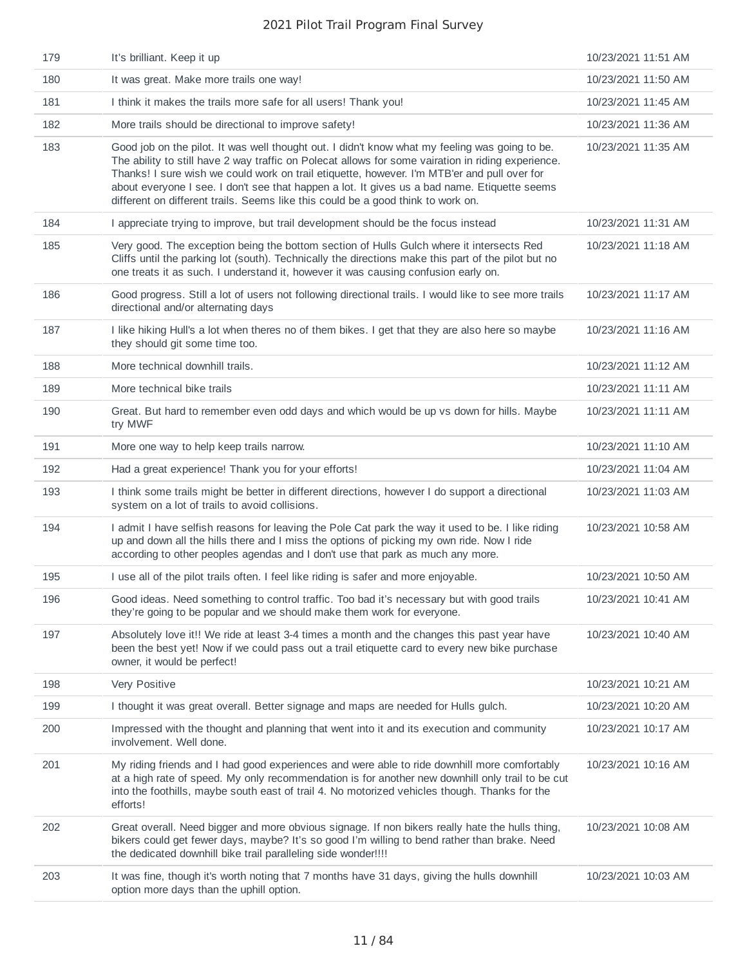| 179 | It's brilliant. Keep it up                                                                                                                                                                                                                                                                                                                                                                                                                                                              | 10/23/2021 11:51 AM |
|-----|-----------------------------------------------------------------------------------------------------------------------------------------------------------------------------------------------------------------------------------------------------------------------------------------------------------------------------------------------------------------------------------------------------------------------------------------------------------------------------------------|---------------------|
| 180 | It was great. Make more trails one way!                                                                                                                                                                                                                                                                                                                                                                                                                                                 | 10/23/2021 11:50 AM |
| 181 | I think it makes the trails more safe for all users! Thank you!                                                                                                                                                                                                                                                                                                                                                                                                                         | 10/23/2021 11:45 AM |
| 182 | More trails should be directional to improve safety!                                                                                                                                                                                                                                                                                                                                                                                                                                    | 10/23/2021 11:36 AM |
| 183 | Good job on the pilot. It was well thought out. I didn't know what my feeling was going to be.<br>The ability to still have 2 way traffic on Polecat allows for some vairation in riding experience.<br>Thanks! I sure wish we could work on trail etiquette, however. I'm MTB'er and pull over for<br>about everyone I see. I don't see that happen a lot. It gives us a bad name. Etiquette seems<br>different on different trails. Seems like this could be a good think to work on. | 10/23/2021 11:35 AM |
| 184 | I appreciate trying to improve, but trail development should be the focus instead                                                                                                                                                                                                                                                                                                                                                                                                       | 10/23/2021 11:31 AM |
| 185 | Very good. The exception being the bottom section of Hulls Gulch where it intersects Red<br>Cliffs until the parking lot (south). Technically the directions make this part of the pilot but no<br>one treats it as such. I understand it, however it was causing confusion early on.                                                                                                                                                                                                   | 10/23/2021 11:18 AM |
| 186 | Good progress. Still a lot of users not following directional trails. I would like to see more trails<br>directional and/or alternating days                                                                                                                                                                                                                                                                                                                                            | 10/23/2021 11:17 AM |
| 187 | I like hiking Hull's a lot when theres no of them bikes. I get that they are also here so maybe<br>they should git some time too.                                                                                                                                                                                                                                                                                                                                                       | 10/23/2021 11:16 AM |
| 188 | More technical downhill trails.                                                                                                                                                                                                                                                                                                                                                                                                                                                         | 10/23/2021 11:12 AM |
| 189 | More technical bike trails                                                                                                                                                                                                                                                                                                                                                                                                                                                              | 10/23/2021 11:11 AM |
| 190 | Great. But hard to remember even odd days and which would be up vs down for hills. Maybe<br>try MWF                                                                                                                                                                                                                                                                                                                                                                                     | 10/23/2021 11:11 AM |
| 191 | More one way to help keep trails narrow.                                                                                                                                                                                                                                                                                                                                                                                                                                                | 10/23/2021 11:10 AM |
| 192 | Had a great experience! Thank you for your efforts!                                                                                                                                                                                                                                                                                                                                                                                                                                     | 10/23/2021 11:04 AM |
| 193 | I think some trails might be better in different directions, however I do support a directional<br>system on a lot of trails to avoid collisions.                                                                                                                                                                                                                                                                                                                                       | 10/23/2021 11:03 AM |
| 194 | I admit I have selfish reasons for leaving the Pole Cat park the way it used to be. I like riding<br>up and down all the hills there and I miss the options of picking my own ride. Now I ride<br>according to other peoples agendas and I don't use that park as much any more.                                                                                                                                                                                                        | 10/23/2021 10:58 AM |
| 195 | I use all of the pilot trails often. I feel like riding is safer and more enjoyable.                                                                                                                                                                                                                                                                                                                                                                                                    | 10/23/2021 10:50 AM |
| 196 | Good ideas. Need something to control traffic. Too bad it's necessary but with good trails<br>they're going to be popular and we should make them work for everyone.                                                                                                                                                                                                                                                                                                                    | 10/23/2021 10:41 AM |
| 197 | Absolutely love it!! We ride at least 3-4 times a month and the changes this past year have<br>been the best yet! Now if we could pass out a trail etiquette card to every new bike purchase<br>owner, it would be perfect!                                                                                                                                                                                                                                                             | 10/23/2021 10:40 AM |
| 198 | Very Positive                                                                                                                                                                                                                                                                                                                                                                                                                                                                           | 10/23/2021 10:21 AM |
| 199 | I thought it was great overall. Better signage and maps are needed for Hulls gulch.                                                                                                                                                                                                                                                                                                                                                                                                     | 10/23/2021 10:20 AM |
| 200 | Impressed with the thought and planning that went into it and its execution and community<br>involvement. Well done.                                                                                                                                                                                                                                                                                                                                                                    | 10/23/2021 10:17 AM |
| 201 | My riding friends and I had good experiences and were able to ride downhill more comfortably<br>at a high rate of speed. My only recommendation is for another new downhill only trail to be cut<br>into the foothills, maybe south east of trail 4. No motorized vehicles though. Thanks for the<br>efforts!                                                                                                                                                                           | 10/23/2021 10:16 AM |
| 202 | Great overall. Need bigger and more obvious signage. If non bikers really hate the hulls thing,<br>bikers could get fewer days, maybe? It's so good I'm willing to bend rather than brake. Need<br>the dedicated downhill bike trail paralleling side wonder!!!!                                                                                                                                                                                                                        | 10/23/2021 10:08 AM |
| 203 | It was fine, though it's worth noting that 7 months have 31 days, giving the hulls downhill<br>option more days than the uphill option.                                                                                                                                                                                                                                                                                                                                                 | 10/23/2021 10:03 AM |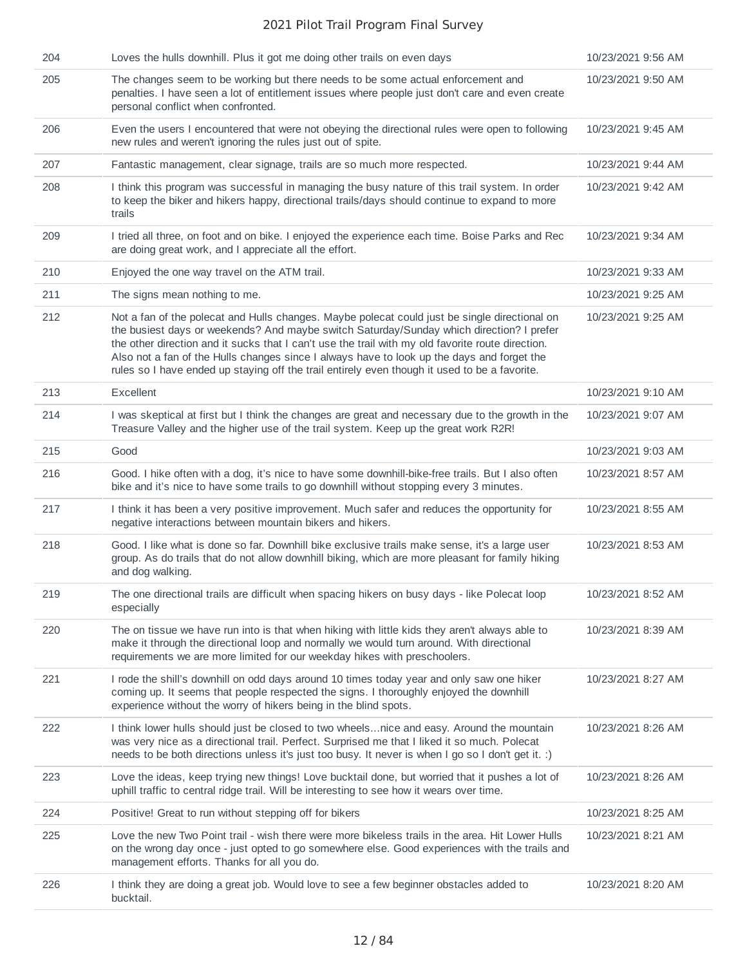| 204 | Loves the hulls downhill. Plus it got me doing other trails on even days                                                                                                                                                                                                                                                                                                                                                                                                                      | 10/23/2021 9:56 AM |
|-----|-----------------------------------------------------------------------------------------------------------------------------------------------------------------------------------------------------------------------------------------------------------------------------------------------------------------------------------------------------------------------------------------------------------------------------------------------------------------------------------------------|--------------------|
| 205 | The changes seem to be working but there needs to be some actual enforcement and<br>penalties. I have seen a lot of entitlement issues where people just don't care and even create<br>personal conflict when confronted.                                                                                                                                                                                                                                                                     | 10/23/2021 9:50 AM |
| 206 | Even the users I encountered that were not obeying the directional rules were open to following<br>new rules and weren't ignoring the rules just out of spite.                                                                                                                                                                                                                                                                                                                                | 10/23/2021 9:45 AM |
| 207 | Fantastic management, clear signage, trails are so much more respected.                                                                                                                                                                                                                                                                                                                                                                                                                       | 10/23/2021 9:44 AM |
| 208 | I think this program was successful in managing the busy nature of this trail system. In order<br>to keep the biker and hikers happy, directional trails/days should continue to expand to more<br>trails                                                                                                                                                                                                                                                                                     | 10/23/2021 9:42 AM |
| 209 | I tried all three, on foot and on bike. I enjoyed the experience each time. Boise Parks and Rec<br>are doing great work, and I appreciate all the effort.                                                                                                                                                                                                                                                                                                                                     | 10/23/2021 9:34 AM |
| 210 | Enjoyed the one way travel on the ATM trail.                                                                                                                                                                                                                                                                                                                                                                                                                                                  | 10/23/2021 9:33 AM |
| 211 | The signs mean nothing to me.                                                                                                                                                                                                                                                                                                                                                                                                                                                                 | 10/23/2021 9:25 AM |
| 212 | Not a fan of the polecat and Hulls changes. Maybe polecat could just be single directional on<br>the busiest days or weekends? And maybe switch Saturday/Sunday which direction? I prefer<br>the other direction and it sucks that I can't use the trail with my old favorite route direction.<br>Also not a fan of the Hulls changes since I always have to look up the days and forget the<br>rules so I have ended up staying off the trail entirely even though it used to be a favorite. | 10/23/2021 9:25 AM |
| 213 | Excellent                                                                                                                                                                                                                                                                                                                                                                                                                                                                                     | 10/23/2021 9:10 AM |
| 214 | I was skeptical at first but I think the changes are great and necessary due to the growth in the<br>Treasure Valley and the higher use of the trail system. Keep up the great work R2R!                                                                                                                                                                                                                                                                                                      | 10/23/2021 9:07 AM |
| 215 | Good                                                                                                                                                                                                                                                                                                                                                                                                                                                                                          | 10/23/2021 9:03 AM |
| 216 | Good. I hike often with a dog, it's nice to have some downhill-bike-free trails. But I also often<br>bike and it's nice to have some trails to go downhill without stopping every 3 minutes.                                                                                                                                                                                                                                                                                                  | 10/23/2021 8:57 AM |
| 217 | I think it has been a very positive improvement. Much safer and reduces the opportunity for<br>negative interactions between mountain bikers and hikers.                                                                                                                                                                                                                                                                                                                                      | 10/23/2021 8:55 AM |
| 218 | Good. I like what is done so far. Downhill bike exclusive trails make sense, it's a large user<br>group. As do trails that do not allow downhill biking, which are more pleasant for family hiking<br>and dog walking.                                                                                                                                                                                                                                                                        | 10/23/2021 8:53 AM |
| 219 | The one directional trails are difficult when spacing hikers on busy days - like Polecat loop<br>especially                                                                                                                                                                                                                                                                                                                                                                                   | 10/23/2021 8:52 AM |
| 220 | The on tissue we have run into is that when hiking with little kids they aren't always able to<br>make it through the directional loop and normally we would turn around. With directional<br>requirements we are more limited for our weekday hikes with preschoolers.                                                                                                                                                                                                                       | 10/23/2021 8:39 AM |
| 221 | I rode the shill's downhill on odd days around 10 times today year and only saw one hiker<br>coming up. It seems that people respected the signs. I thoroughly enjoyed the downhill<br>experience without the worry of hikers being in the blind spots.                                                                                                                                                                                                                                       | 10/23/2021 8:27 AM |
| 222 | I think lower hulls should just be closed to two wheelsnice and easy. Around the mountain<br>was very nice as a directional trail. Perfect. Surprised me that I liked it so much. Polecat<br>needs to be both directions unless it's just too busy. It never is when I go so I don't get it. :)                                                                                                                                                                                               | 10/23/2021 8:26 AM |
| 223 | Love the ideas, keep trying new things! Love bucktail done, but worried that it pushes a lot of<br>uphill traffic to central ridge trail. Will be interesting to see how it wears over time.                                                                                                                                                                                                                                                                                                  | 10/23/2021 8:26 AM |
| 224 | Positive! Great to run without stepping off for bikers                                                                                                                                                                                                                                                                                                                                                                                                                                        | 10/23/2021 8:25 AM |
| 225 | Love the new Two Point trail - wish there were more bikeless trails in the area. Hit Lower Hulls<br>on the wrong day once - just opted to go somewhere else. Good experiences with the trails and<br>management efforts. Thanks for all you do.                                                                                                                                                                                                                                               | 10/23/2021 8:21 AM |
| 226 | I think they are doing a great job. Would love to see a few beginner obstacles added to<br>bucktail.                                                                                                                                                                                                                                                                                                                                                                                          | 10/23/2021 8:20 AM |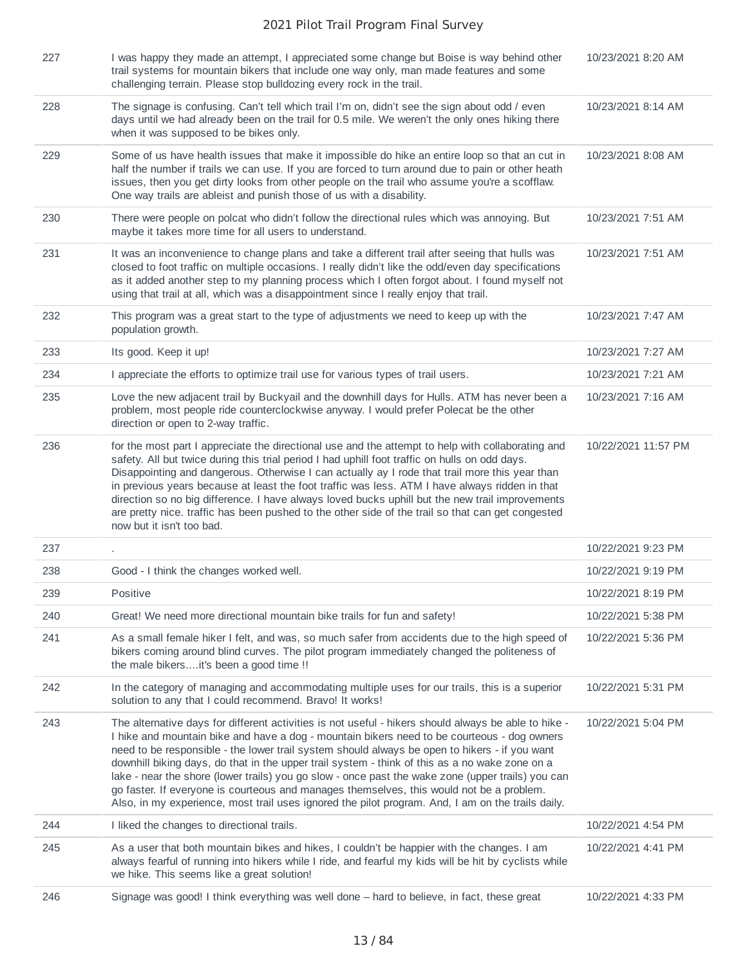| 227 | I was happy they made an attempt, I appreciated some change but Boise is way behind other<br>trail systems for mountain bikers that include one way only, man made features and some<br>challenging terrain. Please stop bulldozing every rock in the trail.                                                                                                                                                                                                                                                                                                                                                                                                                                                 | 10/23/2021 8:20 AM  |
|-----|--------------------------------------------------------------------------------------------------------------------------------------------------------------------------------------------------------------------------------------------------------------------------------------------------------------------------------------------------------------------------------------------------------------------------------------------------------------------------------------------------------------------------------------------------------------------------------------------------------------------------------------------------------------------------------------------------------------|---------------------|
| 228 | The signage is confusing. Can't tell which trail I'm on, didn't see the sign about odd / even<br>days until we had already been on the trail for 0.5 mile. We weren't the only ones hiking there<br>when it was supposed to be bikes only.                                                                                                                                                                                                                                                                                                                                                                                                                                                                   | 10/23/2021 8:14 AM  |
| 229 | Some of us have health issues that make it impossible do hike an entire loop so that an cut in<br>half the number if trails we can use. If you are forced to turn around due to pain or other heath<br>issues, then you get dirty looks from other people on the trail who assume you're a scofflaw.<br>One way trails are ableist and punish those of us with a disability.                                                                                                                                                                                                                                                                                                                                 | 10/23/2021 8:08 AM  |
| 230 | There were people on polcat who didn't follow the directional rules which was annoying. But<br>maybe it takes more time for all users to understand.                                                                                                                                                                                                                                                                                                                                                                                                                                                                                                                                                         | 10/23/2021 7:51 AM  |
| 231 | It was an inconvenience to change plans and take a different trail after seeing that hulls was<br>closed to foot traffic on multiple occasions. I really didn't like the odd/even day specifications<br>as it added another step to my planning process which I often forgot about. I found myself not<br>using that trail at all, which was a disappointment since I really enjoy that trail.                                                                                                                                                                                                                                                                                                               | 10/23/2021 7:51 AM  |
| 232 | This program was a great start to the type of adjustments we need to keep up with the<br>population growth.                                                                                                                                                                                                                                                                                                                                                                                                                                                                                                                                                                                                  | 10/23/2021 7:47 AM  |
| 233 | Its good. Keep it up!                                                                                                                                                                                                                                                                                                                                                                                                                                                                                                                                                                                                                                                                                        | 10/23/2021 7:27 AM  |
| 234 | I appreciate the efforts to optimize trail use for various types of trail users.                                                                                                                                                                                                                                                                                                                                                                                                                                                                                                                                                                                                                             | 10/23/2021 7:21 AM  |
| 235 | Love the new adjacent trail by Buckyail and the downhill days for Hulls. ATM has never been a<br>problem, most people ride counterclockwise anyway. I would prefer Polecat be the other<br>direction or open to 2-way traffic.                                                                                                                                                                                                                                                                                                                                                                                                                                                                               | 10/23/2021 7:16 AM  |
| 236 | for the most part I appreciate the directional use and the attempt to help with collaborating and<br>safety. All but twice during this trial period I had uphill foot traffic on hulls on odd days.<br>Disappointing and dangerous. Otherwise I can actually ay I rode that trail more this year than<br>in previous years because at least the foot traffic was less. ATM I have always ridden in that<br>direction so no big difference. I have always loved bucks uphill but the new trail improvements<br>are pretty nice. traffic has been pushed to the other side of the trail so that can get congested<br>now but it isn't too bad.                                                                 | 10/22/2021 11:57 PM |
| 237 |                                                                                                                                                                                                                                                                                                                                                                                                                                                                                                                                                                                                                                                                                                              | 10/22/2021 9:23 PM  |
| 238 | Good - I think the changes worked well.                                                                                                                                                                                                                                                                                                                                                                                                                                                                                                                                                                                                                                                                      | 10/22/2021 9:19 PM  |
| 239 | Positive                                                                                                                                                                                                                                                                                                                                                                                                                                                                                                                                                                                                                                                                                                     | 10/22/2021 8:19 PM  |
| 240 | Great! We need more directional mountain bike trails for fun and safety!                                                                                                                                                                                                                                                                                                                                                                                                                                                                                                                                                                                                                                     | 10/22/2021 5:38 PM  |
| 241 | As a small female hiker I felt, and was, so much safer from accidents due to the high speed of<br>bikers coming around blind curves. The pilot program immediately changed the politeness of<br>the male bikersit's been a good time !!                                                                                                                                                                                                                                                                                                                                                                                                                                                                      | 10/22/2021 5:36 PM  |
| 242 | In the category of managing and accommodating multiple uses for our trails, this is a superior<br>solution to any that I could recommend. Bravo! It works!                                                                                                                                                                                                                                                                                                                                                                                                                                                                                                                                                   | 10/22/2021 5:31 PM  |
| 243 | The alternative days for different activities is not useful - hikers should always be able to hike -<br>I hike and mountain bike and have a dog - mountain bikers need to be courteous - dog owners<br>need to be responsible - the lower trail system should always be open to hikers - if you want<br>downhill biking days, do that in the upper trail system - think of this as a no wake zone on a<br>lake - near the shore (lower trails) you go slow - once past the wake zone (upper trails) you can<br>go faster. If everyone is courteous and manages themselves, this would not be a problem.<br>Also, in my experience, most trail uses ignored the pilot program. And, I am on the trails daily. | 10/22/2021 5:04 PM  |
| 244 | I liked the changes to directional trails.                                                                                                                                                                                                                                                                                                                                                                                                                                                                                                                                                                                                                                                                   | 10/22/2021 4:54 PM  |
| 245 | As a user that both mountain bikes and hikes, I couldn't be happier with the changes. I am<br>always fearful of running into hikers while I ride, and fearful my kids will be hit by cyclists while<br>we hike. This seems like a great solution!                                                                                                                                                                                                                                                                                                                                                                                                                                                            | 10/22/2021 4:41 PM  |
| 246 | Signage was good! I think everything was well done - hard to believe, in fact, these great                                                                                                                                                                                                                                                                                                                                                                                                                                                                                                                                                                                                                   | 10/22/2021 4:33 PM  |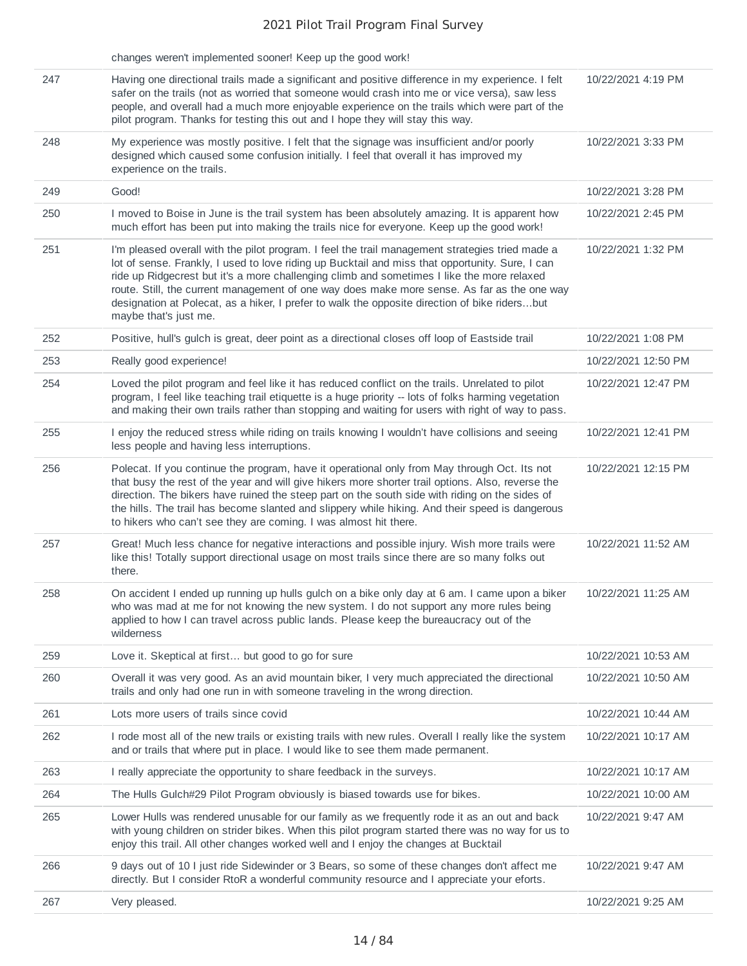|     | changes weren't implemented sooner! Keep up the good work!                                                                                                                                                                                                                                                                                                                                                                                                                                                                |                     |
|-----|---------------------------------------------------------------------------------------------------------------------------------------------------------------------------------------------------------------------------------------------------------------------------------------------------------------------------------------------------------------------------------------------------------------------------------------------------------------------------------------------------------------------------|---------------------|
| 247 | Having one directional trails made a significant and positive difference in my experience. I felt<br>safer on the trails (not as worried that someone would crash into me or vice versa), saw less<br>people, and overall had a much more enjoyable experience on the trails which were part of the<br>pilot program. Thanks for testing this out and I hope they will stay this way.                                                                                                                                     | 10/22/2021 4:19 PM  |
| 248 | My experience was mostly positive. I felt that the signage was insufficient and/or poorly<br>designed which caused some confusion initially. I feel that overall it has improved my<br>experience on the trails.                                                                                                                                                                                                                                                                                                          | 10/22/2021 3:33 PM  |
| 249 | Good!                                                                                                                                                                                                                                                                                                                                                                                                                                                                                                                     | 10/22/2021 3:28 PM  |
| 250 | I moved to Boise in June is the trail system has been absolutely amazing. It is apparent how<br>much effort has been put into making the trails nice for everyone. Keep up the good work!                                                                                                                                                                                                                                                                                                                                 | 10/22/2021 2:45 PM  |
| 251 | I'm pleased overall with the pilot program. I feel the trail management strategies tried made a<br>lot of sense. Frankly, I used to love riding up Bucktail and miss that opportunity. Sure, I can<br>ride up Ridgecrest but it's a more challenging climb and sometimes I like the more relaxed<br>route. Still, the current management of one way does make more sense. As far as the one way<br>designation at Polecat, as a hiker, I prefer to walk the opposite direction of bike ridersbut<br>maybe that's just me. | 10/22/2021 1:32 PM  |
| 252 | Positive, hull's gulch is great, deer point as a directional closes off loop of Eastside trail                                                                                                                                                                                                                                                                                                                                                                                                                            | 10/22/2021 1:08 PM  |
| 253 | Really good experience!                                                                                                                                                                                                                                                                                                                                                                                                                                                                                                   | 10/22/2021 12:50 PM |
| 254 | Loved the pilot program and feel like it has reduced conflict on the trails. Unrelated to pilot<br>program, I feel like teaching trail etiquette is a huge priority -- lots of folks harming vegetation<br>and making their own trails rather than stopping and waiting for users with right of way to pass.                                                                                                                                                                                                              | 10/22/2021 12:47 PM |
| 255 | I enjoy the reduced stress while riding on trails knowing I wouldn't have collisions and seeing<br>less people and having less interruptions.                                                                                                                                                                                                                                                                                                                                                                             | 10/22/2021 12:41 PM |
| 256 | Polecat. If you continue the program, have it operational only from May through Oct. Its not<br>that busy the rest of the year and will give hikers more shorter trail options. Also, reverse the<br>direction. The bikers have ruined the steep part on the south side with riding on the sides of<br>the hills. The trail has become slanted and slippery while hiking. And their speed is dangerous<br>to hikers who can't see they are coming. I was almost hit there.                                                | 10/22/2021 12:15 PM |
| 257 | Great! Much less chance for negative interactions and possible injury. Wish more trails were<br>like this! Totally support directional usage on most trails since there are so many folks out<br>there.                                                                                                                                                                                                                                                                                                                   | 10/22/2021 11:52 AM |
| 258 | On accident I ended up running up hulls gulch on a bike only day at 6 am. I came upon a biker<br>who was mad at me for not knowing the new system. I do not support any more rules being<br>applied to how I can travel across public lands. Please keep the bureaucracy out of the<br>wilderness                                                                                                                                                                                                                         | 10/22/2021 11:25 AM |
| 259 | Love it. Skeptical at first but good to go for sure                                                                                                                                                                                                                                                                                                                                                                                                                                                                       | 10/22/2021 10:53 AM |
| 260 | Overall it was very good. As an avid mountain biker, I very much appreciated the directional<br>trails and only had one run in with someone traveling in the wrong direction.                                                                                                                                                                                                                                                                                                                                             | 10/22/2021 10:50 AM |
| 261 | Lots more users of trails since covid                                                                                                                                                                                                                                                                                                                                                                                                                                                                                     | 10/22/2021 10:44 AM |
| 262 | I rode most all of the new trails or existing trails with new rules. Overall I really like the system<br>and or trails that where put in place. I would like to see them made permanent.                                                                                                                                                                                                                                                                                                                                  | 10/22/2021 10:17 AM |
| 263 | I really appreciate the opportunity to share feedback in the surveys.                                                                                                                                                                                                                                                                                                                                                                                                                                                     | 10/22/2021 10:17 AM |
| 264 | The Hulls Gulch#29 Pilot Program obviously is biased towards use for bikes.                                                                                                                                                                                                                                                                                                                                                                                                                                               | 10/22/2021 10:00 AM |
| 265 | Lower Hulls was rendered unusable for our family as we frequently rode it as an out and back<br>with young children on strider bikes. When this pilot program started there was no way for us to<br>enjoy this trail. All other changes worked well and I enjoy the changes at Bucktail                                                                                                                                                                                                                                   | 10/22/2021 9:47 AM  |
| 266 | 9 days out of 10 I just ride Sidewinder or 3 Bears, so some of these changes don't affect me<br>directly. But I consider RtoR a wonderful community resource and I appreciate your eforts.                                                                                                                                                                                                                                                                                                                                | 10/22/2021 9:47 AM  |
| 267 | Very pleased.                                                                                                                                                                                                                                                                                                                                                                                                                                                                                                             | 10/22/2021 9:25 AM  |
|     |                                                                                                                                                                                                                                                                                                                                                                                                                                                                                                                           |                     |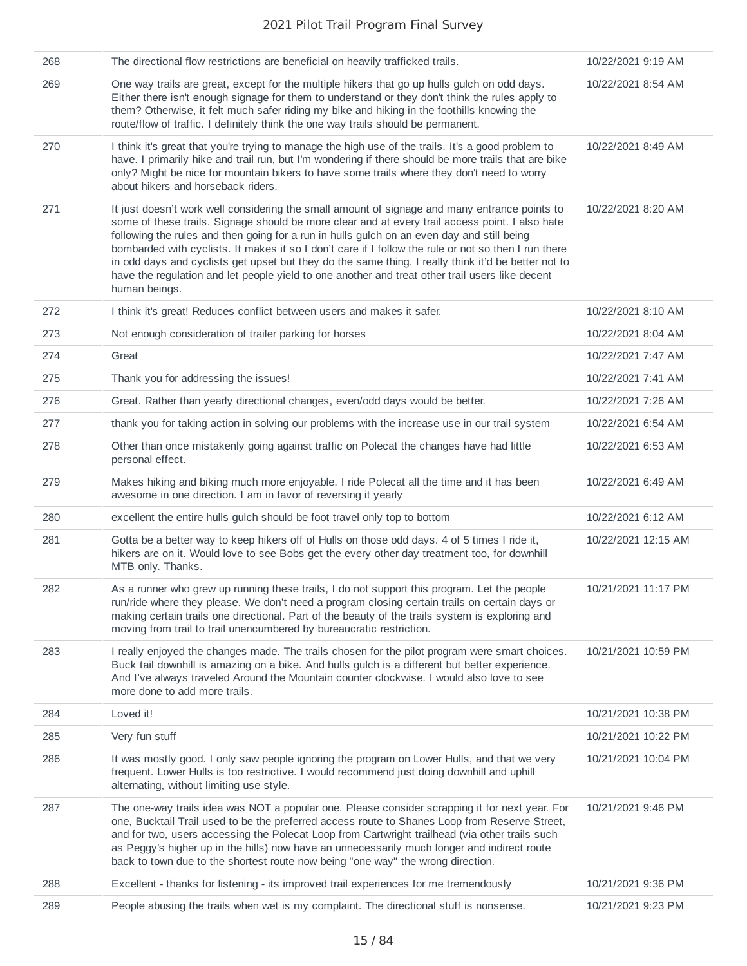| 268 | The directional flow restrictions are beneficial on heavily trafficked trails.                                                                                                                                                                                                                                                                                                                                                                                                                                                                                                                                                    | 10/22/2021 9:19 AM  |
|-----|-----------------------------------------------------------------------------------------------------------------------------------------------------------------------------------------------------------------------------------------------------------------------------------------------------------------------------------------------------------------------------------------------------------------------------------------------------------------------------------------------------------------------------------------------------------------------------------------------------------------------------------|---------------------|
| 269 | One way trails are great, except for the multiple hikers that go up hulls gulch on odd days.<br>Either there isn't enough signage for them to understand or they don't think the rules apply to<br>them? Otherwise, it felt much safer riding my bike and hiking in the foothills knowing the<br>route/flow of traffic. I definitely think the one way trails should be permanent.                                                                                                                                                                                                                                                | 10/22/2021 8:54 AM  |
| 270 | I think it's great that you're trying to manage the high use of the trails. It's a good problem to<br>have. I primarily hike and trail run, but I'm wondering if there should be more trails that are bike<br>only? Might be nice for mountain bikers to have some trails where they don't need to worry<br>about hikers and horseback riders.                                                                                                                                                                                                                                                                                    | 10/22/2021 8:49 AM  |
| 271 | It just doesn't work well considering the small amount of signage and many entrance points to<br>some of these trails. Signage should be more clear and at every trail access point. I also hate<br>following the rules and then going for a run in hulls gulch on an even day and still being<br>bombarded with cyclists. It makes it so I don't care if I follow the rule or not so then I run there<br>in odd days and cyclists get upset but they do the same thing. I really think it'd be better not to<br>have the regulation and let people yield to one another and treat other trail users like decent<br>human beings. | 10/22/2021 8:20 AM  |
| 272 | I think it's great! Reduces conflict between users and makes it safer.                                                                                                                                                                                                                                                                                                                                                                                                                                                                                                                                                            | 10/22/2021 8:10 AM  |
| 273 | Not enough consideration of trailer parking for horses                                                                                                                                                                                                                                                                                                                                                                                                                                                                                                                                                                            | 10/22/2021 8:04 AM  |
| 274 | Great                                                                                                                                                                                                                                                                                                                                                                                                                                                                                                                                                                                                                             | 10/22/2021 7:47 AM  |
| 275 | Thank you for addressing the issues!                                                                                                                                                                                                                                                                                                                                                                                                                                                                                                                                                                                              | 10/22/2021 7:41 AM  |
| 276 | Great. Rather than yearly directional changes, even/odd days would be better.                                                                                                                                                                                                                                                                                                                                                                                                                                                                                                                                                     | 10/22/2021 7:26 AM  |
| 277 | thank you for taking action in solving our problems with the increase use in our trail system                                                                                                                                                                                                                                                                                                                                                                                                                                                                                                                                     | 10/22/2021 6:54 AM  |
| 278 | Other than once mistakenly going against traffic on Polecat the changes have had little<br>personal effect.                                                                                                                                                                                                                                                                                                                                                                                                                                                                                                                       | 10/22/2021 6:53 AM  |
| 279 | Makes hiking and biking much more enjoyable. I ride Polecat all the time and it has been<br>awesome in one direction. I am in favor of reversing it yearly                                                                                                                                                                                                                                                                                                                                                                                                                                                                        | 10/22/2021 6:49 AM  |
| 280 | excellent the entire hulls gulch should be foot travel only top to bottom                                                                                                                                                                                                                                                                                                                                                                                                                                                                                                                                                         | 10/22/2021 6:12 AM  |
| 281 | Gotta be a better way to keep hikers off of Hulls on those odd days. 4 of 5 times I ride it,<br>hikers are on it. Would love to see Bobs get the every other day treatment too, for downhill<br>MTB only. Thanks.                                                                                                                                                                                                                                                                                                                                                                                                                 | 10/22/2021 12:15 AM |
| 282 | As a runner who grew up running these trails, I do not support this program. Let the people<br>run/ride where they please. We don't need a program closing certain trails on certain days or<br>making certain trails one directional. Part of the beauty of the trails system is exploring and<br>moving from trail to trail unencumbered by bureaucratic restriction.                                                                                                                                                                                                                                                           | 10/21/2021 11:17 PM |
| 283 | I really enjoyed the changes made. The trails chosen for the pilot program were smart choices.<br>Buck tail downhill is amazing on a bike. And hulls gulch is a different but better experience.<br>And I've always traveled Around the Mountain counter clockwise. I would also love to see<br>more done to add more trails.                                                                                                                                                                                                                                                                                                     | 10/21/2021 10:59 PM |
| 284 | Loved it!                                                                                                                                                                                                                                                                                                                                                                                                                                                                                                                                                                                                                         | 10/21/2021 10:38 PM |
| 285 | Very fun stuff                                                                                                                                                                                                                                                                                                                                                                                                                                                                                                                                                                                                                    | 10/21/2021 10:22 PM |
| 286 | It was mostly good. I only saw people ignoring the program on Lower Hulls, and that we very<br>frequent. Lower Hulls is too restrictive. I would recommend just doing downhill and uphill<br>alternating, without limiting use style.                                                                                                                                                                                                                                                                                                                                                                                             | 10/21/2021 10:04 PM |
| 287 | The one-way trails idea was NOT a popular one. Please consider scrapping it for next year. For<br>one, Bucktail Trail used to be the preferred access route to Shanes Loop from Reserve Street,<br>and for two, users accessing the Polecat Loop from Cartwright trailhead (via other trails such<br>as Peggy's higher up in the hills) now have an unnecessarily much longer and indirect route<br>back to town due to the shortest route now being "one way" the wrong direction.                                                                                                                                               | 10/21/2021 9:46 PM  |
| 288 | Excellent - thanks for listening - its improved trail experiences for me tremendously                                                                                                                                                                                                                                                                                                                                                                                                                                                                                                                                             | 10/21/2021 9:36 PM  |
| 289 | People abusing the trails when wet is my complaint. The directional stuff is nonsense.                                                                                                                                                                                                                                                                                                                                                                                                                                                                                                                                            | 10/21/2021 9:23 PM  |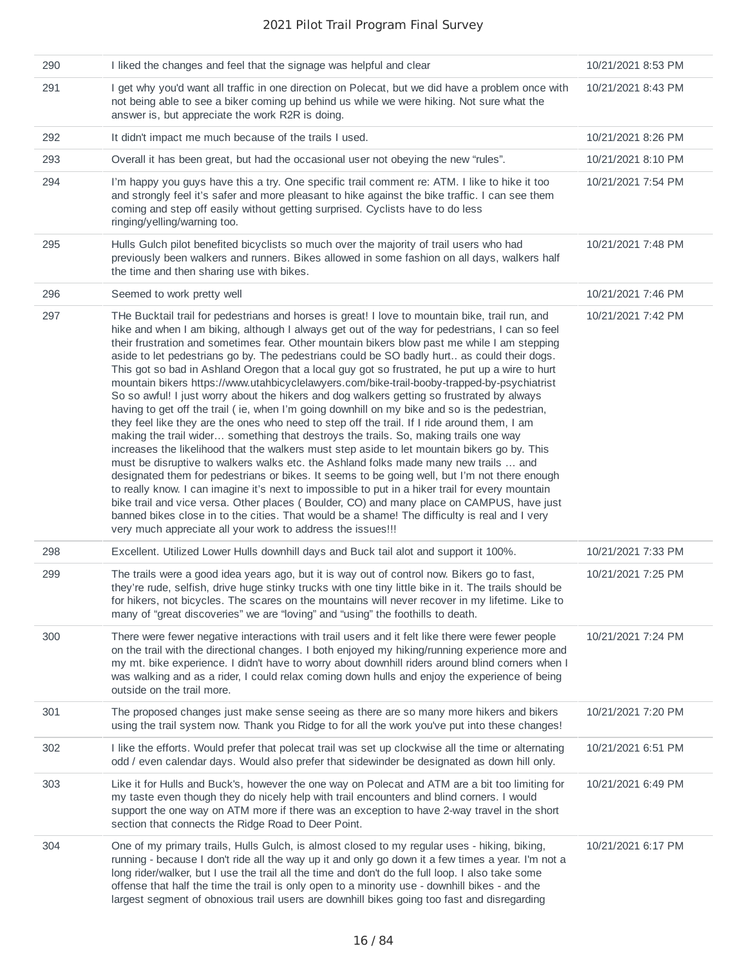| 290 | I liked the changes and feel that the signage was helpful and clear                                                                                                                                                                                                                                                                                                                                                                                                                                                                                                                                                                                                                                                                                                                                                                                                                                                                                                                                                                                                                                                                                                                                                                                                                                                                                                                                                                                                                                                                                                                                                                                | 10/21/2021 8:53 PM |
|-----|----------------------------------------------------------------------------------------------------------------------------------------------------------------------------------------------------------------------------------------------------------------------------------------------------------------------------------------------------------------------------------------------------------------------------------------------------------------------------------------------------------------------------------------------------------------------------------------------------------------------------------------------------------------------------------------------------------------------------------------------------------------------------------------------------------------------------------------------------------------------------------------------------------------------------------------------------------------------------------------------------------------------------------------------------------------------------------------------------------------------------------------------------------------------------------------------------------------------------------------------------------------------------------------------------------------------------------------------------------------------------------------------------------------------------------------------------------------------------------------------------------------------------------------------------------------------------------------------------------------------------------------------------|--------------------|
| 291 | I get why you'd want all traffic in one direction on Polecat, but we did have a problem once with<br>not being able to see a biker coming up behind us while we were hiking. Not sure what the<br>answer is, but appreciate the work R2R is doing.                                                                                                                                                                                                                                                                                                                                                                                                                                                                                                                                                                                                                                                                                                                                                                                                                                                                                                                                                                                                                                                                                                                                                                                                                                                                                                                                                                                                 | 10/21/2021 8:43 PM |
| 292 | It didn't impact me much because of the trails I used.                                                                                                                                                                                                                                                                                                                                                                                                                                                                                                                                                                                                                                                                                                                                                                                                                                                                                                                                                                                                                                                                                                                                                                                                                                                                                                                                                                                                                                                                                                                                                                                             | 10/21/2021 8:26 PM |
| 293 | Overall it has been great, but had the occasional user not obeying the new "rules".                                                                                                                                                                                                                                                                                                                                                                                                                                                                                                                                                                                                                                                                                                                                                                                                                                                                                                                                                                                                                                                                                                                                                                                                                                                                                                                                                                                                                                                                                                                                                                | 10/21/2021 8:10 PM |
| 294 | I'm happy you guys have this a try. One specific trail comment re: ATM. I like to hike it too<br>and strongly feel it's safer and more pleasant to hike against the bike traffic. I can see them<br>coming and step off easily without getting surprised. Cyclists have to do less<br>ringing/yelling/warning too.                                                                                                                                                                                                                                                                                                                                                                                                                                                                                                                                                                                                                                                                                                                                                                                                                                                                                                                                                                                                                                                                                                                                                                                                                                                                                                                                 | 10/21/2021 7:54 PM |
| 295 | Hulls Gulch pilot benefited bicyclists so much over the majority of trail users who had<br>previously been walkers and runners. Bikes allowed in some fashion on all days, walkers half<br>the time and then sharing use with bikes.                                                                                                                                                                                                                                                                                                                                                                                                                                                                                                                                                                                                                                                                                                                                                                                                                                                                                                                                                                                                                                                                                                                                                                                                                                                                                                                                                                                                               | 10/21/2021 7:48 PM |
| 296 | Seemed to work pretty well                                                                                                                                                                                                                                                                                                                                                                                                                                                                                                                                                                                                                                                                                                                                                                                                                                                                                                                                                                                                                                                                                                                                                                                                                                                                                                                                                                                                                                                                                                                                                                                                                         | 10/21/2021 7:46 PM |
| 297 | THe Bucktail trail for pedestrians and horses is great! I love to mountain bike, trail run, and<br>hike and when I am biking, although I always get out of the way for pedestrians, I can so feel<br>their frustration and sometimes fear. Other mountain bikers blow past me while I am stepping<br>aside to let pedestrians go by. The pedestrians could be SO badly hurt as could their dogs.<br>This got so bad in Ashland Oregon that a local guy got so frustrated, he put up a wire to hurt<br>mountain bikers https://www.utahbicyclelawyers.com/bike-trail-booby-trapped-by-psychiatrist<br>So so awful! I just worry about the hikers and dog walkers getting so frustrated by always<br>having to get off the trail (ie, when I'm going downhill on my bike and so is the pedestrian,<br>they feel like they are the ones who need to step off the trail. If I ride around them, I am<br>making the trail wider something that destroys the trails. So, making trails one way<br>increases the likelihood that the walkers must step aside to let mountain bikers go by. This<br>must be disruptive to walkers walks etc. the Ashland folks made many new trails  and<br>designated them for pedestrians or bikes. It seems to be going well, but I'm not there enough<br>to really know. I can imagine it's next to impossible to put in a hiker trail for every mountain<br>bike trail and vice versa. Other places (Boulder, CO) and many place on CAMPUS, have just<br>banned bikes close in to the cities. That would be a shame! The difficulty is real and I very<br>very much appreciate all your work to address the issues!!! | 10/21/2021 7:42 PM |
| 298 | Excellent. Utilized Lower Hulls downhill days and Buck tail alot and support it 100%.                                                                                                                                                                                                                                                                                                                                                                                                                                                                                                                                                                                                                                                                                                                                                                                                                                                                                                                                                                                                                                                                                                                                                                                                                                                                                                                                                                                                                                                                                                                                                              | 10/21/2021 7:33 PM |
| 299 | The trails were a good idea years ago, but it is way out of control now. Bikers go to fast,<br>they're rude, selfish, drive huge stinky trucks with one tiny little bike in it. The trails should be<br>for hikers, not bicycles. The scares on the mountains will never recover in my lifetime. Like to<br>many of "great discoveries" we are "loving" and "using" the foothills to death.                                                                                                                                                                                                                                                                                                                                                                                                                                                                                                                                                                                                                                                                                                                                                                                                                                                                                                                                                                                                                                                                                                                                                                                                                                                        | 10/21/2021 7:25 PM |
| 300 | There were fewer negative interactions with trail users and it felt like there were fewer people<br>on the trail with the directional changes. I both enjoyed my hiking/running experience more and<br>my mt. bike experience. I didn't have to worry about downhill riders around blind corners when I<br>was walking and as a rider, I could relax coming down hulls and enjoy the experience of being<br>outside on the trail more.                                                                                                                                                                                                                                                                                                                                                                                                                                                                                                                                                                                                                                                                                                                                                                                                                                                                                                                                                                                                                                                                                                                                                                                                             | 10/21/2021 7:24 PM |
| 301 | The proposed changes just make sense seeing as there are so many more hikers and bikers<br>using the trail system now. Thank you Ridge to for all the work you've put into these changes!                                                                                                                                                                                                                                                                                                                                                                                                                                                                                                                                                                                                                                                                                                                                                                                                                                                                                                                                                                                                                                                                                                                                                                                                                                                                                                                                                                                                                                                          | 10/21/2021 7:20 PM |
| 302 | I like the efforts. Would prefer that polecat trail was set up clockwise all the time or alternating<br>odd / even calendar days. Would also prefer that sidewinder be designated as down hill only.                                                                                                                                                                                                                                                                                                                                                                                                                                                                                                                                                                                                                                                                                                                                                                                                                                                                                                                                                                                                                                                                                                                                                                                                                                                                                                                                                                                                                                               | 10/21/2021 6:51 PM |
| 303 | Like it for Hulls and Buck's, however the one way on Polecat and ATM are a bit too limiting for<br>my taste even though they do nicely help with trail encounters and blind corners. I would<br>support the one way on ATM more if there was an exception to have 2-way travel in the short<br>section that connects the Ridge Road to Deer Point.                                                                                                                                                                                                                                                                                                                                                                                                                                                                                                                                                                                                                                                                                                                                                                                                                                                                                                                                                                                                                                                                                                                                                                                                                                                                                                 | 10/21/2021 6:49 PM |
| 304 | One of my primary trails, Hulls Gulch, is almost closed to my regular uses - hiking, biking,<br>running - because I don't ride all the way up it and only go down it a few times a year. I'm not a<br>long rider/walker, but I use the trail all the time and don't do the full loop. I also take some<br>offense that half the time the trail is only open to a minority use - downhill bikes - and the<br>largest segment of obnoxious trail users are downhill bikes going too fast and disregarding                                                                                                                                                                                                                                                                                                                                                                                                                                                                                                                                                                                                                                                                                                                                                                                                                                                                                                                                                                                                                                                                                                                                            | 10/21/2021 6:17 PM |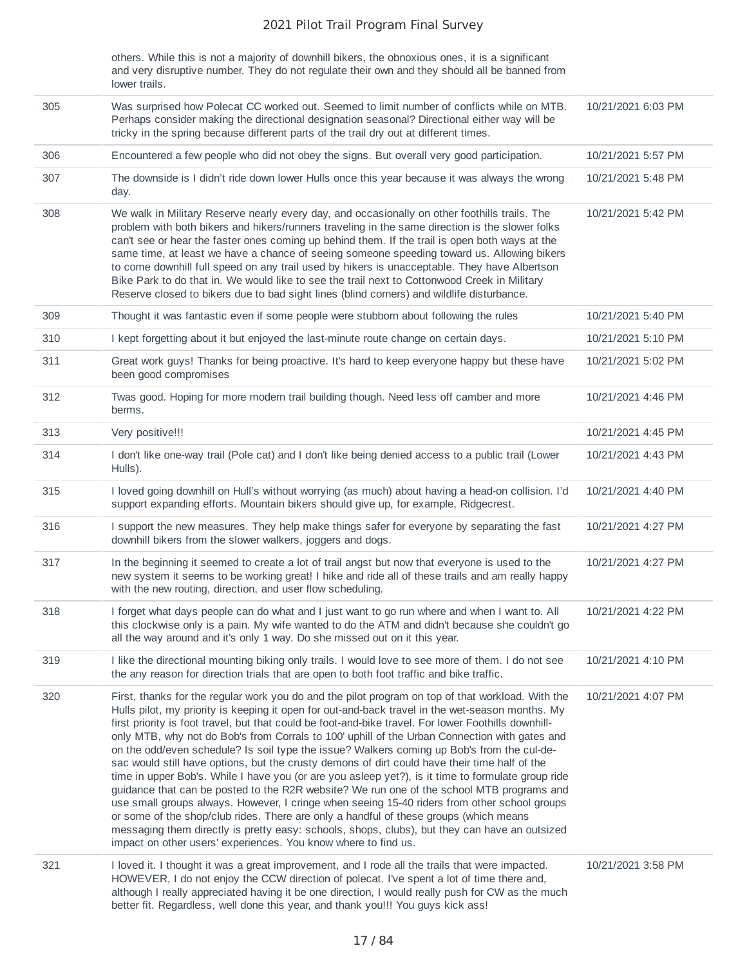others. While this is not a majority of downhill bikers, the obnoxious ones, it is a significant and very disruptive number. They do not regulate their own and they should all be banned from lower trails.

| 305 | Was surprised how Polecat CC worked out. Seemed to limit number of conflicts while on MTB.<br>Perhaps consider making the directional designation seasonal? Directional either way will be<br>tricky in the spring because different parts of the trail dry out at different times.                                                                                                                                                                                                                                                                                                                                                                                                                                                                                                                                                                                                                                                                                                                                                                                                                                                                                          | 10/21/2021 6:03 PM |
|-----|------------------------------------------------------------------------------------------------------------------------------------------------------------------------------------------------------------------------------------------------------------------------------------------------------------------------------------------------------------------------------------------------------------------------------------------------------------------------------------------------------------------------------------------------------------------------------------------------------------------------------------------------------------------------------------------------------------------------------------------------------------------------------------------------------------------------------------------------------------------------------------------------------------------------------------------------------------------------------------------------------------------------------------------------------------------------------------------------------------------------------------------------------------------------------|--------------------|
| 306 | Encountered a few people who did not obey the signs. But overall very good participation.                                                                                                                                                                                                                                                                                                                                                                                                                                                                                                                                                                                                                                                                                                                                                                                                                                                                                                                                                                                                                                                                                    | 10/21/2021 5:57 PM |
| 307 | The downside is I didn't ride down lower Hulls once this year because it was always the wrong<br>day.                                                                                                                                                                                                                                                                                                                                                                                                                                                                                                                                                                                                                                                                                                                                                                                                                                                                                                                                                                                                                                                                        | 10/21/2021 5:48 PM |
| 308 | We walk in Military Reserve nearly every day, and occasionally on other foothills trails. The<br>problem with both bikers and hikers/runners traveling in the same direction is the slower folks<br>can't see or hear the faster ones coming up behind them. If the trail is open both ways at the<br>same time, at least we have a chance of seeing someone speeding toward us. Allowing bikers<br>to come downhill full speed on any trail used by hikers is unacceptable. They have Albertson<br>Bike Park to do that in. We would like to see the trail next to Cottonwood Creek in Military<br>Reserve closed to bikers due to bad sight lines (blind corners) and wildlife disturbance.                                                                                                                                                                                                                                                                                                                                                                                                                                                                                | 10/21/2021 5:42 PM |
| 309 | Thought it was fantastic even if some people were stubborn about following the rules                                                                                                                                                                                                                                                                                                                                                                                                                                                                                                                                                                                                                                                                                                                                                                                                                                                                                                                                                                                                                                                                                         | 10/21/2021 5:40 PM |
| 310 | I kept forgetting about it but enjoyed the last-minute route change on certain days.                                                                                                                                                                                                                                                                                                                                                                                                                                                                                                                                                                                                                                                                                                                                                                                                                                                                                                                                                                                                                                                                                         | 10/21/2021 5:10 PM |
| 311 | Great work guys! Thanks for being proactive. It's hard to keep everyone happy but these have<br>been good compromises                                                                                                                                                                                                                                                                                                                                                                                                                                                                                                                                                                                                                                                                                                                                                                                                                                                                                                                                                                                                                                                        | 10/21/2021 5:02 PM |
| 312 | Twas good. Hoping for more modern trail building though. Need less off camber and more<br>berms.                                                                                                                                                                                                                                                                                                                                                                                                                                                                                                                                                                                                                                                                                                                                                                                                                                                                                                                                                                                                                                                                             | 10/21/2021 4:46 PM |
| 313 | Very positive!!!                                                                                                                                                                                                                                                                                                                                                                                                                                                                                                                                                                                                                                                                                                                                                                                                                                                                                                                                                                                                                                                                                                                                                             | 10/21/2021 4:45 PM |
| 314 | I don't like one-way trail (Pole cat) and I don't like being denied access to a public trail (Lower<br>Hulls).                                                                                                                                                                                                                                                                                                                                                                                                                                                                                                                                                                                                                                                                                                                                                                                                                                                                                                                                                                                                                                                               | 10/21/2021 4:43 PM |
| 315 | I loved going downhill on Hull's without worrying (as much) about having a head-on collision. I'd<br>support expanding efforts. Mountain bikers should give up, for example, Ridgecrest.                                                                                                                                                                                                                                                                                                                                                                                                                                                                                                                                                                                                                                                                                                                                                                                                                                                                                                                                                                                     | 10/21/2021 4:40 PM |
| 316 | I support the new measures. They help make things safer for everyone by separating the fast<br>downhill bikers from the slower walkers, joggers and dogs.                                                                                                                                                                                                                                                                                                                                                                                                                                                                                                                                                                                                                                                                                                                                                                                                                                                                                                                                                                                                                    | 10/21/2021 4:27 PM |
| 317 | In the beginning it seemed to create a lot of trail angst but now that everyone is used to the<br>new system it seems to be working great! I hike and ride all of these trails and am really happy<br>with the new routing, direction, and user flow scheduling.                                                                                                                                                                                                                                                                                                                                                                                                                                                                                                                                                                                                                                                                                                                                                                                                                                                                                                             | 10/21/2021 4:27 PM |
| 318 | I forget what days people can do what and I just want to go run where and when I want to. All<br>this clockwise only is a pain. My wife wanted to do the ATM and didn't because she couldn't go<br>all the way around and it's only 1 way. Do she missed out on it this year.                                                                                                                                                                                                                                                                                                                                                                                                                                                                                                                                                                                                                                                                                                                                                                                                                                                                                                | 10/21/2021 4:22 PM |
| 319 | I like the directional mounting biking only trails. I would love to see more of them. I do not see<br>the any reason for direction trials that are open to both foot traffic and bike traffic.                                                                                                                                                                                                                                                                                                                                                                                                                                                                                                                                                                                                                                                                                                                                                                                                                                                                                                                                                                               | 10/21/2021 4:10 PM |
| 320 | First, thanks for the regular work you do and the pilot program on top of that workload. With the<br>Hulls pilot, my priority is keeping it open for out-and-back travel in the wet-season months. My<br>first priority is foot travel, but that could be foot-and-bike travel. For lower Foothills downhill-<br>only MTB, why not do Bob's from Corrals to 100' uphill of the Urban Connection with gates and<br>on the odd/even schedule? Is soil type the issue? Walkers coming up Bob's from the cul-de-<br>sac would still have options, but the crusty demons of dirt could have their time half of the<br>time in upper Bob's. While I have you (or are you asleep yet?), is it time to formulate group ride<br>guidance that can be posted to the R2R website? We run one of the school MTB programs and<br>use small groups always. However, I cringe when seeing 15-40 riders from other school groups<br>or some of the shop/club rides. There are only a handful of these groups (which means<br>messaging them directly is pretty easy: schools, shops, clubs), but they can have an outsized<br>impact on other users' experiences. You know where to find us. | 10/21/2021 4:07 PM |
| 321 | I loved it. I thought it was a great improvement, and I rode all the trails that were impacted.<br>HOWEVER, I do not enjoy the CCW direction of polecat. I've spent a lot of time there and,<br>although I really appreciated having it be one direction, I would really push for CW as the much<br>better fit. Regardless, well done this year, and thank you!!! You guys kick ass!                                                                                                                                                                                                                                                                                                                                                                                                                                                                                                                                                                                                                                                                                                                                                                                         | 10/21/2021 3:58 PM |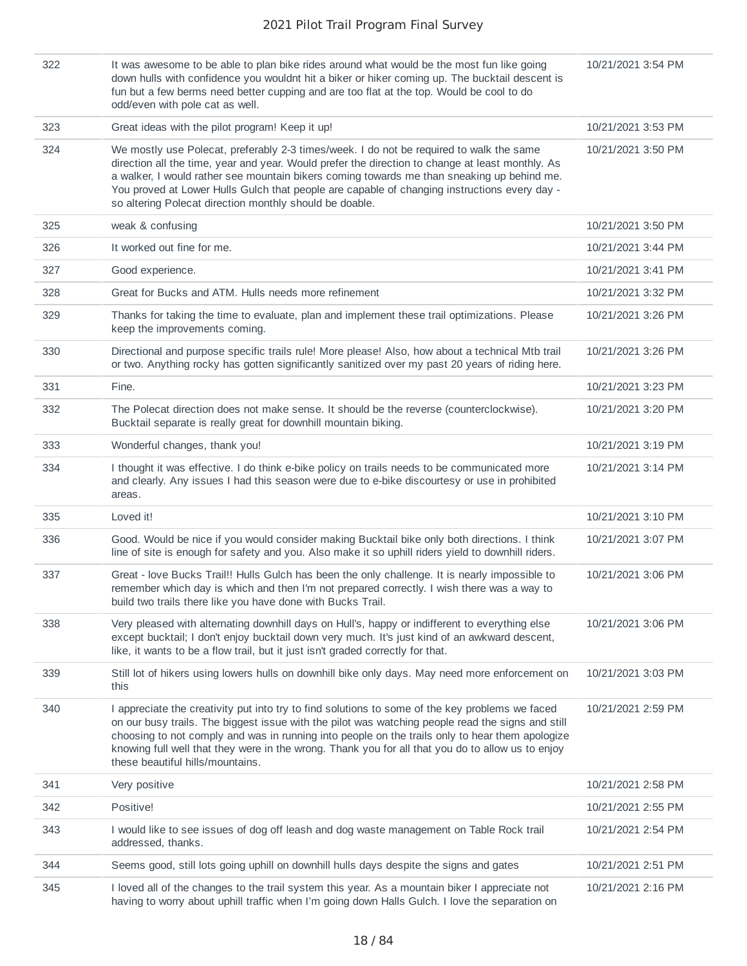| 322 | It was awesome to be able to plan bike rides around what would be the most fun like going<br>down hulls with confidence you wouldnt hit a biker or hiker coming up. The bucktail descent is<br>fun but a few berms need better cupping and are too flat at the top. Would be cool to do<br>odd/even with pole cat as well.                                                                                                                           | 10/21/2021 3:54 PM |
|-----|------------------------------------------------------------------------------------------------------------------------------------------------------------------------------------------------------------------------------------------------------------------------------------------------------------------------------------------------------------------------------------------------------------------------------------------------------|--------------------|
| 323 | Great ideas with the pilot program! Keep it up!                                                                                                                                                                                                                                                                                                                                                                                                      | 10/21/2021 3:53 PM |
| 324 | We mostly use Polecat, preferably 2-3 times/week. I do not be required to walk the same<br>direction all the time, year and year. Would prefer the direction to change at least monthly. As<br>a walker, I would rather see mountain bikers coming towards me than sneaking up behind me.<br>You proved at Lower Hulls Gulch that people are capable of changing instructions every day -<br>so altering Polecat direction monthly should be doable. | 10/21/2021 3:50 PM |
| 325 | weak & confusing                                                                                                                                                                                                                                                                                                                                                                                                                                     | 10/21/2021 3:50 PM |
| 326 | It worked out fine for me.                                                                                                                                                                                                                                                                                                                                                                                                                           | 10/21/2021 3:44 PM |
| 327 | Good experience.                                                                                                                                                                                                                                                                                                                                                                                                                                     | 10/21/2021 3:41 PM |
| 328 | Great for Bucks and ATM. Hulls needs more refinement                                                                                                                                                                                                                                                                                                                                                                                                 | 10/21/2021 3:32 PM |
| 329 | Thanks for taking the time to evaluate, plan and implement these trail optimizations. Please<br>keep the improvements coming.                                                                                                                                                                                                                                                                                                                        | 10/21/2021 3:26 PM |
| 330 | Directional and purpose specific trails rule! More please! Also, how about a technical Mtb trail<br>or two. Anything rocky has gotten significantly sanitized over my past 20 years of riding here.                                                                                                                                                                                                                                                  | 10/21/2021 3:26 PM |
| 331 | Fine.                                                                                                                                                                                                                                                                                                                                                                                                                                                | 10/21/2021 3:23 PM |
| 332 | The Polecat direction does not make sense. It should be the reverse (counterclockwise).<br>Bucktail separate is really great for downhill mountain biking.                                                                                                                                                                                                                                                                                           | 10/21/2021 3:20 PM |
| 333 | Wonderful changes, thank you!                                                                                                                                                                                                                                                                                                                                                                                                                        | 10/21/2021 3:19 PM |
| 334 | I thought it was effective. I do think e-bike policy on trails needs to be communicated more<br>and clearly. Any issues I had this season were due to e-bike discourtesy or use in prohibited<br>areas.                                                                                                                                                                                                                                              | 10/21/2021 3:14 PM |
| 335 | Loved it!                                                                                                                                                                                                                                                                                                                                                                                                                                            | 10/21/2021 3:10 PM |
| 336 | Good. Would be nice if you would consider making Bucktail bike only both directions. I think<br>line of site is enough for safety and you. Also make it so uphill riders yield to downhill riders.                                                                                                                                                                                                                                                   | 10/21/2021 3:07 PM |
| 337 | Great - love Bucks Trail!! Hulls Gulch has been the only challenge. It is nearly impossible to<br>remember which day is which and then I'm not prepared correctly. I wish there was a way to<br>build two trails there like you have done with Bucks Trail.                                                                                                                                                                                          | 10/21/2021 3:06 PM |
| 338 | Very pleased with alternating downhill days on Hull's, happy or indifferent to everything else<br>except bucktail; I don't enjoy bucktail down very much. It's just kind of an awkward descent,<br>like, it wants to be a flow trail, but it just isn't graded correctly for that.                                                                                                                                                                   | 10/21/2021 3:06 PM |
| 339 | Still lot of hikers using lowers hulls on downhill bike only days. May need more enforcement on<br>this                                                                                                                                                                                                                                                                                                                                              | 10/21/2021 3:03 PM |
| 340 | I appreciate the creativity put into try to find solutions to some of the key problems we faced<br>on our busy trails. The biggest issue with the pilot was watching people read the signs and still<br>choosing to not comply and was in running into people on the trails only to hear them apologize<br>knowing full well that they were in the wrong. Thank you for all that you do to allow us to enjoy<br>these beautiful hills/mountains.     | 10/21/2021 2:59 PM |
| 341 | Very positive                                                                                                                                                                                                                                                                                                                                                                                                                                        | 10/21/2021 2:58 PM |
| 342 | Positive!                                                                                                                                                                                                                                                                                                                                                                                                                                            | 10/21/2021 2:55 PM |
| 343 | I would like to see issues of dog off leash and dog waste management on Table Rock trail<br>addressed, thanks.                                                                                                                                                                                                                                                                                                                                       | 10/21/2021 2:54 PM |
| 344 | Seems good, still lots going uphill on downhill hulls days despite the signs and gates                                                                                                                                                                                                                                                                                                                                                               | 10/21/2021 2:51 PM |
| 345 | I loved all of the changes to the trail system this year. As a mountain biker I appreciate not<br>having to worry about uphill traffic when I'm going down Halls Gulch. I love the separation on                                                                                                                                                                                                                                                     | 10/21/2021 2:16 PM |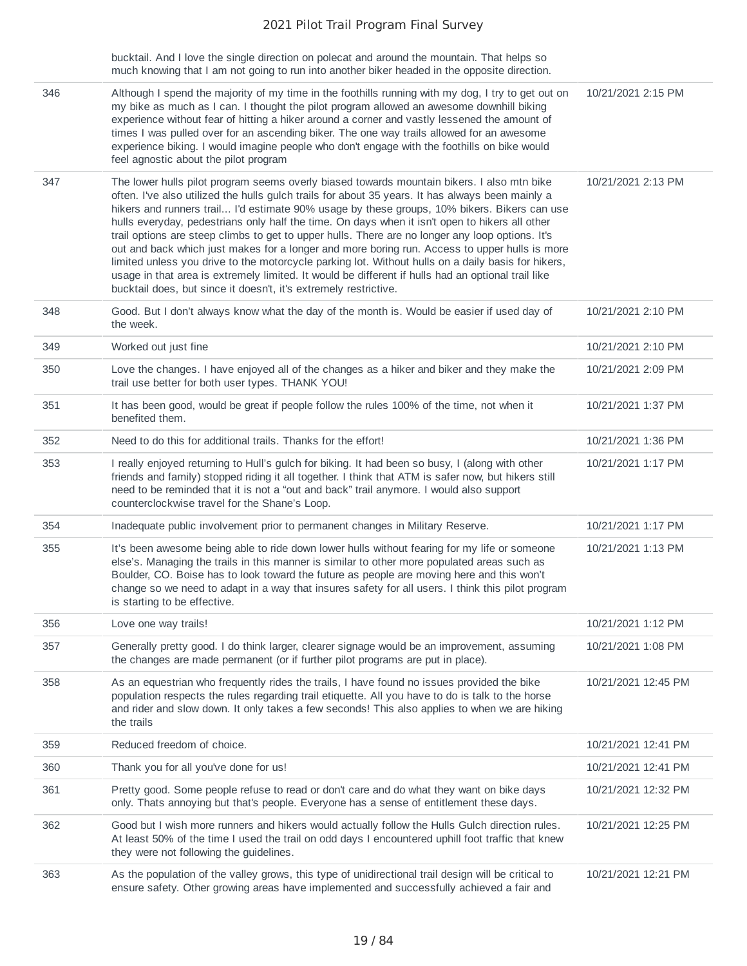|     | bucktail. And I love the single direction on polecat and around the mountain. That helps so<br>much knowing that I am not going to run into another biker headed in the opposite direction.                                                                                                                                                                                                                                                                                                                                                                                                                                                                                                                                                                                                                                                                                          |                     |
|-----|--------------------------------------------------------------------------------------------------------------------------------------------------------------------------------------------------------------------------------------------------------------------------------------------------------------------------------------------------------------------------------------------------------------------------------------------------------------------------------------------------------------------------------------------------------------------------------------------------------------------------------------------------------------------------------------------------------------------------------------------------------------------------------------------------------------------------------------------------------------------------------------|---------------------|
| 346 | Although I spend the majority of my time in the foothills running with my dog, I try to get out on<br>my bike as much as I can. I thought the pilot program allowed an awesome downhill biking<br>experience without fear of hitting a hiker around a corner and vastly lessened the amount of<br>times I was pulled over for an ascending biker. The one way trails allowed for an awesome<br>experience biking. I would imagine people who don't engage with the foothills on bike would<br>feel agnostic about the pilot program                                                                                                                                                                                                                                                                                                                                                  | 10/21/2021 2:15 PM  |
| 347 | The lower hulls pilot program seems overly biased towards mountain bikers. I also mtn bike<br>often. I've also utilized the hulls gulch trails for about 35 years. It has always been mainly a<br>hikers and runners trail I'd estimate 90% usage by these groups, 10% bikers. Bikers can use<br>hulls everyday, pedestrians only half the time. On days when it isn't open to hikers all other<br>trail options are steep climbs to get to upper hulls. There are no longer any loop options. It's<br>out and back which just makes for a longer and more boring run. Access to upper hulls is more<br>limited unless you drive to the motorcycle parking lot. Without hulls on a daily basis for hikers,<br>usage in that area is extremely limited. It would be different if hulls had an optional trail like<br>bucktail does, but since it doesn't, it's extremely restrictive. | 10/21/2021 2:13 PM  |
| 348 | Good. But I don't always know what the day of the month is. Would be easier if used day of<br>the week.                                                                                                                                                                                                                                                                                                                                                                                                                                                                                                                                                                                                                                                                                                                                                                              | 10/21/2021 2:10 PM  |
| 349 | Worked out just fine                                                                                                                                                                                                                                                                                                                                                                                                                                                                                                                                                                                                                                                                                                                                                                                                                                                                 | 10/21/2021 2:10 PM  |
| 350 | Love the changes. I have enjoyed all of the changes as a hiker and biker and they make the<br>trail use better for both user types. THANK YOU!                                                                                                                                                                                                                                                                                                                                                                                                                                                                                                                                                                                                                                                                                                                                       | 10/21/2021 2:09 PM  |
| 351 | It has been good, would be great if people follow the rules 100% of the time, not when it<br>benefited them.                                                                                                                                                                                                                                                                                                                                                                                                                                                                                                                                                                                                                                                                                                                                                                         | 10/21/2021 1:37 PM  |
| 352 | Need to do this for additional trails. Thanks for the effort!                                                                                                                                                                                                                                                                                                                                                                                                                                                                                                                                                                                                                                                                                                                                                                                                                        | 10/21/2021 1:36 PM  |
| 353 | I really enjoyed returning to Hull's gulch for biking. It had been so busy, I (along with other<br>friends and family) stopped riding it all together. I think that ATM is safer now, but hikers still<br>need to be reminded that it is not a "out and back" trail anymore. I would also support<br>counterclockwise travel for the Shane's Loop.                                                                                                                                                                                                                                                                                                                                                                                                                                                                                                                                   | 10/21/2021 1:17 PM  |
| 354 | Inadequate public involvement prior to permanent changes in Military Reserve.                                                                                                                                                                                                                                                                                                                                                                                                                                                                                                                                                                                                                                                                                                                                                                                                        | 10/21/2021 1:17 PM  |
| 355 | It's been awesome being able to ride down lower hulls without fearing for my life or someone<br>else's. Managing the trails in this manner is similar to other more populated areas such as<br>Boulder, CO. Boise has to look toward the future as people are moving here and this won't<br>change so we need to adapt in a way that insures safety for all users. I think this pilot program<br>is starting to be effective.                                                                                                                                                                                                                                                                                                                                                                                                                                                        | 10/21/2021 1:13 PM  |
| 356 | Love one way trails!                                                                                                                                                                                                                                                                                                                                                                                                                                                                                                                                                                                                                                                                                                                                                                                                                                                                 | 10/21/2021 1:12 PM  |
| 357 | Generally pretty good. I do think larger, clearer signage would be an improvement, assuming<br>the changes are made permanent (or if further pilot programs are put in place).                                                                                                                                                                                                                                                                                                                                                                                                                                                                                                                                                                                                                                                                                                       | 10/21/2021 1:08 PM  |
| 358 | As an equestrian who frequently rides the trails, I have found no issues provided the bike<br>population respects the rules regarding trail etiquette. All you have to do is talk to the horse<br>and rider and slow down. It only takes a few seconds! This also applies to when we are hiking<br>the trails                                                                                                                                                                                                                                                                                                                                                                                                                                                                                                                                                                        | 10/21/2021 12:45 PM |
| 359 | Reduced freedom of choice.                                                                                                                                                                                                                                                                                                                                                                                                                                                                                                                                                                                                                                                                                                                                                                                                                                                           | 10/21/2021 12:41 PM |
| 360 | Thank you for all you've done for us!                                                                                                                                                                                                                                                                                                                                                                                                                                                                                                                                                                                                                                                                                                                                                                                                                                                | 10/21/2021 12:41 PM |
| 361 | Pretty good. Some people refuse to read or don't care and do what they want on bike days<br>only. Thats annoying but that's people. Everyone has a sense of entitlement these days.                                                                                                                                                                                                                                                                                                                                                                                                                                                                                                                                                                                                                                                                                                  | 10/21/2021 12:32 PM |
| 362 | Good but I wish more runners and hikers would actually follow the Hulls Gulch direction rules.<br>At least 50% of the time I used the trail on odd days I encountered uphill foot traffic that knew<br>they were not following the guidelines.                                                                                                                                                                                                                                                                                                                                                                                                                                                                                                                                                                                                                                       | 10/21/2021 12:25 PM |
| 363 | As the population of the valley grows, this type of unidirectional trail design will be critical to<br>ensure safety. Other growing areas have implemented and successfully achieved a fair and                                                                                                                                                                                                                                                                                                                                                                                                                                                                                                                                                                                                                                                                                      | 10/21/2021 12:21 PM |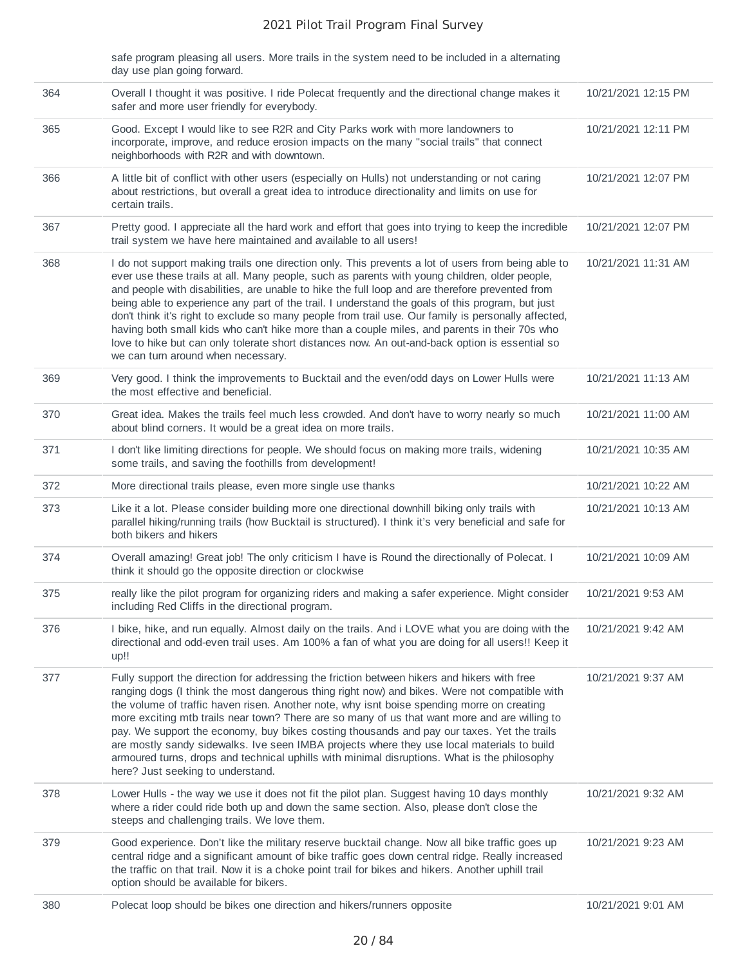|     | safe program pleasing all users. More trails in the system need to be included in a alternating<br>day use plan going forward.                                                                                                                                                                                                                                                                                                                                                                                                                                                                                                                                                                                                                            |                     |
|-----|-----------------------------------------------------------------------------------------------------------------------------------------------------------------------------------------------------------------------------------------------------------------------------------------------------------------------------------------------------------------------------------------------------------------------------------------------------------------------------------------------------------------------------------------------------------------------------------------------------------------------------------------------------------------------------------------------------------------------------------------------------------|---------------------|
| 364 | Overall I thought it was positive. I ride Polecat frequently and the directional change makes it<br>safer and more user friendly for everybody.                                                                                                                                                                                                                                                                                                                                                                                                                                                                                                                                                                                                           | 10/21/2021 12:15 PM |
| 365 | Good. Except I would like to see R2R and City Parks work with more landowners to<br>incorporate, improve, and reduce erosion impacts on the many "social trails" that connect<br>neighborhoods with R2R and with downtown.                                                                                                                                                                                                                                                                                                                                                                                                                                                                                                                                | 10/21/2021 12:11 PM |
| 366 | A little bit of conflict with other users (especially on Hulls) not understanding or not caring<br>about restrictions, but overall a great idea to introduce directionality and limits on use for<br>certain trails.                                                                                                                                                                                                                                                                                                                                                                                                                                                                                                                                      | 10/21/2021 12:07 PM |
| 367 | Pretty good. I appreciate all the hard work and effort that goes into trying to keep the incredible<br>trail system we have here maintained and available to all users!                                                                                                                                                                                                                                                                                                                                                                                                                                                                                                                                                                                   | 10/21/2021 12:07 PM |
| 368 | I do not support making trails one direction only. This prevents a lot of users from being able to<br>ever use these trails at all. Many people, such as parents with young children, older people,<br>and people with disabilities, are unable to hike the full loop and are therefore prevented from<br>being able to experience any part of the trail. I understand the goals of this program, but just<br>don't think it's right to exclude so many people from trail use. Our family is personally affected,<br>having both small kids who can't hike more than a couple miles, and parents in their 70s who<br>love to hike but can only tolerate short distances now. An out-and-back option is essential so<br>we can turn around when necessary. | 10/21/2021 11:31 AM |
| 369 | Very good. I think the improvements to Bucktail and the even/odd days on Lower Hulls were<br>the most effective and beneficial.                                                                                                                                                                                                                                                                                                                                                                                                                                                                                                                                                                                                                           | 10/21/2021 11:13 AM |
| 370 | Great idea. Makes the trails feel much less crowded. And don't have to worry nearly so much<br>about blind corners. It would be a great idea on more trails.                                                                                                                                                                                                                                                                                                                                                                                                                                                                                                                                                                                              | 10/21/2021 11:00 AM |
| 371 | I don't like limiting directions for people. We should focus on making more trails, widening<br>some trails, and saving the foothills from development!                                                                                                                                                                                                                                                                                                                                                                                                                                                                                                                                                                                                   | 10/21/2021 10:35 AM |
| 372 | More directional trails please, even more single use thanks                                                                                                                                                                                                                                                                                                                                                                                                                                                                                                                                                                                                                                                                                               | 10/21/2021 10:22 AM |
| 373 | Like it a lot. Please consider building more one directional downhill biking only trails with<br>parallel hiking/running trails (how Bucktail is structured). I think it's very beneficial and safe for<br>both bikers and hikers                                                                                                                                                                                                                                                                                                                                                                                                                                                                                                                         | 10/21/2021 10:13 AM |
| 374 | Overall amazing! Great job! The only criticism I have is Round the directionally of Polecat. I<br>think it should go the opposite direction or clockwise                                                                                                                                                                                                                                                                                                                                                                                                                                                                                                                                                                                                  | 10/21/2021 10:09 AM |
| 375 | really like the pilot program for organizing riders and making a safer experience. Might consider<br>including Red Cliffs in the directional program.                                                                                                                                                                                                                                                                                                                                                                                                                                                                                                                                                                                                     | 10/21/2021 9:53 AM  |
| 376 | I bike, hike, and run equally. Almost daily on the trails. And i LOVE what you are doing with the<br>directional and odd-even trail uses. Am 100% a fan of what you are doing for all users!! Keep it<br>up!!                                                                                                                                                                                                                                                                                                                                                                                                                                                                                                                                             | 10/21/2021 9:42 AM  |
| 377 | Fully support the direction for addressing the friction between hikers and hikers with free<br>ranging dogs (I think the most dangerous thing right now) and bikes. Were not compatible with<br>the volume of traffic haven risen. Another note, why isnt boise spending morre on creating<br>more exciting mtb trails near town? There are so many of us that want more and are willing to<br>pay. We support the economy, buy bikes costing thousands and pay our taxes. Yet the trails<br>are mostly sandy sidewalks. Ive seen IMBA projects where they use local materials to build<br>armoured turns, drops and technical uphills with minimal disruptions. What is the philosophy<br>here? Just seeking to understand.                              | 10/21/2021 9:37 AM  |
| 378 | Lower Hulls - the way we use it does not fit the pilot plan. Suggest having 10 days monthly<br>where a rider could ride both up and down the same section. Also, please don't close the<br>steeps and challenging trails. We love them.                                                                                                                                                                                                                                                                                                                                                                                                                                                                                                                   | 10/21/2021 9:32 AM  |
| 379 | Good experience. Don't like the military reserve bucktail change. Now all bike traffic goes up<br>central ridge and a significant amount of bike traffic goes down central ridge. Really increased<br>the traffic on that trail. Now it is a choke point trail for bikes and hikers. Another uphill trail<br>option should be available for bikers.                                                                                                                                                                                                                                                                                                                                                                                                       | 10/21/2021 9:23 AM  |
| 380 | Polecat loop should be bikes one direction and hikers/runners opposite                                                                                                                                                                                                                                                                                                                                                                                                                                                                                                                                                                                                                                                                                    | 10/21/2021 9:01 AM  |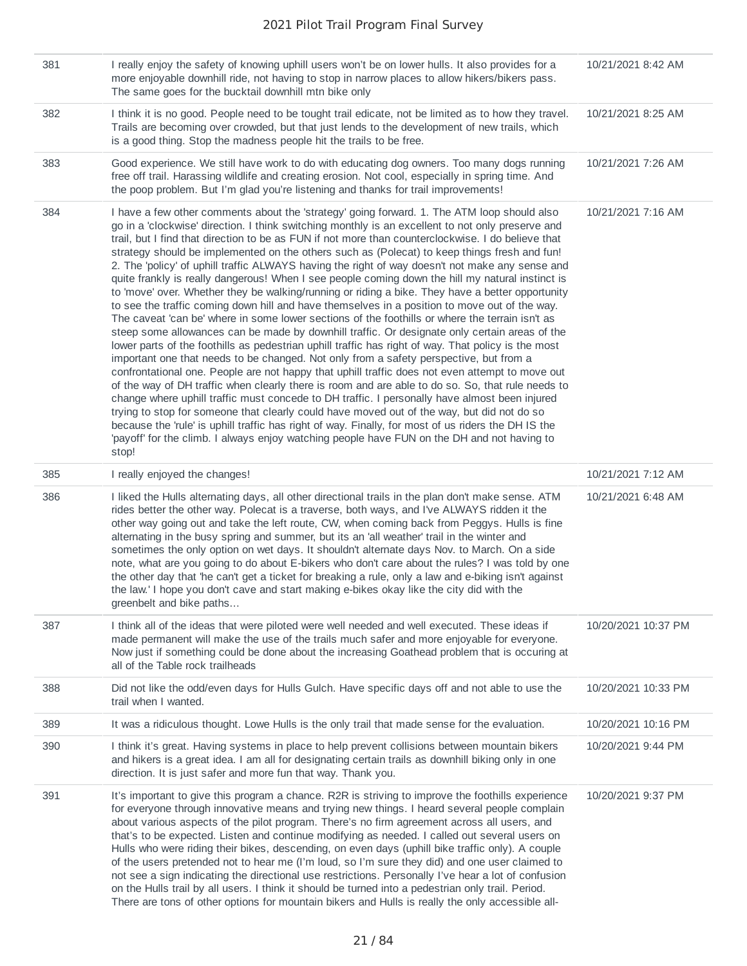| 381 | I really enjoy the safety of knowing uphill users won't be on lower hulls. It also provides for a<br>more enjoyable downhill ride, not having to stop in narrow places to allow hikers/bikers pass.<br>The same goes for the bucktail downhill mtn bike only                                                                                                                                                                                                                                                                                                                                                                                                                                                                                                                                                                                                                                                                                                                                                                                                                                                                                                                                                                                                                                                                                                                                                                                                                                                                                                                                                                                                                                                                                                                                                                                  | 10/21/2021 8:42 AM  |
|-----|-----------------------------------------------------------------------------------------------------------------------------------------------------------------------------------------------------------------------------------------------------------------------------------------------------------------------------------------------------------------------------------------------------------------------------------------------------------------------------------------------------------------------------------------------------------------------------------------------------------------------------------------------------------------------------------------------------------------------------------------------------------------------------------------------------------------------------------------------------------------------------------------------------------------------------------------------------------------------------------------------------------------------------------------------------------------------------------------------------------------------------------------------------------------------------------------------------------------------------------------------------------------------------------------------------------------------------------------------------------------------------------------------------------------------------------------------------------------------------------------------------------------------------------------------------------------------------------------------------------------------------------------------------------------------------------------------------------------------------------------------------------------------------------------------------------------------------------------------|---------------------|
| 382 | I think it is no good. People need to be tought trail edicate, not be limited as to how they travel.<br>Trails are becoming over crowded, but that just lends to the development of new trails, which<br>is a good thing. Stop the madness people hit the trails to be free.                                                                                                                                                                                                                                                                                                                                                                                                                                                                                                                                                                                                                                                                                                                                                                                                                                                                                                                                                                                                                                                                                                                                                                                                                                                                                                                                                                                                                                                                                                                                                                  | 10/21/2021 8:25 AM  |
| 383 | Good experience. We still have work to do with educating dog owners. Too many dogs running<br>free off trail. Harassing wildlife and creating erosion. Not cool, especially in spring time. And<br>the poop problem. But I'm glad you're listening and thanks for trail improvements!                                                                                                                                                                                                                                                                                                                                                                                                                                                                                                                                                                                                                                                                                                                                                                                                                                                                                                                                                                                                                                                                                                                                                                                                                                                                                                                                                                                                                                                                                                                                                         | 10/21/2021 7:26 AM  |
| 384 | I have a few other comments about the 'strategy' going forward. 1. The ATM loop should also<br>go in a 'clockwise' direction. I think switching monthly is an excellent to not only preserve and<br>trail, but I find that direction to be as FUN if not more than counterclockwise. I do believe that<br>strategy should be implemented on the others such as (Polecat) to keep things fresh and fun!<br>2. The 'policy' of uphill traffic ALWAYS having the right of way doesn't not make any sense and<br>quite frankly is really dangerous! When I see people coming down the hill my natural instinct is<br>to 'move' over. Whether they be walking/running or riding a bike. They have a better opportunity<br>to see the traffic coming down hill and have themselves in a position to move out of the way.<br>The caveat 'can be' where in some lower sections of the foothills or where the terrain isn't as<br>steep some allowances can be made by downhill traffic. Or designate only certain areas of the<br>lower parts of the foothills as pedestrian uphill traffic has right of way. That policy is the most<br>important one that needs to be changed. Not only from a safety perspective, but from a<br>confrontational one. People are not happy that uphill traffic does not even attempt to move out<br>of the way of DH traffic when clearly there is room and are able to do so. So, that rule needs to<br>change where uphill traffic must concede to DH traffic. I personally have almost been injured<br>trying to stop for someone that clearly could have moved out of the way, but did not do so<br>because the 'rule' is uphill traffic has right of way. Finally, for most of us riders the DH IS the<br>'payoff' for the climb. I always enjoy watching people have FUN on the DH and not having to<br>stop! | 10/21/2021 7:16 AM  |
| 385 | I really enjoyed the changes!                                                                                                                                                                                                                                                                                                                                                                                                                                                                                                                                                                                                                                                                                                                                                                                                                                                                                                                                                                                                                                                                                                                                                                                                                                                                                                                                                                                                                                                                                                                                                                                                                                                                                                                                                                                                                 | 10/21/2021 7:12 AM  |
| 386 | I liked the Hulls alternating days, all other directional trails in the plan don't make sense. ATM<br>rides better the other way. Polecat is a traverse, both ways, and I've ALWAYS ridden it the<br>other way going out and take the left route, CW, when coming back from Peggys. Hulls is fine<br>alternating in the busy spring and summer, but its an 'all weather' trail in the winter and<br>sometimes the only option on wet days. It shouldn't alternate days Nov. to March. On a side<br>note, what are you going to do about E-bikers who don't care about the rules? I was told by one<br>the other day that 'he can't get a ticket for breaking a rule, only a law and e-biking isn't against<br>the law.' I hope you don't cave and start making e-bikes okay like the city did with the<br>greenbelt and bike paths                                                                                                                                                                                                                                                                                                                                                                                                                                                                                                                                                                                                                                                                                                                                                                                                                                                                                                                                                                                                            | 10/21/2021 6:48 AM  |
| 387 | I think all of the ideas that were piloted were well needed and well executed. These ideas if<br>made permanent will make the use of the trails much safer and more enjoyable for everyone.<br>Now just if something could be done about the increasing Goathead problem that is occuring at<br>all of the Table rock trailheads                                                                                                                                                                                                                                                                                                                                                                                                                                                                                                                                                                                                                                                                                                                                                                                                                                                                                                                                                                                                                                                                                                                                                                                                                                                                                                                                                                                                                                                                                                              | 10/20/2021 10:37 PM |
| 388 | Did not like the odd/even days for Hulls Gulch. Have specific days off and not able to use the<br>trail when I wanted.                                                                                                                                                                                                                                                                                                                                                                                                                                                                                                                                                                                                                                                                                                                                                                                                                                                                                                                                                                                                                                                                                                                                                                                                                                                                                                                                                                                                                                                                                                                                                                                                                                                                                                                        | 10/20/2021 10:33 PM |
| 389 | It was a ridiculous thought. Lowe Hulls is the only trail that made sense for the evaluation.                                                                                                                                                                                                                                                                                                                                                                                                                                                                                                                                                                                                                                                                                                                                                                                                                                                                                                                                                                                                                                                                                                                                                                                                                                                                                                                                                                                                                                                                                                                                                                                                                                                                                                                                                 | 10/20/2021 10:16 PM |
| 390 | I think it's great. Having systems in place to help prevent collisions between mountain bikers<br>and hikers is a great idea. I am all for designating certain trails as downhill biking only in one<br>direction. It is just safer and more fun that way. Thank you.                                                                                                                                                                                                                                                                                                                                                                                                                                                                                                                                                                                                                                                                                                                                                                                                                                                                                                                                                                                                                                                                                                                                                                                                                                                                                                                                                                                                                                                                                                                                                                         | 10/20/2021 9:44 PM  |
| 391 | It's important to give this program a chance. R2R is striving to improve the foothills experience<br>for everyone through innovative means and trying new things. I heard several people complain<br>about various aspects of the pilot program. There's no firm agreement across all users, and<br>that's to be expected. Listen and continue modifying as needed. I called out several users on<br>Hulls who were riding their bikes, descending, on even days (uphill bike traffic only). A couple<br>of the users pretended not to hear me (I'm loud, so I'm sure they did) and one user claimed to<br>not see a sign indicating the directional use restrictions. Personally I've hear a lot of confusion<br>on the Hulls trail by all users. I think it should be turned into a pedestrian only trail. Period.<br>There are tons of other options for mountain bikers and Hulls is really the only accessible all-                                                                                                                                                                                                                                                                                                                                                                                                                                                                                                                                                                                                                                                                                                                                                                                                                                                                                                                      | 10/20/2021 9:37 PM  |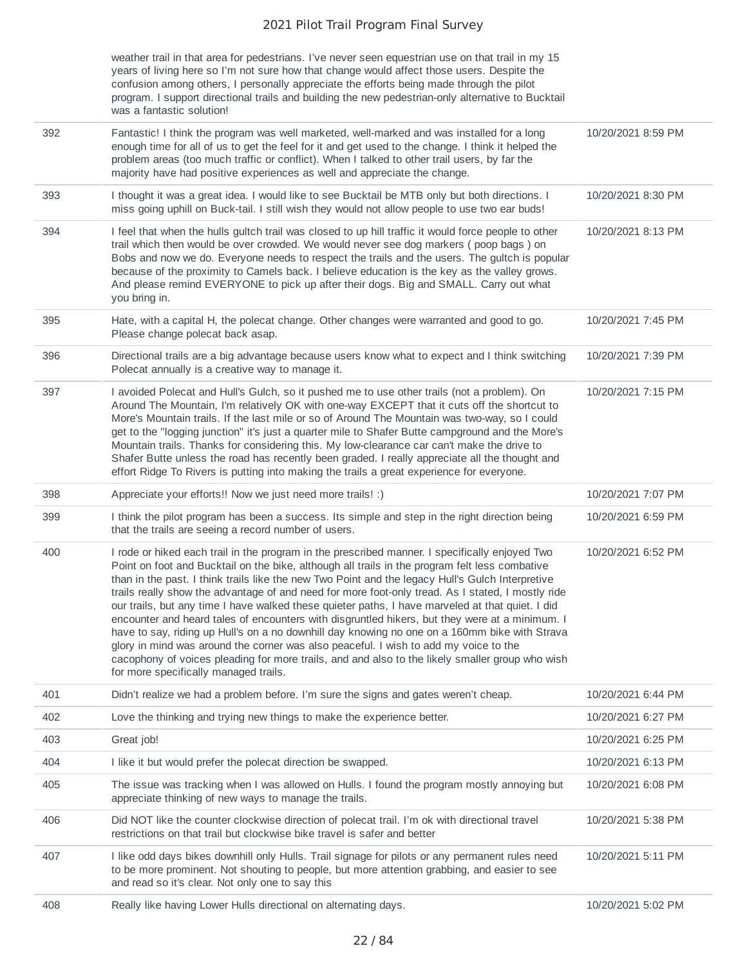|     | weather trail in that area for pedestrians. I've never seen equestrian use on that trail in my 15<br>years of living here so I'm not sure how that change would affect those users. Despite the<br>confusion among others, I personally appreciate the efforts being made through the pilot<br>program. I support directional trails and building the new pedestrian-only alternative to Bucktail<br>was a fantastic solution!                                                                                                                                                                                                                                                                                                                                                                                                                                                                                                                       |                    |
|-----|------------------------------------------------------------------------------------------------------------------------------------------------------------------------------------------------------------------------------------------------------------------------------------------------------------------------------------------------------------------------------------------------------------------------------------------------------------------------------------------------------------------------------------------------------------------------------------------------------------------------------------------------------------------------------------------------------------------------------------------------------------------------------------------------------------------------------------------------------------------------------------------------------------------------------------------------------|--------------------|
| 392 | Fantastic! I think the program was well marketed, well-marked and was installed for a long<br>enough time for all of us to get the feel for it and get used to the change. I think it helped the<br>problem areas (too much traffic or conflict). When I talked to other trail users, by far the<br>majority have had positive experiences as well and appreciate the change.                                                                                                                                                                                                                                                                                                                                                                                                                                                                                                                                                                        | 10/20/2021 8:59 PM |
| 393 | I thought it was a great idea. I would like to see Bucktail be MTB only but both directions. I<br>miss going uphill on Buck-tail. I still wish they would not allow people to use two ear buds!                                                                                                                                                                                                                                                                                                                                                                                                                                                                                                                                                                                                                                                                                                                                                      | 10/20/2021 8:30 PM |
| 394 | I feel that when the hulls gultch trail was closed to up hill traffic it would force people to other<br>trail which then would be over crowded. We would never see dog markers (poop bags) on<br>Bobs and now we do. Everyone needs to respect the trails and the users. The gultch is popular<br>because of the proximity to Camels back. I believe education is the key as the valley grows.<br>And please remind EVERYONE to pick up after their dogs. Big and SMALL. Carry out what<br>you bring in.                                                                                                                                                                                                                                                                                                                                                                                                                                             | 10/20/2021 8:13 PM |
| 395 | Hate, with a capital H, the polecat change. Other changes were warranted and good to go.<br>Please change polecat back asap.                                                                                                                                                                                                                                                                                                                                                                                                                                                                                                                                                                                                                                                                                                                                                                                                                         | 10/20/2021 7:45 PM |
| 396 | Directional trails are a big advantage because users know what to expect and I think switching<br>Polecat annually is a creative way to manage it.                                                                                                                                                                                                                                                                                                                                                                                                                                                                                                                                                                                                                                                                                                                                                                                                   | 10/20/2021 7:39 PM |
| 397 | I avoided Polecat and Hull's Gulch, so it pushed me to use other trails (not a problem). On<br>Around The Mountain, I'm relatively OK with one-way EXCEPT that it cuts off the shortcut to<br>More's Mountain trails. If the last mile or so of Around The Mountain was two-way, so I could<br>get to the "logging junction" it's just a quarter mile to Shafer Butte campground and the More's<br>Mountain trails. Thanks for considering this. My low-clearance car can't make the drive to<br>Shafer Butte unless the road has recently been graded. I really appreciate all the thought and<br>effort Ridge To Rivers is putting into making the trails a great experience for everyone.                                                                                                                                                                                                                                                         | 10/20/2021 7:15 PM |
|     |                                                                                                                                                                                                                                                                                                                                                                                                                                                                                                                                                                                                                                                                                                                                                                                                                                                                                                                                                      |                    |
| 398 | Appreciate your efforts!! Now we just need more trails! :)                                                                                                                                                                                                                                                                                                                                                                                                                                                                                                                                                                                                                                                                                                                                                                                                                                                                                           | 10/20/2021 7:07 PM |
| 399 | I think the pilot program has been a success. Its simple and step in the right direction being<br>that the trails are seeing a record number of users.                                                                                                                                                                                                                                                                                                                                                                                                                                                                                                                                                                                                                                                                                                                                                                                               | 10/20/2021 6:59 PM |
| 400 | I rode or hiked each trail in the program in the prescribed manner. I specifically enjoyed Two<br>Point on foot and Bucktail on the bike, although all trails in the program felt less combative<br>than in the past. I think trails like the new Two Point and the legacy Hull's Gulch Interpretive<br>trails really show the advantage of and need for more foot-only tread. As I stated, I mostly ride<br>our trails, but any time I have walked these quieter paths, I have marveled at that quiet. I did<br>encounter and heard tales of encounters with disgruntled hikers, but they were at a minimum. I<br>have to say, riding up Hull's on a no downhill day knowing no one on a 160mm bike with Strava<br>glory in mind was around the corner was also peaceful. I wish to add my voice to the<br>cacophony of voices pleading for more trails, and and also to the likely smaller group who wish<br>for more specifically managed trails. | 10/20/2021 6:52 PM |
| 401 | Didn't realize we had a problem before. I'm sure the signs and gates weren't cheap.                                                                                                                                                                                                                                                                                                                                                                                                                                                                                                                                                                                                                                                                                                                                                                                                                                                                  | 10/20/2021 6:44 PM |
| 402 | Love the thinking and trying new things to make the experience better.                                                                                                                                                                                                                                                                                                                                                                                                                                                                                                                                                                                                                                                                                                                                                                                                                                                                               | 10/20/2021 6:27 PM |
| 403 | Great job!                                                                                                                                                                                                                                                                                                                                                                                                                                                                                                                                                                                                                                                                                                                                                                                                                                                                                                                                           | 10/20/2021 6:25 PM |
| 404 | I like it but would prefer the polecat direction be swapped.                                                                                                                                                                                                                                                                                                                                                                                                                                                                                                                                                                                                                                                                                                                                                                                                                                                                                         | 10/20/2021 6:13 PM |
| 405 | The issue was tracking when I was allowed on Hulls. I found the program mostly annoying but<br>appreciate thinking of new ways to manage the trails.                                                                                                                                                                                                                                                                                                                                                                                                                                                                                                                                                                                                                                                                                                                                                                                                 | 10/20/2021 6:08 PM |
| 406 | Did NOT like the counter clockwise direction of polecat trail. I'm ok with directional travel<br>restrictions on that trail but clockwise bike travel is safer and better                                                                                                                                                                                                                                                                                                                                                                                                                                                                                                                                                                                                                                                                                                                                                                            | 10/20/2021 5:38 PM |
| 407 | I like odd days bikes downhill only Hulls. Trail signage for pilots or any permanent rules need<br>to be more prominent. Not shouting to people, but more attention grabbing, and easier to see<br>and read so it's clear. Not only one to say this                                                                                                                                                                                                                                                                                                                                                                                                                                                                                                                                                                                                                                                                                                  | 10/20/2021 5:11 PM |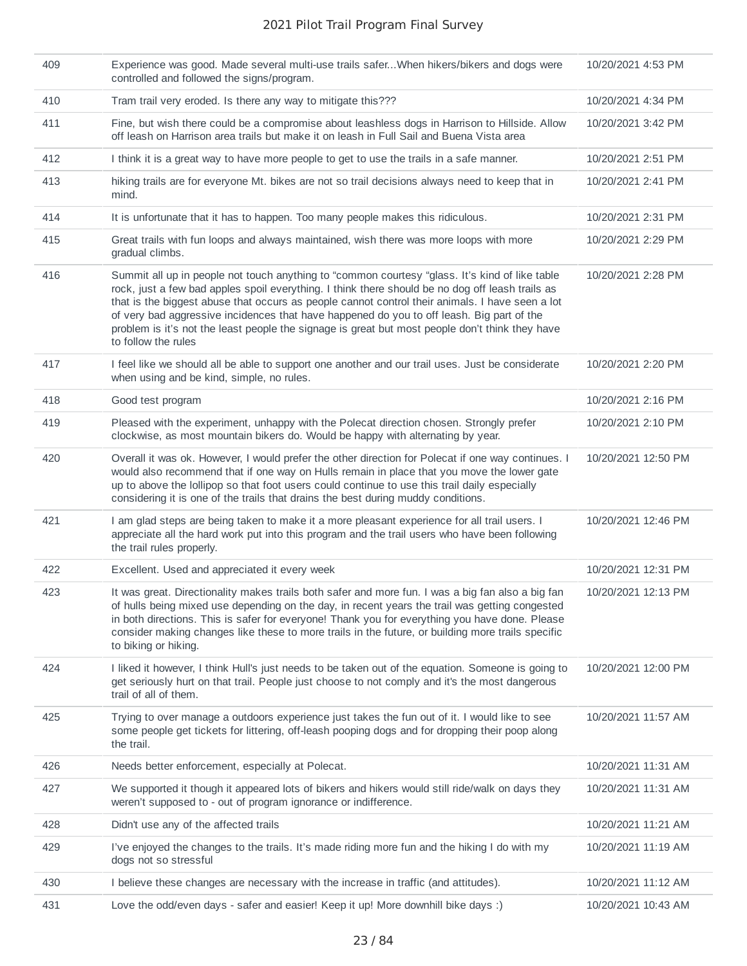| 409 | Experience was good. Made several multi-use trails saferWhen hikers/bikers and dogs were<br>controlled and followed the signs/program.                                                                                                                                                                                                                                                                                                                                                                                       | 10/20/2021 4:53 PM  |
|-----|------------------------------------------------------------------------------------------------------------------------------------------------------------------------------------------------------------------------------------------------------------------------------------------------------------------------------------------------------------------------------------------------------------------------------------------------------------------------------------------------------------------------------|---------------------|
| 410 | Tram trail very eroded. Is there any way to mitigate this???                                                                                                                                                                                                                                                                                                                                                                                                                                                                 | 10/20/2021 4:34 PM  |
| 411 | Fine, but wish there could be a compromise about leashless dogs in Harrison to Hillside. Allow<br>off leash on Harrison area trails but make it on leash in Full Sail and Buena Vista area                                                                                                                                                                                                                                                                                                                                   | 10/20/2021 3:42 PM  |
| 412 | I think it is a great way to have more people to get to use the trails in a safe manner.                                                                                                                                                                                                                                                                                                                                                                                                                                     | 10/20/2021 2:51 PM  |
| 413 | hiking trails are for everyone Mt. bikes are not so trail decisions always need to keep that in<br>mind.                                                                                                                                                                                                                                                                                                                                                                                                                     | 10/20/2021 2:41 PM  |
| 414 | It is unfortunate that it has to happen. Too many people makes this ridiculous.                                                                                                                                                                                                                                                                                                                                                                                                                                              | 10/20/2021 2:31 PM  |
| 415 | Great trails with fun loops and always maintained, wish there was more loops with more<br>gradual climbs.                                                                                                                                                                                                                                                                                                                                                                                                                    | 10/20/2021 2:29 PM  |
| 416 | Summit all up in people not touch anything to "common courtesy "glass. It's kind of like table<br>rock, just a few bad apples spoil everything. I think there should be no dog off leash trails as<br>that is the biggest abuse that occurs as people cannot control their animals. I have seen a lot<br>of very bad aggressive incidences that have happened do you to off leash. Big part of the<br>problem is it's not the least people the signage is great but most people don't think they have<br>to follow the rules | 10/20/2021 2:28 PM  |
| 417 | I feel like we should all be able to support one another and our trail uses. Just be considerate<br>when using and be kind, simple, no rules.                                                                                                                                                                                                                                                                                                                                                                                | 10/20/2021 2:20 PM  |
| 418 | Good test program                                                                                                                                                                                                                                                                                                                                                                                                                                                                                                            | 10/20/2021 2:16 PM  |
| 419 | Pleased with the experiment, unhappy with the Polecat direction chosen. Strongly prefer<br>clockwise, as most mountain bikers do. Would be happy with alternating by year.                                                                                                                                                                                                                                                                                                                                                   | 10/20/2021 2:10 PM  |
| 420 | Overall it was ok. However, I would prefer the other direction for Polecat if one way continues. I<br>would also recommend that if one way on Hulls remain in place that you move the lower gate<br>up to above the lollipop so that foot users could continue to use this trail daily especially<br>considering it is one of the trails that drains the best during muddy conditions.                                                                                                                                       | 10/20/2021 12:50 PM |
| 421 | I am glad steps are being taken to make it a more pleasant experience for all trail users. I<br>appreciate all the hard work put into this program and the trail users who have been following<br>the trail rules properly.                                                                                                                                                                                                                                                                                                  | 10/20/2021 12:46 PM |
| 422 | Excellent. Used and appreciated it every week                                                                                                                                                                                                                                                                                                                                                                                                                                                                                | 10/20/2021 12:31 PM |
| 423 | It was great. Directionality makes trails both safer and more fun. I was a big fan also a big fan<br>of hulls being mixed use depending on the day, in recent years the trail was getting congested<br>in both directions. This is safer for everyone! Thank you for everything you have done. Please<br>consider making changes like these to more trails in the future, or building more trails specific<br>to biking or hiking.                                                                                           | 10/20/2021 12:13 PM |
| 424 | I liked it however, I think Hull's just needs to be taken out of the equation. Someone is going to<br>get seriously hurt on that trail. People just choose to not comply and it's the most dangerous<br>trail of all of them.                                                                                                                                                                                                                                                                                                | 10/20/2021 12:00 PM |
| 425 | Trying to over manage a outdoors experience just takes the fun out of it. I would like to see<br>some people get tickets for littering, off-leash pooping dogs and for dropping their poop along<br>the trail.                                                                                                                                                                                                                                                                                                               | 10/20/2021 11:57 AM |
| 426 | Needs better enforcement, especially at Polecat.                                                                                                                                                                                                                                                                                                                                                                                                                                                                             | 10/20/2021 11:31 AM |
| 427 | We supported it though it appeared lots of bikers and hikers would still ride/walk on days they<br>weren't supposed to - out of program ignorance or indifference.                                                                                                                                                                                                                                                                                                                                                           | 10/20/2021 11:31 AM |
| 428 | Didn't use any of the affected trails                                                                                                                                                                                                                                                                                                                                                                                                                                                                                        | 10/20/2021 11:21 AM |
| 429 | I've enjoyed the changes to the trails. It's made riding more fun and the hiking I do with my<br>dogs not so stressful                                                                                                                                                                                                                                                                                                                                                                                                       | 10/20/2021 11:19 AM |
| 430 | I believe these changes are necessary with the increase in traffic (and attitudes).                                                                                                                                                                                                                                                                                                                                                                                                                                          | 10/20/2021 11:12 AM |
| 431 | Love the odd/even days - safer and easier! Keep it up! More downhill bike days :)                                                                                                                                                                                                                                                                                                                                                                                                                                            | 10/20/2021 10:43 AM |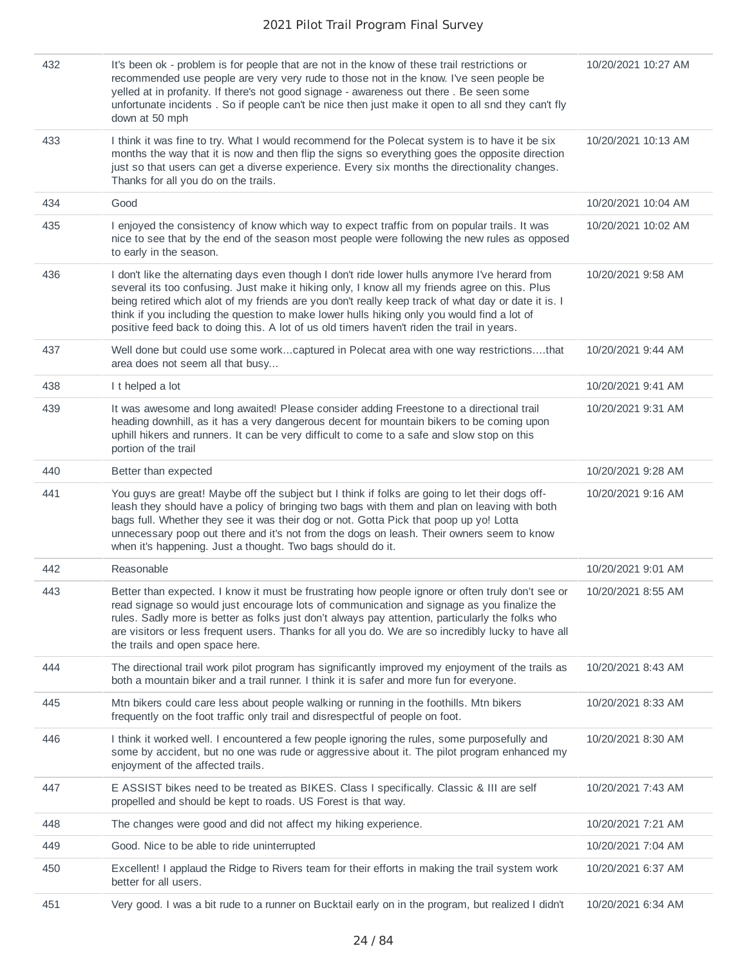| 432 | It's been ok - problem is for people that are not in the know of these trail restrictions or<br>recommended use people are very very rude to those not in the know. I've seen people be<br>yelled at in profanity. If there's not good signage - awareness out there . Be seen some<br>unfortunate incidents. So if people can't be nice then just make it open to all snd they can't fly<br>down at 50 mph                                                                                           | 10/20/2021 10:27 AM |
|-----|-------------------------------------------------------------------------------------------------------------------------------------------------------------------------------------------------------------------------------------------------------------------------------------------------------------------------------------------------------------------------------------------------------------------------------------------------------------------------------------------------------|---------------------|
| 433 | I think it was fine to try. What I would recommend for the Polecat system is to have it be six<br>months the way that it is now and then flip the signs so everything goes the opposite direction<br>just so that users can get a diverse experience. Every six months the directionality changes.<br>Thanks for all you do on the trails.                                                                                                                                                            | 10/20/2021 10:13 AM |
| 434 | Good                                                                                                                                                                                                                                                                                                                                                                                                                                                                                                  | 10/20/2021 10:04 AM |
| 435 | I enjoyed the consistency of know which way to expect traffic from on popular trails. It was<br>nice to see that by the end of the season most people were following the new rules as opposed<br>to early in the season.                                                                                                                                                                                                                                                                              | 10/20/2021 10:02 AM |
| 436 | I don't like the alternating days even though I don't ride lower hulls anymore I've herard from<br>several its too confusing. Just make it hiking only, I know all my friends agree on this. Plus<br>being retired which alot of my friends are you don't really keep track of what day or date it is. I<br>think if you including the question to make lower hulls hiking only you would find a lot of<br>positive feed back to doing this. A lot of us old timers haven't riden the trail in years. | 10/20/2021 9:58 AM  |
| 437 | Well done but could use some workcaptured in Polecat area with one way restrictionsthat<br>area does not seem all that busy                                                                                                                                                                                                                                                                                                                                                                           | 10/20/2021 9:44 AM  |
| 438 | I t helped a lot                                                                                                                                                                                                                                                                                                                                                                                                                                                                                      | 10/20/2021 9:41 AM  |
| 439 | It was awesome and long awaited! Please consider adding Freestone to a directional trail<br>heading downhill, as it has a very dangerous decent for mountain bikers to be coming upon<br>uphill hikers and runners. It can be very difficult to come to a safe and slow stop on this<br>portion of the trail                                                                                                                                                                                          | 10/20/2021 9:31 AM  |
| 440 | Better than expected                                                                                                                                                                                                                                                                                                                                                                                                                                                                                  | 10/20/2021 9:28 AM  |
| 441 | You guys are great! Maybe off the subject but I think if folks are going to let their dogs off-<br>leash they should have a policy of bringing two bags with them and plan on leaving with both<br>bags full. Whether they see it was their dog or not. Gotta Pick that poop up yo! Lotta<br>unnecessary poop out there and it's not from the dogs on leash. Their owners seem to know<br>when it's happening. Just a thought. Two bags should do it.                                                 | 10/20/2021 9:16 AM  |
| 442 | Reasonable                                                                                                                                                                                                                                                                                                                                                                                                                                                                                            | 10/20/2021 9:01 AM  |
| 443 | Better than expected. I know it must be frustrating how people ignore or often truly don't see or<br>read signage so would just encourage lots of communication and signage as you finalize the<br>rules. Sadly more is better as folks just don't always pay attention, particularly the folks who<br>are visitors or less frequent users. Thanks for all you do. We are so incredibly lucky to have all<br>the trails and open space here.                                                          | 10/20/2021 8:55 AM  |
| 444 | The directional trail work pilot program has significantly improved my enjoyment of the trails as<br>both a mountain biker and a trail runner. I think it is safer and more fun for everyone.                                                                                                                                                                                                                                                                                                         | 10/20/2021 8:43 AM  |
| 445 | Mtn bikers could care less about people walking or running in the foothills. Mtn bikers<br>frequently on the foot traffic only trail and disrespectful of people on foot.                                                                                                                                                                                                                                                                                                                             | 10/20/2021 8:33 AM  |
| 446 | I think it worked well. I encountered a few people ignoring the rules, some purposefully and<br>some by accident, but no one was rude or aggressive about it. The pilot program enhanced my<br>enjoyment of the affected trails.                                                                                                                                                                                                                                                                      | 10/20/2021 8:30 AM  |
| 447 | E ASSIST bikes need to be treated as BIKES. Class I specifically. Classic & III are self<br>propelled and should be kept to roads. US Forest is that way.                                                                                                                                                                                                                                                                                                                                             | 10/20/2021 7:43 AM  |
| 448 | The changes were good and did not affect my hiking experience.                                                                                                                                                                                                                                                                                                                                                                                                                                        | 10/20/2021 7:21 AM  |
| 449 | Good. Nice to be able to ride uninterrupted                                                                                                                                                                                                                                                                                                                                                                                                                                                           | 10/20/2021 7:04 AM  |
| 450 | Excellent! I applaud the Ridge to Rivers team for their efforts in making the trail system work<br>better for all users.                                                                                                                                                                                                                                                                                                                                                                              | 10/20/2021 6:37 AM  |
| 451 | Very good. I was a bit rude to a runner on Bucktail early on in the program, but realized I didn't                                                                                                                                                                                                                                                                                                                                                                                                    | 10/20/2021 6:34 AM  |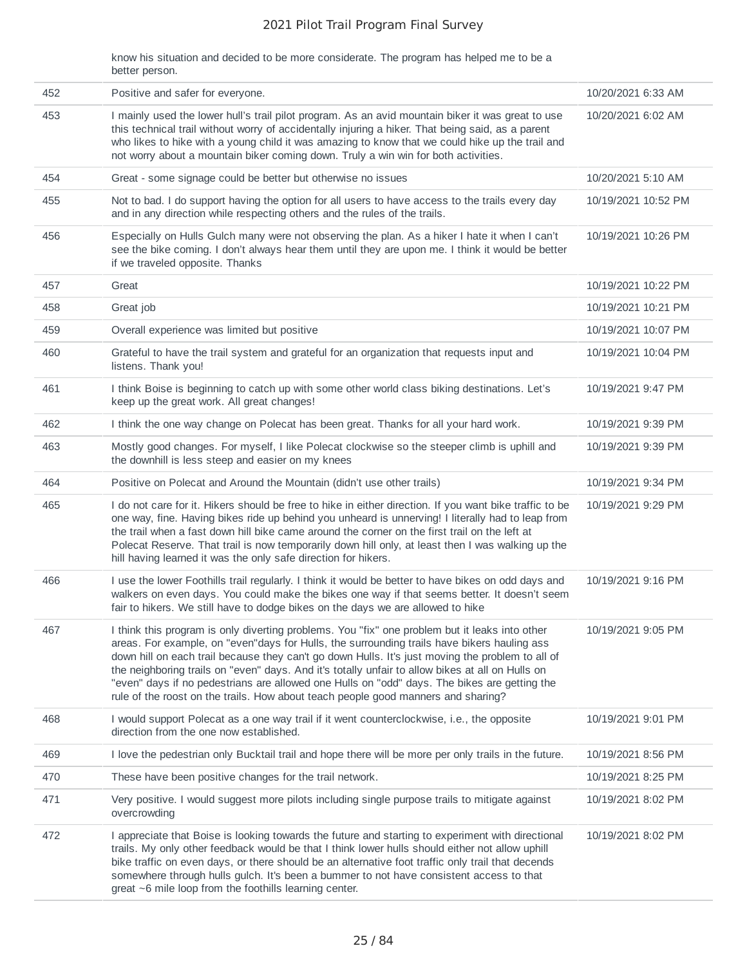know his situation and decided to be more considerate. The program has helped me to be a better person.

| 452 | Positive and safer for everyone.                                                                                                                                                                                                                                                                                                                                                                                                                                                                                                                                                           | 10/20/2021 6:33 AM  |
|-----|--------------------------------------------------------------------------------------------------------------------------------------------------------------------------------------------------------------------------------------------------------------------------------------------------------------------------------------------------------------------------------------------------------------------------------------------------------------------------------------------------------------------------------------------------------------------------------------------|---------------------|
| 453 | I mainly used the lower hull's trail pilot program. As an avid mountain biker it was great to use<br>this technical trail without worry of accidentally injuring a hiker. That being said, as a parent<br>who likes to hike with a young child it was amazing to know that we could hike up the trail and<br>not worry about a mountain biker coming down. Truly a win win for both activities.                                                                                                                                                                                            | 10/20/2021 6:02 AM  |
| 454 | Great - some signage could be better but otherwise no issues                                                                                                                                                                                                                                                                                                                                                                                                                                                                                                                               | 10/20/2021 5:10 AM  |
| 455 | Not to bad. I do support having the option for all users to have access to the trails every day<br>and in any direction while respecting others and the rules of the trails.                                                                                                                                                                                                                                                                                                                                                                                                               | 10/19/2021 10:52 PM |
| 456 | Especially on Hulls Gulch many were not observing the plan. As a hiker I hate it when I can't<br>see the bike coming. I don't always hear them until they are upon me. I think it would be better<br>if we traveled opposite. Thanks                                                                                                                                                                                                                                                                                                                                                       | 10/19/2021 10:26 PM |
| 457 | Great                                                                                                                                                                                                                                                                                                                                                                                                                                                                                                                                                                                      | 10/19/2021 10:22 PM |
| 458 | Great job                                                                                                                                                                                                                                                                                                                                                                                                                                                                                                                                                                                  | 10/19/2021 10:21 PM |
| 459 | Overall experience was limited but positive                                                                                                                                                                                                                                                                                                                                                                                                                                                                                                                                                | 10/19/2021 10:07 PM |
| 460 | Grateful to have the trail system and grateful for an organization that requests input and<br>listens. Thank you!                                                                                                                                                                                                                                                                                                                                                                                                                                                                          | 10/19/2021 10:04 PM |
| 461 | I think Boise is beginning to catch up with some other world class biking destinations. Let's<br>keep up the great work. All great changes!                                                                                                                                                                                                                                                                                                                                                                                                                                                | 10/19/2021 9:47 PM  |
| 462 | I think the one way change on Polecat has been great. Thanks for all your hard work.                                                                                                                                                                                                                                                                                                                                                                                                                                                                                                       | 10/19/2021 9:39 PM  |
| 463 | Mostly good changes. For myself, I like Polecat clockwise so the steeper climb is uphill and<br>the downhill is less steep and easier on my knees                                                                                                                                                                                                                                                                                                                                                                                                                                          | 10/19/2021 9:39 PM  |
| 464 | Positive on Polecat and Around the Mountain (didn't use other trails)                                                                                                                                                                                                                                                                                                                                                                                                                                                                                                                      | 10/19/2021 9:34 PM  |
| 465 | I do not care for it. Hikers should be free to hike in either direction. If you want bike traffic to be<br>one way, fine. Having bikes ride up behind you unheard is unnerving! I literally had to leap from<br>the trail when a fast down hill bike came around the corner on the first trail on the left at<br>Polecat Reserve. That trail is now temporarily down hill only, at least then I was walking up the<br>hill having learned it was the only safe direction for hikers.                                                                                                       | 10/19/2021 9:29 PM  |
| 466 | I use the lower Foothills trail regularly. I think it would be better to have bikes on odd days and<br>walkers on even days. You could make the bikes one way if that seems better. It doesn't seem<br>fair to hikers. We still have to dodge bikes on the days we are allowed to hike                                                                                                                                                                                                                                                                                                     | 10/19/2021 9:16 PM  |
| 467 | I think this program is only diverting problems. You "fix" one problem but it leaks into other<br>areas. For example, on "even"days for Hulls, the surrounding trails have bikers hauling ass<br>down hill on each trail because they can't go down Hulls. It's just moving the problem to all of<br>the neighboring trails on "even" days. And it's totally unfair to allow bikes at all on Hulls on<br>"even" days if no pedestrians are allowed one Hulls on "odd" days. The bikes are getting the<br>rule of the roost on the trails. How about teach people good manners and sharing? | 10/19/2021 9:05 PM  |
| 468 | I would support Polecat as a one way trail if it went counterclockwise, i.e., the opposite<br>direction from the one now established.                                                                                                                                                                                                                                                                                                                                                                                                                                                      | 10/19/2021 9:01 PM  |
| 469 | I love the pedestrian only Bucktail trail and hope there will be more per only trails in the future.                                                                                                                                                                                                                                                                                                                                                                                                                                                                                       | 10/19/2021 8:56 PM  |
| 470 | These have been positive changes for the trail network.                                                                                                                                                                                                                                                                                                                                                                                                                                                                                                                                    | 10/19/2021 8:25 PM  |
| 471 | Very positive. I would suggest more pilots including single purpose trails to mitigate against<br>overcrowding                                                                                                                                                                                                                                                                                                                                                                                                                                                                             | 10/19/2021 8:02 PM  |
| 472 | I appreciate that Boise is looking towards the future and starting to experiment with directional<br>trails. My only other feedback would be that I think lower hulls should either not allow uphill<br>bike traffic on even days, or there should be an alternative foot traffic only trail that decends<br>somewhere through hulls gulch. It's been a bummer to not have consistent access to that<br>great ~6 mile loop from the foothills learning center.                                                                                                                             | 10/19/2021 8:02 PM  |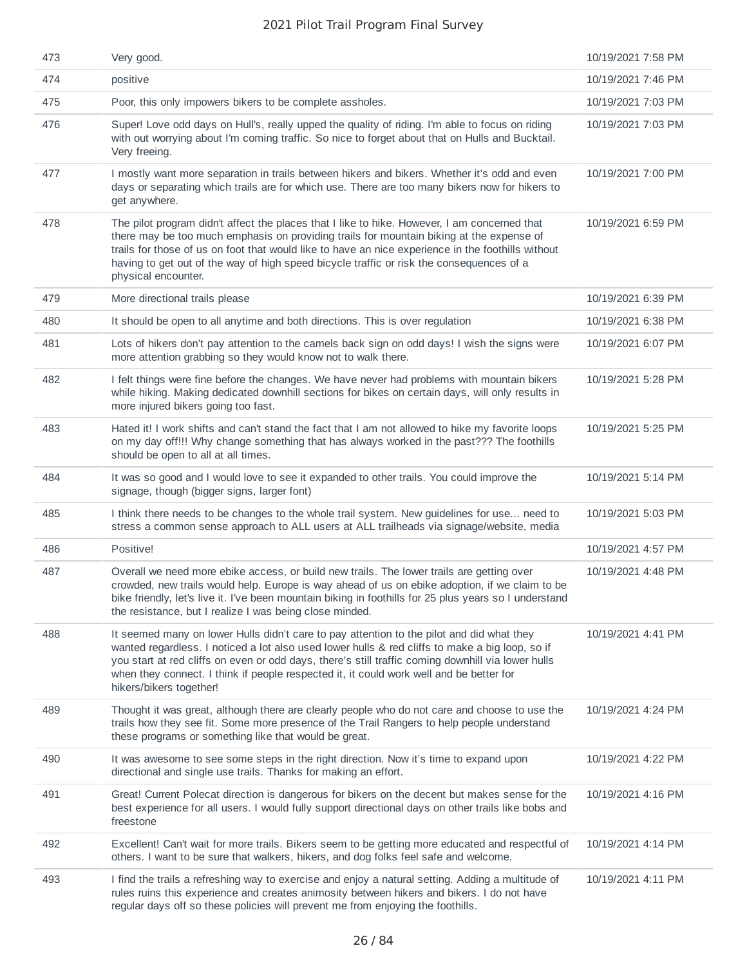| 473 | Very good.                                                                                                                                                                                                                                                                                                                                                                                                               | 10/19/2021 7:58 PM |
|-----|--------------------------------------------------------------------------------------------------------------------------------------------------------------------------------------------------------------------------------------------------------------------------------------------------------------------------------------------------------------------------------------------------------------------------|--------------------|
| 474 | positive                                                                                                                                                                                                                                                                                                                                                                                                                 | 10/19/2021 7:46 PM |
| 475 | Poor, this only impowers bikers to be complete assholes.                                                                                                                                                                                                                                                                                                                                                                 | 10/19/2021 7:03 PM |
| 476 | Super! Love odd days on Hull's, really upped the quality of riding. I'm able to focus on riding<br>with out worrying about I'm coming traffic. So nice to forget about that on Hulls and Bucktail.<br>Very freeing.                                                                                                                                                                                                      | 10/19/2021 7:03 PM |
| 477 | I mostly want more separation in trails between hikers and bikers. Whether it's odd and even<br>days or separating which trails are for which use. There are too many bikers now for hikers to<br>get anywhere.                                                                                                                                                                                                          | 10/19/2021 7:00 PM |
| 478 | The pilot program didn't affect the places that I like to hike. However, I am concerned that<br>there may be too much emphasis on providing trails for mountain biking at the expense of<br>trails for those of us on foot that would like to have an nice experience in the foothills without<br>having to get out of the way of high speed bicycle traffic or risk the consequences of a<br>physical encounter.        | 10/19/2021 6:59 PM |
| 479 | More directional trails please                                                                                                                                                                                                                                                                                                                                                                                           | 10/19/2021 6:39 PM |
| 480 | It should be open to all anytime and both directions. This is over regulation                                                                                                                                                                                                                                                                                                                                            | 10/19/2021 6:38 PM |
| 481 | Lots of hikers don't pay attention to the camels back sign on odd days! I wish the signs were<br>more attention grabbing so they would know not to walk there.                                                                                                                                                                                                                                                           | 10/19/2021 6:07 PM |
| 482 | I felt things were fine before the changes. We have never had problems with mountain bikers<br>while hiking. Making dedicated downhill sections for bikes on certain days, will only results in<br>more injured bikers going too fast.                                                                                                                                                                                   | 10/19/2021 5:28 PM |
| 483 | Hated it! I work shifts and can't stand the fact that I am not allowed to hike my favorite loops<br>on my day off!!! Why change something that has always worked in the past??? The foothills<br>should be open to all at all times.                                                                                                                                                                                     | 10/19/2021 5:25 PM |
| 484 | It was so good and I would love to see it expanded to other trails. You could improve the<br>signage, though (bigger signs, larger font)                                                                                                                                                                                                                                                                                 | 10/19/2021 5:14 PM |
| 485 | I think there needs to be changes to the whole trail system. New guidelines for use need to<br>stress a common sense approach to ALL users at ALL trailheads via signage/website, media                                                                                                                                                                                                                                  | 10/19/2021 5:03 PM |
| 486 | Positive!                                                                                                                                                                                                                                                                                                                                                                                                                | 10/19/2021 4:57 PM |
| 487 | Overall we need more ebike access, or build new trails. The lower trails are getting over<br>crowded, new trails would help. Europe is way ahead of us on ebike adoption, if we claim to be<br>bike friendly, let's live it. I've been mountain biking in foothills for 25 plus years so I understand<br>the resistance, but I realize I was being close minded.                                                         | 10/19/2021 4:48 PM |
| 488 | It seemed many on lower Hulls didn't care to pay attention to the pilot and did what they<br>wanted regardless. I noticed a lot also used lower hulls & red cliffs to make a big loop, so if<br>you start at red cliffs on even or odd days, there's still traffic coming downhill via lower hulls<br>when they connect. I think if people respected it, it could work well and be better for<br>hikers/bikers together! | 10/19/2021 4:41 PM |
| 489 | Thought it was great, although there are clearly people who do not care and choose to use the<br>trails how they see fit. Some more presence of the Trail Rangers to help people understand<br>these programs or something like that would be great.                                                                                                                                                                     | 10/19/2021 4:24 PM |
| 490 | It was awesome to see some steps in the right direction. Now it's time to expand upon<br>directional and single use trails. Thanks for making an effort.                                                                                                                                                                                                                                                                 | 10/19/2021 4:22 PM |
| 491 | Great! Current Polecat direction is dangerous for bikers on the decent but makes sense for the<br>best experience for all users. I would fully support directional days on other trails like bobs and<br>freestone                                                                                                                                                                                                       | 10/19/2021 4:16 PM |
| 492 | Excellent! Can't wait for more trails. Bikers seem to be getting more educated and respectful of<br>others. I want to be sure that walkers, hikers, and dog folks feel safe and welcome.                                                                                                                                                                                                                                 | 10/19/2021 4:14 PM |
| 493 | I find the trails a refreshing way to exercise and enjoy a natural setting. Adding a multitude of<br>rules ruins this experience and creates animosity between hikers and bikers. I do not have<br>regular days off so these policies will prevent me from enjoying the foothills.                                                                                                                                       | 10/19/2021 4:11 PM |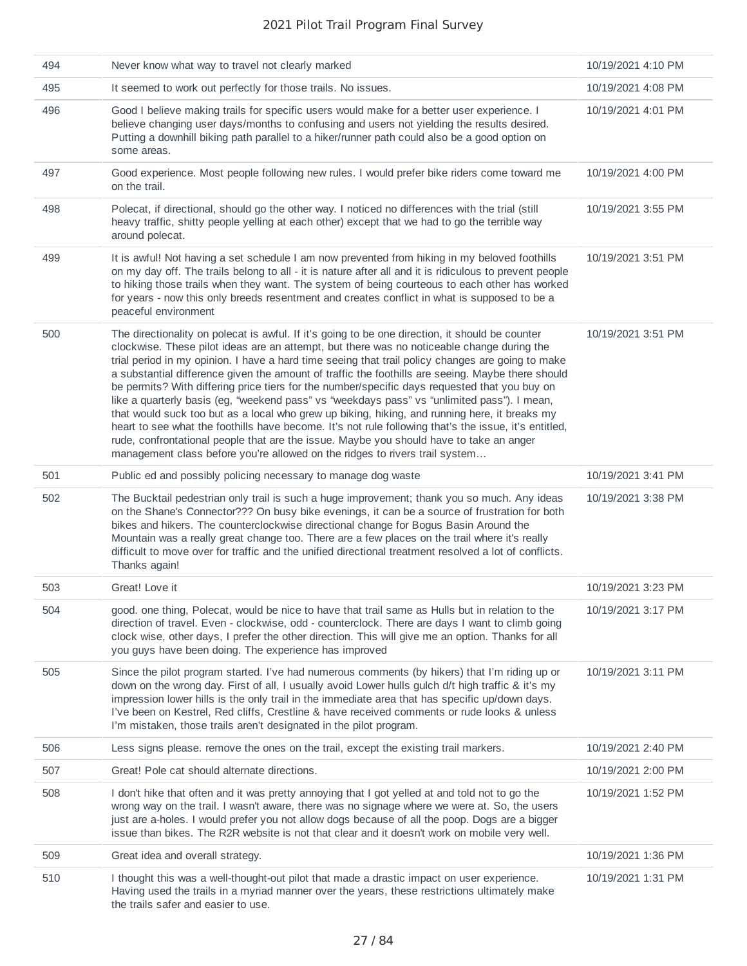| 494 | Never know what way to travel not clearly marked                                                                                                                                                                                                                                                                                                                                                                                                                                                                                                                                                                                                                                                                                                                                                                                                                                                                                                                                            | 10/19/2021 4:10 PM |
|-----|---------------------------------------------------------------------------------------------------------------------------------------------------------------------------------------------------------------------------------------------------------------------------------------------------------------------------------------------------------------------------------------------------------------------------------------------------------------------------------------------------------------------------------------------------------------------------------------------------------------------------------------------------------------------------------------------------------------------------------------------------------------------------------------------------------------------------------------------------------------------------------------------------------------------------------------------------------------------------------------------|--------------------|
| 495 | It seemed to work out perfectly for those trails. No issues.                                                                                                                                                                                                                                                                                                                                                                                                                                                                                                                                                                                                                                                                                                                                                                                                                                                                                                                                | 10/19/2021 4:08 PM |
| 496 | Good I believe making trails for specific users would make for a better user experience. I<br>believe changing user days/months to confusing and users not yielding the results desired.<br>Putting a downhill biking path parallel to a hiker/runner path could also be a good option on<br>some areas.                                                                                                                                                                                                                                                                                                                                                                                                                                                                                                                                                                                                                                                                                    | 10/19/2021 4:01 PM |
| 497 | Good experience. Most people following new rules. I would prefer bike riders come toward me<br>on the trail.                                                                                                                                                                                                                                                                                                                                                                                                                                                                                                                                                                                                                                                                                                                                                                                                                                                                                | 10/19/2021 4:00 PM |
| 498 | Polecat, if directional, should go the other way. I noticed no differences with the trial (still<br>heavy traffic, shitty people yelling at each other) except that we had to go the terrible way<br>around polecat.                                                                                                                                                                                                                                                                                                                                                                                                                                                                                                                                                                                                                                                                                                                                                                        | 10/19/2021 3:55 PM |
| 499 | It is awful! Not having a set schedule I am now prevented from hiking in my beloved foothills<br>on my day off. The trails belong to all - it is nature after all and it is ridiculous to prevent people<br>to hiking those trails when they want. The system of being courteous to each other has worked<br>for years - now this only breeds resentment and creates conflict in what is supposed to be a<br>peaceful environment                                                                                                                                                                                                                                                                                                                                                                                                                                                                                                                                                           | 10/19/2021 3:51 PM |
| 500 | The directionality on polecat is awful. If it's going to be one direction, it should be counter<br>clockwise. These pilot ideas are an attempt, but there was no noticeable change during the<br>trial period in my opinion. I have a hard time seeing that trail policy changes are going to make<br>a substantial difference given the amount of traffic the foothills are seeing. Maybe there should<br>be permits? With differing price tiers for the number/specific days requested that you buy on<br>like a quarterly basis (eg, "weekend pass" vs "weekdays pass" vs "unlimited pass"). I mean,<br>that would suck too but as a local who grew up biking, hiking, and running here, it breaks my<br>heart to see what the foothills have become. It's not rule following that's the issue, it's entitled,<br>rude, confrontational people that are the issue. Maybe you should have to take an anger<br>management class before you're allowed on the ridges to rivers trail system | 10/19/2021 3:51 PM |
| 501 | Public ed and possibly policing necessary to manage dog waste                                                                                                                                                                                                                                                                                                                                                                                                                                                                                                                                                                                                                                                                                                                                                                                                                                                                                                                               | 10/19/2021 3:41 PM |
| 502 | The Bucktail pedestrian only trail is such a huge improvement; thank you so much. Any ideas<br>on the Shane's Connector??? On busy bike evenings, it can be a source of frustration for both<br>bikes and hikers. The counterclockwise directional change for Bogus Basin Around the<br>Mountain was a really great change too. There are a few places on the trail where it's really<br>difficult to move over for traffic and the unified directional treatment resolved a lot of conflicts.<br>Thanks again!                                                                                                                                                                                                                                                                                                                                                                                                                                                                             | 10/19/2021 3:38 PM |
| 503 | Great! Love it                                                                                                                                                                                                                                                                                                                                                                                                                                                                                                                                                                                                                                                                                                                                                                                                                                                                                                                                                                              | 10/19/2021 3:23 PM |
| 504 | good. one thing, Polecat, would be nice to have that trail same as Hulls but in relation to the<br>direction of travel. Even - clockwise, odd - counterclock. There are days I want to climb going<br>clock wise, other days, I prefer the other direction. This will give me an option. Thanks for all<br>you guys have been doing. The experience has improved                                                                                                                                                                                                                                                                                                                                                                                                                                                                                                                                                                                                                            | 10/19/2021 3:17 PM |
| 505 | Since the pilot program started. I've had numerous comments (by hikers) that I'm riding up or<br>down on the wrong day. First of all, I usually avoid Lower hulls gulch d/t high traffic & it's my<br>impression lower hills is the only trail in the immediate area that has specific up/down days.<br>I've been on Kestrel, Red cliffs, Crestline & have received comments or rude looks & unless<br>I'm mistaken, those trails aren't designated in the pilot program.                                                                                                                                                                                                                                                                                                                                                                                                                                                                                                                   | 10/19/2021 3:11 PM |
| 506 | Less signs please. remove the ones on the trail, except the existing trail markers.                                                                                                                                                                                                                                                                                                                                                                                                                                                                                                                                                                                                                                                                                                                                                                                                                                                                                                         | 10/19/2021 2:40 PM |
| 507 | Great! Pole cat should alternate directions.                                                                                                                                                                                                                                                                                                                                                                                                                                                                                                                                                                                                                                                                                                                                                                                                                                                                                                                                                | 10/19/2021 2:00 PM |
| 508 | I don't hike that often and it was pretty annoying that I got yelled at and told not to go the<br>wrong way on the trail. I wasn't aware, there was no signage where we were at. So, the users<br>just are a-holes. I would prefer you not allow dogs because of all the poop. Dogs are a bigger<br>issue than bikes. The R2R website is not that clear and it doesn't work on mobile very well.                                                                                                                                                                                                                                                                                                                                                                                                                                                                                                                                                                                            | 10/19/2021 1:52 PM |
| 509 | Great idea and overall strategy.                                                                                                                                                                                                                                                                                                                                                                                                                                                                                                                                                                                                                                                                                                                                                                                                                                                                                                                                                            | 10/19/2021 1:36 PM |
| 510 | I thought this was a well-thought-out pilot that made a drastic impact on user experience.<br>Having used the trails in a myriad manner over the years, these restrictions ultimately make<br>the trails safer and easier to use.                                                                                                                                                                                                                                                                                                                                                                                                                                                                                                                                                                                                                                                                                                                                                           | 10/19/2021 1:31 PM |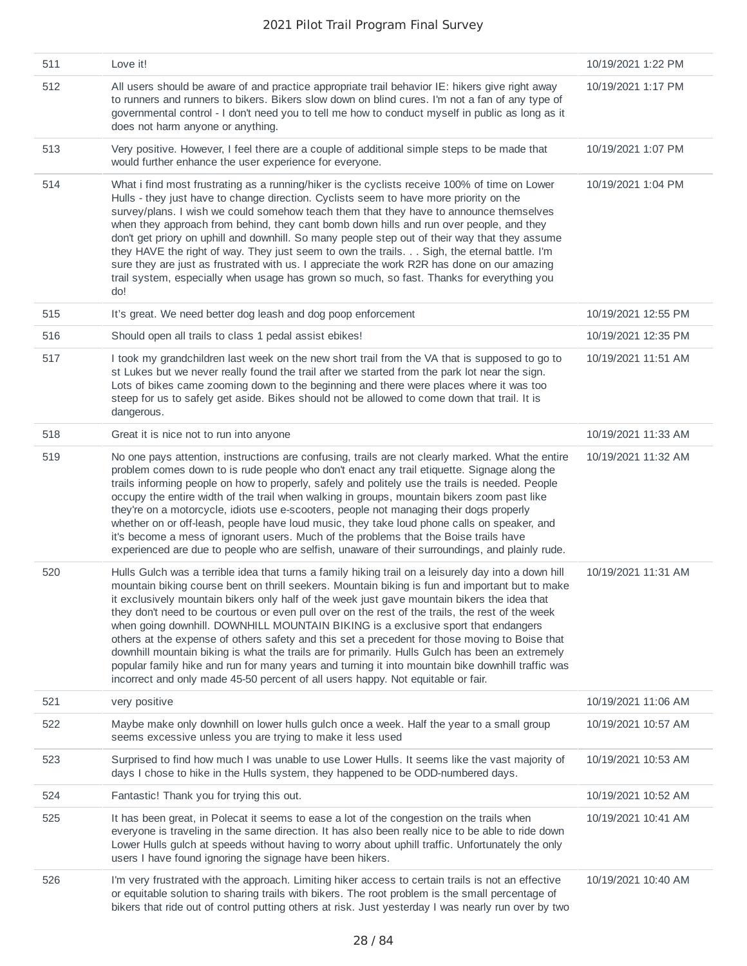| 511 | Love it!                                                                                                                                                                                                                                                                                                                                                                                                                                                                                                                                                                                                                                                                                                                                                                                                                                                                                        | 10/19/2021 1:22 PM  |
|-----|-------------------------------------------------------------------------------------------------------------------------------------------------------------------------------------------------------------------------------------------------------------------------------------------------------------------------------------------------------------------------------------------------------------------------------------------------------------------------------------------------------------------------------------------------------------------------------------------------------------------------------------------------------------------------------------------------------------------------------------------------------------------------------------------------------------------------------------------------------------------------------------------------|---------------------|
| 512 | All users should be aware of and practice appropriate trail behavior IE: hikers give right away<br>to runners and runners to bikers. Bikers slow down on blind cures. I'm not a fan of any type of<br>governmental control - I don't need you to tell me how to conduct myself in public as long as it<br>does not harm anyone or anything.                                                                                                                                                                                                                                                                                                                                                                                                                                                                                                                                                     | 10/19/2021 1:17 PM  |
| 513 | Very positive. However, I feel there are a couple of additional simple steps to be made that<br>would further enhance the user experience for everyone.                                                                                                                                                                                                                                                                                                                                                                                                                                                                                                                                                                                                                                                                                                                                         | 10/19/2021 1:07 PM  |
| 514 | What i find most frustrating as a running/hiker is the cyclists receive 100% of time on Lower<br>Hulls - they just have to change direction. Cyclists seem to have more priority on the<br>survey/plans. I wish we could somehow teach them that they have to announce themselves<br>when they approach from behind, they cant bomb down hills and run over people, and they<br>don't get priory on uphill and downhill. So many people step out of their way that they assume<br>they HAVE the right of way. They just seem to own the trails. Sigh, the eternal battle. I'm<br>sure they are just as frustrated with us. I appreciate the work R2R has done on our amazing<br>trail system, especially when usage has grown so much, so fast. Thanks for everything you<br>do!                                                                                                                | 10/19/2021 1:04 PM  |
| 515 | It's great. We need better dog leash and dog poop enforcement                                                                                                                                                                                                                                                                                                                                                                                                                                                                                                                                                                                                                                                                                                                                                                                                                                   | 10/19/2021 12:55 PM |
| 516 | Should open all trails to class 1 pedal assist ebikes!                                                                                                                                                                                                                                                                                                                                                                                                                                                                                                                                                                                                                                                                                                                                                                                                                                          | 10/19/2021 12:35 PM |
| 517 | I took my grandchildren last week on the new short trail from the VA that is supposed to go to<br>st Lukes but we never really found the trail after we started from the park lot near the sign.<br>Lots of bikes came zooming down to the beginning and there were places where it was too<br>steep for us to safely get aside. Bikes should not be allowed to come down that trail. It is<br>dangerous.                                                                                                                                                                                                                                                                                                                                                                                                                                                                                       | 10/19/2021 11:51 AM |
| 518 | Great it is nice not to run into anyone                                                                                                                                                                                                                                                                                                                                                                                                                                                                                                                                                                                                                                                                                                                                                                                                                                                         | 10/19/2021 11:33 AM |
| 519 | No one pays attention, instructions are confusing, trails are not clearly marked. What the entire<br>problem comes down to is rude people who don't enact any trail etiquette. Signage along the<br>trails informing people on how to properly, safely and politely use the trails is needed. People<br>occupy the entire width of the trail when walking in groups, mountain bikers zoom past like<br>they're on a motorcycle, idiots use e-scooters, people not managing their dogs properly<br>whether on or off-leash, people have loud music, they take loud phone calls on speaker, and<br>it's become a mess of ignorant users. Much of the problems that the Boise trails have<br>experienced are due to people who are selfish, unaware of their surroundings, and plainly rude.                                                                                                       | 10/19/2021 11:32 AM |
| 520 | Hulls Gulch was a terrible idea that turns a family hiking trail on a leisurely day into a down hill<br>mountain biking course bent on thrill seekers. Mountain biking is fun and important but to make<br>it exclusively mountain bikers only half of the week just gave mountain bikers the idea that<br>they don't need to be courtous or even pull over on the rest of the trails, the rest of the week<br>when going downhill. DOWNHILL MOUNTAIN BIKING is a exclusive sport that endangers<br>others at the expense of others safety and this set a precedent for those moving to Boise that<br>downhill mountain biking is what the trails are for primarily. Hulls Gulch has been an extremely<br>popular family hike and run for many years and turning it into mountain bike downhill traffic was<br>incorrect and only made 45-50 percent of all users happy. Not equitable or fair. | 10/19/2021 11:31 AM |
| 521 | very positive                                                                                                                                                                                                                                                                                                                                                                                                                                                                                                                                                                                                                                                                                                                                                                                                                                                                                   | 10/19/2021 11:06 AM |
| 522 | Maybe make only downhill on lower hulls gulch once a week. Half the year to a small group<br>seems excessive unless you are trying to make it less used                                                                                                                                                                                                                                                                                                                                                                                                                                                                                                                                                                                                                                                                                                                                         | 10/19/2021 10:57 AM |
| 523 | Surprised to find how much I was unable to use Lower Hulls. It seems like the vast majority of<br>days I chose to hike in the Hulls system, they happened to be ODD-numbered days.                                                                                                                                                                                                                                                                                                                                                                                                                                                                                                                                                                                                                                                                                                              | 10/19/2021 10:53 AM |
| 524 | Fantastic! Thank you for trying this out.                                                                                                                                                                                                                                                                                                                                                                                                                                                                                                                                                                                                                                                                                                                                                                                                                                                       | 10/19/2021 10:52 AM |
| 525 | It has been great, in Polecat it seems to ease a lot of the congestion on the trails when<br>everyone is traveling in the same direction. It has also been really nice to be able to ride down<br>Lower Hulls gulch at speeds without having to worry about uphill traffic. Unfortunately the only<br>users I have found ignoring the signage have been hikers.                                                                                                                                                                                                                                                                                                                                                                                                                                                                                                                                 | 10/19/2021 10:41 AM |
| 526 | I'm very frustrated with the approach. Limiting hiker access to certain trails is not an effective<br>or equitable solution to sharing trails with bikers. The root problem is the small percentage of<br>bikers that ride out of control putting others at risk. Just yesterday I was nearly run over by two                                                                                                                                                                                                                                                                                                                                                                                                                                                                                                                                                                                   | 10/19/2021 10:40 AM |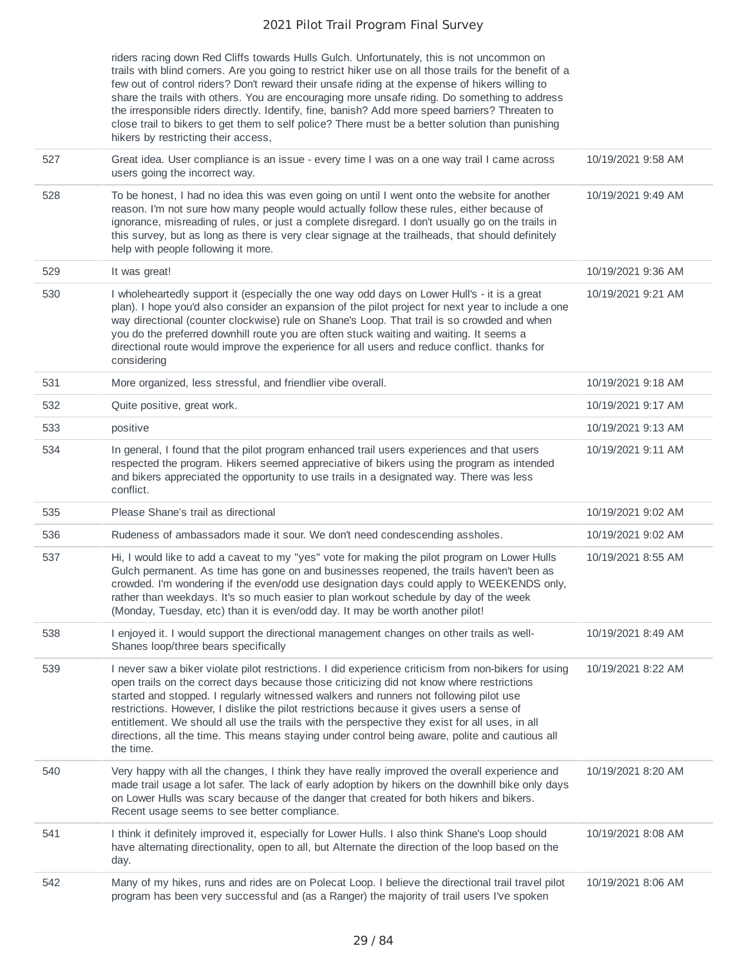|     | riders racing down Red Cliffs towards Hulls Gulch. Unfortunately, this is not uncommon on<br>trails with blind corners. Are you going to restrict hiker use on all those trails for the benefit of a<br>few out of control riders? Don't reward their unsafe riding at the expense of hikers willing to<br>share the trails with others. You are encouraging more unsafe riding. Do something to address<br>the irresponsible riders directly. Identify, fine, banish? Add more speed barriers? Threaten to<br>close trail to bikers to get them to self police? There must be a better solution than punishing<br>hikers by restricting their access, |                    |
|-----|--------------------------------------------------------------------------------------------------------------------------------------------------------------------------------------------------------------------------------------------------------------------------------------------------------------------------------------------------------------------------------------------------------------------------------------------------------------------------------------------------------------------------------------------------------------------------------------------------------------------------------------------------------|--------------------|
| 527 | Great idea. User compliance is an issue - every time I was on a one way trail I came across<br>users going the incorrect way.                                                                                                                                                                                                                                                                                                                                                                                                                                                                                                                          | 10/19/2021 9:58 AM |
| 528 | To be honest, I had no idea this was even going on until I went onto the website for another<br>reason. I'm not sure how many people would actually follow these rules, either because of<br>ignorance, misreading of rules, or just a complete disregard. I don't usually go on the trails in<br>this survey, but as long as there is very clear signage at the trailheads, that should definitely<br>help with people following it more.                                                                                                                                                                                                             | 10/19/2021 9:49 AM |
| 529 | It was great!                                                                                                                                                                                                                                                                                                                                                                                                                                                                                                                                                                                                                                          | 10/19/2021 9:36 AM |
| 530 | I wholeheartedly support it (especially the one way odd days on Lower Hull's - it is a great<br>plan). I hope you'd also consider an expansion of the pilot project for next year to include a one<br>way directional (counter clockwise) rule on Shane's Loop. That trail is so crowded and when<br>you do the preferred downhill route you are often stuck waiting and waiting. It seems a<br>directional route would improve the experience for all users and reduce conflict. thanks for<br>considering                                                                                                                                            | 10/19/2021 9:21 AM |
| 531 | More organized, less stressful, and friendlier vibe overall.                                                                                                                                                                                                                                                                                                                                                                                                                                                                                                                                                                                           | 10/19/2021 9:18 AM |
| 532 | Quite positive, great work.                                                                                                                                                                                                                                                                                                                                                                                                                                                                                                                                                                                                                            | 10/19/2021 9:17 AM |
| 533 | positive                                                                                                                                                                                                                                                                                                                                                                                                                                                                                                                                                                                                                                               | 10/19/2021 9:13 AM |
| 534 | In general, I found that the pilot program enhanced trail users experiences and that users<br>respected the program. Hikers seemed appreciative of bikers using the program as intended<br>and bikers appreciated the opportunity to use trails in a designated way. There was less<br>conflict.                                                                                                                                                                                                                                                                                                                                                       | 10/19/2021 9:11 AM |
| 535 | Please Shane's trail as directional                                                                                                                                                                                                                                                                                                                                                                                                                                                                                                                                                                                                                    | 10/19/2021 9:02 AM |
| 536 | Rudeness of ambassadors made it sour. We don't need condescending assholes.                                                                                                                                                                                                                                                                                                                                                                                                                                                                                                                                                                            | 10/19/2021 9:02 AM |
| 537 | Hi, I would like to add a caveat to my "yes" vote for making the pilot program on Lower Hulls<br>Gulch permanent. As time has gone on and businesses reopened, the trails haven't been as<br>crowded. I'm wondering if the even/odd use designation days could apply to WEEKENDS only,<br>rather than weekdays. It's so much easier to plan workout schedule by day of the week<br>(Monday, Tuesday, etc) than it is even/odd day. It may be worth another pilot!                                                                                                                                                                                      | 10/19/2021 8:55 AM |
| 538 | I enjoyed it. I would support the directional management changes on other trails as well-<br>Shanes loop/three bears specifically                                                                                                                                                                                                                                                                                                                                                                                                                                                                                                                      | 10/19/2021 8:49 AM |
| 539 | I never saw a biker violate pilot restrictions. I did experience criticism from non-bikers for using<br>open trails on the correct days because those criticizing did not know where restrictions<br>started and stopped. I regularly witnessed walkers and runners not following pilot use<br>restrictions. However, I dislike the pilot restrictions because it gives users a sense of<br>entitlement. We should all use the trails with the perspective they exist for all uses, in all<br>directions, all the time. This means staying under control being aware, polite and cautious all<br>the time.                                             | 10/19/2021 8:22 AM |
| 540 | Very happy with all the changes, I think they have really improved the overall experience and<br>made trail usage a lot safer. The lack of early adoption by hikers on the downhill bike only days<br>on Lower Hulls was scary because of the danger that created for both hikers and bikers.<br>Recent usage seems to see better compliance.                                                                                                                                                                                                                                                                                                          | 10/19/2021 8:20 AM |
| 541 | I think it definitely improved it, especially for Lower Hulls. I also think Shane's Loop should<br>have alternating directionality, open to all, but Alternate the direction of the loop based on the<br>day.                                                                                                                                                                                                                                                                                                                                                                                                                                          | 10/19/2021 8:08 AM |
| 542 | Many of my hikes, runs and rides are on Polecat Loop. I believe the directional trail travel pilot<br>program has been very successful and (as a Ranger) the majority of trail users I've spoken                                                                                                                                                                                                                                                                                                                                                                                                                                                       | 10/19/2021 8:06 AM |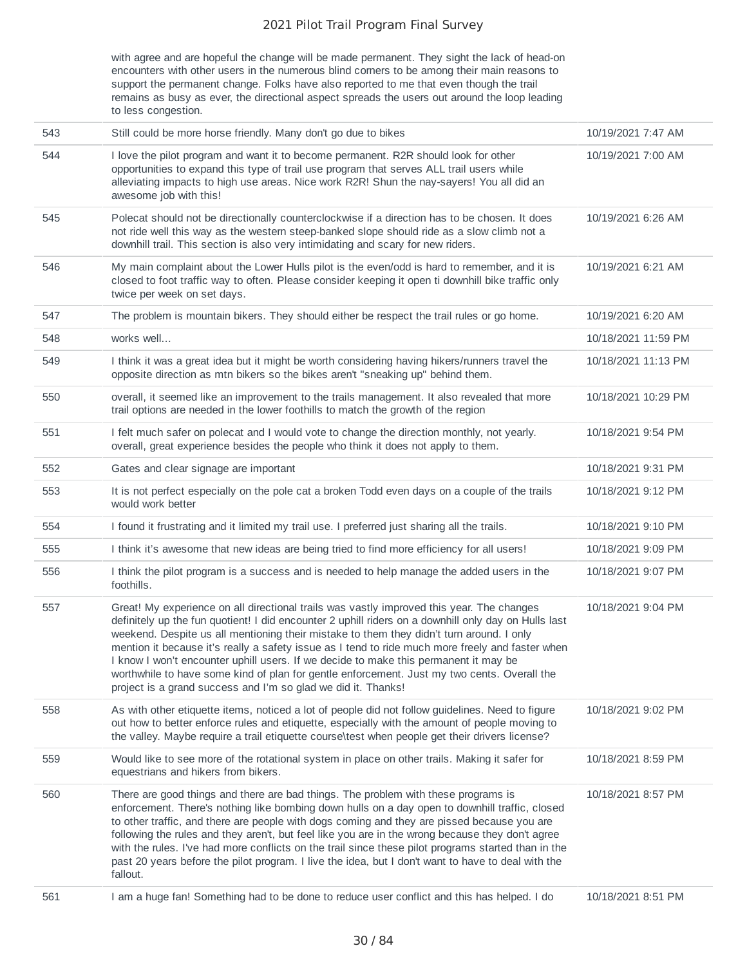with agree and are hopeful the change will be made permanent. They sight the lack of head-on encounters with other users in the numerous blind corners to be among their main reasons to support the permanent change. Folks have also reported to me that even though the trail remains as busy as ever, the directional aspect spreads the users out around the loop leading to less congestion.

| 543 | Still could be more horse friendly. Many don't go due to bikes                                                                                                                                                                                                                                                                                                                                                                                                                                                                                                                                                                                            | 10/19/2021 7:47 AM  |
|-----|-----------------------------------------------------------------------------------------------------------------------------------------------------------------------------------------------------------------------------------------------------------------------------------------------------------------------------------------------------------------------------------------------------------------------------------------------------------------------------------------------------------------------------------------------------------------------------------------------------------------------------------------------------------|---------------------|
| 544 | I love the pilot program and want it to become permanent. R2R should look for other<br>opportunities to expand this type of trail use program that serves ALL trail users while<br>alleviating impacts to high use areas. Nice work R2R! Shun the nay-sayers! You all did an<br>awesome job with this!                                                                                                                                                                                                                                                                                                                                                    | 10/19/2021 7:00 AM  |
| 545 | Polecat should not be directionally counterclockwise if a direction has to be chosen. It does<br>not ride well this way as the western steep-banked slope should ride as a slow climb not a<br>downhill trail. This section is also very intimidating and scary for new riders.                                                                                                                                                                                                                                                                                                                                                                           | 10/19/2021 6:26 AM  |
| 546 | My main complaint about the Lower Hulls pilot is the even/odd is hard to remember, and it is<br>closed to foot traffic way to often. Please consider keeping it open ti downhill bike traffic only<br>twice per week on set days.                                                                                                                                                                                                                                                                                                                                                                                                                         | 10/19/2021 6:21 AM  |
| 547 | The problem is mountain bikers. They should either be respect the trail rules or go home.                                                                                                                                                                                                                                                                                                                                                                                                                                                                                                                                                                 | 10/19/2021 6:20 AM  |
| 548 | works well                                                                                                                                                                                                                                                                                                                                                                                                                                                                                                                                                                                                                                                | 10/18/2021 11:59 PM |
| 549 | I think it was a great idea but it might be worth considering having hikers/runners travel the<br>opposite direction as mtn bikers so the bikes aren't "sneaking up" behind them.                                                                                                                                                                                                                                                                                                                                                                                                                                                                         | 10/18/2021 11:13 PM |
| 550 | overall, it seemed like an improvement to the trails management. It also revealed that more<br>trail options are needed in the lower foothills to match the growth of the region                                                                                                                                                                                                                                                                                                                                                                                                                                                                          | 10/18/2021 10:29 PM |
| 551 | I felt much safer on polecat and I would vote to change the direction monthly, not yearly.<br>overall, great experience besides the people who think it does not apply to them.                                                                                                                                                                                                                                                                                                                                                                                                                                                                           | 10/18/2021 9:54 PM  |
| 552 | Gates and clear signage are important                                                                                                                                                                                                                                                                                                                                                                                                                                                                                                                                                                                                                     | 10/18/2021 9:31 PM  |
| 553 | It is not perfect especially on the pole cat a broken Todd even days on a couple of the trails<br>would work better                                                                                                                                                                                                                                                                                                                                                                                                                                                                                                                                       | 10/18/2021 9:12 PM  |
| 554 | I found it frustrating and it limited my trail use. I preferred just sharing all the trails.                                                                                                                                                                                                                                                                                                                                                                                                                                                                                                                                                              | 10/18/2021 9:10 PM  |
| 555 | I think it's awesome that new ideas are being tried to find more efficiency for all users!                                                                                                                                                                                                                                                                                                                                                                                                                                                                                                                                                                | 10/18/2021 9:09 PM  |
| 556 | I think the pilot program is a success and is needed to help manage the added users in the<br>foothills.                                                                                                                                                                                                                                                                                                                                                                                                                                                                                                                                                  | 10/18/2021 9:07 PM  |
| 557 | Great! My experience on all directional trails was vastly improved this year. The changes<br>definitely up the fun quotient! I did encounter 2 uphill riders on a downhill only day on Hulls last<br>weekend. Despite us all mentioning their mistake to them they didn't turn around. I only<br>mention it because it's really a safety issue as I tend to ride much more freely and faster when<br>I know I won't encounter uphill users. If we decide to make this permanent it may be<br>worthwhile to have some kind of plan for gentle enforcement. Just my two cents. Overall the<br>project is a grand success and I'm so glad we did it. Thanks! | 10/18/2021 9:04 PM  |
| 558 | As with other etiquette items, noticed a lot of people did not follow guidelines. Need to figure<br>out how to better enforce rules and etiquette, especially with the amount of people moving to<br>the valley. Maybe require a trail etiquette courseltest when people get their drivers license?                                                                                                                                                                                                                                                                                                                                                       | 10/18/2021 9:02 PM  |
| 559 | Would like to see more of the rotational system in place on other trails. Making it safer for<br>equestrians and hikers from bikers.                                                                                                                                                                                                                                                                                                                                                                                                                                                                                                                      | 10/18/2021 8:59 PM  |
| 560 | There are good things and there are bad things. The problem with these programs is<br>enforcement. There's nothing like bombing down hulls on a day open to downhill traffic, closed<br>to other traffic, and there are people with dogs coming and they are pissed because you are<br>following the rules and they aren't, but feel like you are in the wrong because they don't agree<br>with the rules. I've had more conflicts on the trail since these pilot programs started than in the<br>past 20 years before the pilot program. I live the idea, but I don't want to have to deal with the<br>fallout.                                          | 10/18/2021 8:57 PM  |
| 561 | I am a huge fan! Something had to be done to reduce user conflict and this has helped. I do                                                                                                                                                                                                                                                                                                                                                                                                                                                                                                                                                               | 10/18/2021 8:51 PM  |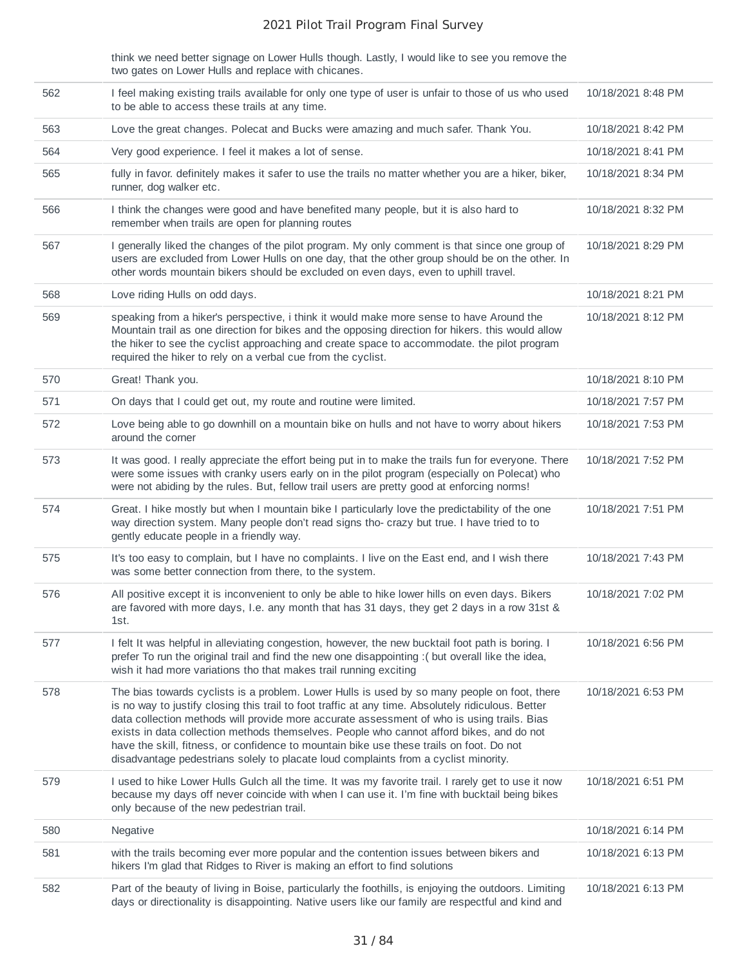think we need better signage on Lower Hulls though. Lastly, I would like to see you remove the two gates on Lower Hulls and replace with chicanes.

| 562 | I feel making existing trails available for only one type of user is unfair to those of us who used<br>to be able to access these trails at any time.                                                                                                                                                                                                                                                                                                                                                                                                                           | 10/18/2021 8:48 PM |
|-----|---------------------------------------------------------------------------------------------------------------------------------------------------------------------------------------------------------------------------------------------------------------------------------------------------------------------------------------------------------------------------------------------------------------------------------------------------------------------------------------------------------------------------------------------------------------------------------|--------------------|
| 563 | Love the great changes. Polecat and Bucks were amazing and much safer. Thank You.                                                                                                                                                                                                                                                                                                                                                                                                                                                                                               | 10/18/2021 8:42 PM |
| 564 | Very good experience. I feel it makes a lot of sense.                                                                                                                                                                                                                                                                                                                                                                                                                                                                                                                           | 10/18/2021 8:41 PM |
| 565 | fully in favor. definitely makes it safer to use the trails no matter whether you are a hiker, biker,<br>runner, dog walker etc.                                                                                                                                                                                                                                                                                                                                                                                                                                                | 10/18/2021 8:34 PM |
| 566 | I think the changes were good and have benefited many people, but it is also hard to<br>remember when trails are open for planning routes                                                                                                                                                                                                                                                                                                                                                                                                                                       | 10/18/2021 8:32 PM |
| 567 | I generally liked the changes of the pilot program. My only comment is that since one group of<br>users are excluded from Lower Hulls on one day, that the other group should be on the other. In<br>other words mountain bikers should be excluded on even days, even to uphill travel.                                                                                                                                                                                                                                                                                        | 10/18/2021 8:29 PM |
| 568 | Love riding Hulls on odd days.                                                                                                                                                                                                                                                                                                                                                                                                                                                                                                                                                  | 10/18/2021 8:21 PM |
| 569 | speaking from a hiker's perspective, i think it would make more sense to have Around the<br>Mountain trail as one direction for bikes and the opposing direction for hikers. this would allow<br>the hiker to see the cyclist approaching and create space to accommodate. the pilot program<br>required the hiker to rely on a verbal cue from the cyclist.                                                                                                                                                                                                                    | 10/18/2021 8:12 PM |
| 570 | Great! Thank you.                                                                                                                                                                                                                                                                                                                                                                                                                                                                                                                                                               | 10/18/2021 8:10 PM |
| 571 | On days that I could get out, my route and routine were limited.                                                                                                                                                                                                                                                                                                                                                                                                                                                                                                                | 10/18/2021 7:57 PM |
| 572 | Love being able to go downhill on a mountain bike on hulls and not have to worry about hikers<br>around the corner                                                                                                                                                                                                                                                                                                                                                                                                                                                              | 10/18/2021 7:53 PM |
| 573 | It was good. I really appreciate the effort being put in to make the trails fun for everyone. There<br>were some issues with cranky users early on in the pilot program (especially on Polecat) who<br>were not abiding by the rules. But, fellow trail users are pretty good at enforcing norms!                                                                                                                                                                                                                                                                               | 10/18/2021 7:52 PM |
| 574 | Great. I hike mostly but when I mountain bike I particularly love the predictability of the one<br>way direction system. Many people don't read signs tho-crazy but true. I have tried to to<br>gently educate people in a friendly way.                                                                                                                                                                                                                                                                                                                                        | 10/18/2021 7:51 PM |
| 575 | It's too easy to complain, but I have no complaints. I live on the East end, and I wish there<br>was some better connection from there, to the system.                                                                                                                                                                                                                                                                                                                                                                                                                          | 10/18/2021 7:43 PM |
| 576 | All positive except it is inconvenient to only be able to hike lower hills on even days. Bikers<br>are favored with more days, I.e. any month that has 31 days, they get 2 days in a row 31st &<br>1st.                                                                                                                                                                                                                                                                                                                                                                         | 10/18/2021 7:02 PM |
| 577 | I felt It was helpful in alleviating congestion, however, the new bucktail foot path is boring. I<br>prefer To run the original trail and find the new one disappointing :( but overall like the idea,<br>wish it had more variations tho that makes trail running exciting                                                                                                                                                                                                                                                                                                     | 10/18/2021 6:56 PM |
| 578 | The bias towards cyclists is a problem. Lower Hulls is used by so many people on foot, there<br>is no way to justify closing this trail to foot traffic at any time. Absolutely ridiculous. Better<br>data collection methods will provide more accurate assessment of who is using trails. Bias<br>exists in data collection methods themselves. People who cannot afford bikes, and do not<br>have the skill, fitness, or confidence to mountain bike use these trails on foot. Do not<br>disadvantage pedestrians solely to placate loud complaints from a cyclist minority. | 10/18/2021 6:53 PM |
| 579 | I used to hike Lower Hulls Gulch all the time. It was my favorite trail. I rarely get to use it now<br>because my days off never coincide with when I can use it. I'm fine with bucktail being bikes<br>only because of the new pedestrian trail.                                                                                                                                                                                                                                                                                                                               | 10/18/2021 6:51 PM |
| 580 | Negative                                                                                                                                                                                                                                                                                                                                                                                                                                                                                                                                                                        | 10/18/2021 6:14 PM |
| 581 | with the trails becoming ever more popular and the contention issues between bikers and<br>hikers I'm glad that Ridges to River is making an effort to find solutions                                                                                                                                                                                                                                                                                                                                                                                                           | 10/18/2021 6:13 PM |
| 582 | Part of the beauty of living in Boise, particularly the foothills, is enjoying the outdoors. Limiting<br>days or directionality is disappointing. Native users like our family are respectful and kind and                                                                                                                                                                                                                                                                                                                                                                      | 10/18/2021 6:13 PM |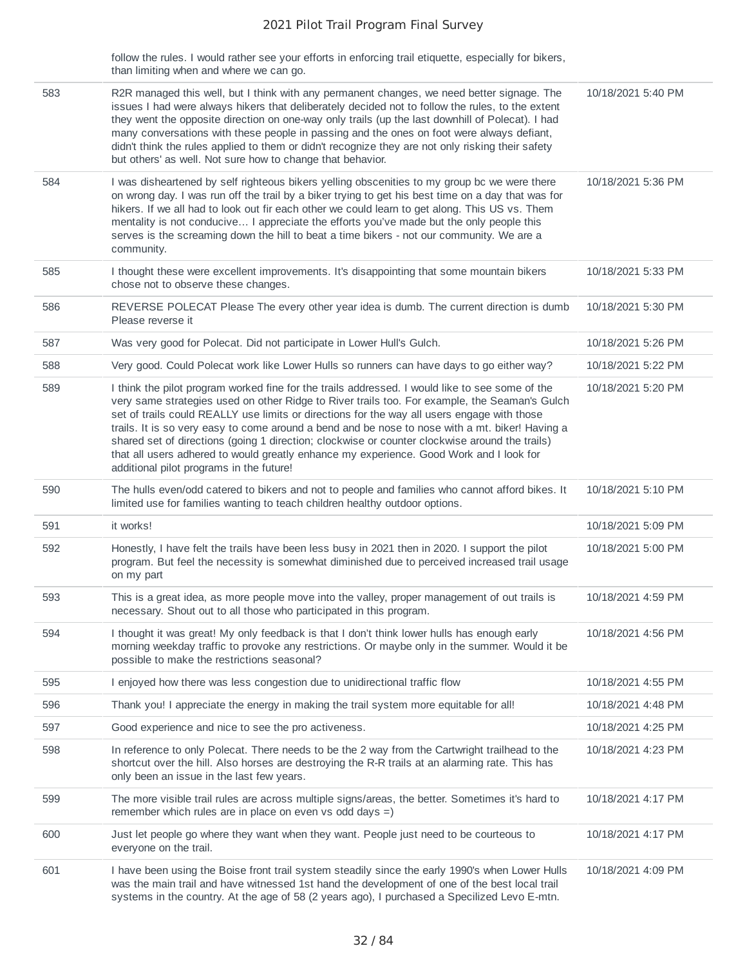follow the rules. I would rather see your efforts in enforcing trail etiquette, especially for bikers, than limiting when and where we can go.

| 583 | R2R managed this well, but I think with any permanent changes, we need better signage. The<br>issues I had were always hikers that deliberately decided not to follow the rules, to the extent<br>they went the opposite direction on one-way only trails (up the last downhill of Polecat). I had<br>many conversations with these people in passing and the ones on foot were always defiant,<br>didn't think the rules applied to them or didn't recognize they are not only risking their safety<br>but others' as well. Not sure how to change that behavior.                                                                          | 10/18/2021 5:40 PM |
|-----|---------------------------------------------------------------------------------------------------------------------------------------------------------------------------------------------------------------------------------------------------------------------------------------------------------------------------------------------------------------------------------------------------------------------------------------------------------------------------------------------------------------------------------------------------------------------------------------------------------------------------------------------|--------------------|
| 584 | I was disheartened by self righteous bikers yelling obscenities to my group bc we were there<br>on wrong day. I was run off the trail by a biker trying to get his best time on a day that was for<br>hikers. If we all had to look out fir each other we could learn to get along. This US vs. Them<br>mentality is not conducive I appreciate the efforts you've made but the only people this<br>serves is the screaming down the hill to beat a time bikers - not our community. We are a<br>community.                                                                                                                                 | 10/18/2021 5:36 PM |
| 585 | I thought these were excellent improvements. It's disappointing that some mountain bikers<br>chose not to observe these changes.                                                                                                                                                                                                                                                                                                                                                                                                                                                                                                            | 10/18/2021 5:33 PM |
| 586 | REVERSE POLECAT Please The every other year idea is dumb. The current direction is dumb<br>Please reverse it                                                                                                                                                                                                                                                                                                                                                                                                                                                                                                                                | 10/18/2021 5:30 PM |
| 587 | Was very good for Polecat. Did not participate in Lower Hull's Gulch.                                                                                                                                                                                                                                                                                                                                                                                                                                                                                                                                                                       | 10/18/2021 5:26 PM |
| 588 | Very good. Could Polecat work like Lower Hulls so runners can have days to go either way?                                                                                                                                                                                                                                                                                                                                                                                                                                                                                                                                                   | 10/18/2021 5:22 PM |
| 589 | I think the pilot program worked fine for the trails addressed. I would like to see some of the<br>very same strategies used on other Ridge to River trails too. For example, the Seaman's Gulch<br>set of trails could REALLY use limits or directions for the way all users engage with those<br>trails. It is so very easy to come around a bend and be nose to nose with a mt. biker! Having a<br>shared set of directions (going 1 direction; clockwise or counter clockwise around the trails)<br>that all users adhered to would greatly enhance my experience. Good Work and I look for<br>additional pilot programs in the future! | 10/18/2021 5:20 PM |
| 590 | The hulls even/odd catered to bikers and not to people and families who cannot afford bikes. It<br>limited use for families wanting to teach children healthy outdoor options.                                                                                                                                                                                                                                                                                                                                                                                                                                                              | 10/18/2021 5:10 PM |
| 591 | it works!                                                                                                                                                                                                                                                                                                                                                                                                                                                                                                                                                                                                                                   | 10/18/2021 5:09 PM |
| 592 | Honestly, I have felt the trails have been less busy in 2021 then in 2020. I support the pilot<br>program. But feel the necessity is somewhat diminished due to perceived increased trail usage<br>on my part                                                                                                                                                                                                                                                                                                                                                                                                                               | 10/18/2021 5:00 PM |
| 593 | This is a great idea, as more people move into the valley, proper management of out trails is<br>necessary. Shout out to all those who participated in this program.                                                                                                                                                                                                                                                                                                                                                                                                                                                                        | 10/18/2021 4:59 PM |
| 594 | I thought it was great! My only feedback is that I don't think lower hulls has enough early<br>morning weekday traffic to provoke any restrictions. Or maybe only in the summer. Would it be<br>possible to make the restrictions seasonal?                                                                                                                                                                                                                                                                                                                                                                                                 | 10/18/2021 4:56 PM |
| 595 | I enjoyed how there was less congestion due to unidirectional traffic flow                                                                                                                                                                                                                                                                                                                                                                                                                                                                                                                                                                  | 10/18/2021 4:55 PM |
| 596 | Thank you! I appreciate the energy in making the trail system more equitable for all!                                                                                                                                                                                                                                                                                                                                                                                                                                                                                                                                                       | 10/18/2021 4:48 PM |
| 597 | Good experience and nice to see the pro activeness.                                                                                                                                                                                                                                                                                                                                                                                                                                                                                                                                                                                         | 10/18/2021 4:25 PM |
| 598 | In reference to only Polecat. There needs to be the 2 way from the Cartwright trailhead to the<br>shortcut over the hill. Also horses are destroying the R-R trails at an alarming rate. This has<br>only been an issue in the last few years.                                                                                                                                                                                                                                                                                                                                                                                              | 10/18/2021 4:23 PM |
| 599 | The more visible trail rules are across multiple signs/areas, the better. Sometimes it's hard to<br>remember which rules are in place on even $vs$ odd days =)                                                                                                                                                                                                                                                                                                                                                                                                                                                                              | 10/18/2021 4:17 PM |
| 600 | Just let people go where they want when they want. People just need to be courteous to<br>everyone on the trail.                                                                                                                                                                                                                                                                                                                                                                                                                                                                                                                            | 10/18/2021 4:17 PM |
| 601 | I have been using the Boise front trail system steadily since the early 1990's when Lower Hulls<br>was the main trail and have witnessed 1st hand the development of one of the best local trail<br>systems in the country. At the age of 58 (2 years ago), I purchased a Specilized Levo E-mtn.                                                                                                                                                                                                                                                                                                                                            | 10/18/2021 4:09 PM |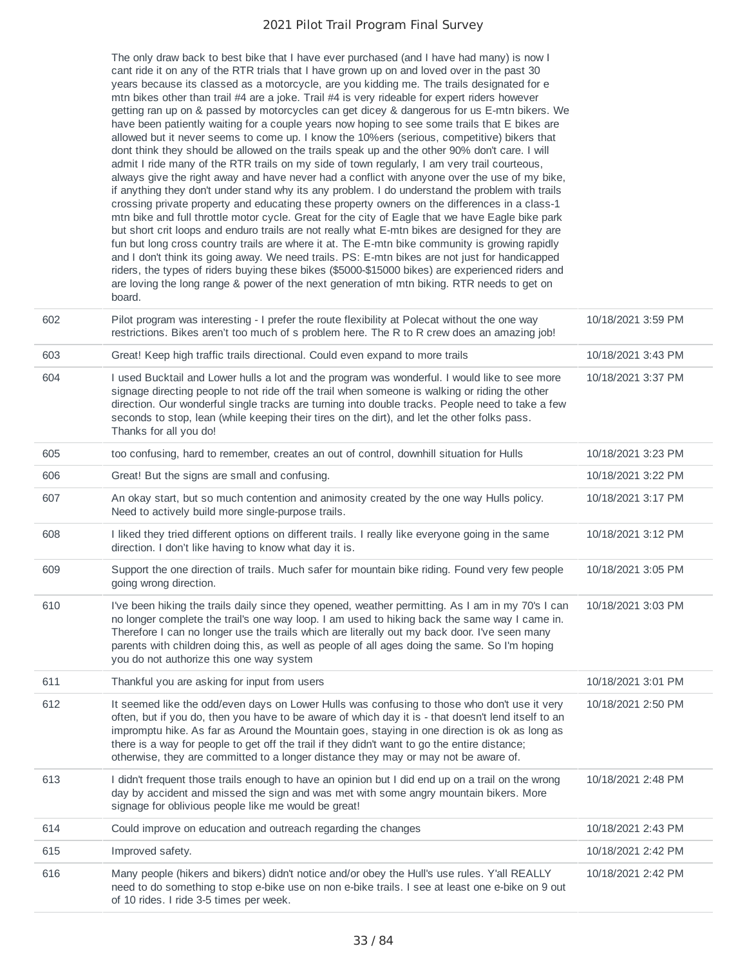|     | The only draw back to best bike that I have ever purchased (and I have had many) is now I<br>cant ride it on any of the RTR trials that I have grown up on and loved over in the past 30<br>years because its classed as a motorcycle, are you kidding me. The trails designated for e<br>mtn bikes other than trail #4 are a joke. Trail #4 is very rideable for expert riders however<br>getting ran up on & passed by motorcycles can get dicey & dangerous for us E-mtn bikers. We<br>have been patiently waiting for a couple years now hoping to see some trails that E bikes are                                                                                                                                                                                                                                                                                                                                                                                                                                                                                                                                                                                                                                    |                    |
|-----|----------------------------------------------------------------------------------------------------------------------------------------------------------------------------------------------------------------------------------------------------------------------------------------------------------------------------------------------------------------------------------------------------------------------------------------------------------------------------------------------------------------------------------------------------------------------------------------------------------------------------------------------------------------------------------------------------------------------------------------------------------------------------------------------------------------------------------------------------------------------------------------------------------------------------------------------------------------------------------------------------------------------------------------------------------------------------------------------------------------------------------------------------------------------------------------------------------------------------|--------------------|
|     | allowed but it never seems to come up. I know the 10%ers (serious, competitive) bikers that<br>dont think they should be allowed on the trails speak up and the other 90% don't care. I will<br>admit I ride many of the RTR trails on my side of town regularly, I am very trail courteous,<br>always give the right away and have never had a conflict with anyone over the use of my bike,<br>if anything they don't under stand why its any problem. I do understand the problem with trails<br>crossing private property and educating these property owners on the differences in a class-1<br>mtn bike and full throttle motor cycle. Great for the city of Eagle that we have Eagle bike park<br>but short crit loops and enduro trails are not really what E-mtn bikes are designed for they are<br>fun but long cross country trails are where it at. The E-mtn bike community is growing rapidly<br>and I don't think its going away. We need trails. PS: E-mtn bikes are not just for handicapped<br>riders, the types of riders buying these bikes (\$5000-\$15000 bikes) are experienced riders and<br>are loving the long range & power of the next generation of mtn biking. RTR needs to get on<br>board. |                    |
| 602 | Pilot program was interesting - I prefer the route flexibility at Polecat without the one way<br>restrictions. Bikes aren't too much of s problem here. The R to R crew does an amazing job!                                                                                                                                                                                                                                                                                                                                                                                                                                                                                                                                                                                                                                                                                                                                                                                                                                                                                                                                                                                                                               | 10/18/2021 3:59 PM |
| 603 | Great! Keep high traffic trails directional. Could even expand to more trails                                                                                                                                                                                                                                                                                                                                                                                                                                                                                                                                                                                                                                                                                                                                                                                                                                                                                                                                                                                                                                                                                                                                              | 10/18/2021 3:43 PM |
| 604 | I used Bucktail and Lower hulls a lot and the program was wonderful. I would like to see more<br>signage directing people to not ride off the trail when someone is walking or riding the other<br>direction. Our wonderful single tracks are turning into double tracks. People need to take a few<br>seconds to stop, lean (while keeping their tires on the dirt), and let the other folks pass.<br>Thanks for all you do!                                                                                                                                                                                                                                                                                                                                                                                                                                                                                                                                                                                                                                                                                                                                                                                              | 10/18/2021 3:37 PM |
| 605 | too confusing, hard to remember, creates an out of control, downhill situation for Hulls                                                                                                                                                                                                                                                                                                                                                                                                                                                                                                                                                                                                                                                                                                                                                                                                                                                                                                                                                                                                                                                                                                                                   | 10/18/2021 3:23 PM |
| 606 | Great! But the signs are small and confusing.                                                                                                                                                                                                                                                                                                                                                                                                                                                                                                                                                                                                                                                                                                                                                                                                                                                                                                                                                                                                                                                                                                                                                                              | 10/18/2021 3:22 PM |
| 607 | An okay start, but so much contention and animosity created by the one way Hulls policy.<br>Need to actively build more single-purpose trails.                                                                                                                                                                                                                                                                                                                                                                                                                                                                                                                                                                                                                                                                                                                                                                                                                                                                                                                                                                                                                                                                             | 10/18/2021 3:17 PM |
| 608 | I liked they tried different options on different trails. I really like everyone going in the same<br>direction. I don't like having to know what day it is.                                                                                                                                                                                                                                                                                                                                                                                                                                                                                                                                                                                                                                                                                                                                                                                                                                                                                                                                                                                                                                                               | 10/18/2021 3:12 PM |
| 609 | Support the one direction of trails. Much safer for mountain bike riding. Found very few people<br>going wrong direction.                                                                                                                                                                                                                                                                                                                                                                                                                                                                                                                                                                                                                                                                                                                                                                                                                                                                                                                                                                                                                                                                                                  | 10/18/2021 3:05 PM |
| 610 | I've been hiking the trails daily since they opened, weather permitting. As I am in my 70's I can<br>no longer complete the trail's one way loop. I am used to hiking back the same way I came in.<br>Therefore I can no longer use the trails which are literally out my back door. I've seen many<br>parents with children doing this, as well as people of all ages doing the same. So I'm hoping<br>you do not authorize this one way system                                                                                                                                                                                                                                                                                                                                                                                                                                                                                                                                                                                                                                                                                                                                                                           | 10/18/2021 3:03 PM |
| 611 | Thankful you are asking for input from users                                                                                                                                                                                                                                                                                                                                                                                                                                                                                                                                                                                                                                                                                                                                                                                                                                                                                                                                                                                                                                                                                                                                                                               | 10/18/2021 3:01 PM |
| 612 | It seemed like the odd/even days on Lower Hulls was confusing to those who don't use it very<br>often, but if you do, then you have to be aware of which day it is - that doesn't lend itself to an<br>impromptu hike. As far as Around the Mountain goes, staying in one direction is ok as long as<br>there is a way for people to get off the trail if they didn't want to go the entire distance;<br>otherwise, they are committed to a longer distance they may or may not be aware of.                                                                                                                                                                                                                                                                                                                                                                                                                                                                                                                                                                                                                                                                                                                               | 10/18/2021 2:50 PM |
| 613 | I didn't frequent those trails enough to have an opinion but I did end up on a trail on the wrong<br>day by accident and missed the sign and was met with some angry mountain bikers. More<br>signage for oblivious people like me would be great!                                                                                                                                                                                                                                                                                                                                                                                                                                                                                                                                                                                                                                                                                                                                                                                                                                                                                                                                                                         | 10/18/2021 2:48 PM |
| 614 | Could improve on education and outreach regarding the changes                                                                                                                                                                                                                                                                                                                                                                                                                                                                                                                                                                                                                                                                                                                                                                                                                                                                                                                                                                                                                                                                                                                                                              | 10/18/2021 2:43 PM |
| 615 | Improved safety.                                                                                                                                                                                                                                                                                                                                                                                                                                                                                                                                                                                                                                                                                                                                                                                                                                                                                                                                                                                                                                                                                                                                                                                                           | 10/18/2021 2:42 PM |
| 616 | Many people (hikers and bikers) didn't notice and/or obey the Hull's use rules. Y'all REALLY<br>need to do something to stop e-bike use on non e-bike trails. I see at least one e-bike on 9 out<br>of 10 rides. I ride 3-5 times per week.                                                                                                                                                                                                                                                                                                                                                                                                                                                                                                                                                                                                                                                                                                                                                                                                                                                                                                                                                                                | 10/18/2021 2:42 PM |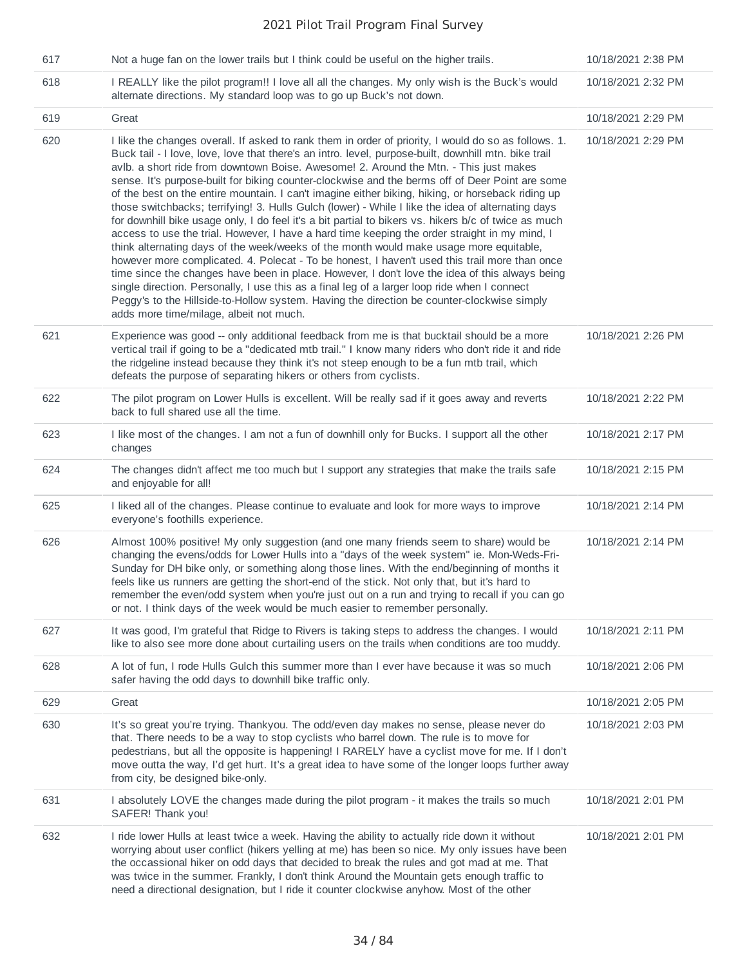| 617 | Not a huge fan on the lower trails but I think could be useful on the higher trails.                                                                                                                                                                                                                                                                                                                                                                                                                                                                                                                                                                                                                                                                                                                                                                                                                                                                                                                                                                                                                                                                                                                                                                                                                                                                              | 10/18/2021 2:38 PM |
|-----|-------------------------------------------------------------------------------------------------------------------------------------------------------------------------------------------------------------------------------------------------------------------------------------------------------------------------------------------------------------------------------------------------------------------------------------------------------------------------------------------------------------------------------------------------------------------------------------------------------------------------------------------------------------------------------------------------------------------------------------------------------------------------------------------------------------------------------------------------------------------------------------------------------------------------------------------------------------------------------------------------------------------------------------------------------------------------------------------------------------------------------------------------------------------------------------------------------------------------------------------------------------------------------------------------------------------------------------------------------------------|--------------------|
| 618 | I REALLY like the pilot program!! I love all all the changes. My only wish is the Buck's would<br>alternate directions. My standard loop was to go up Buck's not down.                                                                                                                                                                                                                                                                                                                                                                                                                                                                                                                                                                                                                                                                                                                                                                                                                                                                                                                                                                                                                                                                                                                                                                                            | 10/18/2021 2:32 PM |
| 619 | Great                                                                                                                                                                                                                                                                                                                                                                                                                                                                                                                                                                                                                                                                                                                                                                                                                                                                                                                                                                                                                                                                                                                                                                                                                                                                                                                                                             | 10/18/2021 2:29 PM |
| 620 | I like the changes overall. If asked to rank them in order of priority, I would do so as follows. 1.<br>Buck tail - I love, love, love that there's an intro. level, purpose-built, downhill mtn. bike trail<br>avlb. a short ride from downtown Boise. Awesome! 2. Around the Mtn. - This just makes<br>sense. It's purpose-built for biking counter-clockwise and the berms off of Deer Point are some<br>of the best on the entire mountain. I can't imagine either biking, hiking, or horseback riding up<br>those switchbacks; terrifying! 3. Hulls Gulch (lower) - While I like the idea of alternating days<br>for downhill bike usage only, I do feel it's a bit partial to bikers vs. hikers b/c of twice as much<br>access to use the trial. However, I have a hard time keeping the order straight in my mind, I<br>think alternating days of the week/weeks of the month would make usage more equitable,<br>however more complicated. 4. Polecat - To be honest, I haven't used this trail more than once<br>time since the changes have been in place. However, I don't love the idea of this always being<br>single direction. Personally, I use this as a final leg of a larger loop ride when I connect<br>Peggy's to the Hillside-to-Hollow system. Having the direction be counter-clockwise simply<br>adds more time/milage, albeit not much. | 10/18/2021 2:29 PM |
| 621 | Experience was good -- only additional feedback from me is that bucktail should be a more<br>vertical trail if going to be a "dedicated mtb trail." I know many riders who don't ride it and ride<br>the ridgeline instead because they think it's not steep enough to be a fun mtb trail, which<br>defeats the purpose of separating hikers or others from cyclists.                                                                                                                                                                                                                                                                                                                                                                                                                                                                                                                                                                                                                                                                                                                                                                                                                                                                                                                                                                                             | 10/18/2021 2:26 PM |
| 622 | The pilot program on Lower Hulls is excellent. Will be really sad if it goes away and reverts<br>back to full shared use all the time.                                                                                                                                                                                                                                                                                                                                                                                                                                                                                                                                                                                                                                                                                                                                                                                                                                                                                                                                                                                                                                                                                                                                                                                                                            | 10/18/2021 2:22 PM |
| 623 | I like most of the changes. I am not a fun of downhill only for Bucks. I support all the other<br>changes                                                                                                                                                                                                                                                                                                                                                                                                                                                                                                                                                                                                                                                                                                                                                                                                                                                                                                                                                                                                                                                                                                                                                                                                                                                         | 10/18/2021 2:17 PM |
| 624 | The changes didn't affect me too much but I support any strategies that make the trails safe<br>and enjoyable for all!                                                                                                                                                                                                                                                                                                                                                                                                                                                                                                                                                                                                                                                                                                                                                                                                                                                                                                                                                                                                                                                                                                                                                                                                                                            | 10/18/2021 2:15 PM |
| 625 | I liked all of the changes. Please continue to evaluate and look for more ways to improve<br>everyone's foothills experience.                                                                                                                                                                                                                                                                                                                                                                                                                                                                                                                                                                                                                                                                                                                                                                                                                                                                                                                                                                                                                                                                                                                                                                                                                                     | 10/18/2021 2:14 PM |
| 626 | Almost 100% positive! My only suggestion (and one many friends seem to share) would be<br>changing the evens/odds for Lower Hulls into a "days of the week system" ie. Mon-Weds-Fri-<br>Sunday for DH bike only, or something along those lines. With the end/beginning of months it<br>feels like us runners are getting the short-end of the stick. Not only that, but it's hard to<br>remember the even/odd system when you're just out on a run and trying to recall if you can go<br>or not. I think days of the week would be much easier to remember personally.                                                                                                                                                                                                                                                                                                                                                                                                                                                                                                                                                                                                                                                                                                                                                                                           | 10/18/2021 2:14 PM |
| 627 | It was good, I'm grateful that Ridge to Rivers is taking steps to address the changes. I would<br>like to also see more done about curtailing users on the trails when conditions are too muddy.                                                                                                                                                                                                                                                                                                                                                                                                                                                                                                                                                                                                                                                                                                                                                                                                                                                                                                                                                                                                                                                                                                                                                                  | 10/18/2021 2:11 PM |
| 628 | A lot of fun, I rode Hulls Gulch this summer more than I ever have because it was so much<br>safer having the odd days to downhill bike traffic only.                                                                                                                                                                                                                                                                                                                                                                                                                                                                                                                                                                                                                                                                                                                                                                                                                                                                                                                                                                                                                                                                                                                                                                                                             | 10/18/2021 2:06 PM |
| 629 | Great                                                                                                                                                                                                                                                                                                                                                                                                                                                                                                                                                                                                                                                                                                                                                                                                                                                                                                                                                                                                                                                                                                                                                                                                                                                                                                                                                             | 10/18/2021 2:05 PM |
| 630 | It's so great you're trying. Thankyou. The odd/even day makes no sense, please never do<br>that. There needs to be a way to stop cyclists who barrel down. The rule is to move for<br>pedestrians, but all the opposite is happening! I RARELY have a cyclist move for me. If I don't<br>move outta the way, I'd get hurt. It's a great idea to have some of the longer loops further away<br>from city, be designed bike-only.                                                                                                                                                                                                                                                                                                                                                                                                                                                                                                                                                                                                                                                                                                                                                                                                                                                                                                                                   | 10/18/2021 2:03 PM |
| 631 | I absolutely LOVE the changes made during the pilot program - it makes the trails so much<br>SAFER! Thank you!                                                                                                                                                                                                                                                                                                                                                                                                                                                                                                                                                                                                                                                                                                                                                                                                                                                                                                                                                                                                                                                                                                                                                                                                                                                    | 10/18/2021 2:01 PM |
| 632 | I ride lower Hulls at least twice a week. Having the ability to actually ride down it without<br>worrying about user conflict (hikers yelling at me) has been so nice. My only issues have been<br>the occassional hiker on odd days that decided to break the rules and got mad at me. That<br>was twice in the summer. Frankly, I don't think Around the Mountain gets enough traffic to<br>need a directional designation, but I ride it counter clockwise anyhow. Most of the other                                                                                                                                                                                                                                                                                                                                                                                                                                                                                                                                                                                                                                                                                                                                                                                                                                                                           | 10/18/2021 2:01 PM |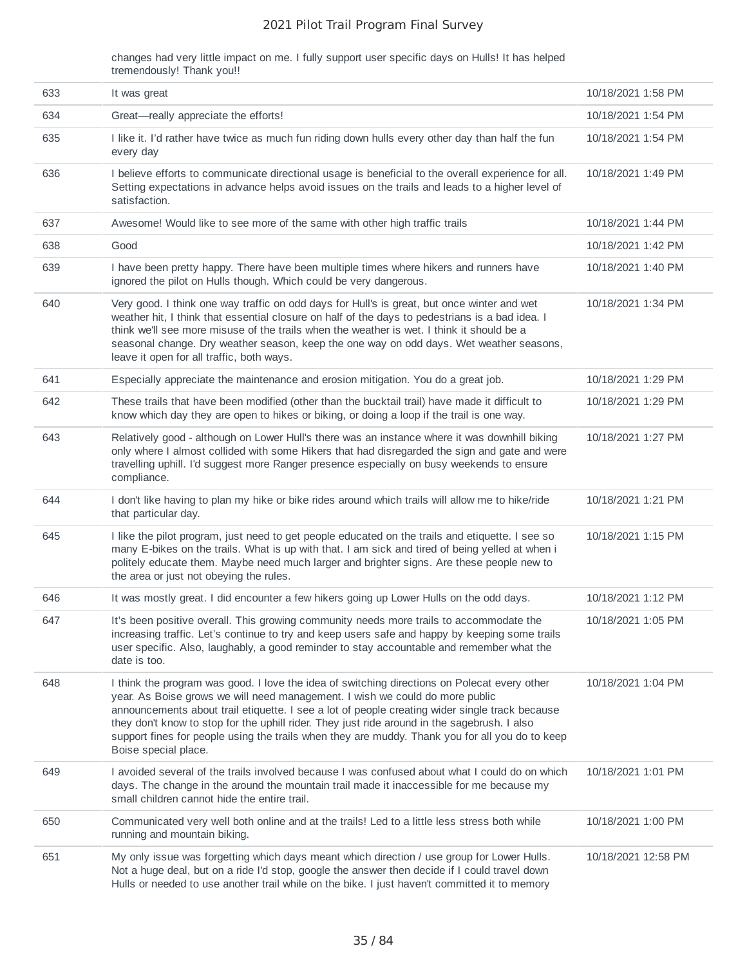changes had very little impact on me. I fully support user specific days on Hulls! It has helped tremendously! Thank you!!

| 633 | It was great                                                                                                                                                                                                                                                                                                                                                                                                                                                                                              | 10/18/2021 1:58 PM  |
|-----|-----------------------------------------------------------------------------------------------------------------------------------------------------------------------------------------------------------------------------------------------------------------------------------------------------------------------------------------------------------------------------------------------------------------------------------------------------------------------------------------------------------|---------------------|
| 634 | Great-really appreciate the efforts!                                                                                                                                                                                                                                                                                                                                                                                                                                                                      | 10/18/2021 1:54 PM  |
| 635 | I like it. I'd rather have twice as much fun riding down hulls every other day than half the fun<br>every day                                                                                                                                                                                                                                                                                                                                                                                             | 10/18/2021 1:54 PM  |
| 636 | I believe efforts to communicate directional usage is beneficial to the overall experience for all.<br>Setting expectations in advance helps avoid issues on the trails and leads to a higher level of<br>satisfaction.                                                                                                                                                                                                                                                                                   | 10/18/2021 1:49 PM  |
| 637 | Awesome! Would like to see more of the same with other high traffic trails                                                                                                                                                                                                                                                                                                                                                                                                                                | 10/18/2021 1:44 PM  |
| 638 | Good                                                                                                                                                                                                                                                                                                                                                                                                                                                                                                      | 10/18/2021 1:42 PM  |
| 639 | I have been pretty happy. There have been multiple times where hikers and runners have<br>ignored the pilot on Hulls though. Which could be very dangerous.                                                                                                                                                                                                                                                                                                                                               | 10/18/2021 1:40 PM  |
| 640 | Very good. I think one way traffic on odd days for Hull's is great, but once winter and wet<br>weather hit, I think that essential closure on half of the days to pedestrians is a bad idea. I<br>think we'll see more misuse of the trails when the weather is wet. I think it should be a<br>seasonal change. Dry weather season, keep the one way on odd days. Wet weather seasons,<br>leave it open for all traffic, both ways.                                                                       | 10/18/2021 1:34 PM  |
| 641 | Especially appreciate the maintenance and erosion mitigation. You do a great job.                                                                                                                                                                                                                                                                                                                                                                                                                         | 10/18/2021 1:29 PM  |
| 642 | These trails that have been modified (other than the bucktail trail) have made it difficult to<br>know which day they are open to hikes or biking, or doing a loop if the trail is one way.                                                                                                                                                                                                                                                                                                               | 10/18/2021 1:29 PM  |
| 643 | Relatively good - although on Lower Hull's there was an instance where it was downhill biking<br>only where I almost collided with some Hikers that had disregarded the sign and gate and were<br>travelling uphill. I'd suggest more Ranger presence especially on busy weekends to ensure<br>compliance.                                                                                                                                                                                                | 10/18/2021 1:27 PM  |
| 644 | I don't like having to plan my hike or bike rides around which trails will allow me to hike/ride<br>that particular day.                                                                                                                                                                                                                                                                                                                                                                                  | 10/18/2021 1:21 PM  |
| 645 | I like the pilot program, just need to get people educated on the trails and etiquette. I see so<br>many E-bikes on the trails. What is up with that. I am sick and tired of being yelled at when i<br>politely educate them. Maybe need much larger and brighter signs. Are these people new to<br>the area or just not obeying the rules.                                                                                                                                                               | 10/18/2021 1:15 PM  |
| 646 | It was mostly great. I did encounter a few hikers going up Lower Hulls on the odd days.                                                                                                                                                                                                                                                                                                                                                                                                                   | 10/18/2021 1:12 PM  |
| 647 | It's been positive overall. This growing community needs more trails to accommodate the<br>increasing traffic. Let's continue to try and keep users safe and happy by keeping some trails<br>user specific. Also, laughably, a good reminder to stay accountable and remember what the<br>date is too.                                                                                                                                                                                                    | 10/18/2021 1:05 PM  |
| 648 | I think the program was good. I love the idea of switching directions on Polecat every other<br>year. As Boise grows we will need management. I wish we could do more public<br>announcements about trail etiquette. I see a lot of people creating wider single track because<br>they don't know to stop for the uphill rider. They just ride around in the sagebrush. I also<br>support fines for people using the trails when they are muddy. Thank you for all you do to keep<br>Boise special place. | 10/18/2021 1:04 PM  |
| 649 | I avoided several of the trails involved because I was confused about what I could do on which<br>days. The change in the around the mountain trail made it inaccessible for me because my<br>small children cannot hide the entire trail.                                                                                                                                                                                                                                                                | 10/18/2021 1:01 PM  |
| 650 | Communicated very well both online and at the trails! Led to a little less stress both while<br>running and mountain biking.                                                                                                                                                                                                                                                                                                                                                                              | 10/18/2021 1:00 PM  |
| 651 | My only issue was forgetting which days meant which direction / use group for Lower Hulls.<br>Not a huge deal, but on a ride I'd stop, google the answer then decide if I could travel down<br>Hulls or needed to use another trail while on the bike. I just haven't committed it to memory                                                                                                                                                                                                              | 10/18/2021 12:58 PM |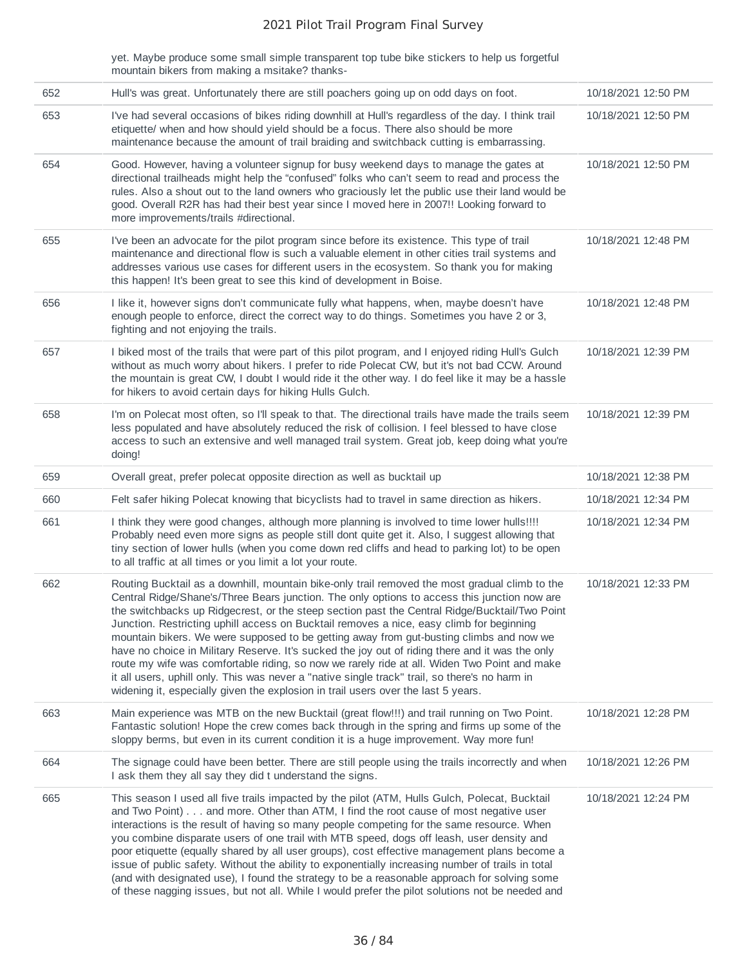yet. Maybe produce some small simple transparent top tube bike stickers to help us forgetful mountain bikers from making a msitake? thanks-

| 652 | Hull's was great. Unfortunately there are still poachers going up on odd days on foot.                                                                                                                                                                                                                                                                                                                                                                                                                                                                                                                                                                                                                                                                                                                                                                                           | 10/18/2021 12:50 PM |
|-----|----------------------------------------------------------------------------------------------------------------------------------------------------------------------------------------------------------------------------------------------------------------------------------------------------------------------------------------------------------------------------------------------------------------------------------------------------------------------------------------------------------------------------------------------------------------------------------------------------------------------------------------------------------------------------------------------------------------------------------------------------------------------------------------------------------------------------------------------------------------------------------|---------------------|
|     |                                                                                                                                                                                                                                                                                                                                                                                                                                                                                                                                                                                                                                                                                                                                                                                                                                                                                  |                     |
| 653 | I've had several occasions of bikes riding downhill at Hull's regardless of the day. I think trail<br>etiquette/ when and how should yield should be a focus. There also should be more<br>maintenance because the amount of trail braiding and switchback cutting is embarrassing.                                                                                                                                                                                                                                                                                                                                                                                                                                                                                                                                                                                              | 10/18/2021 12:50 PM |
| 654 | Good. However, having a volunteer signup for busy weekend days to manage the gates at<br>directional trailheads might help the "confused" folks who can't seem to read and process the<br>rules. Also a shout out to the land owners who graciously let the public use their land would be<br>good. Overall R2R has had their best year since I moved here in 2007!! Looking forward to<br>more improvements/trails #directional.                                                                                                                                                                                                                                                                                                                                                                                                                                                | 10/18/2021 12:50 PM |
| 655 | I've been an advocate for the pilot program since before its existence. This type of trail<br>maintenance and directional flow is such a valuable element in other cities trail systems and<br>addresses various use cases for different users in the ecosystem. So thank you for making<br>this happen! It's been great to see this kind of development in Boise.                                                                                                                                                                                                                                                                                                                                                                                                                                                                                                               | 10/18/2021 12:48 PM |
| 656 | I like it, however signs don't communicate fully what happens, when, maybe doesn't have<br>enough people to enforce, direct the correct way to do things. Sometimes you have 2 or 3,<br>fighting and not enjoying the trails.                                                                                                                                                                                                                                                                                                                                                                                                                                                                                                                                                                                                                                                    | 10/18/2021 12:48 PM |
| 657 | I biked most of the trails that were part of this pilot program, and I enjoyed riding Hull's Gulch<br>without as much worry about hikers. I prefer to ride Polecat CW, but it's not bad CCW. Around<br>the mountain is great CW, I doubt I would ride it the other way. I do feel like it may be a hassle<br>for hikers to avoid certain days for hiking Hulls Gulch.                                                                                                                                                                                                                                                                                                                                                                                                                                                                                                            | 10/18/2021 12:39 PM |
| 658 | I'm on Polecat most often, so I'll speak to that. The directional trails have made the trails seem<br>less populated and have absolutely reduced the risk of collision. I feel blessed to have close<br>access to such an extensive and well managed trail system. Great job, keep doing what you're<br>doing!                                                                                                                                                                                                                                                                                                                                                                                                                                                                                                                                                                   | 10/18/2021 12:39 PM |
| 659 | Overall great, prefer polecat opposite direction as well as bucktail up                                                                                                                                                                                                                                                                                                                                                                                                                                                                                                                                                                                                                                                                                                                                                                                                          | 10/18/2021 12:38 PM |
| 660 | Felt safer hiking Polecat knowing that bicyclists had to travel in same direction as hikers.                                                                                                                                                                                                                                                                                                                                                                                                                                                                                                                                                                                                                                                                                                                                                                                     | 10/18/2021 12:34 PM |
| 661 | I think they were good changes, although more planning is involved to time lower hulls!!!!<br>Probably need even more signs as people still dont quite get it. Also, I suggest allowing that<br>tiny section of lower hulls (when you come down red cliffs and head to parking lot) to be open<br>to all traffic at all times or you limit a lot your route.                                                                                                                                                                                                                                                                                                                                                                                                                                                                                                                     | 10/18/2021 12:34 PM |
| 662 | Routing Bucktail as a downhill, mountain bike-only trail removed the most gradual climb to the<br>Central Ridge/Shane's/Three Bears junction. The only options to access this junction now are<br>the switchbacks up Ridgecrest, or the steep section past the Central Ridge/Bucktail/Two Point<br>Junction. Restricting uphill access on Bucktail removes a nice, easy climb for beginning<br>mountain bikers. We were supposed to be getting away from gut-busting climbs and now we<br>have no choice in Military Reserve. It's sucked the joy out of riding there and it was the only<br>route my wife was comfortable riding, so now we rarely ride at all. Widen Two Point and make<br>it all users, uphill only. This was never a "native single track" trail, so there's no harm in<br>widening it, especially given the explosion in trail users over the last 5 years. | 10/18/2021 12:33 PM |
| 663 | Main experience was MTB on the new Bucktail (great flow!!!) and trail running on Two Point.<br>Fantastic solution! Hope the crew comes back through in the spring and firms up some of the<br>sloppy berms, but even in its current condition it is a huge improvement. Way more fun!                                                                                                                                                                                                                                                                                                                                                                                                                                                                                                                                                                                            | 10/18/2021 12:28 PM |
| 664 | The signage could have been better. There are still people using the trails incorrectly and when<br>I ask them they all say they did t understand the signs.                                                                                                                                                                                                                                                                                                                                                                                                                                                                                                                                                                                                                                                                                                                     | 10/18/2021 12:26 PM |
| 665 | This season I used all five trails impacted by the pilot (ATM, Hulls Gulch, Polecat, Bucktail<br>and Two Point) and more. Other than ATM, I find the root cause of most negative user<br>interactions is the result of having so many people competing for the same resource. When<br>you combine disparate users of one trail with MTB speed, dogs off leash, user density and<br>poor etiquette (equally shared by all user groups), cost effective management plans become a<br>issue of public safety. Without the ability to exponentially increasing number of trails in total<br>(and with designated use), I found the strategy to be a reasonable approach for solving some<br>of these nagging issues, but not all. While I would prefer the pilot solutions not be needed and                                                                                         | 10/18/2021 12:24 PM |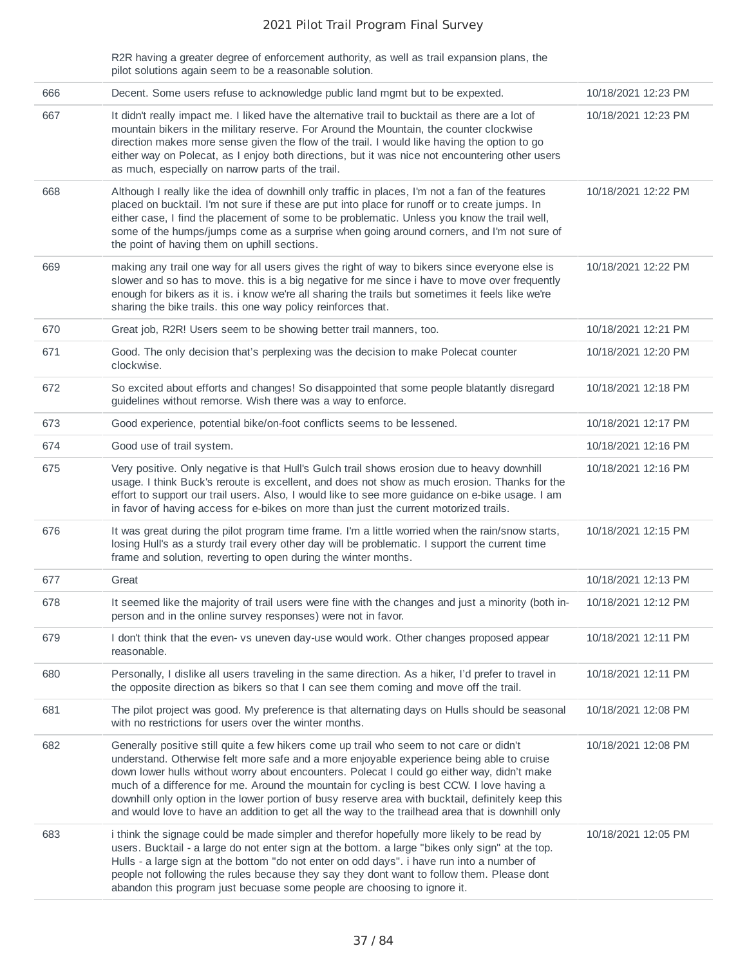R2R having a greater degree of enforcement authority, as well as trail expansion plans, the pilot solutions again seem to be a reasonable solution.

| 666 | Decent. Some users refuse to acknowledge public land mgmt but to be expexted.                                                                                                                                                                                                                                                                                                                                                                                                                                                                                                                | 10/18/2021 12:23 PM |
|-----|----------------------------------------------------------------------------------------------------------------------------------------------------------------------------------------------------------------------------------------------------------------------------------------------------------------------------------------------------------------------------------------------------------------------------------------------------------------------------------------------------------------------------------------------------------------------------------------------|---------------------|
| 667 | It didn't really impact me. I liked have the alternative trail to bucktail as there are a lot of<br>mountain bikers in the military reserve. For Around the Mountain, the counter clockwise<br>direction makes more sense given the flow of the trail. I would like having the option to go<br>either way on Polecat, as I enjoy both directions, but it was nice not encountering other users<br>as much, especially on narrow parts of the trail.                                                                                                                                          | 10/18/2021 12:23 PM |
| 668 | Although I really like the idea of downhill only traffic in places, I'm not a fan of the features<br>placed on bucktail. I'm not sure if these are put into place for runoff or to create jumps. In<br>either case, I find the placement of some to be problematic. Unless you know the trail well,<br>some of the humps/jumps come as a surprise when going around corners, and I'm not sure of<br>the point of having them on uphill sections.                                                                                                                                             | 10/18/2021 12:22 PM |
| 669 | making any trail one way for all users gives the right of way to bikers since everyone else is<br>slower and so has to move. this is a big negative for me since i have to move over frequently<br>enough for bikers as it is. i know we're all sharing the trails but sometimes it feels like we're<br>sharing the bike trails. this one way policy reinforces that.                                                                                                                                                                                                                        | 10/18/2021 12:22 PM |
| 670 | Great job, R2R! Users seem to be showing better trail manners, too.                                                                                                                                                                                                                                                                                                                                                                                                                                                                                                                          | 10/18/2021 12:21 PM |
| 671 | Good. The only decision that's perplexing was the decision to make Polecat counter<br>clockwise.                                                                                                                                                                                                                                                                                                                                                                                                                                                                                             | 10/18/2021 12:20 PM |
| 672 | So excited about efforts and changes! So disappointed that some people blatantly disregard<br>guidelines without remorse. Wish there was a way to enforce.                                                                                                                                                                                                                                                                                                                                                                                                                                   | 10/18/2021 12:18 PM |
| 673 | Good experience, potential bike/on-foot conflicts seems to be lessened.                                                                                                                                                                                                                                                                                                                                                                                                                                                                                                                      | 10/18/2021 12:17 PM |
| 674 | Good use of trail system.                                                                                                                                                                                                                                                                                                                                                                                                                                                                                                                                                                    | 10/18/2021 12:16 PM |
| 675 | Very positive. Only negative is that Hull's Gulch trail shows erosion due to heavy downhill<br>usage. I think Buck's reroute is excellent, and does not show as much erosion. Thanks for the<br>effort to support our trail users. Also, I would like to see more guidance on e-bike usage. I am<br>in favor of having access for e-bikes on more than just the current motorized trails.                                                                                                                                                                                                    | 10/18/2021 12:16 PM |
| 676 | It was great during the pilot program time frame. I'm a little worried when the rain/snow starts,<br>losing Hull's as a sturdy trail every other day will be problematic. I support the current time<br>frame and solution, reverting to open during the winter months.                                                                                                                                                                                                                                                                                                                      | 10/18/2021 12:15 PM |
| 677 | Great                                                                                                                                                                                                                                                                                                                                                                                                                                                                                                                                                                                        | 10/18/2021 12:13 PM |
| 678 | It seemed like the majority of trail users were fine with the changes and just a minority (both in-<br>person and in the online survey responses) were not in favor.                                                                                                                                                                                                                                                                                                                                                                                                                         | 10/18/2021 12:12 PM |
| 679 | I don't think that the even-vs uneven day-use would work. Other changes proposed appear<br>reasonable.                                                                                                                                                                                                                                                                                                                                                                                                                                                                                       | 10/18/2021 12:11 PM |
| 680 | Personally, I dislike all users traveling in the same direction. As a hiker, I'd prefer to travel in<br>the opposite direction as bikers so that I can see them coming and move off the trail.                                                                                                                                                                                                                                                                                                                                                                                               | 10/18/2021 12:11 PM |
| 681 | The pilot project was good. My preference is that alternating days on Hulls should be seasonal<br>with no restrictions for users over the winter months.                                                                                                                                                                                                                                                                                                                                                                                                                                     | 10/18/2021 12:08 PM |
| 682 | Generally positive still quite a few hikers come up trail who seem to not care or didn't<br>understand. Otherwise felt more safe and a more enjoyable experience being able to cruise<br>down lower hulls without worry about encounters. Polecat I could go either way, didn't make<br>much of a difference for me. Around the mountain for cycling is best CCW. I love having a<br>downhill only option in the lower portion of busy reserve area with bucktail, definitely keep this<br>and would love to have an addition to get all the way to the trailhead area that is downhill only | 10/18/2021 12:08 PM |
| 683 | i think the signage could be made simpler and therefor hopefully more likely to be read by<br>users. Bucktail - a large do not enter sign at the bottom. a large "bikes only sign" at the top.<br>Hulls - a large sign at the bottom "do not enter on odd days". i have run into a number of<br>people not following the rules because they say they dont want to follow them. Please dont<br>abandon this program just becuase some people are choosing to ignore it.                                                                                                                       | 10/18/2021 12:05 PM |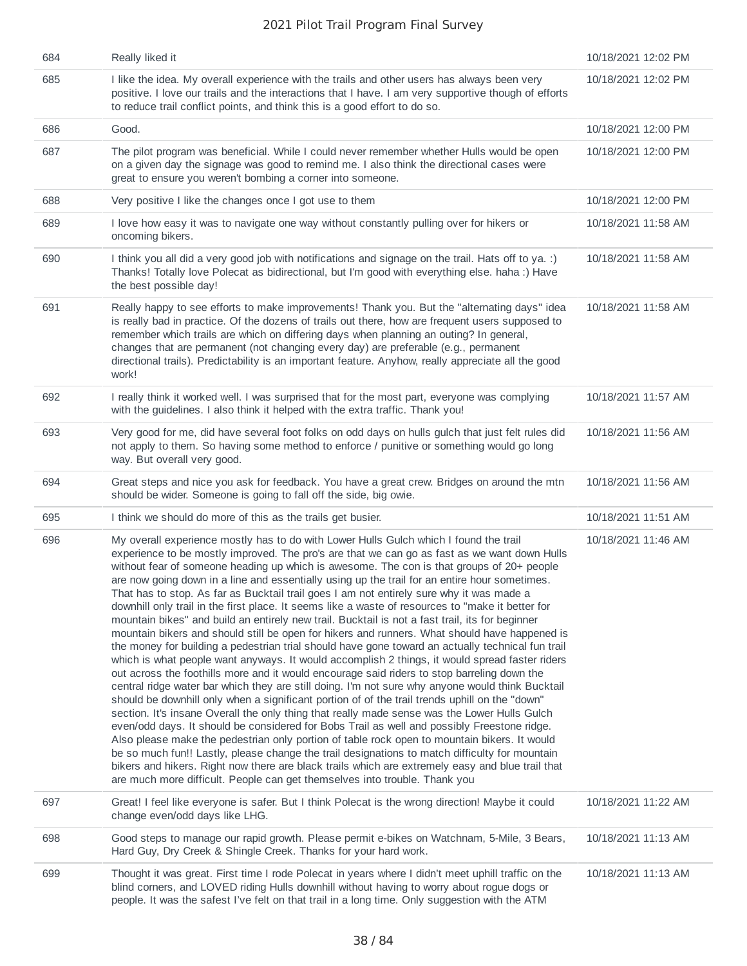| 684 | Really liked it                                                                                                                                                                                                                                                                                                                                                                                                                                                                                                                                                                                                                                                                                                                                                                                                                                                                                                                                                                                                                                                                                                                                                                                                                                                                                                                                                                                                                                                                                                                                                                                                                                                                                                                                                                                                                                                                         | 10/18/2021 12:02 PM |
|-----|-----------------------------------------------------------------------------------------------------------------------------------------------------------------------------------------------------------------------------------------------------------------------------------------------------------------------------------------------------------------------------------------------------------------------------------------------------------------------------------------------------------------------------------------------------------------------------------------------------------------------------------------------------------------------------------------------------------------------------------------------------------------------------------------------------------------------------------------------------------------------------------------------------------------------------------------------------------------------------------------------------------------------------------------------------------------------------------------------------------------------------------------------------------------------------------------------------------------------------------------------------------------------------------------------------------------------------------------------------------------------------------------------------------------------------------------------------------------------------------------------------------------------------------------------------------------------------------------------------------------------------------------------------------------------------------------------------------------------------------------------------------------------------------------------------------------------------------------------------------------------------------------|---------------------|
| 685 | I like the idea. My overall experience with the trails and other users has always been very<br>positive. I love our trails and the interactions that I have. I am very supportive though of efforts<br>to reduce trail conflict points, and think this is a good effort to do so.                                                                                                                                                                                                                                                                                                                                                                                                                                                                                                                                                                                                                                                                                                                                                                                                                                                                                                                                                                                                                                                                                                                                                                                                                                                                                                                                                                                                                                                                                                                                                                                                       | 10/18/2021 12:02 PM |
| 686 | Good.                                                                                                                                                                                                                                                                                                                                                                                                                                                                                                                                                                                                                                                                                                                                                                                                                                                                                                                                                                                                                                                                                                                                                                                                                                                                                                                                                                                                                                                                                                                                                                                                                                                                                                                                                                                                                                                                                   | 10/18/2021 12:00 PM |
| 687 | The pilot program was beneficial. While I could never remember whether Hulls would be open<br>on a given day the signage was good to remind me. I also think the directional cases were<br>great to ensure you weren't bombing a corner into someone.                                                                                                                                                                                                                                                                                                                                                                                                                                                                                                                                                                                                                                                                                                                                                                                                                                                                                                                                                                                                                                                                                                                                                                                                                                                                                                                                                                                                                                                                                                                                                                                                                                   | 10/18/2021 12:00 PM |
| 688 | Very positive I like the changes once I got use to them                                                                                                                                                                                                                                                                                                                                                                                                                                                                                                                                                                                                                                                                                                                                                                                                                                                                                                                                                                                                                                                                                                                                                                                                                                                                                                                                                                                                                                                                                                                                                                                                                                                                                                                                                                                                                                 | 10/18/2021 12:00 PM |
| 689 | I love how easy it was to navigate one way without constantly pulling over for hikers or<br>oncoming bikers.                                                                                                                                                                                                                                                                                                                                                                                                                                                                                                                                                                                                                                                                                                                                                                                                                                                                                                                                                                                                                                                                                                                                                                                                                                                                                                                                                                                                                                                                                                                                                                                                                                                                                                                                                                            | 10/18/2021 11:58 AM |
| 690 | I think you all did a very good job with notifications and signage on the trail. Hats off to ya. :)<br>Thanks! Totally love Polecat as bidirectional, but I'm good with everything else. haha:) Have<br>the best possible day!                                                                                                                                                                                                                                                                                                                                                                                                                                                                                                                                                                                                                                                                                                                                                                                                                                                                                                                                                                                                                                                                                                                                                                                                                                                                                                                                                                                                                                                                                                                                                                                                                                                          | 10/18/2021 11:58 AM |
| 691 | Really happy to see efforts to make improvements! Thank you. But the "alternating days" idea<br>is really bad in practice. Of the dozens of trails out there, how are frequent users supposed to<br>remember which trails are which on differing days when planning an outing? In general,<br>changes that are permanent (not changing every day) are preferable (e.g., permanent<br>directional trails). Predictability is an important feature. Anyhow, really appreciate all the good<br>work!                                                                                                                                                                                                                                                                                                                                                                                                                                                                                                                                                                                                                                                                                                                                                                                                                                                                                                                                                                                                                                                                                                                                                                                                                                                                                                                                                                                       | 10/18/2021 11:58 AM |
| 692 | I really think it worked well. I was surprised that for the most part, everyone was complying<br>with the guidelines. I also think it helped with the extra traffic. Thank you!                                                                                                                                                                                                                                                                                                                                                                                                                                                                                                                                                                                                                                                                                                                                                                                                                                                                                                                                                                                                                                                                                                                                                                                                                                                                                                                                                                                                                                                                                                                                                                                                                                                                                                         | 10/18/2021 11:57 AM |
| 693 | Very good for me, did have several foot folks on odd days on hulls gulch that just felt rules did<br>not apply to them. So having some method to enforce / punitive or something would go long<br>way. But overall very good.                                                                                                                                                                                                                                                                                                                                                                                                                                                                                                                                                                                                                                                                                                                                                                                                                                                                                                                                                                                                                                                                                                                                                                                                                                                                                                                                                                                                                                                                                                                                                                                                                                                           | 10/18/2021 11:56 AM |
| 694 | Great steps and nice you ask for feedback. You have a great crew. Bridges on around the mtn<br>should be wider. Someone is going to fall off the side, big owie.                                                                                                                                                                                                                                                                                                                                                                                                                                                                                                                                                                                                                                                                                                                                                                                                                                                                                                                                                                                                                                                                                                                                                                                                                                                                                                                                                                                                                                                                                                                                                                                                                                                                                                                        | 10/18/2021 11:56 AM |
| 695 | I think we should do more of this as the trails get busier.                                                                                                                                                                                                                                                                                                                                                                                                                                                                                                                                                                                                                                                                                                                                                                                                                                                                                                                                                                                                                                                                                                                                                                                                                                                                                                                                                                                                                                                                                                                                                                                                                                                                                                                                                                                                                             | 10/18/2021 11:51 AM |
| 696 | My overall experience mostly has to do with Lower Hulls Gulch which I found the trail<br>experience to be mostly improved. The pro's are that we can go as fast as we want down Hulls<br>without fear of someone heading up which is awesome. The con is that groups of 20+ people<br>are now going down in a line and essentially using up the trail for an entire hour sometimes.<br>That has to stop. As far as Bucktail trail goes I am not entirely sure why it was made a<br>downhill only trail in the first place. It seems like a waste of resources to "make it better for<br>mountain bikes" and build an entirely new trail. Bucktail is not a fast trail, its for beginner<br>mountain bikers and should still be open for hikers and runners. What should have happened is<br>the money for building a pedestrian trial should have gone toward an actually technical fun trail<br>which is what people want anyways. It would accomplish 2 things, it would spread faster riders<br>out across the foothills more and it would encourage said riders to stop barreling down the<br>central ridge water bar which they are still doing. I'm not sure why anyone would think Bucktail<br>should be downhill only when a significant portion of of the trail trends uphill on the "down"<br>section. It's insane Overall the only thing that really made sense was the Lower Hulls Gulch<br>even/odd days. It should be considered for Bobs Trail as well and possibly Freestone ridge.<br>Also please make the pedestrian only portion of table rock open to mountain bikers. It would<br>be so much fun!! Lastly, please change the trail designations to match difficulty for mountain<br>bikers and hikers. Right now there are black trails which are extremely easy and blue trail that<br>are much more difficult. People can get themselves into trouble. Thank you | 10/18/2021 11:46 AM |
| 697 | Great! I feel like everyone is safer. But I think Polecat is the wrong direction! Maybe it could<br>change even/odd days like LHG.                                                                                                                                                                                                                                                                                                                                                                                                                                                                                                                                                                                                                                                                                                                                                                                                                                                                                                                                                                                                                                                                                                                                                                                                                                                                                                                                                                                                                                                                                                                                                                                                                                                                                                                                                      | 10/18/2021 11:22 AM |
| 698 | Good steps to manage our rapid growth. Please permit e-bikes on Watchnam, 5-Mile, 3 Bears,<br>Hard Guy, Dry Creek & Shingle Creek. Thanks for your hard work.                                                                                                                                                                                                                                                                                                                                                                                                                                                                                                                                                                                                                                                                                                                                                                                                                                                                                                                                                                                                                                                                                                                                                                                                                                                                                                                                                                                                                                                                                                                                                                                                                                                                                                                           | 10/18/2021 11:13 AM |
| 699 | Thought it was great. First time I rode Polecat in years where I didn't meet uphill traffic on the<br>blind corners, and LOVED riding Hulls downhill without having to worry about rogue dogs or<br>people. It was the safest I've felt on that trail in a long time. Only suggestion with the ATM                                                                                                                                                                                                                                                                                                                                                                                                                                                                                                                                                                                                                                                                                                                                                                                                                                                                                                                                                                                                                                                                                                                                                                                                                                                                                                                                                                                                                                                                                                                                                                                      | 10/18/2021 11:13 AM |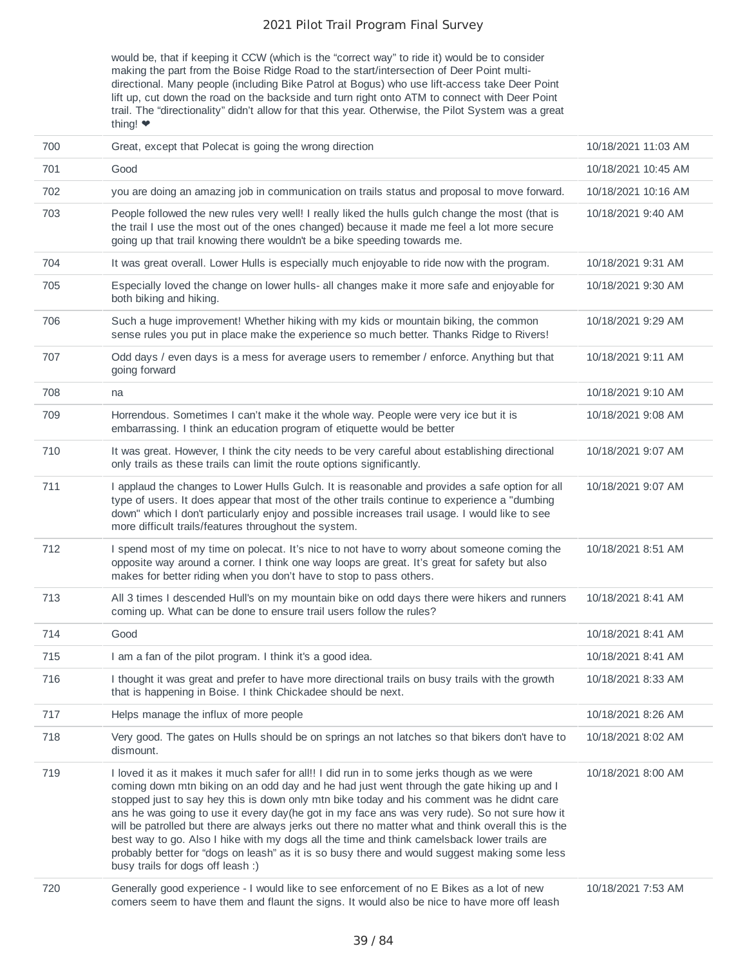would be, that if keeping it CCW (which is the "correct way" to ride it) would be to consider making the part from the Boise Ridge Road to the start/intersection of Deer Point multidirectional. Many people (including Bike Patrol at Bogus) who use lift-access take Deer Point lift up, cut down the road on the backside and turn right onto ATM to connect with Deer Point trail. The "directionality" didn't allow for that this year. Otherwise, the Pilot System was a great thing! ❤️

| 700 | Great, except that Polecat is going the wrong direction                                                                                                                                                                                                                                                                                                                                                                                                                                                                                                                                                                                                                                                                               | 10/18/2021 11:03 AM |
|-----|---------------------------------------------------------------------------------------------------------------------------------------------------------------------------------------------------------------------------------------------------------------------------------------------------------------------------------------------------------------------------------------------------------------------------------------------------------------------------------------------------------------------------------------------------------------------------------------------------------------------------------------------------------------------------------------------------------------------------------------|---------------------|
| 701 | Good                                                                                                                                                                                                                                                                                                                                                                                                                                                                                                                                                                                                                                                                                                                                  | 10/18/2021 10:45 AM |
| 702 | you are doing an amazing job in communication on trails status and proposal to move forward.                                                                                                                                                                                                                                                                                                                                                                                                                                                                                                                                                                                                                                          | 10/18/2021 10:16 AM |
| 703 | People followed the new rules very well! I really liked the hulls gulch change the most (that is<br>the trail I use the most out of the ones changed) because it made me feel a lot more secure<br>going up that trail knowing there wouldn't be a bike speeding towards me.                                                                                                                                                                                                                                                                                                                                                                                                                                                          | 10/18/2021 9:40 AM  |
| 704 | It was great overall. Lower Hulls is especially much enjoyable to ride now with the program.                                                                                                                                                                                                                                                                                                                                                                                                                                                                                                                                                                                                                                          | 10/18/2021 9:31 AM  |
| 705 | Especially loved the change on lower hulls- all changes make it more safe and enjoyable for<br>both biking and hiking.                                                                                                                                                                                                                                                                                                                                                                                                                                                                                                                                                                                                                | 10/18/2021 9:30 AM  |
| 706 | Such a huge improvement! Whether hiking with my kids or mountain biking, the common<br>sense rules you put in place make the experience so much better. Thanks Ridge to Rivers!                                                                                                                                                                                                                                                                                                                                                                                                                                                                                                                                                       | 10/18/2021 9:29 AM  |
| 707 | Odd days / even days is a mess for average users to remember / enforce. Anything but that<br>going forward                                                                                                                                                                                                                                                                                                                                                                                                                                                                                                                                                                                                                            | 10/18/2021 9:11 AM  |
| 708 | na                                                                                                                                                                                                                                                                                                                                                                                                                                                                                                                                                                                                                                                                                                                                    | 10/18/2021 9:10 AM  |
| 709 | Horrendous. Sometimes I can't make it the whole way. People were very ice but it is<br>embarrassing. I think an education program of etiquette would be better                                                                                                                                                                                                                                                                                                                                                                                                                                                                                                                                                                        | 10/18/2021 9:08 AM  |
| 710 | It was great. However, I think the city needs to be very careful about establishing directional<br>only trails as these trails can limit the route options significantly.                                                                                                                                                                                                                                                                                                                                                                                                                                                                                                                                                             | 10/18/2021 9:07 AM  |
| 711 | I applaud the changes to Lower Hulls Gulch. It is reasonable and provides a safe option for all<br>type of users. It does appear that most of the other trails continue to experience a "dumbing<br>down" which I don't particularly enjoy and possible increases trail usage. I would like to see<br>more difficult trails/features throughout the system.                                                                                                                                                                                                                                                                                                                                                                           | 10/18/2021 9:07 AM  |
| 712 | I spend most of my time on polecat. It's nice to not have to worry about someone coming the<br>opposite way around a corner. I think one way loops are great. It's great for safety but also<br>makes for better riding when you don't have to stop to pass others.                                                                                                                                                                                                                                                                                                                                                                                                                                                                   | 10/18/2021 8:51 AM  |
| 713 | All 3 times I descended Hull's on my mountain bike on odd days there were hikers and runners<br>coming up. What can be done to ensure trail users follow the rules?                                                                                                                                                                                                                                                                                                                                                                                                                                                                                                                                                                   | 10/18/2021 8:41 AM  |
| 714 | Good                                                                                                                                                                                                                                                                                                                                                                                                                                                                                                                                                                                                                                                                                                                                  | 10/18/2021 8:41 AM  |
| 715 | I am a fan of the pilot program. I think it's a good idea.                                                                                                                                                                                                                                                                                                                                                                                                                                                                                                                                                                                                                                                                            | 10/18/2021 8:41 AM  |
| 716 | I thought it was great and prefer to have more directional trails on busy trails with the growth<br>that is happening in Boise. I think Chickadee should be next.                                                                                                                                                                                                                                                                                                                                                                                                                                                                                                                                                                     | 10/18/2021 8:33 AM  |
| 717 | Helps manage the influx of more people                                                                                                                                                                                                                                                                                                                                                                                                                                                                                                                                                                                                                                                                                                | 10/18/2021 8:26 AM  |
| 718 | Very good. The gates on Hulls should be on springs an not latches so that bikers don't have to<br>dismount.                                                                                                                                                                                                                                                                                                                                                                                                                                                                                                                                                                                                                           | 10/18/2021 8:02 AM  |
| 719 | I loved it as it makes it much safer for all!! I did run in to some jerks though as we were<br>coming down mtn biking on an odd day and he had just went through the gate hiking up and I<br>stopped just to say hey this is down only mtn bike today and his comment was he didnt care<br>ans he was going to use it every day (he got in my face ans was very rude). So not sure how it<br>will be patrolled but there are always jerks out there no matter what and think overall this is the<br>best way to go. Also I hike with my dogs all the time and think camelsback lower trails are<br>probably better for "dogs on leash" as it is so busy there and would suggest making some less<br>busy trails for dogs off leash :) | 10/18/2021 8:00 AM  |
| 720 | Generally good experience - I would like to see enforcement of no E Bikes as a lot of new<br>comers seem to have them and flaunt the signs. It would also be nice to have more off leash                                                                                                                                                                                                                                                                                                                                                                                                                                                                                                                                              | 10/18/2021 7:53 AM  |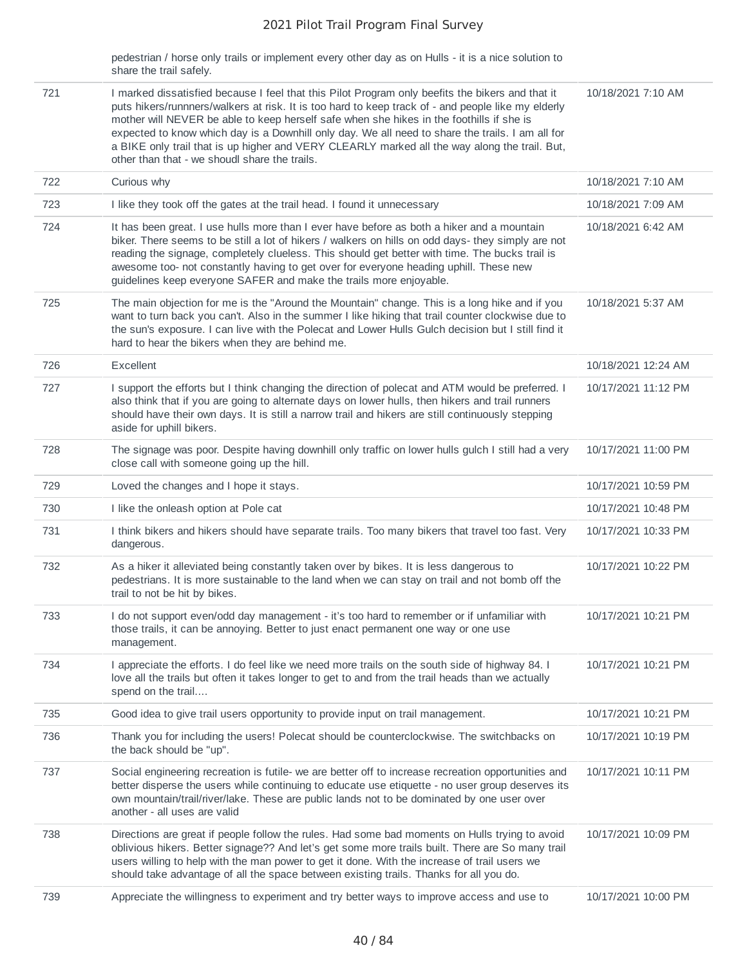pedestrian / horse only trails or implement every other day as on Hulls - it is a nice solution to share the trail safely.

| 721 | I marked dissatisfied because I feel that this Pilot Program only beefits the bikers and that it<br>puts hikers/runnners/walkers at risk. It is too hard to keep track of - and people like my elderly<br>mother will NEVER be able to keep herself safe when she hikes in the foothills if she is<br>expected to know which day is a Downhill only day. We all need to share the trails. I am all for<br>a BIKE only trail that is up higher and VERY CLEARLY marked all the way along the trail. But,<br>other than that - we shoudl share the trails. | 10/18/2021 7:10 AM  |
|-----|----------------------------------------------------------------------------------------------------------------------------------------------------------------------------------------------------------------------------------------------------------------------------------------------------------------------------------------------------------------------------------------------------------------------------------------------------------------------------------------------------------------------------------------------------------|---------------------|
| 722 | Curious why                                                                                                                                                                                                                                                                                                                                                                                                                                                                                                                                              | 10/18/2021 7:10 AM  |
| 723 | I like they took off the gates at the trail head. I found it unnecessary                                                                                                                                                                                                                                                                                                                                                                                                                                                                                 | 10/18/2021 7:09 AM  |
| 724 | It has been great. I use hulls more than I ever have before as both a hiker and a mountain<br>biker. There seems to be still a lot of hikers / walkers on hills on odd days- they simply are not<br>reading the signage, completely clueless. This should get better with time. The bucks trail is<br>awesome too- not constantly having to get over for everyone heading uphill. These new<br>guidelines keep everyone SAFER and make the trails more enjoyable.                                                                                        | 10/18/2021 6:42 AM  |
| 725 | The main objection for me is the "Around the Mountain" change. This is a long hike and if you<br>want to turn back you can't. Also in the summer I like hiking that trail counter clockwise due to<br>the sun's exposure. I can live with the Polecat and Lower Hulls Gulch decision but I still find it<br>hard to hear the bikers when they are behind me.                                                                                                                                                                                             | 10/18/2021 5:37 AM  |
| 726 | Excellent                                                                                                                                                                                                                                                                                                                                                                                                                                                                                                                                                | 10/18/2021 12:24 AM |
| 727 | I support the efforts but I think changing the direction of polecat and ATM would be preferred. I<br>also think that if you are going to alternate days on lower hulls, then hikers and trail runners<br>should have their own days. It is still a narrow trail and hikers are still continuously stepping<br>aside for uphill bikers.                                                                                                                                                                                                                   | 10/17/2021 11:12 PM |
| 728 | The signage was poor. Despite having downhill only traffic on lower hulls gulch I still had a very<br>close call with someone going up the hill.                                                                                                                                                                                                                                                                                                                                                                                                         | 10/17/2021 11:00 PM |
| 729 | Loved the changes and I hope it stays.                                                                                                                                                                                                                                                                                                                                                                                                                                                                                                                   | 10/17/2021 10:59 PM |
| 730 | I like the onleash option at Pole cat                                                                                                                                                                                                                                                                                                                                                                                                                                                                                                                    | 10/17/2021 10:48 PM |
| 731 | I think bikers and hikers should have separate trails. Too many bikers that travel too fast. Very<br>dangerous.                                                                                                                                                                                                                                                                                                                                                                                                                                          | 10/17/2021 10:33 PM |
| 732 | As a hiker it alleviated being constantly taken over by bikes. It is less dangerous to<br>pedestrians. It is more sustainable to the land when we can stay on trail and not bomb off the<br>trail to not be hit by bikes.                                                                                                                                                                                                                                                                                                                                | 10/17/2021 10:22 PM |
| 733 | I do not support even/odd day management - it's too hard to remember or if unfamiliar with<br>those trails, it can be annoying. Better to just enact permanent one way or one use<br>management.                                                                                                                                                                                                                                                                                                                                                         | 10/17/2021 10:21 PM |
| 734 | I appreciate the efforts. I do feel like we need more trails on the south side of highway 84. I<br>love all the trails but often it takes longer to get to and from the trail heads than we actually<br>spend on the trail                                                                                                                                                                                                                                                                                                                               | 10/17/2021 10:21 PM |
| 735 | Good idea to give trail users opportunity to provide input on trail management.                                                                                                                                                                                                                                                                                                                                                                                                                                                                          | 10/17/2021 10:21 PM |
| 736 | Thank you for including the users! Polecat should be counterclockwise. The switchbacks on<br>the back should be "up".                                                                                                                                                                                                                                                                                                                                                                                                                                    | 10/17/2021 10:19 PM |
| 737 | Social engineering recreation is futile- we are better off to increase recreation opportunities and<br>better disperse the users while continuing to educate use etiquette - no user group deserves its<br>own mountain/trail/river/lake. These are public lands not to be dominated by one user over<br>another - all uses are valid                                                                                                                                                                                                                    | 10/17/2021 10:11 PM |
| 738 | Directions are great if people follow the rules. Had some bad moments on Hulls trying to avoid<br>oblivious hikers. Better signage?? And let's get some more trails built. There are So many trail<br>users willing to help with the man power to get it done. With the increase of trail users we<br>should take advantage of all the space between existing trails. Thanks for all you do.                                                                                                                                                             | 10/17/2021 10:09 PM |
| 739 | Appreciate the willingness to experiment and try better ways to improve access and use to                                                                                                                                                                                                                                                                                                                                                                                                                                                                | 10/17/2021 10:00 PM |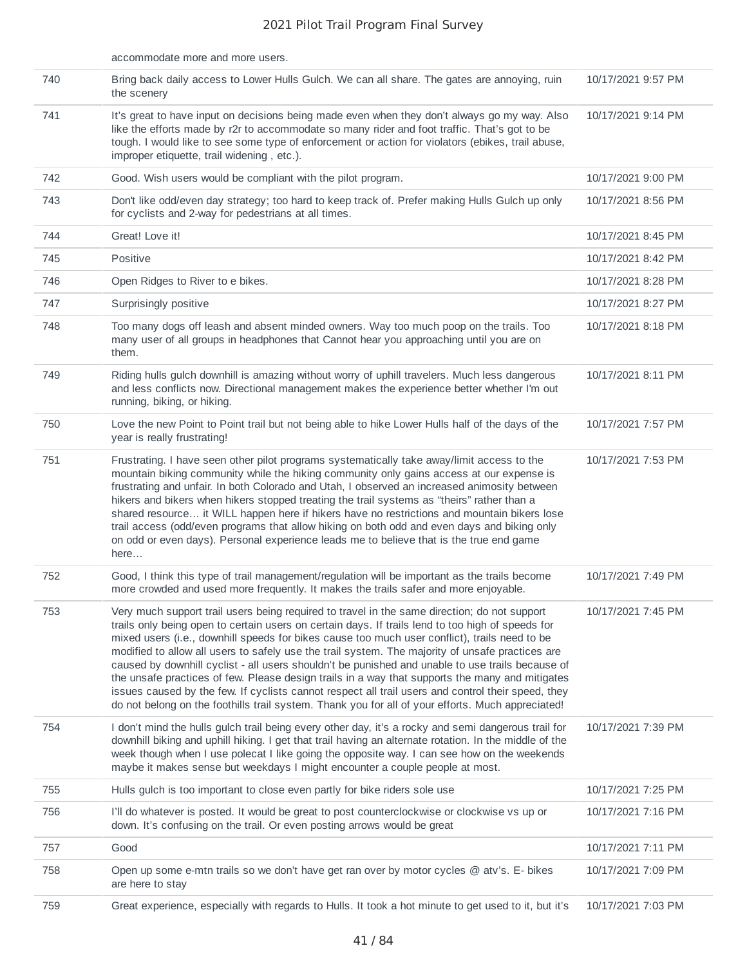|     | accommodate more and more users.                                                                                                                                                                                                                                                                                                                                                                                                                                                                                                                                                                                                                                                                                                                                                                                         |                    |
|-----|--------------------------------------------------------------------------------------------------------------------------------------------------------------------------------------------------------------------------------------------------------------------------------------------------------------------------------------------------------------------------------------------------------------------------------------------------------------------------------------------------------------------------------------------------------------------------------------------------------------------------------------------------------------------------------------------------------------------------------------------------------------------------------------------------------------------------|--------------------|
| 740 | Bring back daily access to Lower Hulls Gulch. We can all share. The gates are annoying, ruin<br>the scenery                                                                                                                                                                                                                                                                                                                                                                                                                                                                                                                                                                                                                                                                                                              | 10/17/2021 9:57 PM |
| 741 | It's great to have input on decisions being made even when they don't always go my way. Also<br>like the efforts made by r2r to accommodate so many rider and foot traffic. That's got to be<br>tough. I would like to see some type of enforcement or action for violators (ebikes, trail abuse,<br>improper etiquette, trail widening, etc.).                                                                                                                                                                                                                                                                                                                                                                                                                                                                          | 10/17/2021 9:14 PM |
| 742 | Good. Wish users would be compliant with the pilot program.                                                                                                                                                                                                                                                                                                                                                                                                                                                                                                                                                                                                                                                                                                                                                              | 10/17/2021 9:00 PM |
| 743 | Don't like odd/even day strategy; too hard to keep track of. Prefer making Hulls Gulch up only<br>for cyclists and 2-way for pedestrians at all times.                                                                                                                                                                                                                                                                                                                                                                                                                                                                                                                                                                                                                                                                   | 10/17/2021 8:56 PM |
| 744 | Great! Love it!                                                                                                                                                                                                                                                                                                                                                                                                                                                                                                                                                                                                                                                                                                                                                                                                          | 10/17/2021 8:45 PM |
| 745 | Positive                                                                                                                                                                                                                                                                                                                                                                                                                                                                                                                                                                                                                                                                                                                                                                                                                 | 10/17/2021 8:42 PM |
| 746 | Open Ridges to River to e bikes.                                                                                                                                                                                                                                                                                                                                                                                                                                                                                                                                                                                                                                                                                                                                                                                         | 10/17/2021 8:28 PM |
| 747 | Surprisingly positive                                                                                                                                                                                                                                                                                                                                                                                                                                                                                                                                                                                                                                                                                                                                                                                                    | 10/17/2021 8:27 PM |
| 748 | Too many dogs off leash and absent minded owners. Way too much poop on the trails. Too<br>many user of all groups in headphones that Cannot hear you approaching until you are on<br>them.                                                                                                                                                                                                                                                                                                                                                                                                                                                                                                                                                                                                                               | 10/17/2021 8:18 PM |
| 749 | Riding hulls gulch downhill is amazing without worry of uphill travelers. Much less dangerous<br>and less conflicts now. Directional management makes the experience better whether I'm out<br>running, biking, or hiking.                                                                                                                                                                                                                                                                                                                                                                                                                                                                                                                                                                                               | 10/17/2021 8:11 PM |
| 750 | Love the new Point to Point trail but not being able to hike Lower Hulls half of the days of the<br>year is really frustrating!                                                                                                                                                                                                                                                                                                                                                                                                                                                                                                                                                                                                                                                                                          | 10/17/2021 7:57 PM |
| 751 | Frustrating. I have seen other pilot programs systematically take away/limit access to the<br>mountain biking community while the hiking community only gains access at our expense is<br>frustrating and unfair. In both Colorado and Utah, I observed an increased animosity between<br>hikers and bikers when hikers stopped treating the trail systems as "theirs" rather than a<br>shared resource it WILL happen here if hikers have no restrictions and mountain bikers lose<br>trail access (odd/even programs that allow hiking on both odd and even days and biking only<br>on odd or even days). Personal experience leads me to believe that is the true end game<br>here                                                                                                                                    | 10/17/2021 7:53 PM |
| 752 | Good, I think this type of trail management/regulation will be important as the trails become<br>more crowded and used more frequently. It makes the trails safer and more enjoyable.                                                                                                                                                                                                                                                                                                                                                                                                                                                                                                                                                                                                                                    | 10/17/2021 7:49 PM |
| 753 | Very much support trail users being required to travel in the same direction; do not support<br>trails only being open to certain users on certain days. If trails lend to too high of speeds for<br>mixed users (i.e., downhill speeds for bikes cause too much user conflict), trails need to be<br>modified to allow all users to safely use the trail system. The majority of unsafe practices are<br>caused by downhill cyclist - all users shouldn't be punished and unable to use trails because of<br>the unsafe practices of few. Please design trails in a way that supports the many and mitigates<br>issues caused by the few. If cyclists cannot respect all trail users and control their speed, they<br>do not belong on the foothills trail system. Thank you for all of your efforts. Much appreciated! | 10/17/2021 7:45 PM |
| 754 | I don't mind the hulls gulch trail being every other day, it's a rocky and semi dangerous trail for<br>downhill biking and uphill hiking. I get that trail having an alternate rotation. In the middle of the<br>week though when I use polecat I like going the opposite way. I can see how on the weekends<br>maybe it makes sense but weekdays I might encounter a couple people at most.                                                                                                                                                                                                                                                                                                                                                                                                                             | 10/17/2021 7:39 PM |
| 755 | Hulls gulch is too important to close even partly for bike riders sole use                                                                                                                                                                                                                                                                                                                                                                                                                                                                                                                                                                                                                                                                                                                                               | 10/17/2021 7:25 PM |
| 756 | I'll do whatever is posted. It would be great to post counterclockwise or clockwise vs up or<br>down. It's confusing on the trail. Or even posting arrows would be great                                                                                                                                                                                                                                                                                                                                                                                                                                                                                                                                                                                                                                                 | 10/17/2021 7:16 PM |
| 757 | Good                                                                                                                                                                                                                                                                                                                                                                                                                                                                                                                                                                                                                                                                                                                                                                                                                     | 10/17/2021 7:11 PM |
| 758 | Open up some e-mtn trails so we don't have get ran over by motor cycles @ atv's. E- bikes<br>are here to stay                                                                                                                                                                                                                                                                                                                                                                                                                                                                                                                                                                                                                                                                                                            | 10/17/2021 7:09 PM |
| 759 | Great experience, especially with regards to Hulls. It took a hot minute to get used to it, but it's                                                                                                                                                                                                                                                                                                                                                                                                                                                                                                                                                                                                                                                                                                                     | 10/17/2021 7:03 PM |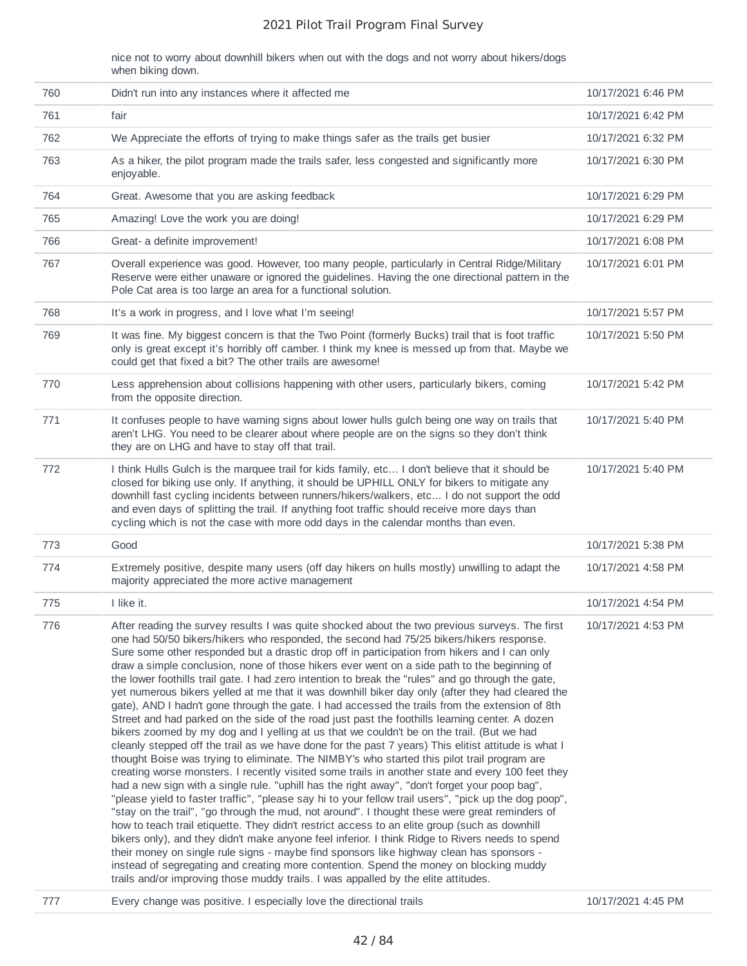nice not to worry about downhill bikers when out with the dogs and not worry about hikers/dogs when biking down.

| 760 | Didn't run into any instances where it affected me                                                                                                                                                                                                                                                                                                                                                                                                                                                                                                                                                                                                                                                                                                                                                                                                                                                                                                                                                                                                                                                                                                                                                                                                                                                                                                                                                                                                                                                                                                                                                                                                                                                                                                                                                                                                                                                                                                                                                        | 10/17/2021 6:46 PM |
|-----|-----------------------------------------------------------------------------------------------------------------------------------------------------------------------------------------------------------------------------------------------------------------------------------------------------------------------------------------------------------------------------------------------------------------------------------------------------------------------------------------------------------------------------------------------------------------------------------------------------------------------------------------------------------------------------------------------------------------------------------------------------------------------------------------------------------------------------------------------------------------------------------------------------------------------------------------------------------------------------------------------------------------------------------------------------------------------------------------------------------------------------------------------------------------------------------------------------------------------------------------------------------------------------------------------------------------------------------------------------------------------------------------------------------------------------------------------------------------------------------------------------------------------------------------------------------------------------------------------------------------------------------------------------------------------------------------------------------------------------------------------------------------------------------------------------------------------------------------------------------------------------------------------------------------------------------------------------------------------------------------------------------|--------------------|
| 761 | fair                                                                                                                                                                                                                                                                                                                                                                                                                                                                                                                                                                                                                                                                                                                                                                                                                                                                                                                                                                                                                                                                                                                                                                                                                                                                                                                                                                                                                                                                                                                                                                                                                                                                                                                                                                                                                                                                                                                                                                                                      | 10/17/2021 6:42 PM |
| 762 | We Appreciate the efforts of trying to make things safer as the trails get busier                                                                                                                                                                                                                                                                                                                                                                                                                                                                                                                                                                                                                                                                                                                                                                                                                                                                                                                                                                                                                                                                                                                                                                                                                                                                                                                                                                                                                                                                                                                                                                                                                                                                                                                                                                                                                                                                                                                         | 10/17/2021 6:32 PM |
| 763 | As a hiker, the pilot program made the trails safer, less congested and significantly more<br>enjoyable.                                                                                                                                                                                                                                                                                                                                                                                                                                                                                                                                                                                                                                                                                                                                                                                                                                                                                                                                                                                                                                                                                                                                                                                                                                                                                                                                                                                                                                                                                                                                                                                                                                                                                                                                                                                                                                                                                                  | 10/17/2021 6:30 PM |
| 764 | Great. Awesome that you are asking feedback                                                                                                                                                                                                                                                                                                                                                                                                                                                                                                                                                                                                                                                                                                                                                                                                                                                                                                                                                                                                                                                                                                                                                                                                                                                                                                                                                                                                                                                                                                                                                                                                                                                                                                                                                                                                                                                                                                                                                               | 10/17/2021 6:29 PM |
| 765 | Amazing! Love the work you are doing!                                                                                                                                                                                                                                                                                                                                                                                                                                                                                                                                                                                                                                                                                                                                                                                                                                                                                                                                                                                                                                                                                                                                                                                                                                                                                                                                                                                                                                                                                                                                                                                                                                                                                                                                                                                                                                                                                                                                                                     | 10/17/2021 6:29 PM |
| 766 | Great- a definite improvement!                                                                                                                                                                                                                                                                                                                                                                                                                                                                                                                                                                                                                                                                                                                                                                                                                                                                                                                                                                                                                                                                                                                                                                                                                                                                                                                                                                                                                                                                                                                                                                                                                                                                                                                                                                                                                                                                                                                                                                            | 10/17/2021 6:08 PM |
| 767 | Overall experience was good. However, too many people, particularly in Central Ridge/Military<br>Reserve were either unaware or ignored the guidelines. Having the one directional pattern in the<br>Pole Cat area is too large an area for a functional solution.                                                                                                                                                                                                                                                                                                                                                                                                                                                                                                                                                                                                                                                                                                                                                                                                                                                                                                                                                                                                                                                                                                                                                                                                                                                                                                                                                                                                                                                                                                                                                                                                                                                                                                                                        | 10/17/2021 6:01 PM |
| 768 | It's a work in progress, and I love what I'm seeing!                                                                                                                                                                                                                                                                                                                                                                                                                                                                                                                                                                                                                                                                                                                                                                                                                                                                                                                                                                                                                                                                                                                                                                                                                                                                                                                                                                                                                                                                                                                                                                                                                                                                                                                                                                                                                                                                                                                                                      | 10/17/2021 5:57 PM |
| 769 | It was fine. My biggest concern is that the Two Point (formerly Bucks) trail that is foot traffic<br>only is great except it's horribly off camber. I think my knee is messed up from that. Maybe we<br>could get that fixed a bit? The other trails are awesome!                                                                                                                                                                                                                                                                                                                                                                                                                                                                                                                                                                                                                                                                                                                                                                                                                                                                                                                                                                                                                                                                                                                                                                                                                                                                                                                                                                                                                                                                                                                                                                                                                                                                                                                                         | 10/17/2021 5:50 PM |
| 770 | Less apprehension about collisions happening with other users, particularly bikers, coming<br>from the opposite direction.                                                                                                                                                                                                                                                                                                                                                                                                                                                                                                                                                                                                                                                                                                                                                                                                                                                                                                                                                                                                                                                                                                                                                                                                                                                                                                                                                                                                                                                                                                                                                                                                                                                                                                                                                                                                                                                                                | 10/17/2021 5:42 PM |
| 771 | It confuses people to have warning signs about lower hulls gulch being one way on trails that<br>aren't LHG. You need to be clearer about where people are on the signs so they don't think<br>they are on LHG and have to stay off that trail.                                                                                                                                                                                                                                                                                                                                                                                                                                                                                                                                                                                                                                                                                                                                                                                                                                                                                                                                                                                                                                                                                                                                                                                                                                                                                                                                                                                                                                                                                                                                                                                                                                                                                                                                                           | 10/17/2021 5:40 PM |
| 772 | I think Hulls Gulch is the marquee trail for kids family, etc I don't believe that it should be<br>closed for biking use only. If anything, it should be UPHILL ONLY for bikers to mitigate any<br>downhill fast cycling incidents between runners/hikers/walkers, etc I do not support the odd<br>and even days of splitting the trail. If anything foot traffic should receive more days than<br>cycling which is not the case with more odd days in the calendar months than even.                                                                                                                                                                                                                                                                                                                                                                                                                                                                                                                                                                                                                                                                                                                                                                                                                                                                                                                                                                                                                                                                                                                                                                                                                                                                                                                                                                                                                                                                                                                     | 10/17/2021 5:40 PM |
| 773 | Good                                                                                                                                                                                                                                                                                                                                                                                                                                                                                                                                                                                                                                                                                                                                                                                                                                                                                                                                                                                                                                                                                                                                                                                                                                                                                                                                                                                                                                                                                                                                                                                                                                                                                                                                                                                                                                                                                                                                                                                                      | 10/17/2021 5:38 PM |
| 774 | Extremely positive, despite many users (off day hikers on hulls mostly) unwilling to adapt the<br>majority appreciated the more active management                                                                                                                                                                                                                                                                                                                                                                                                                                                                                                                                                                                                                                                                                                                                                                                                                                                                                                                                                                                                                                                                                                                                                                                                                                                                                                                                                                                                                                                                                                                                                                                                                                                                                                                                                                                                                                                         | 10/17/2021 4:58 PM |
| 775 | I like it.                                                                                                                                                                                                                                                                                                                                                                                                                                                                                                                                                                                                                                                                                                                                                                                                                                                                                                                                                                                                                                                                                                                                                                                                                                                                                                                                                                                                                                                                                                                                                                                                                                                                                                                                                                                                                                                                                                                                                                                                | 10/17/2021 4:54 PM |
| 776 | After reading the survey results I was quite shocked about the two previous surveys. The first<br>one had 50/50 bikers/hikers who responded, the second had 75/25 bikers/hikers response.<br>Sure some other responded but a drastic drop off in participation from hikers and I can only<br>draw a simple conclusion, none of those hikers ever went on a side path to the beginning of<br>the lower foothills trail gate. I had zero intention to break the "rules" and go through the gate,<br>yet numerous bikers yelled at me that it was downhill biker day only (after they had cleared the<br>gate), AND I hadn't gone through the gate. I had accessed the trails from the extension of 8th<br>Street and had parked on the side of the road just past the foothills learning center. A dozen<br>bikers zoomed by my dog and I yelling at us that we couldn't be on the trail. (But we had<br>cleanly stepped off the trail as we have done for the past 7 years) This elitist attitude is what I<br>thought Boise was trying to eliminate. The NIMBY's who started this pilot trail program are<br>creating worse monsters. I recently visited some trails in another state and every 100 feet they<br>had a new sign with a single rule. "uphill has the right away", "don't forget your poop bag",<br>"please yield to faster traffic", "please say hi to your fellow trail users", "pick up the dog poop",<br>"stay on the trail", "go through the mud, not around". I thought these were great reminders of<br>how to teach trail etiquette. They didn't restrict access to an elite group (such as downhill<br>bikers only), and they didn't make anyone feel inferior. I think Ridge to Rivers needs to spend<br>their money on single rule signs - maybe find sponsors like highway clean has sponsors -<br>instead of segregating and creating more contention. Spend the money on blocking muddy<br>trails and/or improving those muddy trails. I was appalled by the elite attitudes. | 10/17/2021 4:53 PM |

777 Every change was positive. I especially love the directional trails 10/17/2021 4:45 PM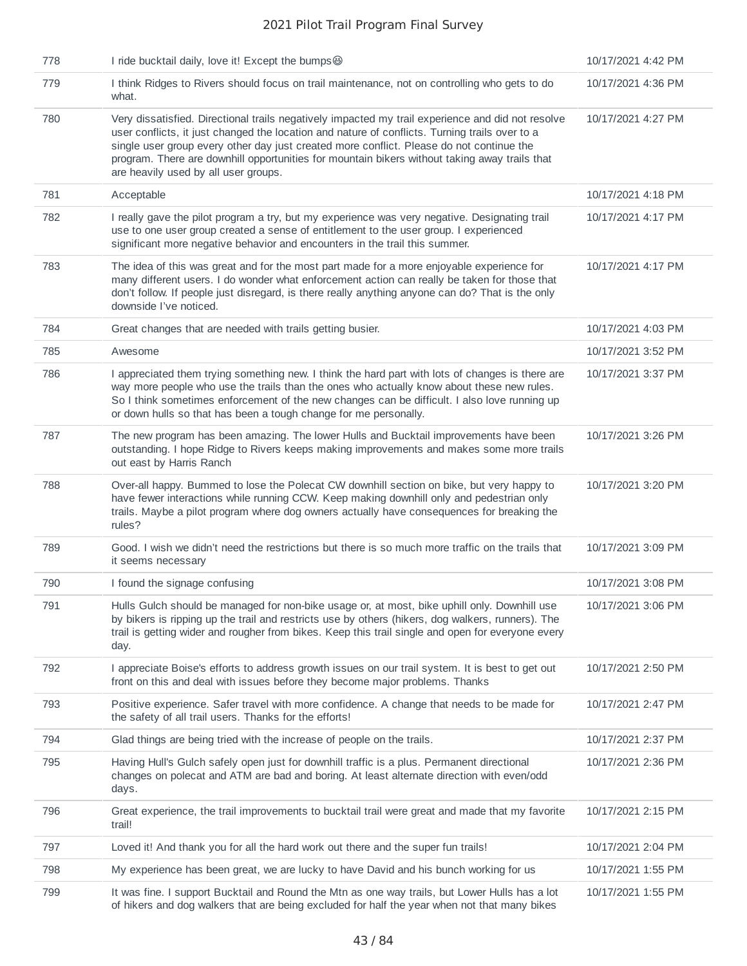| 778 | I ride bucktail daily, love it! Except the bumps                                                                                                                                                                                                                                                                                                                                                                                         | 10/17/2021 4:42 PM |
|-----|------------------------------------------------------------------------------------------------------------------------------------------------------------------------------------------------------------------------------------------------------------------------------------------------------------------------------------------------------------------------------------------------------------------------------------------|--------------------|
| 779 | I think Ridges to Rivers should focus on trail maintenance, not on controlling who gets to do<br>what.                                                                                                                                                                                                                                                                                                                                   | 10/17/2021 4:36 PM |
| 780 | Very dissatisfied. Directional trails negatively impacted my trail experience and did not resolve<br>user conflicts, it just changed the location and nature of conflicts. Turning trails over to a<br>single user group every other day just created more conflict. Please do not continue the<br>program. There are downhill opportunities for mountain bikers without taking away trails that<br>are heavily used by all user groups. | 10/17/2021 4:27 PM |
| 781 | Acceptable                                                                                                                                                                                                                                                                                                                                                                                                                               | 10/17/2021 4:18 PM |
| 782 | I really gave the pilot program a try, but my experience was very negative. Designating trail<br>use to one user group created a sense of entitlement to the user group. I experienced<br>significant more negative behavior and encounters in the trail this summer.                                                                                                                                                                    | 10/17/2021 4:17 PM |
| 783 | The idea of this was great and for the most part made for a more enjoyable experience for<br>many different users. I do wonder what enforcement action can really be taken for those that<br>don't follow. If people just disregard, is there really anything anyone can do? That is the only<br>downside I've noticed.                                                                                                                  | 10/17/2021 4:17 PM |
| 784 | Great changes that are needed with trails getting busier.                                                                                                                                                                                                                                                                                                                                                                                | 10/17/2021 4:03 PM |
| 785 | Awesome                                                                                                                                                                                                                                                                                                                                                                                                                                  | 10/17/2021 3:52 PM |
| 786 | I appreciated them trying something new. I think the hard part with lots of changes is there are<br>way more people who use the trails than the ones who actually know about these new rules.<br>So I think sometimes enforcement of the new changes can be difficult. I also love running up<br>or down hulls so that has been a tough change for me personally.                                                                        | 10/17/2021 3:37 PM |
| 787 | The new program has been amazing. The lower Hulls and Bucktail improvements have been<br>outstanding. I hope Ridge to Rivers keeps making improvements and makes some more trails<br>out east by Harris Ranch                                                                                                                                                                                                                            | 10/17/2021 3:26 PM |
| 788 | Over-all happy. Bummed to lose the Polecat CW downhill section on bike, but very happy to<br>have fewer interactions while running CCW. Keep making downhill only and pedestrian only<br>trails. Maybe a pilot program where dog owners actually have consequences for breaking the<br>rules?                                                                                                                                            | 10/17/2021 3:20 PM |
| 789 | Good. I wish we didn't need the restrictions but there is so much more traffic on the trails that<br>it seems necessary                                                                                                                                                                                                                                                                                                                  | 10/17/2021 3:09 PM |
| 790 | I found the signage confusing                                                                                                                                                                                                                                                                                                                                                                                                            | 10/17/2021 3:08 PM |
| 791 | Hulls Gulch should be managed for non-bike usage or, at most, bike uphill only. Downhill use<br>by bikers is ripping up the trail and restricts use by others (hikers, dog walkers, runners). The<br>trail is getting wider and rougher from bikes. Keep this trail single and open for everyone every<br>day.                                                                                                                           | 10/17/2021 3:06 PM |
| 792 | I appreciate Boise's efforts to address growth issues on our trail system. It is best to get out<br>front on this and deal with issues before they become major problems. Thanks                                                                                                                                                                                                                                                         | 10/17/2021 2:50 PM |
| 793 | Positive experience. Safer travel with more confidence. A change that needs to be made for<br>the safety of all trail users. Thanks for the efforts!                                                                                                                                                                                                                                                                                     | 10/17/2021 2:47 PM |
| 794 | Glad things are being tried with the increase of people on the trails.                                                                                                                                                                                                                                                                                                                                                                   | 10/17/2021 2:37 PM |
| 795 | Having Hull's Gulch safely open just for downhill traffic is a plus. Permanent directional<br>changes on polecat and ATM are bad and boring. At least alternate direction with even/odd<br>days.                                                                                                                                                                                                                                         | 10/17/2021 2:36 PM |
| 796 | Great experience, the trail improvements to bucktail trail were great and made that my favorite<br>trail!                                                                                                                                                                                                                                                                                                                                | 10/17/2021 2:15 PM |
| 797 | Loved it! And thank you for all the hard work out there and the super fun trails!                                                                                                                                                                                                                                                                                                                                                        | 10/17/2021 2:04 PM |
| 798 | My experience has been great, we are lucky to have David and his bunch working for us                                                                                                                                                                                                                                                                                                                                                    | 10/17/2021 1:55 PM |
| 799 | It was fine. I support Bucktail and Round the Mtn as one way trails, but Lower Hulls has a lot<br>of hikers and dog walkers that are being excluded for half the year when not that many bikes                                                                                                                                                                                                                                           | 10/17/2021 1:55 PM |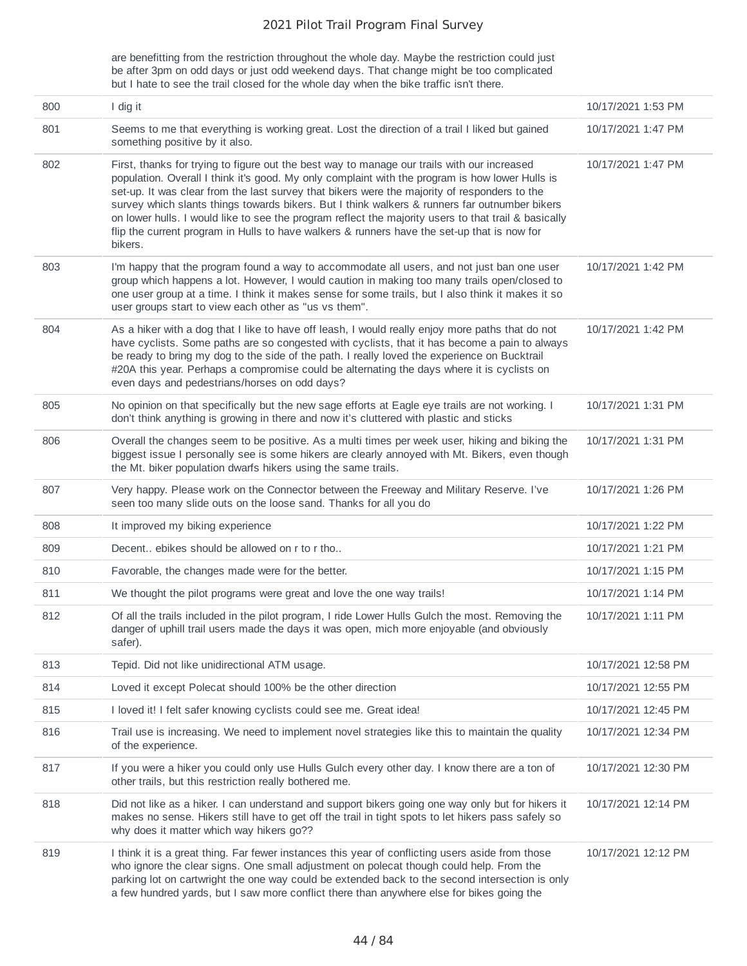are benefitting from the restriction throughout the whole day. Maybe the restriction could just be after 3pm on odd days or just odd weekend days. That change might be too complicated but I hate to see the trail closed for the whole day when the bike traffic isn't there.

| 800 | I dig it                                                                                                                                                                                                                                                                                                                                                                                                                                                                                                                                                                                                          | 10/17/2021 1:53 PM  |
|-----|-------------------------------------------------------------------------------------------------------------------------------------------------------------------------------------------------------------------------------------------------------------------------------------------------------------------------------------------------------------------------------------------------------------------------------------------------------------------------------------------------------------------------------------------------------------------------------------------------------------------|---------------------|
| 801 | Seems to me that everything is working great. Lost the direction of a trail I liked but gained<br>something positive by it also.                                                                                                                                                                                                                                                                                                                                                                                                                                                                                  | 10/17/2021 1:47 PM  |
| 802 | First, thanks for trying to figure out the best way to manage our trails with our increased<br>population. Overall I think it's good. My only complaint with the program is how lower Hulls is<br>set-up. It was clear from the last survey that bikers were the majority of responders to the<br>survey which slants things towards bikers. But I think walkers & runners far outnumber bikers<br>on lower hulls. I would like to see the program reflect the majority users to that trail & basically<br>flip the current program in Hulls to have walkers & runners have the set-up that is now for<br>bikers. | 10/17/2021 1:47 PM  |
| 803 | I'm happy that the program found a way to accommodate all users, and not just ban one user<br>group which happens a lot. However, I would caution in making too many trails open/closed to<br>one user group at a time. I think it makes sense for some trails, but I also think it makes it so<br>user groups start to view each other as "us vs them".                                                                                                                                                                                                                                                          | 10/17/2021 1:42 PM  |
| 804 | As a hiker with a dog that I like to have off leash, I would really enjoy more paths that do not<br>have cyclists. Some paths are so congested with cyclists, that it has become a pain to always<br>be ready to bring my dog to the side of the path. I really loved the experience on Bucktrail<br>#20A this year. Perhaps a compromise could be alternating the days where it is cyclists on<br>even days and pedestrians/horses on odd days?                                                                                                                                                                  | 10/17/2021 1:42 PM  |
| 805 | No opinion on that specifically but the new sage efforts at Eagle eye trails are not working. I<br>don't think anything is growing in there and now it's cluttered with plastic and sticks                                                                                                                                                                                                                                                                                                                                                                                                                        | 10/17/2021 1:31 PM  |
| 806 | Overall the changes seem to be positive. As a multi times per week user, hiking and biking the<br>biggest issue I personally see is some hikers are clearly annoyed with Mt. Bikers, even though<br>the Mt. biker population dwarfs hikers using the same trails.                                                                                                                                                                                                                                                                                                                                                 | 10/17/2021 1:31 PM  |
| 807 | Very happy. Please work on the Connector between the Freeway and Military Reserve. I've<br>seen too many slide outs on the loose sand. Thanks for all you do                                                                                                                                                                                                                                                                                                                                                                                                                                                      | 10/17/2021 1:26 PM  |
| 808 | It improved my biking experience                                                                                                                                                                                                                                                                                                                                                                                                                                                                                                                                                                                  | 10/17/2021 1:22 PM  |
| 809 | Decent ebikes should be allowed on r to r tho                                                                                                                                                                                                                                                                                                                                                                                                                                                                                                                                                                     | 10/17/2021 1:21 PM  |
| 810 | Favorable, the changes made were for the better.                                                                                                                                                                                                                                                                                                                                                                                                                                                                                                                                                                  | 10/17/2021 1:15 PM  |
| 811 | We thought the pilot programs were great and love the one way trails!                                                                                                                                                                                                                                                                                                                                                                                                                                                                                                                                             | 10/17/2021 1:14 PM  |
| 812 | Of all the trails included in the pilot program, I ride Lower Hulls Gulch the most. Removing the<br>danger of uphill trail users made the days it was open, mich more enjoyable (and obviously<br>safer).                                                                                                                                                                                                                                                                                                                                                                                                         | 10/17/2021 1:11 PM  |
| 813 | Tepid. Did not like unidirectional ATM usage.                                                                                                                                                                                                                                                                                                                                                                                                                                                                                                                                                                     | 10/17/2021 12:58 PM |
| 814 | Loved it except Polecat should 100% be the other direction                                                                                                                                                                                                                                                                                                                                                                                                                                                                                                                                                        | 10/17/2021 12:55 PM |
| 815 | I loved it! I felt safer knowing cyclists could see me. Great idea!                                                                                                                                                                                                                                                                                                                                                                                                                                                                                                                                               | 10/17/2021 12:45 PM |
| 816 | Trail use is increasing. We need to implement novel strategies like this to maintain the quality<br>of the experience.                                                                                                                                                                                                                                                                                                                                                                                                                                                                                            | 10/17/2021 12:34 PM |
| 817 | If you were a hiker you could only use Hulls Gulch every other day. I know there are a ton of<br>other trails, but this restriction really bothered me.                                                                                                                                                                                                                                                                                                                                                                                                                                                           | 10/17/2021 12:30 PM |
| 818 | Did not like as a hiker. I can understand and support bikers going one way only but for hikers it<br>makes no sense. Hikers still have to get off the trail in tight spots to let hikers pass safely so<br>why does it matter which way hikers go??                                                                                                                                                                                                                                                                                                                                                               | 10/17/2021 12:14 PM |
| 819 | I think it is a great thing. Far fewer instances this year of conflicting users aside from those<br>who ignore the clear signs. One small adjustment on polecat though could help. From the<br>parking lot on cartwright the one way could be extended back to the second intersection is only<br>a few hundred yards, but I saw more conflict there than anywhere else for bikes going the                                                                                                                                                                                                                       | 10/17/2021 12:12 PM |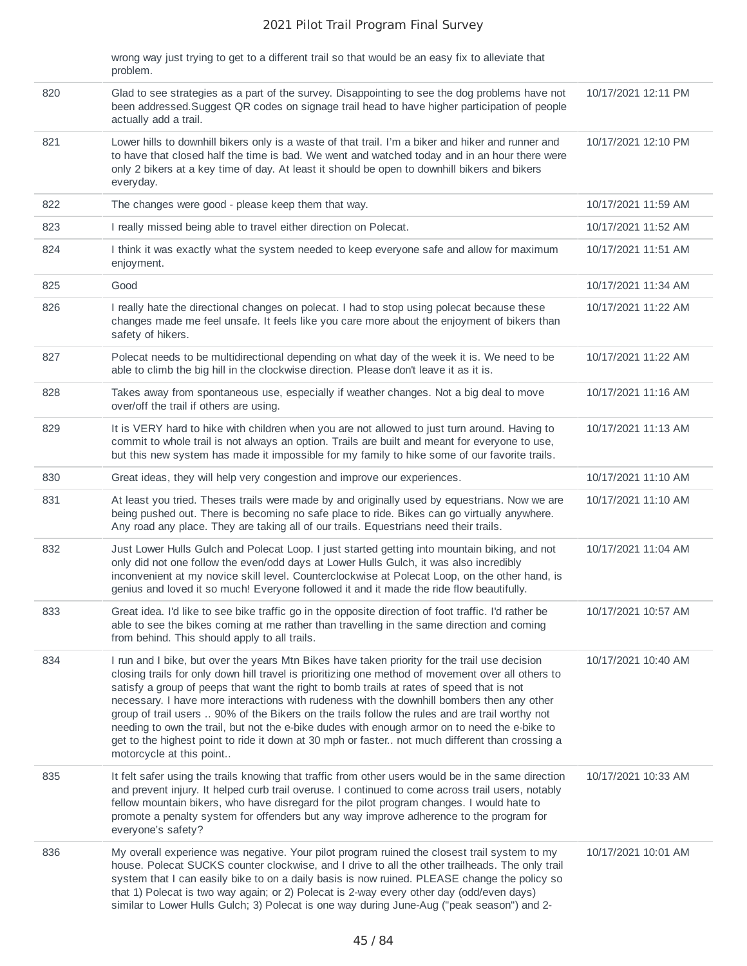|     | wrong way just trying to get to a different trail so that would be an easy fix to alleviate that<br>problem.                                                                                                                                                                                                                                                                                                                                                                                                                                                                                                                                                                                                                      |                     |
|-----|-----------------------------------------------------------------------------------------------------------------------------------------------------------------------------------------------------------------------------------------------------------------------------------------------------------------------------------------------------------------------------------------------------------------------------------------------------------------------------------------------------------------------------------------------------------------------------------------------------------------------------------------------------------------------------------------------------------------------------------|---------------------|
| 820 | Glad to see strategies as a part of the survey. Disappointing to see the dog problems have not<br>been addressed. Suggest QR codes on signage trail head to have higher participation of people<br>actually add a trail.                                                                                                                                                                                                                                                                                                                                                                                                                                                                                                          | 10/17/2021 12:11 PM |
| 821 | Lower hills to downhill bikers only is a waste of that trail. I'm a biker and hiker and runner and<br>to have that closed half the time is bad. We went and watched today and in an hour there were<br>only 2 bikers at a key time of day. At least it should be open to downhill bikers and bikers<br>everyday.                                                                                                                                                                                                                                                                                                                                                                                                                  | 10/17/2021 12:10 PM |
| 822 | The changes were good - please keep them that way.                                                                                                                                                                                                                                                                                                                                                                                                                                                                                                                                                                                                                                                                                | 10/17/2021 11:59 AM |
| 823 | I really missed being able to travel either direction on Polecat.                                                                                                                                                                                                                                                                                                                                                                                                                                                                                                                                                                                                                                                                 | 10/17/2021 11:52 AM |
| 824 | I think it was exactly what the system needed to keep everyone safe and allow for maximum<br>enjoyment.                                                                                                                                                                                                                                                                                                                                                                                                                                                                                                                                                                                                                           | 10/17/2021 11:51 AM |
| 825 | Good                                                                                                                                                                                                                                                                                                                                                                                                                                                                                                                                                                                                                                                                                                                              | 10/17/2021 11:34 AM |
| 826 | I really hate the directional changes on polecat. I had to stop using polecat because these<br>changes made me feel unsafe. It feels like you care more about the enjoyment of bikers than<br>safety of hikers.                                                                                                                                                                                                                                                                                                                                                                                                                                                                                                                   | 10/17/2021 11:22 AM |
| 827 | Polecat needs to be multidirectional depending on what day of the week it is. We need to be<br>able to climb the big hill in the clockwise direction. Please don't leave it as it is.                                                                                                                                                                                                                                                                                                                                                                                                                                                                                                                                             | 10/17/2021 11:22 AM |
| 828 | Takes away from spontaneous use, especially if weather changes. Not a big deal to move<br>over/off the trail if others are using.                                                                                                                                                                                                                                                                                                                                                                                                                                                                                                                                                                                                 | 10/17/2021 11:16 AM |
| 829 | It is VERY hard to hike with children when you are not allowed to just turn around. Having to<br>commit to whole trail is not always an option. Trails are built and meant for everyone to use,<br>but this new system has made it impossible for my family to hike some of our favorite trails.                                                                                                                                                                                                                                                                                                                                                                                                                                  | 10/17/2021 11:13 AM |
| 830 | Great ideas, they will help very congestion and improve our experiences.                                                                                                                                                                                                                                                                                                                                                                                                                                                                                                                                                                                                                                                          | 10/17/2021 11:10 AM |
| 831 | At least you tried. Theses trails were made by and originally used by equestrians. Now we are<br>being pushed out. There is becoming no safe place to ride. Bikes can go virtually anywhere.<br>Any road any place. They are taking all of our trails. Equestrians need their trails.                                                                                                                                                                                                                                                                                                                                                                                                                                             | 10/17/2021 11:10 AM |
| 832 | Just Lower Hulls Gulch and Polecat Loop. I just started getting into mountain biking, and not<br>only did not one follow the even/odd days at Lower Hulls Gulch, it was also incredibly<br>inconvenient at my novice skill level. Counterclockwise at Polecat Loop, on the other hand, is<br>genius and loved it so much! Everyone followed it and it made the ride flow beautifully.                                                                                                                                                                                                                                                                                                                                             | 10/17/2021 11:04 AM |
| 833 | Great idea. I'd like to see bike traffic go in the opposite direction of foot traffic. I'd rather be<br>able to see the bikes coming at me rather than travelling in the same direction and coming<br>from behind. This should apply to all trails.                                                                                                                                                                                                                                                                                                                                                                                                                                                                               | 10/17/2021 10:57 AM |
| 834 | I run and I bike, but over the years Mtn Bikes have taken priority for the trail use decision<br>closing trails for only down hill travel is prioritizing one method of movement over all others to<br>satisfy a group of peeps that want the right to bomb trails at rates of speed that is not<br>necessary. I have more interactions with rudeness with the downhill bombers then any other<br>group of trail users  90% of the Bikers on the trails follow the rules and are trail worthy not<br>needing to own the trail, but not the e-bike dudes with enough armor on to need the e-bike to<br>get to the highest point to ride it down at 30 mph or faster not much different than crossing a<br>motorcycle at this point | 10/17/2021 10:40 AM |
| 835 | It felt safer using the trails knowing that traffic from other users would be in the same direction<br>and prevent injury. It helped curb trail overuse. I continued to come across trail users, notably<br>fellow mountain bikers, who have disregard for the pilot program changes. I would hate to<br>promote a penalty system for offenders but any way improve adherence to the program for<br>everyone's safety?                                                                                                                                                                                                                                                                                                            | 10/17/2021 10:33 AM |
| 836 | My overall experience was negative. Your pilot program ruined the closest trail system to my<br>house. Polecat SUCKS counter clockwise, and I drive to all the other trailheads. The only trail<br>system that I can easily bike to on a daily basis is now ruined. PLEASE change the policy so<br>that 1) Polecat is two way again; or 2) Polecat is 2-way every other day (odd/even days)<br>similar to Lower Hulls Gulch; 3) Polecat is one way during June-Aug ("peak season") and 2-                                                                                                                                                                                                                                         | 10/17/2021 10:01 AM |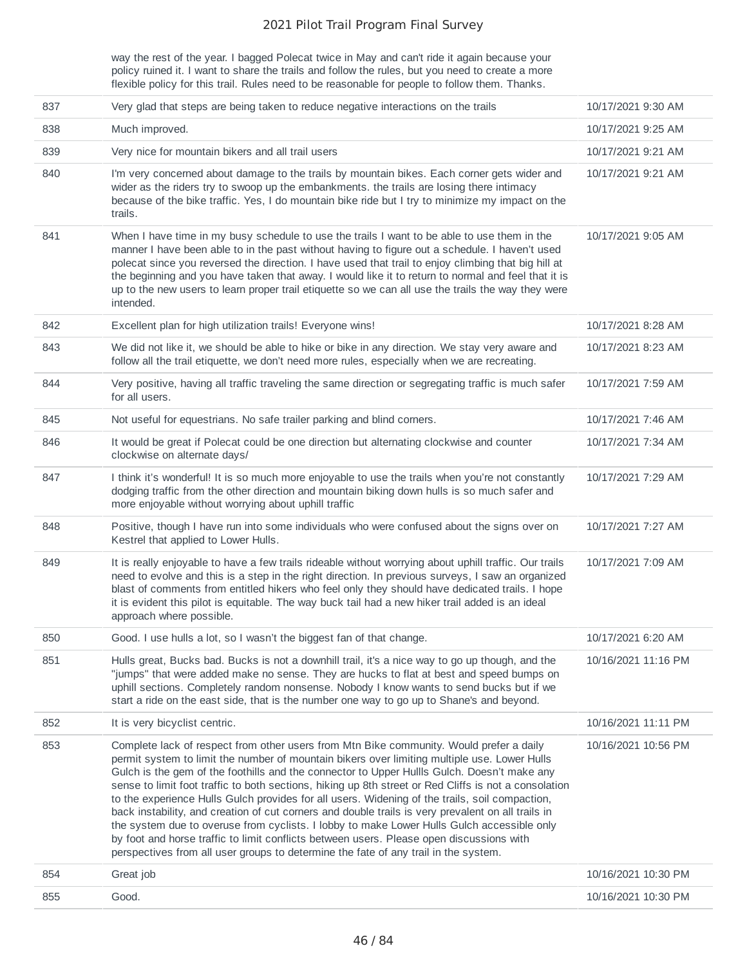way the rest of the year. I bagged Polecat twice in May and can't ride it again because your policy ruined it. I want to share the trails and follow the rules, but you need to create a more flexible policy for this trail. Rules need to be reasonable for people to follow them. Thanks.

| 837 | Very glad that steps are being taken to reduce negative interactions on the trails                                                                                                                                                                                                                                                                                                                                                                                                                                                                                                                                                                                                                                                                                                                                                                                                       | 10/17/2021 9:30 AM  |
|-----|------------------------------------------------------------------------------------------------------------------------------------------------------------------------------------------------------------------------------------------------------------------------------------------------------------------------------------------------------------------------------------------------------------------------------------------------------------------------------------------------------------------------------------------------------------------------------------------------------------------------------------------------------------------------------------------------------------------------------------------------------------------------------------------------------------------------------------------------------------------------------------------|---------------------|
| 838 | Much improved.                                                                                                                                                                                                                                                                                                                                                                                                                                                                                                                                                                                                                                                                                                                                                                                                                                                                           | 10/17/2021 9:25 AM  |
| 839 | Very nice for mountain bikers and all trail users                                                                                                                                                                                                                                                                                                                                                                                                                                                                                                                                                                                                                                                                                                                                                                                                                                        | 10/17/2021 9:21 AM  |
| 840 | I'm very concerned about damage to the trails by mountain bikes. Each corner gets wider and<br>wider as the riders try to swoop up the embankments. the trails are losing there intimacy<br>because of the bike traffic. Yes, I do mountain bike ride but I try to minimize my impact on the<br>trails.                                                                                                                                                                                                                                                                                                                                                                                                                                                                                                                                                                                  | 10/17/2021 9:21 AM  |
| 841 | When I have time in my busy schedule to use the trails I want to be able to use them in the<br>manner I have been able to in the past without having to figure out a schedule. I haven't used<br>polecat since you reversed the direction. I have used that trail to enjoy climbing that big hill at<br>the beginning and you have taken that away. I would like it to return to normal and feel that it is<br>up to the new users to learn proper trail etiquette so we can all use the trails the way they were<br>intended.                                                                                                                                                                                                                                                                                                                                                           | 10/17/2021 9:05 AM  |
| 842 | Excellent plan for high utilization trails! Everyone wins!                                                                                                                                                                                                                                                                                                                                                                                                                                                                                                                                                                                                                                                                                                                                                                                                                               | 10/17/2021 8:28 AM  |
| 843 | We did not like it, we should be able to hike or bike in any direction. We stay very aware and<br>follow all the trail etiquette, we don't need more rules, especially when we are recreating.                                                                                                                                                                                                                                                                                                                                                                                                                                                                                                                                                                                                                                                                                           | 10/17/2021 8:23 AM  |
| 844 | Very positive, having all traffic traveling the same direction or segregating traffic is much safer<br>for all users.                                                                                                                                                                                                                                                                                                                                                                                                                                                                                                                                                                                                                                                                                                                                                                    | 10/17/2021 7:59 AM  |
| 845 | Not useful for equestrians. No safe trailer parking and blind corners.                                                                                                                                                                                                                                                                                                                                                                                                                                                                                                                                                                                                                                                                                                                                                                                                                   | 10/17/2021 7:46 AM  |
| 846 | It would be great if Polecat could be one direction but alternating clockwise and counter<br>clockwise on alternate days/                                                                                                                                                                                                                                                                                                                                                                                                                                                                                                                                                                                                                                                                                                                                                                | 10/17/2021 7:34 AM  |
| 847 | I think it's wonderful! It is so much more enjoyable to use the trails when you're not constantly<br>dodging traffic from the other direction and mountain biking down hulls is so much safer and<br>more enjoyable without worrying about uphill traffic                                                                                                                                                                                                                                                                                                                                                                                                                                                                                                                                                                                                                                | 10/17/2021 7:29 AM  |
| 848 | Positive, though I have run into some individuals who were confused about the signs over on<br>Kestrel that applied to Lower Hulls.                                                                                                                                                                                                                                                                                                                                                                                                                                                                                                                                                                                                                                                                                                                                                      | 10/17/2021 7:27 AM  |
| 849 | It is really enjoyable to have a few trails rideable without worrying about uphill traffic. Our trails<br>need to evolve and this is a step in the right direction. In previous surveys, I saw an organized<br>blast of comments from entitled hikers who feel only they should have dedicated trails. I hope<br>it is evident this pilot is equitable. The way buck tail had a new hiker trail added is an ideal<br>approach where possible.                                                                                                                                                                                                                                                                                                                                                                                                                                            | 10/17/2021 7:09 AM  |
| 850 | Good. I use hulls a lot, so I wasn't the biggest fan of that change.                                                                                                                                                                                                                                                                                                                                                                                                                                                                                                                                                                                                                                                                                                                                                                                                                     | 10/17/2021 6:20 AM  |
| 851 | Hulls great, Bucks bad. Bucks is not a downhill trail, it's a nice way to go up though, and the<br>"jumps" that were added make no sense. They are hucks to flat at best and speed bumps on<br>uphill sections. Completely random nonsense. Nobody I know wants to send bucks but if we<br>start a ride on the east side, that is the number one way to go up to Shane's and beyond.                                                                                                                                                                                                                                                                                                                                                                                                                                                                                                     | 10/16/2021 11:16 PM |
| 852 | It is very bicyclist centric.                                                                                                                                                                                                                                                                                                                                                                                                                                                                                                                                                                                                                                                                                                                                                                                                                                                            | 10/16/2021 11:11 PM |
| 853 | Complete lack of respect from other users from Mtn Bike community. Would prefer a daily<br>permit system to limit the number of mountain bikers over limiting multiple use. Lower Hulls<br>Gulch is the gem of the foothills and the connector to Upper Hullls Gulch. Doesn't make any<br>sense to limit foot traffic to both sections, hiking up 8th street or Red Cliffs is not a consolation<br>to the experience Hulls Gulch provides for all users. Widening of the trails, soil compaction,<br>back instability, and creation of cut corners and double trails is very prevalent on all trails in<br>the system due to overuse from cyclists. I lobby to make Lower Hulls Gulch accessible only<br>by foot and horse traffic to limit conflicts between users. Please open discussions with<br>perspectives from all user groups to determine the fate of any trail in the system. | 10/16/2021 10:56 PM |
|     |                                                                                                                                                                                                                                                                                                                                                                                                                                                                                                                                                                                                                                                                                                                                                                                                                                                                                          |                     |
| 854 | Great job                                                                                                                                                                                                                                                                                                                                                                                                                                                                                                                                                                                                                                                                                                                                                                                                                                                                                | 10/16/2021 10:30 PM |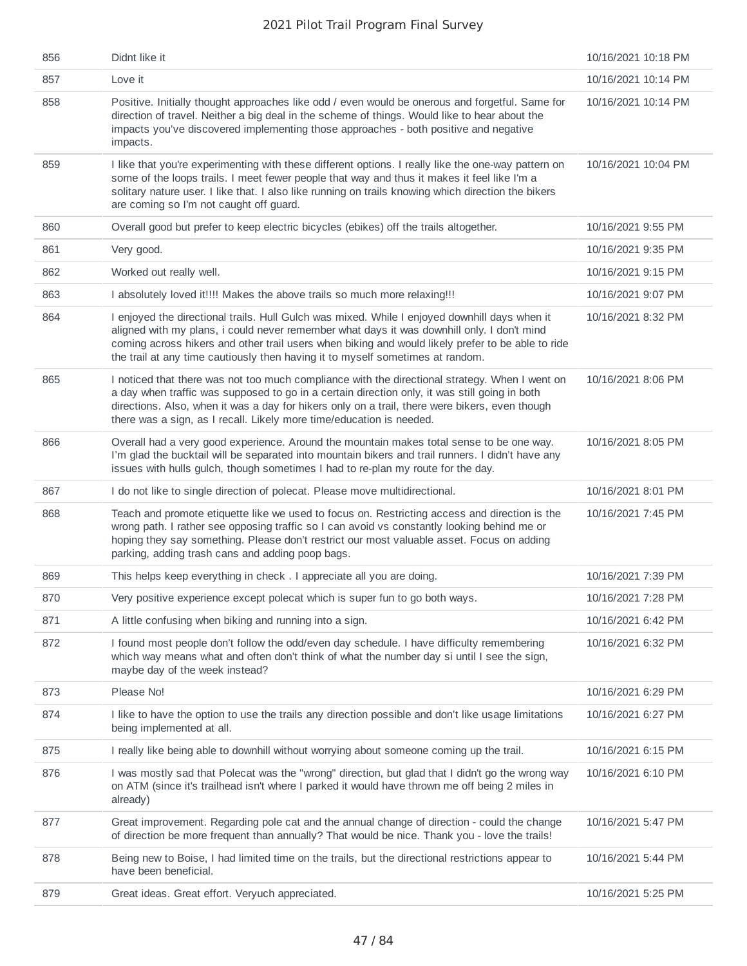| 856 | Didnt like it                                                                                                                                                                                                                                                                                                                                                                      | 10/16/2021 10:18 PM |
|-----|------------------------------------------------------------------------------------------------------------------------------------------------------------------------------------------------------------------------------------------------------------------------------------------------------------------------------------------------------------------------------------|---------------------|
| 857 | Love it                                                                                                                                                                                                                                                                                                                                                                            | 10/16/2021 10:14 PM |
| 858 | Positive. Initially thought approaches like odd / even would be onerous and forgetful. Same for<br>direction of travel. Neither a big deal in the scheme of things. Would like to hear about the<br>impacts you've discovered implementing those approaches - both positive and negative<br>impacts.                                                                               | 10/16/2021 10:14 PM |
| 859 | I like that you're experimenting with these different options. I really like the one-way pattern on<br>some of the loops trails. I meet fewer people that way and thus it makes it feel like I'm a<br>solitary nature user. I like that. I also like running on trails knowing which direction the bikers<br>are coming so I'm not caught off guard.                               | 10/16/2021 10:04 PM |
| 860 | Overall good but prefer to keep electric bicycles (ebikes) off the trails altogether.                                                                                                                                                                                                                                                                                              | 10/16/2021 9:55 PM  |
| 861 | Very good.                                                                                                                                                                                                                                                                                                                                                                         | 10/16/2021 9:35 PM  |
| 862 | Worked out really well.                                                                                                                                                                                                                                                                                                                                                            | 10/16/2021 9:15 PM  |
| 863 | I absolutely loved it!!!! Makes the above trails so much more relaxing!!!                                                                                                                                                                                                                                                                                                          | 10/16/2021 9:07 PM  |
| 864 | I enjoyed the directional trails. Hull Gulch was mixed. While I enjoyed downhill days when it<br>aligned with my plans, i could never remember what days it was downhill only. I don't mind<br>coming across hikers and other trail users when biking and would likely prefer to be able to ride<br>the trail at any time cautiously then having it to myself sometimes at random. | 10/16/2021 8:32 PM  |
| 865 | I noticed that there was not too much compliance with the directional strategy. When I went on<br>a day when traffic was supposed to go in a certain direction only, it was still going in both<br>directions. Also, when it was a day for hikers only on a trail, there were bikers, even though<br>there was a sign, as I recall. Likely more time/education is needed.          | 10/16/2021 8:06 PM  |
| 866 | Overall had a very good experience. Around the mountain makes total sense to be one way.<br>I'm glad the bucktail will be separated into mountain bikers and trail runners. I didn't have any<br>issues with hulls gulch, though sometimes I had to re-plan my route for the day.                                                                                                  | 10/16/2021 8:05 PM  |
| 867 | I do not like to single direction of polecat. Please move multidirectional.                                                                                                                                                                                                                                                                                                        | 10/16/2021 8:01 PM  |
| 868 | Teach and promote etiquette like we used to focus on. Restricting access and direction is the<br>wrong path. I rather see opposing traffic so I can avoid vs constantly looking behind me or<br>hoping they say something. Please don't restrict our most valuable asset. Focus on adding<br>parking, adding trash cans and adding poop bags.                                      | 10/16/2021 7:45 PM  |
| 869 | This helps keep everything in check. I appreciate all you are doing.                                                                                                                                                                                                                                                                                                               | 10/16/2021 7:39 PM  |
| 870 | Very positive experience except polecat which is super fun to go both ways.                                                                                                                                                                                                                                                                                                        | 10/16/2021 7:28 PM  |
| 871 | A little confusing when biking and running into a sign.                                                                                                                                                                                                                                                                                                                            | 10/16/2021 6:42 PM  |
| 872 | I found most people don't follow the odd/even day schedule. I have difficulty remembering<br>which way means what and often don't think of what the number day si until I see the sign,<br>maybe day of the week instead?                                                                                                                                                          | 10/16/2021 6:32 PM  |
| 873 | Please No!                                                                                                                                                                                                                                                                                                                                                                         | 10/16/2021 6:29 PM  |
| 874 | I like to have the option to use the trails any direction possible and don't like usage limitations<br>being implemented at all.                                                                                                                                                                                                                                                   | 10/16/2021 6:27 PM  |
| 875 | I really like being able to downhill without worrying about someone coming up the trail.                                                                                                                                                                                                                                                                                           | 10/16/2021 6:15 PM  |
| 876 | I was mostly sad that Polecat was the "wrong" direction, but glad that I didn't go the wrong way<br>on ATM (since it's trailhead isn't where I parked it would have thrown me off being 2 miles in<br>already)                                                                                                                                                                     | 10/16/2021 6:10 PM  |
| 877 | Great improvement. Regarding pole cat and the annual change of direction - could the change<br>of direction be more frequent than annually? That would be nice. Thank you - love the trails!                                                                                                                                                                                       | 10/16/2021 5:47 PM  |
| 878 | Being new to Boise, I had limited time on the trails, but the directional restrictions appear to<br>have been beneficial.                                                                                                                                                                                                                                                          | 10/16/2021 5:44 PM  |
| 879 | Great ideas. Great effort. Veryuch appreciated.                                                                                                                                                                                                                                                                                                                                    | 10/16/2021 5:25 PM  |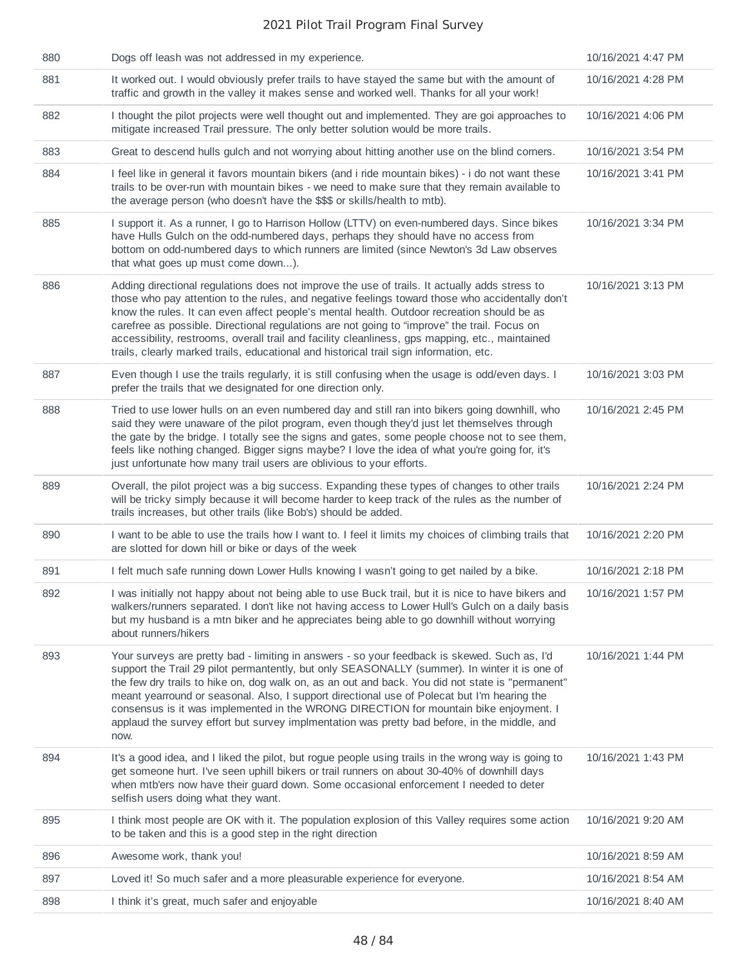| 880 | Dogs off leash was not addressed in my experience.                                                                                                                                                                                                                                                                                                                                                                                                                                                                                                                                                | 10/16/2021 4:47 PM |
|-----|---------------------------------------------------------------------------------------------------------------------------------------------------------------------------------------------------------------------------------------------------------------------------------------------------------------------------------------------------------------------------------------------------------------------------------------------------------------------------------------------------------------------------------------------------------------------------------------------------|--------------------|
| 881 | It worked out. I would obviously prefer trails to have stayed the same but with the amount of<br>traffic and growth in the valley it makes sense and worked well. Thanks for all your work!                                                                                                                                                                                                                                                                                                                                                                                                       | 10/16/2021 4:28 PM |
| 882 | I thought the pilot projects were well thought out and implemented. They are goi approaches to<br>mitigate increased Trail pressure. The only better solution would be more trails.                                                                                                                                                                                                                                                                                                                                                                                                               | 10/16/2021 4:06 PM |
| 883 | Great to descend hulls gulch and not worrying about hitting another use on the blind corners.                                                                                                                                                                                                                                                                                                                                                                                                                                                                                                     | 10/16/2021 3:54 PM |
| 884 | I feel like in general it favors mountain bikers (and i ride mountain bikes) - i do not want these<br>trails to be over-run with mountain bikes - we need to make sure that they remain available to<br>the average person (who doesn't have the \$\$\$ or skills/health to mtb).                                                                                                                                                                                                                                                                                                                 | 10/16/2021 3:41 PM |
| 885 | I support it. As a runner, I go to Harrison Hollow (LTTV) on even-numbered days. Since bikes<br>have Hulls Gulch on the odd-numbered days, perhaps they should have no access from<br>bottom on odd-numbered days to which runners are limited (since Newton's 3d Law observes<br>that what goes up must come down).                                                                                                                                                                                                                                                                              | 10/16/2021 3:34 PM |
| 886 | Adding directional regulations does not improve the use of trails. It actually adds stress to<br>those who pay attention to the rules, and negative feelings toward those who accidentally don't<br>know the rules. It can even affect people's mental health. Outdoor recreation should be as<br>carefree as possible. Directional regulations are not going to "improve" the trail. Focus on<br>accessibility, restrooms, overall trail and facility cleanliness, gps mapping, etc., maintained<br>trails, clearly marked trails, educational and historical trail sign information, etc.       | 10/16/2021 3:13 PM |
| 887 | Even though I use the trails regularly, it is still confusing when the usage is odd/even days. I<br>prefer the trails that we designated for one direction only.                                                                                                                                                                                                                                                                                                                                                                                                                                  | 10/16/2021 3:03 PM |
| 888 | Tried to use lower hulls on an even numbered day and still ran into bikers going downhill, who<br>said they were unaware of the pilot program, even though they'd just let themselves through<br>the gate by the bridge. I totally see the signs and gates, some people choose not to see them,<br>feels like nothing changed. Bigger signs maybe? I love the idea of what you're going for, it's<br>just unfortunate how many trail users are oblivious to your efforts.                                                                                                                         | 10/16/2021 2:45 PM |
| 889 | Overall, the pilot project was a big success. Expanding these types of changes to other trails<br>will be tricky simply because it will become harder to keep track of the rules as the number of<br>trails increases, but other trails (like Bob's) should be added.                                                                                                                                                                                                                                                                                                                             | 10/16/2021 2:24 PM |
| 890 | I want to be able to use the trails how I want to. I feel it limits my choices of climbing trails that<br>are slotted for down hill or bike or days of the week                                                                                                                                                                                                                                                                                                                                                                                                                                   | 10/16/2021 2:20 PM |
| 891 | I felt much safe running down Lower Hulls knowing I wasn't going to get nailed by a bike.                                                                                                                                                                                                                                                                                                                                                                                                                                                                                                         | 10/16/2021 2:18 PM |
| 892 | I was initially not happy about not being able to use Buck trail, but it is nice to have bikers and<br>walkers/runners separated. I don't like not having access to Lower Hull's Gulch on a daily basis<br>but my husband is a mtn biker and he appreciates being able to go downhill without worrying<br>about runners/hikers                                                                                                                                                                                                                                                                    | 10/16/2021 1:57 PM |
| 893 | Your surveys are pretty bad - limiting in answers - so your feedback is skewed. Such as, I'd<br>support the Trail 29 pilot permantently, but only SEASONALLY (summer). In winter it is one of<br>the few dry trails to hike on, dog walk on, as an out and back. You did not state is "permanent"<br>meant yearround or seasonal. Also, I support directional use of Polecat but I'm hearing the<br>consensus is it was implemented in the WRONG DIRECTION for mountain bike enjoyment. I<br>applaud the survey effort but survey implmentation was pretty bad before, in the middle, and<br>now. | 10/16/2021 1:44 PM |
| 894 | It's a good idea, and I liked the pilot, but rogue people using trails in the wrong way is going to<br>get someone hurt. I've seen uphill bikers or trail runners on about 30-40% of downhill days<br>when mtb'ers now have their guard down. Some occasional enforcement I needed to deter<br>selfish users doing what they want.                                                                                                                                                                                                                                                                | 10/16/2021 1:43 PM |
| 895 | I think most people are OK with it. The population explosion of this Valley requires some action<br>to be taken and this is a good step in the right direction                                                                                                                                                                                                                                                                                                                                                                                                                                    | 10/16/2021 9:20 AM |
| 896 | Awesome work, thank you!                                                                                                                                                                                                                                                                                                                                                                                                                                                                                                                                                                          | 10/16/2021 8:59 AM |
| 897 | Loved it! So much safer and a more pleasurable experience for everyone.                                                                                                                                                                                                                                                                                                                                                                                                                                                                                                                           | 10/16/2021 8:54 AM |
| 898 | I think it's great, much safer and enjoyable                                                                                                                                                                                                                                                                                                                                                                                                                                                                                                                                                      | 10/16/2021 8:40 AM |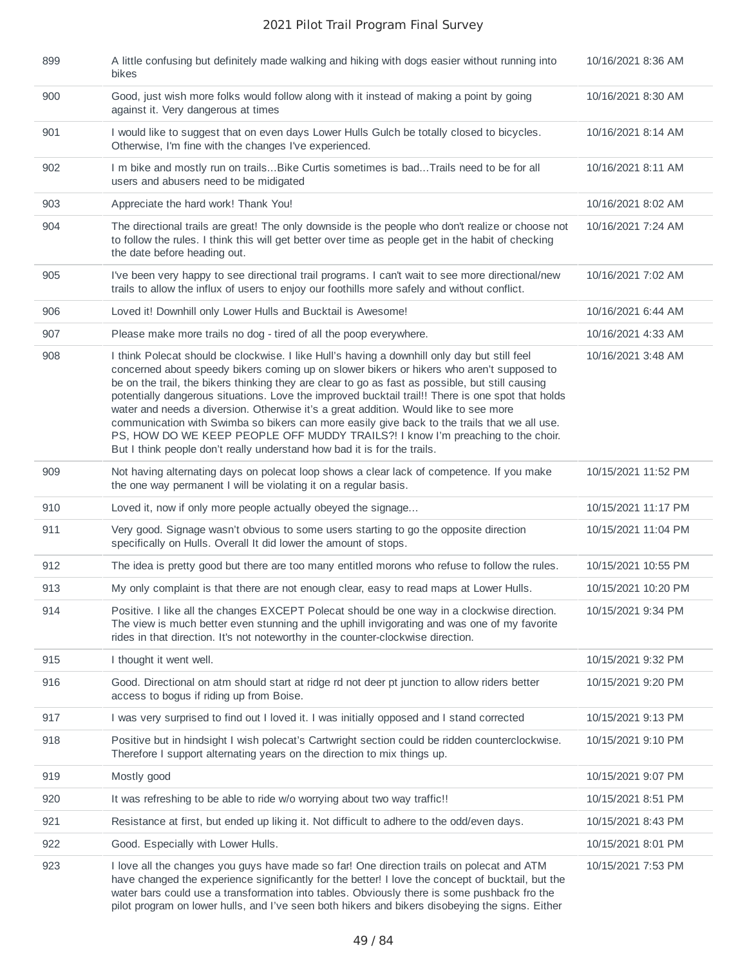| 899 | A little confusing but definitely made walking and hiking with dogs easier without running into<br>bikes                                                                                                                                                                                                                                                                                                                                                                                                                                                                                                                                                                                                                                                  | 10/16/2021 8:36 AM  |
|-----|-----------------------------------------------------------------------------------------------------------------------------------------------------------------------------------------------------------------------------------------------------------------------------------------------------------------------------------------------------------------------------------------------------------------------------------------------------------------------------------------------------------------------------------------------------------------------------------------------------------------------------------------------------------------------------------------------------------------------------------------------------------|---------------------|
| 900 | Good, just wish more folks would follow along with it instead of making a point by going<br>against it. Very dangerous at times                                                                                                                                                                                                                                                                                                                                                                                                                                                                                                                                                                                                                           | 10/16/2021 8:30 AM  |
| 901 | I would like to suggest that on even days Lower Hulls Gulch be totally closed to bicycles.<br>Otherwise, I'm fine with the changes I've experienced.                                                                                                                                                                                                                                                                                                                                                                                                                                                                                                                                                                                                      | 10/16/2021 8:14 AM  |
| 902 | I m bike and mostly run on trailsBike Curtis sometimes is badTrails need to be for all<br>users and abusers need to be midigated                                                                                                                                                                                                                                                                                                                                                                                                                                                                                                                                                                                                                          | 10/16/2021 8:11 AM  |
| 903 | Appreciate the hard work! Thank You!                                                                                                                                                                                                                                                                                                                                                                                                                                                                                                                                                                                                                                                                                                                      | 10/16/2021 8:02 AM  |
| 904 | The directional trails are great! The only downside is the people who don't realize or choose not<br>to follow the rules. I think this will get better over time as people get in the habit of checking<br>the date before heading out.                                                                                                                                                                                                                                                                                                                                                                                                                                                                                                                   | 10/16/2021 7:24 AM  |
| 905 | I've been very happy to see directional trail programs. I can't wait to see more directional/new<br>trails to allow the influx of users to enjoy our foothills more safely and without conflict.                                                                                                                                                                                                                                                                                                                                                                                                                                                                                                                                                          | 10/16/2021 7:02 AM  |
| 906 | Loved it! Downhill only Lower Hulls and Bucktail is Awesome!                                                                                                                                                                                                                                                                                                                                                                                                                                                                                                                                                                                                                                                                                              | 10/16/2021 6:44 AM  |
| 907 | Please make more trails no dog - tired of all the poop everywhere.                                                                                                                                                                                                                                                                                                                                                                                                                                                                                                                                                                                                                                                                                        | 10/16/2021 4:33 AM  |
| 908 | I think Polecat should be clockwise. I like Hull's having a downhill only day but still feel<br>concerned about speedy bikers coming up on slower bikers or hikers who aren't supposed to<br>be on the trail, the bikers thinking they are clear to go as fast as possible, but still causing<br>potentially dangerous situations. Love the improved bucktail trail!! There is one spot that holds<br>water and needs a diversion. Otherwise it's a great addition. Would like to see more<br>communication with Swimba so bikers can more easily give back to the trails that we all use.<br>PS, HOW DO WE KEEP PEOPLE OFF MUDDY TRAILS?! I know I'm preaching to the choir.<br>But I think people don't really understand how bad it is for the trails. | 10/16/2021 3:48 AM  |
| 909 | Not having alternating days on polecat loop shows a clear lack of competence. If you make<br>the one way permanent I will be violating it on a regular basis.                                                                                                                                                                                                                                                                                                                                                                                                                                                                                                                                                                                             | 10/15/2021 11:52 PM |
| 910 | Loved it, now if only more people actually obeyed the signage                                                                                                                                                                                                                                                                                                                                                                                                                                                                                                                                                                                                                                                                                             | 10/15/2021 11:17 PM |
| 911 | Very good. Signage wasn't obvious to some users starting to go the opposite direction<br>specifically on Hulls. Overall It did lower the amount of stops.                                                                                                                                                                                                                                                                                                                                                                                                                                                                                                                                                                                                 | 10/15/2021 11:04 PM |
| 912 | The idea is pretty good but there are too many entitled morons who refuse to follow the rules.                                                                                                                                                                                                                                                                                                                                                                                                                                                                                                                                                                                                                                                            | 10/15/2021 10:55 PM |
| 913 | My only complaint is that there are not enough clear, easy to read maps at Lower Hulls.                                                                                                                                                                                                                                                                                                                                                                                                                                                                                                                                                                                                                                                                   | 10/15/2021 10:20 PM |
| 914 | Positive. I like all the changes EXCEPT Polecat should be one way in a clockwise direction.<br>The view is much better even stunning and the uphill invigorating and was one of my favorite<br>rides in that direction. It's not noteworthy in the counter-clockwise direction.                                                                                                                                                                                                                                                                                                                                                                                                                                                                           | 10/15/2021 9:34 PM  |
| 915 | I thought it went well.                                                                                                                                                                                                                                                                                                                                                                                                                                                                                                                                                                                                                                                                                                                                   | 10/15/2021 9:32 PM  |
| 916 | Good. Directional on atm should start at ridge rd not deer pt junction to allow riders better<br>access to bogus if riding up from Boise.                                                                                                                                                                                                                                                                                                                                                                                                                                                                                                                                                                                                                 | 10/15/2021 9:20 PM  |
| 917 | I was very surprised to find out I loved it. I was initially opposed and I stand corrected                                                                                                                                                                                                                                                                                                                                                                                                                                                                                                                                                                                                                                                                | 10/15/2021 9:13 PM  |
| 918 | Positive but in hindsight I wish polecat's Cartwright section could be ridden counterclockwise.<br>Therefore I support alternating years on the direction to mix things up.                                                                                                                                                                                                                                                                                                                                                                                                                                                                                                                                                                               | 10/15/2021 9:10 PM  |
| 919 | Mostly good                                                                                                                                                                                                                                                                                                                                                                                                                                                                                                                                                                                                                                                                                                                                               | 10/15/2021 9:07 PM  |
| 920 | It was refreshing to be able to ride w/o worrying about two way traffic!!                                                                                                                                                                                                                                                                                                                                                                                                                                                                                                                                                                                                                                                                                 | 10/15/2021 8:51 PM  |
| 921 | Resistance at first, but ended up liking it. Not difficult to adhere to the odd/even days.                                                                                                                                                                                                                                                                                                                                                                                                                                                                                                                                                                                                                                                                | 10/15/2021 8:43 PM  |
| 922 | Good. Especially with Lower Hulls.                                                                                                                                                                                                                                                                                                                                                                                                                                                                                                                                                                                                                                                                                                                        | 10/15/2021 8:01 PM  |
| 923 | I love all the changes you guys have made so far! One direction trails on polecat and ATM<br>have changed the experience significantly for the better! I love the concept of bucktail, but the<br>water bars could use a transformation into tables. Obviously there is some pushback fro the<br>pilot program on lower hulls, and I've seen both hikers and bikers disobeying the signs. Either                                                                                                                                                                                                                                                                                                                                                          | 10/15/2021 7:53 PM  |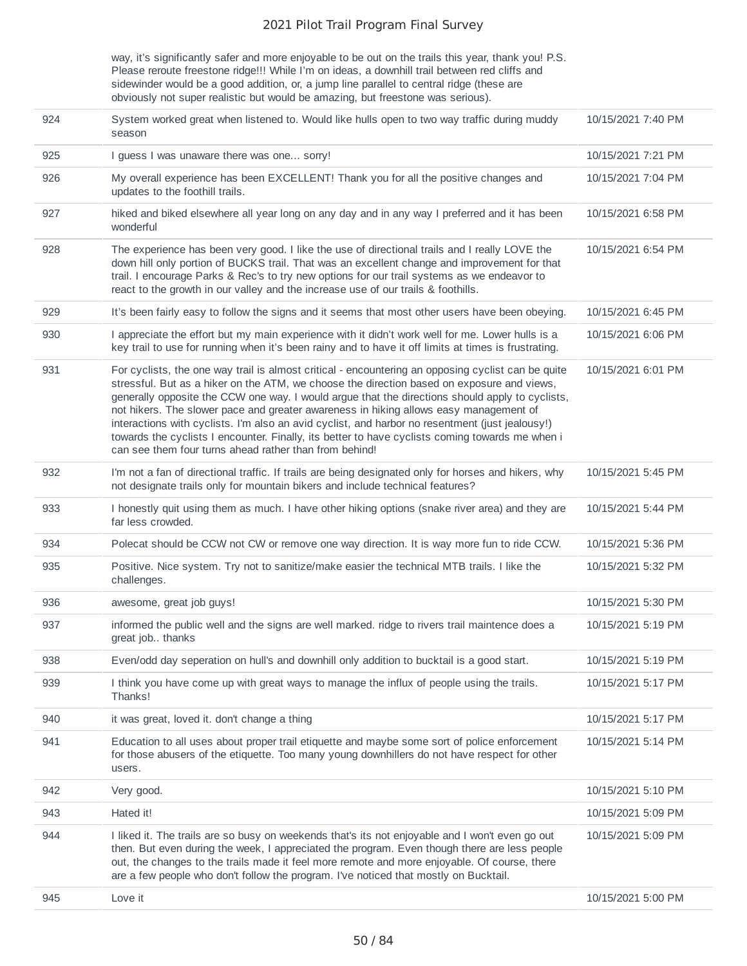way, it's significantly safer and more enjoyable to be out on the trails this year, thank you! P.S. Please reroute freestone ridge!!! While I'm on ideas, a downhill trail between red cliffs and sidewinder would be a good addition, or, a jump line parallel to central ridge (these are obviously not super realistic but would be amazing, but freestone was serious).

| 924 | System worked great when listened to. Would like hulls open to two way traffic during muddy<br>season                                                                                                                                                                                                                                                                                                                                                                                                                                                                                                                                                        | 10/15/2021 7:40 PM |
|-----|--------------------------------------------------------------------------------------------------------------------------------------------------------------------------------------------------------------------------------------------------------------------------------------------------------------------------------------------------------------------------------------------------------------------------------------------------------------------------------------------------------------------------------------------------------------------------------------------------------------------------------------------------------------|--------------------|
| 925 | I guess I was unaware there was one sorry!                                                                                                                                                                                                                                                                                                                                                                                                                                                                                                                                                                                                                   | 10/15/2021 7:21 PM |
| 926 | My overall experience has been EXCELLENT! Thank you for all the positive changes and<br>updates to the foothill trails.                                                                                                                                                                                                                                                                                                                                                                                                                                                                                                                                      | 10/15/2021 7:04 PM |
| 927 | hiked and biked elsewhere all year long on any day and in any way I preferred and it has been<br>wonderful                                                                                                                                                                                                                                                                                                                                                                                                                                                                                                                                                   | 10/15/2021 6:58 PM |
| 928 | The experience has been very good. I like the use of directional trails and I really LOVE the<br>down hill only portion of BUCKS trail. That was an excellent change and improvement for that<br>trail. I encourage Parks & Rec's to try new options for our trail systems as we endeavor to<br>react to the growth in our valley and the increase use of our trails & foothills.                                                                                                                                                                                                                                                                            | 10/15/2021 6:54 PM |
| 929 | It's been fairly easy to follow the signs and it seems that most other users have been obeying.                                                                                                                                                                                                                                                                                                                                                                                                                                                                                                                                                              | 10/15/2021 6:45 PM |
| 930 | I appreciate the effort but my main experience with it didn't work well for me. Lower hulls is a<br>key trail to use for running when it's been rainy and to have it off limits at times is frustrating.                                                                                                                                                                                                                                                                                                                                                                                                                                                     | 10/15/2021 6:06 PM |
| 931 | For cyclists, the one way trail is almost critical - encountering an opposing cyclist can be quite<br>stressful. But as a hiker on the ATM, we choose the direction based on exposure and views,<br>generally opposite the CCW one way. I would argue that the directions should apply to cyclists,<br>not hikers. The slower pace and greater awareness in hiking allows easy management of<br>interactions with cyclists. I'm also an avid cyclist, and harbor no resentment (just jealousy!)<br>towards the cyclists I encounter. Finally, its better to have cyclists coming towards me when i<br>can see them four turns ahead rather than from behind! | 10/15/2021 6:01 PM |
| 932 | I'm not a fan of directional traffic. If trails are being designated only for horses and hikers, why<br>not designate trails only for mountain bikers and include technical features?                                                                                                                                                                                                                                                                                                                                                                                                                                                                        | 10/15/2021 5:45 PM |
| 933 | I honestly quit using them as much. I have other hiking options (snake river area) and they are<br>far less crowded.                                                                                                                                                                                                                                                                                                                                                                                                                                                                                                                                         | 10/15/2021 5:44 PM |
| 934 | Polecat should be CCW not CW or remove one way direction. It is way more fun to ride CCW.                                                                                                                                                                                                                                                                                                                                                                                                                                                                                                                                                                    | 10/15/2021 5:36 PM |
| 935 | Positive. Nice system. Try not to sanitize/make easier the technical MTB trails. I like the<br>challenges.                                                                                                                                                                                                                                                                                                                                                                                                                                                                                                                                                   | 10/15/2021 5:32 PM |
| 936 | awesome, great job guys!                                                                                                                                                                                                                                                                                                                                                                                                                                                                                                                                                                                                                                     | 10/15/2021 5:30 PM |
| 937 | informed the public well and the signs are well marked. ridge to rivers trail maintence does a<br>great job thanks                                                                                                                                                                                                                                                                                                                                                                                                                                                                                                                                           | 10/15/2021 5:19 PM |
| 938 | Even/odd day seperation on hull's and downhill only addition to bucktail is a good start.                                                                                                                                                                                                                                                                                                                                                                                                                                                                                                                                                                    | 10/15/2021 5:19 PM |
| 939 | I think you have come up with great ways to manage the influx of people using the trails.<br>Thanks!                                                                                                                                                                                                                                                                                                                                                                                                                                                                                                                                                         | 10/15/2021 5:17 PM |
| 940 | it was great, loved it. don't change a thing                                                                                                                                                                                                                                                                                                                                                                                                                                                                                                                                                                                                                 | 10/15/2021 5:17 PM |
| 941 | Education to all uses about proper trail etiquette and maybe some sort of police enforcement<br>for those abusers of the etiquette. Too many young downhillers do not have respect for other<br>users.                                                                                                                                                                                                                                                                                                                                                                                                                                                       | 10/15/2021 5:14 PM |
| 942 | Very good.                                                                                                                                                                                                                                                                                                                                                                                                                                                                                                                                                                                                                                                   | 10/15/2021 5:10 PM |
| 943 | Hated it!                                                                                                                                                                                                                                                                                                                                                                                                                                                                                                                                                                                                                                                    | 10/15/2021 5:09 PM |
| 944 | I liked it. The trails are so busy on weekends that's its not enjoyable and I won't even go out<br>then. But even during the week, I appreciated the program. Even though there are less people<br>out, the changes to the trails made it feel more remote and more enjoyable. Of course, there<br>are a few people who don't follow the program. I've noticed that mostly on Bucktail.                                                                                                                                                                                                                                                                      | 10/15/2021 5:09 PM |
| 945 | Love it                                                                                                                                                                                                                                                                                                                                                                                                                                                                                                                                                                                                                                                      | 10/15/2021 5:00 PM |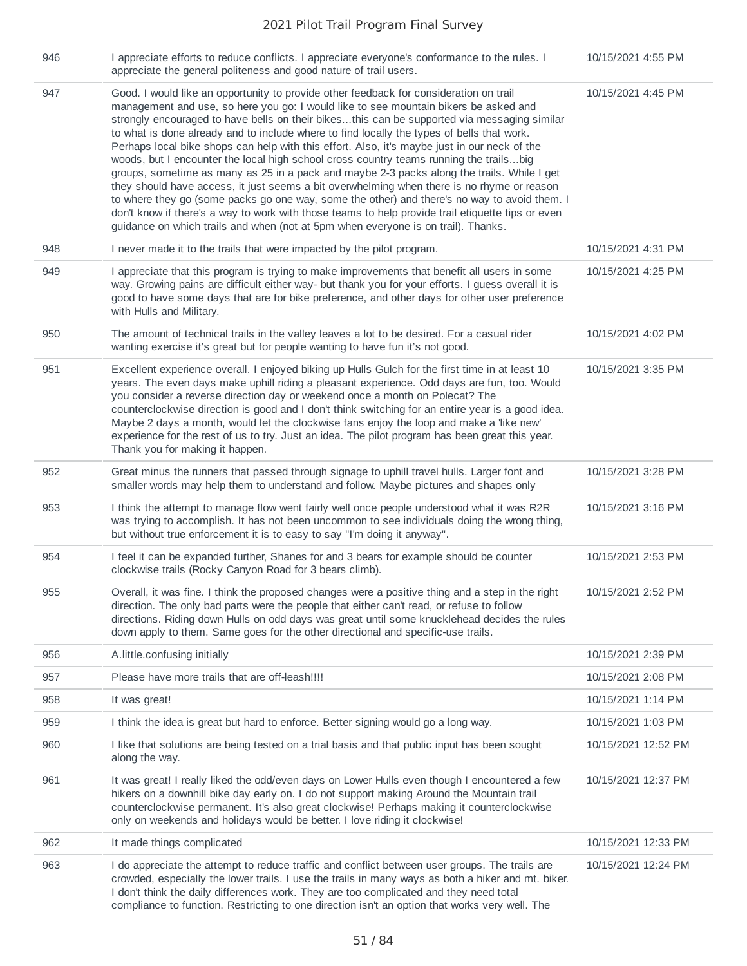| 946 | I appreciate efforts to reduce conflicts. I appreciate everyone's conformance to the rules. I<br>appreciate the general politeness and good nature of trail users.                                                                                                                                                                                                                                                                                                                                                                                                                                                                                                                                                                                                                                                                                                                                                                                                                                                                                          | 10/15/2021 4:55 PM  |
|-----|-------------------------------------------------------------------------------------------------------------------------------------------------------------------------------------------------------------------------------------------------------------------------------------------------------------------------------------------------------------------------------------------------------------------------------------------------------------------------------------------------------------------------------------------------------------------------------------------------------------------------------------------------------------------------------------------------------------------------------------------------------------------------------------------------------------------------------------------------------------------------------------------------------------------------------------------------------------------------------------------------------------------------------------------------------------|---------------------|
| 947 | Good. I would like an opportunity to provide other feedback for consideration on trail<br>management and use, so here you go: I would like to see mountain bikers be asked and<br>strongly encouraged to have bells on their bikesthis can be supported via messaging similar<br>to what is done already and to include where to find locally the types of bells that work.<br>Perhaps local bike shops can help with this effort. Also, it's maybe just in our neck of the<br>woods, but I encounter the local high school cross country teams running the trailsbig<br>groups, sometime as many as 25 in a pack and maybe 2-3 packs along the trails. While I get<br>they should have access, it just seems a bit overwhelming when there is no rhyme or reason<br>to where they go (some packs go one way, some the other) and there's no way to avoid them. I<br>don't know if there's a way to work with those teams to help provide trail etiquette tips or even<br>guidance on which trails and when (not at 5pm when everyone is on trail). Thanks. | 10/15/2021 4:45 PM  |
| 948 | I never made it to the trails that were impacted by the pilot program.                                                                                                                                                                                                                                                                                                                                                                                                                                                                                                                                                                                                                                                                                                                                                                                                                                                                                                                                                                                      | 10/15/2021 4:31 PM  |
| 949 | I appreciate that this program is trying to make improvements that benefit all users in some<br>way. Growing pains are difficult either way- but thank you for your efforts. I guess overall it is<br>good to have some days that are for bike preference, and other days for other user preference<br>with Hulls and Military.                                                                                                                                                                                                                                                                                                                                                                                                                                                                                                                                                                                                                                                                                                                             | 10/15/2021 4:25 PM  |
| 950 | The amount of technical trails in the valley leaves a lot to be desired. For a casual rider<br>wanting exercise it's great but for people wanting to have fun it's not good.                                                                                                                                                                                                                                                                                                                                                                                                                                                                                                                                                                                                                                                                                                                                                                                                                                                                                | 10/15/2021 4:02 PM  |
| 951 | Excellent experience overall. I enjoyed biking up Hulls Gulch for the first time in at least 10<br>years. The even days make uphill riding a pleasant experience. Odd days are fun, too. Would<br>you consider a reverse direction day or weekend once a month on Polecat? The<br>counterclockwise direction is good and I don't think switching for an entire year is a good idea.<br>Maybe 2 days a month, would let the clockwise fans enjoy the loop and make a 'like new'<br>experience for the rest of us to try. Just an idea. The pilot program has been great this year.<br>Thank you for making it happen.                                                                                                                                                                                                                                                                                                                                                                                                                                        | 10/15/2021 3:35 PM  |
| 952 | Great minus the runners that passed through signage to uphill travel hulls. Larger font and<br>smaller words may help them to understand and follow. Maybe pictures and shapes only                                                                                                                                                                                                                                                                                                                                                                                                                                                                                                                                                                                                                                                                                                                                                                                                                                                                         | 10/15/2021 3:28 PM  |
| 953 | I think the attempt to manage flow went fairly well once people understood what it was R2R<br>was trying to accomplish. It has not been uncommon to see individuals doing the wrong thing,<br>but without true enforcement it is to easy to say "I'm doing it anyway".                                                                                                                                                                                                                                                                                                                                                                                                                                                                                                                                                                                                                                                                                                                                                                                      | 10/15/2021 3:16 PM  |
| 954 | I feel it can be expanded further, Shanes for and 3 bears for example should be counter<br>clockwise trails (Rocky Canyon Road for 3 bears climb).                                                                                                                                                                                                                                                                                                                                                                                                                                                                                                                                                                                                                                                                                                                                                                                                                                                                                                          | 10/15/2021 2:53 PM  |
| 955 | Overall, it was fine. I think the proposed changes were a positive thing and a step in the right<br>direction. The only bad parts were the people that either can't read, or refuse to follow<br>directions. Riding down Hulls on odd days was great until some knucklehead decides the rules<br>down apply to them. Same goes for the other directional and specific-use trails.                                                                                                                                                                                                                                                                                                                                                                                                                                                                                                                                                                                                                                                                           | 10/15/2021 2:52 PM  |
| 956 | A.little.confusing initially                                                                                                                                                                                                                                                                                                                                                                                                                                                                                                                                                                                                                                                                                                                                                                                                                                                                                                                                                                                                                                | 10/15/2021 2:39 PM  |
| 957 | Please have more trails that are off-leash!!!!                                                                                                                                                                                                                                                                                                                                                                                                                                                                                                                                                                                                                                                                                                                                                                                                                                                                                                                                                                                                              | 10/15/2021 2:08 PM  |
| 958 | It was great!                                                                                                                                                                                                                                                                                                                                                                                                                                                                                                                                                                                                                                                                                                                                                                                                                                                                                                                                                                                                                                               | 10/15/2021 1:14 PM  |
| 959 | I think the idea is great but hard to enforce. Better signing would go a long way.                                                                                                                                                                                                                                                                                                                                                                                                                                                                                                                                                                                                                                                                                                                                                                                                                                                                                                                                                                          | 10/15/2021 1:03 PM  |
| 960 | I like that solutions are being tested on a trial basis and that public input has been sought<br>along the way.                                                                                                                                                                                                                                                                                                                                                                                                                                                                                                                                                                                                                                                                                                                                                                                                                                                                                                                                             | 10/15/2021 12:52 PM |
| 961 | It was great! I really liked the odd/even days on Lower Hulls even though I encountered a few<br>hikers on a downhill bike day early on. I do not support making Around the Mountain trail<br>counterclockwise permanent. It's also great clockwise! Perhaps making it counterclockwise<br>only on weekends and holidays would be better. I love riding it clockwise!                                                                                                                                                                                                                                                                                                                                                                                                                                                                                                                                                                                                                                                                                       | 10/15/2021 12:37 PM |
| 962 | It made things complicated                                                                                                                                                                                                                                                                                                                                                                                                                                                                                                                                                                                                                                                                                                                                                                                                                                                                                                                                                                                                                                  | 10/15/2021 12:33 PM |
| 963 | I do appreciate the attempt to reduce traffic and conflict between user groups. The trails are<br>crowded, especially the lower trails. I use the trails in many ways as both a hiker and mt. biker.<br>I don't think the daily differences work. They are too complicated and they need total<br>compliance to function. Restricting to one direction isn't an option that works very well. The                                                                                                                                                                                                                                                                                                                                                                                                                                                                                                                                                                                                                                                            | 10/15/2021 12:24 PM |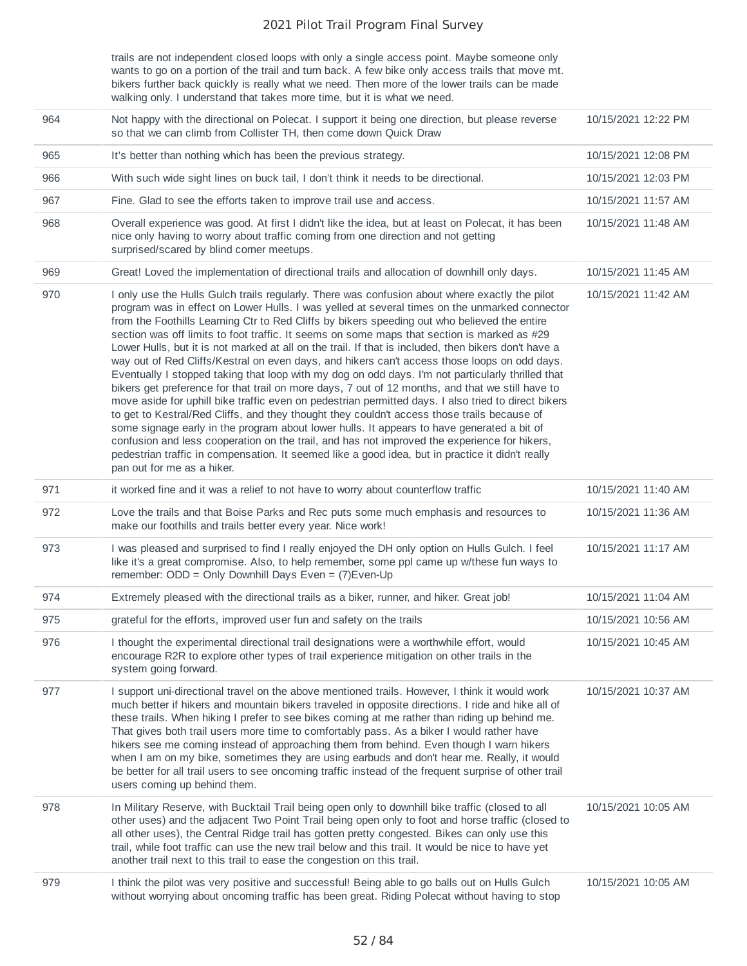trails are not independent closed loops with only a single access point. Maybe someone only wants to go on a portion of the trail and turn back. A few bike only access trails that move mt. bikers further back quickly is really what we need. Then more of the lower trails can be made walking only. I understand that takes more time, but it is what we need.

| 964 | Not happy with the directional on Polecat. I support it being one direction, but please reverse<br>so that we can climb from Collister TH, then come down Quick Draw                                                                                                                                                                                                                                                                                                                                                                                                                                                                                                                                                                                                                                                                                                                                                                                                                                                                                                                                                                                                                                                                                                                                                                                  | 10/15/2021 12:22 PM |
|-----|-------------------------------------------------------------------------------------------------------------------------------------------------------------------------------------------------------------------------------------------------------------------------------------------------------------------------------------------------------------------------------------------------------------------------------------------------------------------------------------------------------------------------------------------------------------------------------------------------------------------------------------------------------------------------------------------------------------------------------------------------------------------------------------------------------------------------------------------------------------------------------------------------------------------------------------------------------------------------------------------------------------------------------------------------------------------------------------------------------------------------------------------------------------------------------------------------------------------------------------------------------------------------------------------------------------------------------------------------------|---------------------|
| 965 | It's better than nothing which has been the previous strategy.                                                                                                                                                                                                                                                                                                                                                                                                                                                                                                                                                                                                                                                                                                                                                                                                                                                                                                                                                                                                                                                                                                                                                                                                                                                                                        | 10/15/2021 12:08 PM |
| 966 | With such wide sight lines on buck tail, I don't think it needs to be directional.                                                                                                                                                                                                                                                                                                                                                                                                                                                                                                                                                                                                                                                                                                                                                                                                                                                                                                                                                                                                                                                                                                                                                                                                                                                                    | 10/15/2021 12:03 PM |
| 967 | Fine. Glad to see the efforts taken to improve trail use and access.                                                                                                                                                                                                                                                                                                                                                                                                                                                                                                                                                                                                                                                                                                                                                                                                                                                                                                                                                                                                                                                                                                                                                                                                                                                                                  | 10/15/2021 11:57 AM |
| 968 | Overall experience was good. At first I didn't like the idea, but at least on Polecat, it has been<br>nice only having to worry about traffic coming from one direction and not getting<br>surprised/scared by blind corner meetups.                                                                                                                                                                                                                                                                                                                                                                                                                                                                                                                                                                                                                                                                                                                                                                                                                                                                                                                                                                                                                                                                                                                  | 10/15/2021 11:48 AM |
| 969 | Great! Loved the implementation of directional trails and allocation of downhill only days.                                                                                                                                                                                                                                                                                                                                                                                                                                                                                                                                                                                                                                                                                                                                                                                                                                                                                                                                                                                                                                                                                                                                                                                                                                                           | 10/15/2021 11:45 AM |
| 970 | I only use the Hulls Gulch trails regularly. There was confusion about where exactly the pilot<br>program was in effect on Lower Hulls. I was yelled at several times on the unmarked connector<br>from the Foothills Learning Ctr to Red Cliffs by bikers speeding out who believed the entire<br>section was off limits to foot traffic. It seems on some maps that section is marked as #29<br>Lower Hulls, but it is not marked at all on the trail. If that is included, then bikers don't have a<br>way out of Red Cliffs/Kestral on even days, and hikers can't access those loops on odd days.<br>Eventually I stopped taking that loop with my dog on odd days. I'm not particularly thrilled that<br>bikers get preference for that trail on more days, 7 out of 12 months, and that we still have to<br>move aside for uphill bike traffic even on pedestrian permitted days. I also tried to direct bikers<br>to get to Kestral/Red Cliffs, and they thought they couldn't access those trails because of<br>some signage early in the program about lower hulls. It appears to have generated a bit of<br>confusion and less cooperation on the trail, and has not improved the experience for hikers,<br>pedestrian traffic in compensation. It seemed like a good idea, but in practice it didn't really<br>pan out for me as a hiker. | 10/15/2021 11:42 AM |
| 971 | it worked fine and it was a relief to not have to worry about counterflow traffic                                                                                                                                                                                                                                                                                                                                                                                                                                                                                                                                                                                                                                                                                                                                                                                                                                                                                                                                                                                                                                                                                                                                                                                                                                                                     | 10/15/2021 11:40 AM |
| 972 | Love the trails and that Boise Parks and Rec puts some much emphasis and resources to<br>make our foothills and trails better every year. Nice work!                                                                                                                                                                                                                                                                                                                                                                                                                                                                                                                                                                                                                                                                                                                                                                                                                                                                                                                                                                                                                                                                                                                                                                                                  | 10/15/2021 11:36 AM |
| 973 | I was pleased and surprised to find I really enjoyed the DH only option on Hulls Gulch. I feel<br>like it's a great compromise. Also, to help remember, some ppl came up w/these fun ways to<br>remember: ODD = Only Downhill Days Even = (7)Even-Up                                                                                                                                                                                                                                                                                                                                                                                                                                                                                                                                                                                                                                                                                                                                                                                                                                                                                                                                                                                                                                                                                                  | 10/15/2021 11:17 AM |
| 974 | Extremely pleased with the directional trails as a biker, runner, and hiker. Great job!                                                                                                                                                                                                                                                                                                                                                                                                                                                                                                                                                                                                                                                                                                                                                                                                                                                                                                                                                                                                                                                                                                                                                                                                                                                               | 10/15/2021 11:04 AM |
| 975 | grateful for the efforts, improved user fun and safety on the trails                                                                                                                                                                                                                                                                                                                                                                                                                                                                                                                                                                                                                                                                                                                                                                                                                                                                                                                                                                                                                                                                                                                                                                                                                                                                                  | 10/15/2021 10:56 AM |
| 976 | I thought the experimental directional trail designations were a worthwhile effort, would<br>encourage R2R to explore other types of trail experience mitigation on other trails in the<br>system going forward.                                                                                                                                                                                                                                                                                                                                                                                                                                                                                                                                                                                                                                                                                                                                                                                                                                                                                                                                                                                                                                                                                                                                      | 10/15/2021 10:45 AM |
| 977 | I support uni-directional travel on the above mentioned trails. However, I think it would work<br>much better if hikers and mountain bikers traveled in opposite directions. I ride and hike all of<br>these trails. When hiking I prefer to see bikes coming at me rather than riding up behind me.<br>That gives both trail users more time to comfortably pass. As a biker I would rather have<br>hikers see me coming instead of approaching them from behind. Even though I warn hikers<br>when I am on my bike, sometimes they are using earbuds and don't hear me. Really, it would<br>be better for all trail users to see oncoming traffic instead of the frequent surprise of other trail<br>users coming up behind them.                                                                                                                                                                                                                                                                                                                                                                                                                                                                                                                                                                                                                   | 10/15/2021 10:37 AM |
| 978 | In Military Reserve, with Bucktail Trail being open only to downhill bike traffic (closed to all<br>other uses) and the adjacent Two Point Trail being open only to foot and horse traffic (closed to<br>all other uses), the Central Ridge trail has gotten pretty congested. Bikes can only use this<br>trail, while foot traffic can use the new trail below and this trail. It would be nice to have yet<br>another trail next to this trail to ease the congestion on this trail.                                                                                                                                                                                                                                                                                                                                                                                                                                                                                                                                                                                                                                                                                                                                                                                                                                                                | 10/15/2021 10:05 AM |
| 979 | I think the pilot was very positive and successful! Being able to go balls out on Hulls Gulch<br>without worrying about oncoming traffic has been great. Riding Polecat without having to stop                                                                                                                                                                                                                                                                                                                                                                                                                                                                                                                                                                                                                                                                                                                                                                                                                                                                                                                                                                                                                                                                                                                                                        | 10/15/2021 10:05 AM |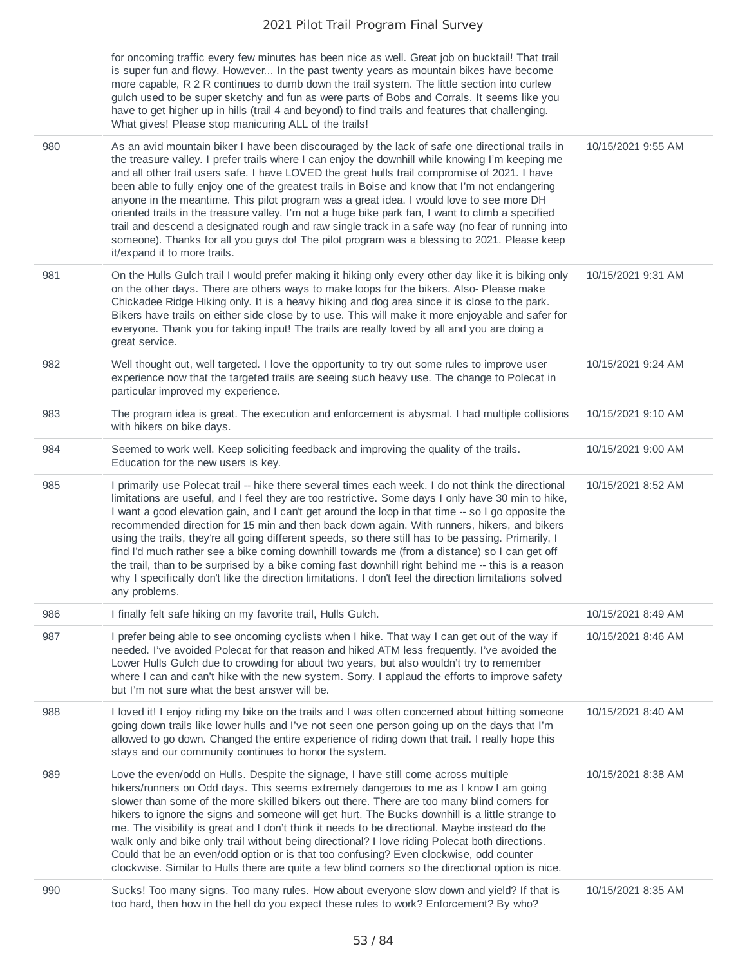|     | for oncoming traffic every few minutes has been nice as well. Great job on bucktail! That trail<br>is super fun and flowy. However In the past twenty years as mountain bikes have become<br>more capable, R 2 R continues to dumb down the trail system. The little section into curlew<br>gulch used to be super sketchy and fun as were parts of Bobs and Corrals. It seems like you<br>have to get higher up in hills (trail 4 and beyond) to find trails and features that challenging.<br>What gives! Please stop manicuring ALL of the trails!                                                                                                                                                                                                                                                                                                    |                    |
|-----|----------------------------------------------------------------------------------------------------------------------------------------------------------------------------------------------------------------------------------------------------------------------------------------------------------------------------------------------------------------------------------------------------------------------------------------------------------------------------------------------------------------------------------------------------------------------------------------------------------------------------------------------------------------------------------------------------------------------------------------------------------------------------------------------------------------------------------------------------------|--------------------|
| 980 | As an avid mountain biker I have been discouraged by the lack of safe one directional trails in<br>the treasure valley. I prefer trails where I can enjoy the downhill while knowing I'm keeping me<br>and all other trail users safe. I have LOVED the great hulls trail compromise of 2021. I have<br>been able to fully enjoy one of the greatest trails in Boise and know that I'm not endangering<br>anyone in the meantime. This pilot program was a great idea. I would love to see more DH<br>oriented trails in the treasure valley. I'm not a huge bike park fan, I want to climb a specified<br>trail and descend a designated rough and raw single track in a safe way (no fear of running into<br>someone). Thanks for all you guys do! The pilot program was a blessing to 2021. Please keep<br>it/expand it to more trails.               | 10/15/2021 9:55 AM |
| 981 | On the Hulls Gulch trail I would prefer making it hiking only every other day like it is biking only<br>on the other days. There are others ways to make loops for the bikers. Also-Please make<br>Chickadee Ridge Hiking only. It is a heavy hiking and dog area since it is close to the park.<br>Bikers have trails on either side close by to use. This will make it more enjoyable and safer for<br>everyone. Thank you for taking input! The trails are really loved by all and you are doing a<br>great service.                                                                                                                                                                                                                                                                                                                                  | 10/15/2021 9:31 AM |
| 982 | Well thought out, well targeted. I love the opportunity to try out some rules to improve user<br>experience now that the targeted trails are seeing such heavy use. The change to Polecat in<br>particular improved my experience.                                                                                                                                                                                                                                                                                                                                                                                                                                                                                                                                                                                                                       | 10/15/2021 9:24 AM |
| 983 | The program idea is great. The execution and enforcement is abysmal. I had multiple collisions<br>with hikers on bike days.                                                                                                                                                                                                                                                                                                                                                                                                                                                                                                                                                                                                                                                                                                                              | 10/15/2021 9:10 AM |
| 984 | Seemed to work well. Keep soliciting feedback and improving the quality of the trails.<br>Education for the new users is key.                                                                                                                                                                                                                                                                                                                                                                                                                                                                                                                                                                                                                                                                                                                            | 10/15/2021 9:00 AM |
| 985 | I primarily use Polecat trail -- hike there several times each week. I do not think the directional<br>limitations are useful, and I feel they are too restrictive. Some days I only have 30 min to hike,<br>I want a good elevation gain, and I can't get around the loop in that time -- so I go opposite the<br>recommended direction for 15 min and then back down again. With runners, hikers, and bikers<br>using the trails, they're all going different speeds, so there still has to be passing. Primarily, I<br>find I'd much rather see a bike coming downhill towards me (from a distance) so I can get off<br>the trail, than to be surprised by a bike coming fast downhill right behind me -- this is a reason<br>why I specifically don't like the direction limitations. I don't feel the direction limitations solved<br>any problems. | 10/15/2021 8:52 AM |
| 986 | I finally felt safe hiking on my favorite trail, Hulls Gulch.                                                                                                                                                                                                                                                                                                                                                                                                                                                                                                                                                                                                                                                                                                                                                                                            | 10/15/2021 8:49 AM |
| 987 | I prefer being able to see oncoming cyclists when I hike. That way I can get out of the way if<br>needed. I've avoided Polecat for that reason and hiked ATM less frequently. I've avoided the<br>Lower Hulls Gulch due to crowding for about two years, but also wouldn't try to remember<br>where I can and can't hike with the new system. Sorry. I applaud the efforts to improve safety<br>but I'm not sure what the best answer will be.                                                                                                                                                                                                                                                                                                                                                                                                           | 10/15/2021 8:46 AM |
| 988 | I loved it! I enjoy riding my bike on the trails and I was often concerned about hitting someone<br>going down trails like lower hulls and I've not seen one person going up on the days that I'm<br>allowed to go down. Changed the entire experience of riding down that trail. I really hope this<br>stays and our community continues to honor the system.                                                                                                                                                                                                                                                                                                                                                                                                                                                                                           | 10/15/2021 8:40 AM |
| 989 | Love the even/odd on Hulls. Despite the signage, I have still come across multiple<br>hikers/runners on Odd days. This seems extremely dangerous to me as I know I am going<br>slower than some of the more skilled bikers out there. There are too many blind corners for<br>hikers to ignore the signs and someone will get hurt. The Bucks downhill is a little strange to<br>me. The visibility is great and I don't think it needs to be directional. Maybe instead do the<br>walk only and bike only trail without being directional? I love riding Polecat both directions.<br>Could that be an even/odd option or is that too confusing? Even clockwise, odd counter<br>clockwise. Similar to Hulls there are quite a few blind corners so the directional option is nice.                                                                       | 10/15/2021 8:38 AM |
| 990 | Sucks! Too many signs. Too many rules. How about everyone slow down and yield? If that is<br>too hard, then how in the hell do you expect these rules to work? Enforcement? By who?                                                                                                                                                                                                                                                                                                                                                                                                                                                                                                                                                                                                                                                                      | 10/15/2021 8:35 AM |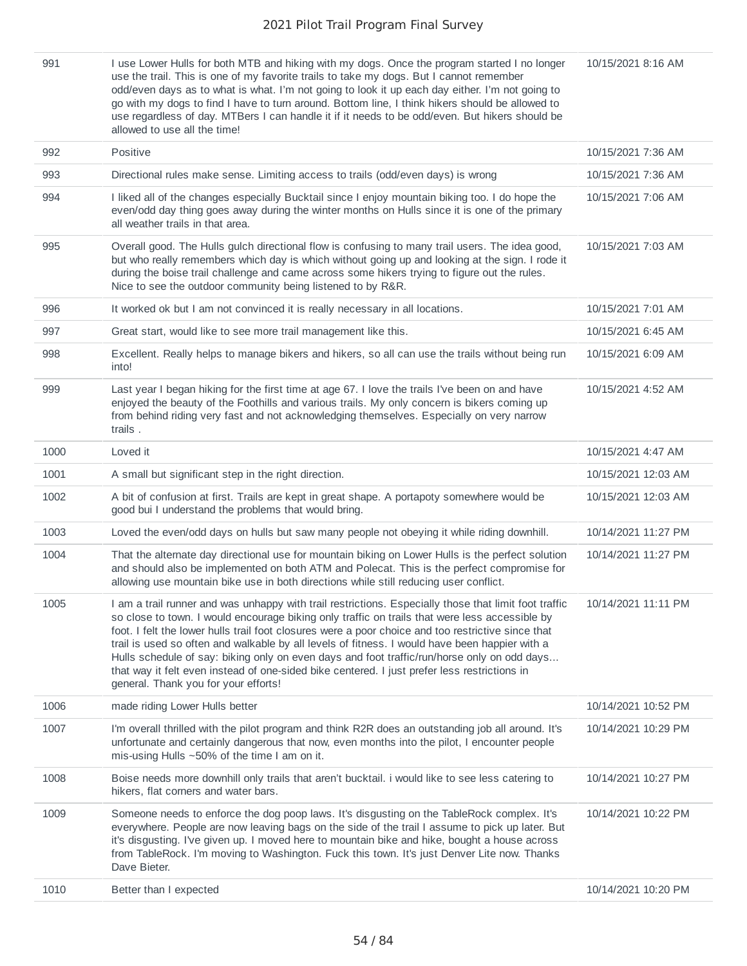| 991  | I use Lower Hulls for both MTB and hiking with my dogs. Once the program started I no longer<br>use the trail. This is one of my favorite trails to take my dogs. But I cannot remember<br>odd/even days as to what is what. I'm not going to look it up each day either. I'm not going to<br>go with my dogs to find I have to turn around. Bottom line, I think hikers should be allowed to<br>use regardless of day. MTBers I can handle it if it needs to be odd/even. But hikers should be<br>allowed to use all the time!                                                                                                                        | 10/15/2021 8:16 AM  |
|------|--------------------------------------------------------------------------------------------------------------------------------------------------------------------------------------------------------------------------------------------------------------------------------------------------------------------------------------------------------------------------------------------------------------------------------------------------------------------------------------------------------------------------------------------------------------------------------------------------------------------------------------------------------|---------------------|
| 992  | Positive                                                                                                                                                                                                                                                                                                                                                                                                                                                                                                                                                                                                                                               | 10/15/2021 7:36 AM  |
| 993  | Directional rules make sense. Limiting access to trails (odd/even days) is wrong                                                                                                                                                                                                                                                                                                                                                                                                                                                                                                                                                                       | 10/15/2021 7:36 AM  |
| 994  | I liked all of the changes especially Bucktail since I enjoy mountain biking too. I do hope the<br>even/odd day thing goes away during the winter months on Hulls since it is one of the primary<br>all weather trails in that area.                                                                                                                                                                                                                                                                                                                                                                                                                   | 10/15/2021 7:06 AM  |
| 995  | Overall good. The Hulls gulch directional flow is confusing to many trail users. The idea good,<br>but who really remembers which day is which without going up and looking at the sign. I rode it<br>during the boise trail challenge and came across some hikers trying to figure out the rules.<br>Nice to see the outdoor community being listened to by R&R.                                                                                                                                                                                                                                                                                      | 10/15/2021 7:03 AM  |
| 996  | It worked ok but I am not convinced it is really necessary in all locations.                                                                                                                                                                                                                                                                                                                                                                                                                                                                                                                                                                           | 10/15/2021 7:01 AM  |
| 997  | Great start, would like to see more trail management like this.                                                                                                                                                                                                                                                                                                                                                                                                                                                                                                                                                                                        | 10/15/2021 6:45 AM  |
| 998  | Excellent. Really helps to manage bikers and hikers, so all can use the trails without being run<br>into!                                                                                                                                                                                                                                                                                                                                                                                                                                                                                                                                              | 10/15/2021 6:09 AM  |
| 999  | Last year I began hiking for the first time at age 67. I love the trails I've been on and have<br>enjoyed the beauty of the Foothills and various trails. My only concern is bikers coming up<br>from behind riding very fast and not acknowledging themselves. Especially on very narrow<br>trails.                                                                                                                                                                                                                                                                                                                                                   | 10/15/2021 4:52 AM  |
| 1000 | Loved it                                                                                                                                                                                                                                                                                                                                                                                                                                                                                                                                                                                                                                               | 10/15/2021 4:47 AM  |
| 1001 | A small but significant step in the right direction.                                                                                                                                                                                                                                                                                                                                                                                                                                                                                                                                                                                                   | 10/15/2021 12:03 AM |
| 1002 | A bit of confusion at first. Trails are kept in great shape. A portapoty somewhere would be<br>good bui I understand the problems that would bring.                                                                                                                                                                                                                                                                                                                                                                                                                                                                                                    | 10/15/2021 12:03 AM |
| 1003 | Loved the even/odd days on hulls but saw many people not obeying it while riding downhill.                                                                                                                                                                                                                                                                                                                                                                                                                                                                                                                                                             | 10/14/2021 11:27 PM |
| 1004 | That the alternate day directional use for mountain biking on Lower Hulls is the perfect solution<br>and should also be implemented on both ATM and Polecat. This is the perfect compromise for<br>allowing use mountain bike use in both directions while still reducing user conflict.                                                                                                                                                                                                                                                                                                                                                               | 10/14/2021 11:27 PM |
| 1005 | I am a trail runner and was unhappy with trail restrictions. Especially those that limit foot traffic<br>so close to town. I would encourage biking only traffic on trails that were less accessible by<br>foot. I felt the lower hulls trail foot closures were a poor choice and too restrictive since that<br>trail is used so often and walkable by all levels of fitness. I would have been happier with a<br>Hulls schedule of say: biking only on even days and foot traffic/run/horse only on odd days<br>that way it felt even instead of one-sided bike centered. I just prefer less restrictions in<br>general. Thank you for your efforts! | 10/14/2021 11:11 PM |
| 1006 | made riding Lower Hulls better                                                                                                                                                                                                                                                                                                                                                                                                                                                                                                                                                                                                                         | 10/14/2021 10:52 PM |
| 1007 | I'm overall thrilled with the pilot program and think R2R does an outstanding job all around. It's<br>unfortunate and certainly dangerous that now, even months into the pilot, I encounter people<br>mis-using Hulls $~50\%$ of the time I am on it.                                                                                                                                                                                                                                                                                                                                                                                                  | 10/14/2021 10:29 PM |
| 1008 | Boise needs more downhill only trails that aren't bucktail. i would like to see less catering to<br>hikers, flat corners and water bars.                                                                                                                                                                                                                                                                                                                                                                                                                                                                                                               | 10/14/2021 10:27 PM |
| 1009 | Someone needs to enforce the dog poop laws. It's disgusting on the TableRock complex. It's<br>everywhere. People are now leaving bags on the side of the trail I assume to pick up later. But<br>it's disgusting. I've given up. I moved here to mountain bike and hike, bought a house across<br>from TableRock. I'm moving to Washington. Fuck this town. It's just Denver Lite now. Thanks<br>Dave Bieter.                                                                                                                                                                                                                                          | 10/14/2021 10:22 PM |
| 1010 | Better than I expected                                                                                                                                                                                                                                                                                                                                                                                                                                                                                                                                                                                                                                 | 10/14/2021 10:20 PM |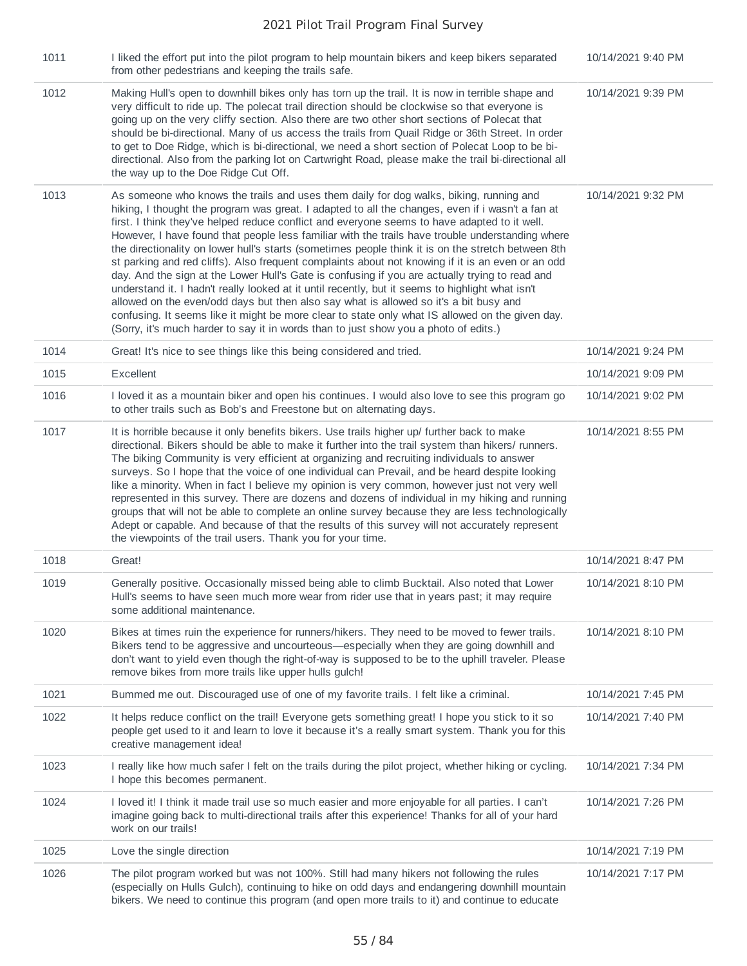| 1011 | I liked the effort put into the pilot program to help mountain bikers and keep bikers separated<br>from other pedestrians and keeping the trails safe.                                                                                                                                                                                                                                                                                                                                                                                                                                                                                                                                                                                                                                                                                                                                                                                                                                                                                                                                              | 10/14/2021 9:40 PM |
|------|-----------------------------------------------------------------------------------------------------------------------------------------------------------------------------------------------------------------------------------------------------------------------------------------------------------------------------------------------------------------------------------------------------------------------------------------------------------------------------------------------------------------------------------------------------------------------------------------------------------------------------------------------------------------------------------------------------------------------------------------------------------------------------------------------------------------------------------------------------------------------------------------------------------------------------------------------------------------------------------------------------------------------------------------------------------------------------------------------------|--------------------|
| 1012 | Making Hull's open to downhill bikes only has torn up the trail. It is now in terrible shape and<br>very difficult to ride up. The polecat trail direction should be clockwise so that everyone is<br>going up on the very cliffy section. Also there are two other short sections of Polecat that<br>should be bi-directional. Many of us access the trails from Quail Ridge or 36th Street. In order<br>to get to Doe Ridge, which is bi-directional, we need a short section of Polecat Loop to be bi-<br>directional. Also from the parking lot on Cartwright Road, please make the trail bi-directional all<br>the way up to the Doe Ridge Cut Off.                                                                                                                                                                                                                                                                                                                                                                                                                                            | 10/14/2021 9:39 PM |
| 1013 | As someone who knows the trails and uses them daily for dog walks, biking, running and<br>hiking, I thought the program was great. I adapted to all the changes, even if i wasn't a fan at<br>first. I think they've helped reduce conflict and everyone seems to have adapted to it well.<br>However, I have found that people less familiar with the trails have trouble understanding where<br>the directionality on lower hull's starts (sometimes people think it is on the stretch between 8th<br>st parking and red cliffs). Also frequent complaints about not knowing if it is an even or an odd<br>day. And the sign at the Lower Hull's Gate is confusing if you are actually trying to read and<br>understand it. I hadn't really looked at it until recently, but it seems to highlight what isn't<br>allowed on the even/odd days but then also say what is allowed so it's a bit busy and<br>confusing. It seems like it might be more clear to state only what IS allowed on the given day.<br>(Sorry, it's much harder to say it in words than to just show you a photo of edits.) | 10/14/2021 9:32 PM |
| 1014 | Great! It's nice to see things like this being considered and tried.                                                                                                                                                                                                                                                                                                                                                                                                                                                                                                                                                                                                                                                                                                                                                                                                                                                                                                                                                                                                                                | 10/14/2021 9:24 PM |
| 1015 | Excellent                                                                                                                                                                                                                                                                                                                                                                                                                                                                                                                                                                                                                                                                                                                                                                                                                                                                                                                                                                                                                                                                                           | 10/14/2021 9:09 PM |
| 1016 | I loved it as a mountain biker and open his continues. I would also love to see this program go<br>to other trails such as Bob's and Freestone but on alternating days.                                                                                                                                                                                                                                                                                                                                                                                                                                                                                                                                                                                                                                                                                                                                                                                                                                                                                                                             | 10/14/2021 9:02 PM |
| 1017 | It is horrible because it only benefits bikers. Use trails higher up/ further back to make<br>directional. Bikers should be able to make it further into the trail system than hikers/ runners.<br>The biking Community is very efficient at organizing and recruiting individuals to answer<br>surveys. So I hope that the voice of one individual can Prevail, and be heard despite looking<br>like a minority. When in fact I believe my opinion is very common, however just not very well<br>represented in this survey. There are dozens and dozens of individual in my hiking and running<br>groups that will not be able to complete an online survey because they are less technologically<br>Adept or capable. And because of that the results of this survey will not accurately represent<br>the viewpoints of the trail users. Thank you for your time.                                                                                                                                                                                                                                | 10/14/2021 8:55 PM |
| 1018 | Great!                                                                                                                                                                                                                                                                                                                                                                                                                                                                                                                                                                                                                                                                                                                                                                                                                                                                                                                                                                                                                                                                                              | 10/14/2021 8:47 PM |
| 1019 | Generally positive. Occasionally missed being able to climb Bucktail. Also noted that Lower<br>Hull's seems to have seen much more wear from rider use that in years past; it may require<br>some additional maintenance.                                                                                                                                                                                                                                                                                                                                                                                                                                                                                                                                                                                                                                                                                                                                                                                                                                                                           | 10/14/2021 8:10 PM |
| 1020 | Bikes at times ruin the experience for runners/hikers. They need to be moved to fewer trails.<br>Bikers tend to be aggressive and uncourteous—especially when they are going downhill and<br>don't want to yield even though the right-of-way is supposed to be to the uphill traveler. Please<br>remove bikes from more trails like upper hulls gulch!                                                                                                                                                                                                                                                                                                                                                                                                                                                                                                                                                                                                                                                                                                                                             | 10/14/2021 8:10 PM |
| 1021 | Bummed me out. Discouraged use of one of my favorite trails. I felt like a criminal.                                                                                                                                                                                                                                                                                                                                                                                                                                                                                                                                                                                                                                                                                                                                                                                                                                                                                                                                                                                                                | 10/14/2021 7:45 PM |
| 1022 | It helps reduce conflict on the trail! Everyone gets something great! I hope you stick to it so<br>people get used to it and learn to love it because it's a really smart system. Thank you for this<br>creative management idea!                                                                                                                                                                                                                                                                                                                                                                                                                                                                                                                                                                                                                                                                                                                                                                                                                                                                   | 10/14/2021 7:40 PM |
| 1023 | I really like how much safer I felt on the trails during the pilot project, whether hiking or cycling.<br>I hope this becomes permanent.                                                                                                                                                                                                                                                                                                                                                                                                                                                                                                                                                                                                                                                                                                                                                                                                                                                                                                                                                            | 10/14/2021 7:34 PM |
| 1024 | I loved it! I think it made trail use so much easier and more enjoyable for all parties. I can't<br>imagine going back to multi-directional trails after this experience! Thanks for all of your hard<br>work on our trails!                                                                                                                                                                                                                                                                                                                                                                                                                                                                                                                                                                                                                                                                                                                                                                                                                                                                        | 10/14/2021 7:26 PM |
| 1025 | Love the single direction                                                                                                                                                                                                                                                                                                                                                                                                                                                                                                                                                                                                                                                                                                                                                                                                                                                                                                                                                                                                                                                                           | 10/14/2021 7:19 PM |
| 1026 | The pilot program worked but was not 100%. Still had many hikers not following the rules<br>(especially on Hulls Gulch), continuing to hike on odd days and endangering downhill mountain<br>bikers. We need to continue this program (and open more trails to it) and continue to educate                                                                                                                                                                                                                                                                                                                                                                                                                                                                                                                                                                                                                                                                                                                                                                                                          | 10/14/2021 7:17 PM |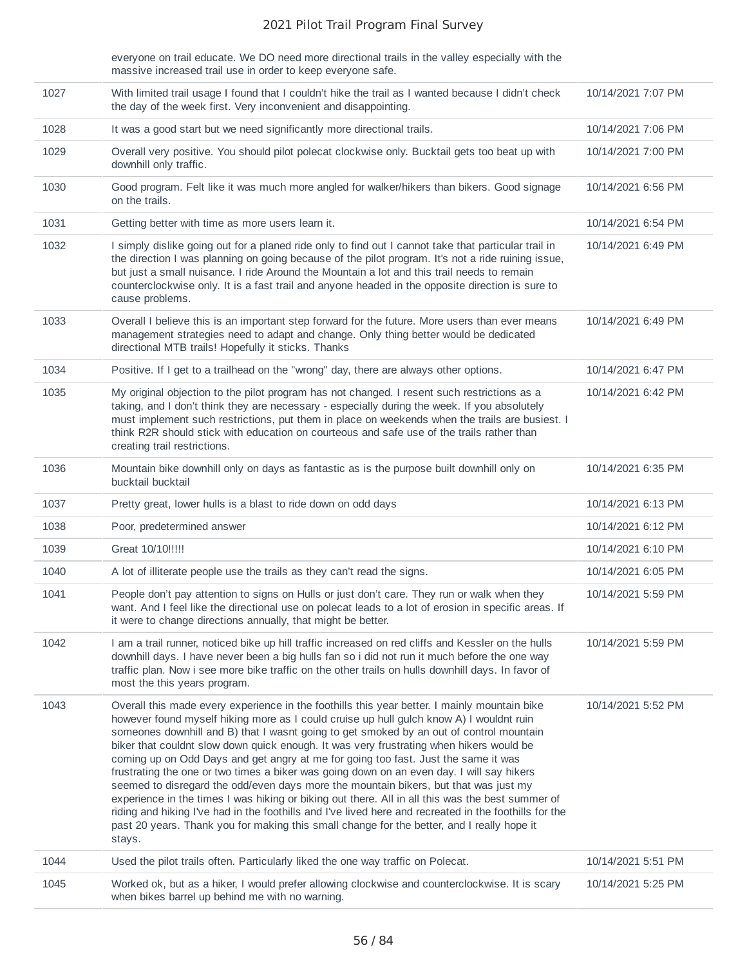everyone on trail educate. We DO need more directional trails in the valley especially with the massive increased trail use in order to keep everyone safe.

| 1027 | With limited trail usage I found that I couldn't hike the trail as I wanted because I didn't check<br>the day of the week first. Very inconvenient and disappointing.                                                                                                                                                                                                                                                                                                                                                                                                                                                                                                                                                                                                                                                                                                          | 10/14/2021 7:07 PM |
|------|--------------------------------------------------------------------------------------------------------------------------------------------------------------------------------------------------------------------------------------------------------------------------------------------------------------------------------------------------------------------------------------------------------------------------------------------------------------------------------------------------------------------------------------------------------------------------------------------------------------------------------------------------------------------------------------------------------------------------------------------------------------------------------------------------------------------------------------------------------------------------------|--------------------|
| 1028 | It was a good start but we need significantly more directional trails.                                                                                                                                                                                                                                                                                                                                                                                                                                                                                                                                                                                                                                                                                                                                                                                                         | 10/14/2021 7:06 PM |
| 1029 | Overall very positive. You should pilot polecat clockwise only. Bucktail gets too beat up with<br>downhill only traffic.                                                                                                                                                                                                                                                                                                                                                                                                                                                                                                                                                                                                                                                                                                                                                       | 10/14/2021 7:00 PM |
| 1030 | Good program. Felt like it was much more angled for walker/hikers than bikers. Good signage<br>on the trails.                                                                                                                                                                                                                                                                                                                                                                                                                                                                                                                                                                                                                                                                                                                                                                  | 10/14/2021 6:56 PM |
| 1031 | Getting better with time as more users learn it.                                                                                                                                                                                                                                                                                                                                                                                                                                                                                                                                                                                                                                                                                                                                                                                                                               | 10/14/2021 6:54 PM |
| 1032 | I simply dislike going out for a planed ride only to find out I cannot take that particular trail in<br>the direction I was planning on going because of the pilot program. It's not a ride ruining issue,<br>but just a small nuisance. I ride Around the Mountain a lot and this trail needs to remain<br>counterclockwise only. It is a fast trail and anyone headed in the opposite direction is sure to<br>cause problems.                                                                                                                                                                                                                                                                                                                                                                                                                                                | 10/14/2021 6:49 PM |
| 1033 | Overall I believe this is an important step forward for the future. More users than ever means<br>management strategies need to adapt and change. Only thing better would be dedicated<br>directional MTB trails! Hopefully it sticks. Thanks                                                                                                                                                                                                                                                                                                                                                                                                                                                                                                                                                                                                                                  | 10/14/2021 6:49 PM |
| 1034 | Positive. If I get to a trailhead on the "wrong" day, there are always other options.                                                                                                                                                                                                                                                                                                                                                                                                                                                                                                                                                                                                                                                                                                                                                                                          | 10/14/2021 6:47 PM |
| 1035 | My original objection to the pilot program has not changed. I resent such restrictions as a<br>taking, and I don't think they are necessary - especially during the week. If you absolutely<br>must implement such restrictions, put them in place on weekends when the trails are busiest. I<br>think R2R should stick with education on courteous and safe use of the trails rather than<br>creating trail restrictions.                                                                                                                                                                                                                                                                                                                                                                                                                                                     | 10/14/2021 6:42 PM |
| 1036 | Mountain bike downhill only on days as fantastic as is the purpose built downhill only on<br>bucktail bucktail                                                                                                                                                                                                                                                                                                                                                                                                                                                                                                                                                                                                                                                                                                                                                                 | 10/14/2021 6:35 PM |
| 1037 | Pretty great, lower hulls is a blast to ride down on odd days                                                                                                                                                                                                                                                                                                                                                                                                                                                                                                                                                                                                                                                                                                                                                                                                                  | 10/14/2021 6:13 PM |
| 1038 | Poor, predetermined answer                                                                                                                                                                                                                                                                                                                                                                                                                                                                                                                                                                                                                                                                                                                                                                                                                                                     | 10/14/2021 6:12 PM |
| 1039 | Great 10/10!!!!!                                                                                                                                                                                                                                                                                                                                                                                                                                                                                                                                                                                                                                                                                                                                                                                                                                                               | 10/14/2021 6:10 PM |
| 1040 | A lot of illiterate people use the trails as they can't read the signs.                                                                                                                                                                                                                                                                                                                                                                                                                                                                                                                                                                                                                                                                                                                                                                                                        | 10/14/2021 6:05 PM |
| 1041 | People don't pay attention to signs on Hulls or just don't care. They run or walk when they<br>want. And I feel like the directional use on polecat leads to a lot of erosion in specific areas. If<br>it were to change directions annually, that might be better.                                                                                                                                                                                                                                                                                                                                                                                                                                                                                                                                                                                                            | 10/14/2021 5:59 PM |
| 1042 | I am a trail runner, noticed bike up hill traffic increased on red cliffs and Kessler on the hulls<br>downhill days. I have never been a big hulls fan so i did not run it much before the one way<br>traffic plan. Now i see more bike traffic on the other trails on hulls downhill days. In favor of<br>most the this years program.                                                                                                                                                                                                                                                                                                                                                                                                                                                                                                                                        | 10/14/2021 5:59 PM |
| 1043 | Overall this made every experience in the foothills this year better. I mainly mountain bike                                                                                                                                                                                                                                                                                                                                                                                                                                                                                                                                                                                                                                                                                                                                                                                   | 10/14/2021 5:52 PM |
|      | however found myself hiking more as I could cruise up hull gulch know A) I wouldnt ruin<br>someones downhill and B) that I wasnt going to get smoked by an out of control mountain<br>biker that couldnt slow down quick enough. It was very frustrating when hikers would be<br>coming up on Odd Days and get angry at me for going too fast. Just the same it was<br>frustrating the one or two times a biker was going down on an even day. I will say hikers<br>seemed to disregard the odd/even days more the mountain bikers, but that was just my<br>experience in the times I was hiking or biking out there. All in all this was the best summer of<br>riding and hiking I've had in the foothills and I've lived here and recreated in the foothills for the<br>past 20 years. Thank you for making this small change for the better, and I really hope it<br>stays. |                    |
| 1044 | Used the pilot trails often. Particularly liked the one way traffic on Polecat.                                                                                                                                                                                                                                                                                                                                                                                                                                                                                                                                                                                                                                                                                                                                                                                                | 10/14/2021 5:51 PM |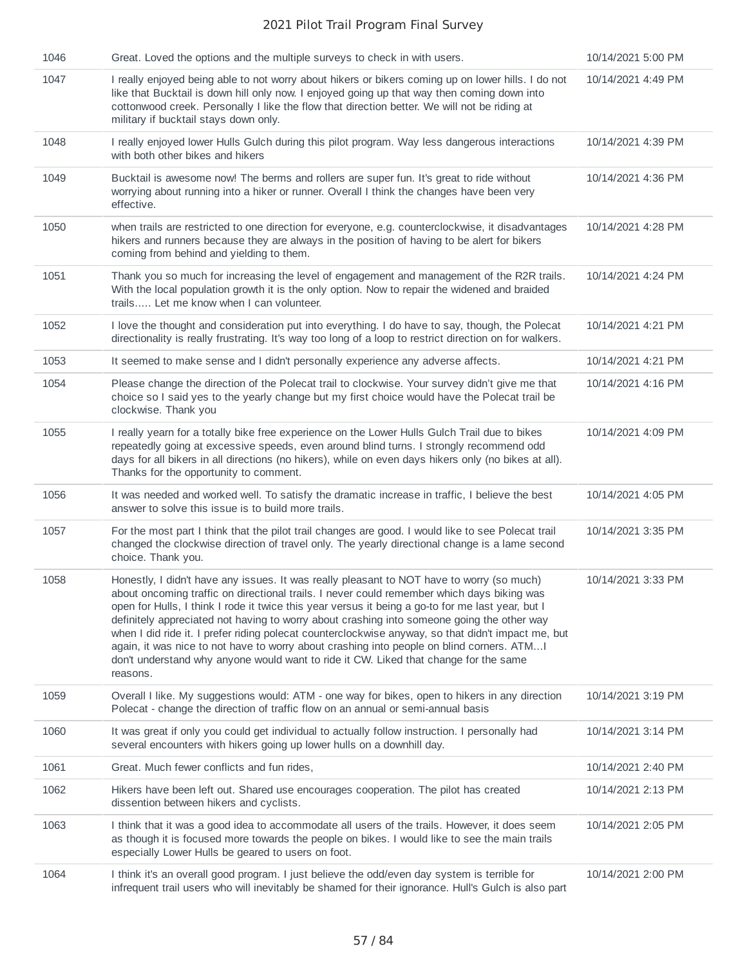| 1046 | Great. Loved the options and the multiple surveys to check in with users.                                                                                                                                                                                                                                                                                                                                                                                                                                                                                                                                                                                                                          | 10/14/2021 5:00 PM |
|------|----------------------------------------------------------------------------------------------------------------------------------------------------------------------------------------------------------------------------------------------------------------------------------------------------------------------------------------------------------------------------------------------------------------------------------------------------------------------------------------------------------------------------------------------------------------------------------------------------------------------------------------------------------------------------------------------------|--------------------|
| 1047 | I really enjoyed being able to not worry about hikers or bikers coming up on lower hills. I do not<br>like that Bucktail is down hill only now. I enjoyed going up that way then coming down into<br>cottonwood creek. Personally I like the flow that direction better. We will not be riding at<br>military if bucktail stays down only.                                                                                                                                                                                                                                                                                                                                                         | 10/14/2021 4:49 PM |
| 1048 | I really enjoyed lower Hulls Gulch during this pilot program. Way less dangerous interactions<br>with both other bikes and hikers                                                                                                                                                                                                                                                                                                                                                                                                                                                                                                                                                                  | 10/14/2021 4:39 PM |
| 1049 | Bucktail is awesome now! The berms and rollers are super fun. It's great to ride without<br>worrying about running into a hiker or runner. Overall I think the changes have been very<br>effective.                                                                                                                                                                                                                                                                                                                                                                                                                                                                                                | 10/14/2021 4:36 PM |
| 1050 | when trails are restricted to one direction for everyone, e.g. counterclockwise, it disadvantages<br>hikers and runners because they are always in the position of having to be alert for bikers<br>coming from behind and yielding to them.                                                                                                                                                                                                                                                                                                                                                                                                                                                       | 10/14/2021 4:28 PM |
| 1051 | Thank you so much for increasing the level of engagement and management of the R2R trails.<br>With the local population growth it is the only option. Now to repair the widened and braided<br>trails Let me know when I can volunteer.                                                                                                                                                                                                                                                                                                                                                                                                                                                            | 10/14/2021 4:24 PM |
| 1052 | I love the thought and consideration put into everything. I do have to say, though, the Polecat<br>directionality is really frustrating. It's way too long of a loop to restrict direction on for walkers.                                                                                                                                                                                                                                                                                                                                                                                                                                                                                         | 10/14/2021 4:21 PM |
| 1053 | It seemed to make sense and I didn't personally experience any adverse affects.                                                                                                                                                                                                                                                                                                                                                                                                                                                                                                                                                                                                                    | 10/14/2021 4:21 PM |
| 1054 | Please change the direction of the Polecat trail to clockwise. Your survey didn't give me that<br>choice so I said yes to the yearly change but my first choice would have the Polecat trail be<br>clockwise. Thank you                                                                                                                                                                                                                                                                                                                                                                                                                                                                            | 10/14/2021 4:16 PM |
| 1055 | I really yearn for a totally bike free experience on the Lower Hulls Gulch Trail due to bikes<br>repeatedly going at excessive speeds, even around blind turns. I strongly recommend odd<br>days for all bikers in all directions (no hikers), while on even days hikers only (no bikes at all).<br>Thanks for the opportunity to comment.                                                                                                                                                                                                                                                                                                                                                         | 10/14/2021 4:09 PM |
| 1056 | It was needed and worked well. To satisfy the dramatic increase in traffic, I believe the best<br>answer to solve this issue is to build more trails.                                                                                                                                                                                                                                                                                                                                                                                                                                                                                                                                              | 10/14/2021 4:05 PM |
| 1057 | For the most part I think that the pilot trail changes are good. I would like to see Polecat trail<br>changed the clockwise direction of travel only. The yearly directional change is a lame second<br>choice. Thank you.                                                                                                                                                                                                                                                                                                                                                                                                                                                                         | 10/14/2021 3:35 PM |
| 1058 | Honestly, I didn't have any issues. It was really pleasant to NOT have to worry (so much)<br>about oncoming traffic on directional trails. I never could remember which days biking was<br>open for Hulls, I think I rode it twice this year versus it being a go-to for me last year, but I<br>definitely appreciated not having to worry about crashing into someone going the other way<br>when I did ride it. I prefer riding polecat counterclockwise anyway, so that didn't impact me, but<br>again, it was nice to not have to worry about crashing into people on blind corners. ATM I<br>don't understand why anyone would want to ride it CW. Liked that change for the same<br>reasons. | 10/14/2021 3:33 PM |
| 1059 | Overall I like. My suggestions would: ATM - one way for bikes, open to hikers in any direction<br>Polecat - change the direction of traffic flow on an annual or semi-annual basis                                                                                                                                                                                                                                                                                                                                                                                                                                                                                                                 | 10/14/2021 3:19 PM |
| 1060 | It was great if only you could get individual to actually follow instruction. I personally had<br>several encounters with hikers going up lower hulls on a downhill day.                                                                                                                                                                                                                                                                                                                                                                                                                                                                                                                           | 10/14/2021 3:14 PM |
| 1061 | Great. Much fewer conflicts and fun rides,                                                                                                                                                                                                                                                                                                                                                                                                                                                                                                                                                                                                                                                         | 10/14/2021 2:40 PM |
| 1062 | Hikers have been left out. Shared use encourages cooperation. The pilot has created<br>dissention between hikers and cyclists.                                                                                                                                                                                                                                                                                                                                                                                                                                                                                                                                                                     | 10/14/2021 2:13 PM |
| 1063 | I think that it was a good idea to accommodate all users of the trails. However, it does seem<br>as though it is focused more towards the people on bikes. I would like to see the main trails<br>especially Lower Hulls be geared to users on foot.                                                                                                                                                                                                                                                                                                                                                                                                                                               | 10/14/2021 2:05 PM |
| 1064 | I think it's an overall good program. I just believe the odd/even day system is terrible for<br>infrequent trail users who will inevitably be shamed for their ignorance. Hull's Gulch is also part                                                                                                                                                                                                                                                                                                                                                                                                                                                                                                | 10/14/2021 2:00 PM |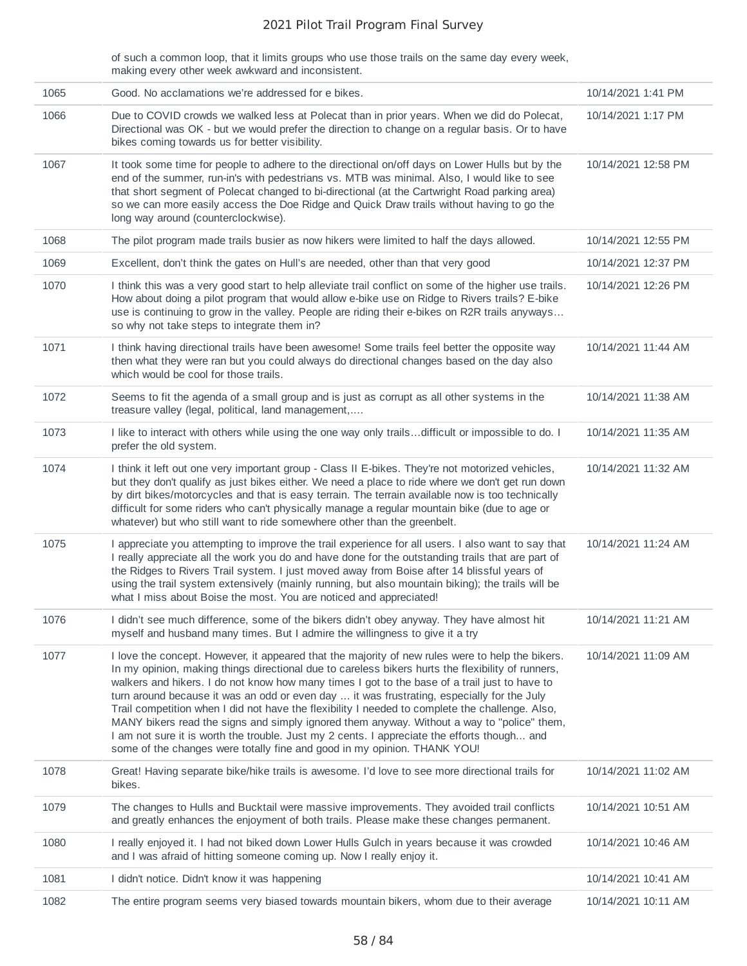of such a common loop, that it limits groups who use those trails on the same day every week, making every other week awkward and inconsistent.

| 1065 | Good. No acclamations we're addressed for e bikes.                                                                                                                                                                                                                                                                                                                                                                                                                                                                                                                                                                                                                                                                                                                               | 10/14/2021 1:41 PM  |
|------|----------------------------------------------------------------------------------------------------------------------------------------------------------------------------------------------------------------------------------------------------------------------------------------------------------------------------------------------------------------------------------------------------------------------------------------------------------------------------------------------------------------------------------------------------------------------------------------------------------------------------------------------------------------------------------------------------------------------------------------------------------------------------------|---------------------|
| 1066 | Due to COVID crowds we walked less at Polecat than in prior years. When we did do Polecat,<br>Directional was OK - but we would prefer the direction to change on a regular basis. Or to have<br>bikes coming towards us for better visibility.                                                                                                                                                                                                                                                                                                                                                                                                                                                                                                                                  | 10/14/2021 1:17 PM  |
| 1067 | It took some time for people to adhere to the directional on/off days on Lower Hulls but by the<br>end of the summer, run-in's with pedestrians vs. MTB was minimal. Also, I would like to see<br>that short segment of Polecat changed to bi-directional (at the Cartwright Road parking area)<br>so we can more easily access the Doe Ridge and Quick Draw trails without having to go the<br>long way around (counterclockwise).                                                                                                                                                                                                                                                                                                                                              | 10/14/2021 12:58 PM |
| 1068 | The pilot program made trails busier as now hikers were limited to half the days allowed.                                                                                                                                                                                                                                                                                                                                                                                                                                                                                                                                                                                                                                                                                        | 10/14/2021 12:55 PM |
| 1069 | Excellent, don't think the gates on Hull's are needed, other than that very good                                                                                                                                                                                                                                                                                                                                                                                                                                                                                                                                                                                                                                                                                                 | 10/14/2021 12:37 PM |
| 1070 | I think this was a very good start to help alleviate trail conflict on some of the higher use trails.<br>How about doing a pilot program that would allow e-bike use on Ridge to Rivers trails? E-bike<br>use is continuing to grow in the valley. People are riding their e-bikes on R2R trails anyways<br>so why not take steps to integrate them in?                                                                                                                                                                                                                                                                                                                                                                                                                          | 10/14/2021 12:26 PM |
| 1071 | I think having directional trails have been awesome! Some trails feel better the opposite way<br>then what they were ran but you could always do directional changes based on the day also<br>which would be cool for those trails.                                                                                                                                                                                                                                                                                                                                                                                                                                                                                                                                              | 10/14/2021 11:44 AM |
| 1072 | Seems to fit the agenda of a small group and is just as corrupt as all other systems in the<br>treasure valley (legal, political, land management,                                                                                                                                                                                                                                                                                                                                                                                                                                                                                                                                                                                                                               | 10/14/2021 11:38 AM |
| 1073 | I like to interact with others while using the one way only trailsdifficult or impossible to do. I<br>prefer the old system.                                                                                                                                                                                                                                                                                                                                                                                                                                                                                                                                                                                                                                                     | 10/14/2021 11:35 AM |
| 1074 | I think it left out one very important group - Class II E-bikes. They're not motorized vehicles,<br>but they don't qualify as just bikes either. We need a place to ride where we don't get run down<br>by dirt bikes/motorcycles and that is easy terrain. The terrain available now is too technically<br>difficult for some riders who can't physically manage a regular mountain bike (due to age or<br>whatever) but who still want to ride somewhere other than the greenbelt.                                                                                                                                                                                                                                                                                             | 10/14/2021 11:32 AM |
| 1075 | I appreciate you attempting to improve the trail experience for all users. I also want to say that<br>I really appreciate all the work you do and have done for the outstanding trails that are part of<br>the Ridges to Rivers Trail system. I just moved away from Boise after 14 blissful years of<br>using the trail system extensively (mainly running, but also mountain biking); the trails will be<br>what I miss about Boise the most. You are noticed and appreciated!                                                                                                                                                                                                                                                                                                 | 10/14/2021 11:24 AM |
| 1076 | I didn't see much difference, some of the bikers didn't obey anyway. They have almost hit<br>myself and husband many times. But I admire the willingness to give it a try                                                                                                                                                                                                                                                                                                                                                                                                                                                                                                                                                                                                        | 10/14/2021 11:21 AM |
| 1077 | I love the concept. However, it appeared that the majority of new rules were to help the bikers.<br>In my opinion, making things directional due to careless bikers hurts the flexibility of runners,<br>walkers and hikers. I do not know how many times I got to the base of a trail just to have to<br>turn around because it was an odd or even day  it was frustrating, especially for the July<br>Trail competition when I did not have the flexibility I needed to complete the challenge. Also,<br>MANY bikers read the signs and simply ignored them anyway. Without a way to "police" them,<br>I am not sure it is worth the trouble. Just my 2 cents. I appreciate the efforts though and<br>some of the changes were totally fine and good in my opinion. THANK YOU! | 10/14/2021 11:09 AM |
| 1078 | Great! Having separate bike/hike trails is awesome. I'd love to see more directional trails for<br>bikes.                                                                                                                                                                                                                                                                                                                                                                                                                                                                                                                                                                                                                                                                        | 10/14/2021 11:02 AM |
| 1079 | The changes to Hulls and Bucktail were massive improvements. They avoided trail conflicts<br>and greatly enhances the enjoyment of both trails. Please make these changes permanent.                                                                                                                                                                                                                                                                                                                                                                                                                                                                                                                                                                                             | 10/14/2021 10:51 AM |
| 1080 | I really enjoyed it. I had not biked down Lower Hulls Gulch in years because it was crowded<br>and I was afraid of hitting someone coming up. Now I really enjoy it.                                                                                                                                                                                                                                                                                                                                                                                                                                                                                                                                                                                                             | 10/14/2021 10:46 AM |
| 1081 | I didn't notice. Didn't know it was happening                                                                                                                                                                                                                                                                                                                                                                                                                                                                                                                                                                                                                                                                                                                                    | 10/14/2021 10:41 AM |
| 1082 | The entire program seems very biased towards mountain bikers, whom due to their average                                                                                                                                                                                                                                                                                                                                                                                                                                                                                                                                                                                                                                                                                          | 10/14/2021 10:11 AM |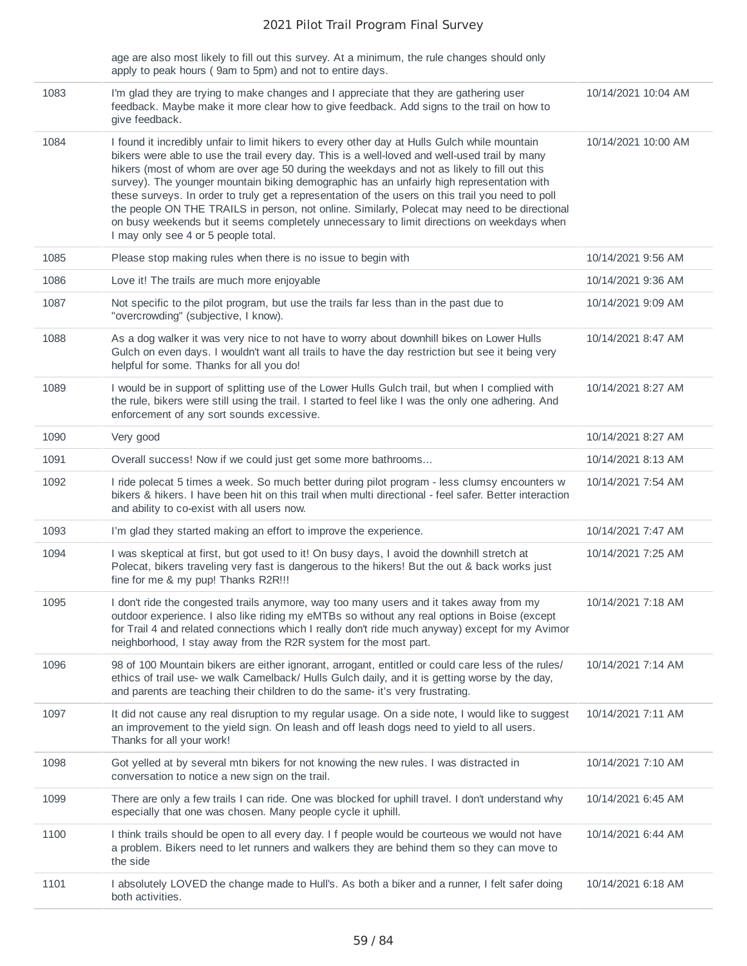age are also most likely to fill out this survey. At a minimum, the rule changes should only apply to peak hours ( 9am to 5pm) and not to entire days.

| 1083 | I'm glad they are trying to make changes and I appreciate that they are gathering user<br>feedback. Maybe make it more clear how to give feedback. Add signs to the trail on how to<br>give feedback.                                                                                                                                                                                                                                                                                                                                                                                                                                                                                                                                | 10/14/2021 10:04 AM |
|------|--------------------------------------------------------------------------------------------------------------------------------------------------------------------------------------------------------------------------------------------------------------------------------------------------------------------------------------------------------------------------------------------------------------------------------------------------------------------------------------------------------------------------------------------------------------------------------------------------------------------------------------------------------------------------------------------------------------------------------------|---------------------|
| 1084 | I found it incredibly unfair to limit hikers to every other day at Hulls Gulch while mountain<br>bikers were able to use the trail every day. This is a well-loved and well-used trail by many<br>hikers (most of whom are over age 50 during the weekdays and not as likely to fill out this<br>survey). The younger mountain biking demographic has an unfairly high representation with<br>these surveys. In order to truly get a representation of the users on this trail you need to poll<br>the people ON THE TRAILS in person, not online. Similarly, Polecat may need to be directional<br>on busy weekends but it seems completely unnecessary to limit directions on weekdays when<br>I may only see 4 or 5 people total. | 10/14/2021 10:00 AM |
| 1085 | Please stop making rules when there is no issue to begin with                                                                                                                                                                                                                                                                                                                                                                                                                                                                                                                                                                                                                                                                        | 10/14/2021 9:56 AM  |
| 1086 | Love it! The trails are much more enjoyable                                                                                                                                                                                                                                                                                                                                                                                                                                                                                                                                                                                                                                                                                          | 10/14/2021 9:36 AM  |
| 1087 | Not specific to the pilot program, but use the trails far less than in the past due to<br>"overcrowding" (subjective, I know).                                                                                                                                                                                                                                                                                                                                                                                                                                                                                                                                                                                                       | 10/14/2021 9:09 AM  |
| 1088 | As a dog walker it was very nice to not have to worry about downhill bikes on Lower Hulls<br>Gulch on even days. I wouldn't want all trails to have the day restriction but see it being very<br>helpful for some. Thanks for all you do!                                                                                                                                                                                                                                                                                                                                                                                                                                                                                            | 10/14/2021 8:47 AM  |
| 1089 | I would be in support of splitting use of the Lower Hulls Gulch trail, but when I complied with<br>the rule, bikers were still using the trail. I started to feel like I was the only one adhering. And<br>enforcement of any sort sounds excessive.                                                                                                                                                                                                                                                                                                                                                                                                                                                                                 | 10/14/2021 8:27 AM  |
| 1090 | Very good                                                                                                                                                                                                                                                                                                                                                                                                                                                                                                                                                                                                                                                                                                                            | 10/14/2021 8:27 AM  |
| 1091 | Overall success! Now if we could just get some more bathrooms                                                                                                                                                                                                                                                                                                                                                                                                                                                                                                                                                                                                                                                                        | 10/14/2021 8:13 AM  |
| 1092 | I ride polecat 5 times a week. So much better during pilot program - less clumsy encounters w<br>bikers & hikers. I have been hit on this trail when multi directional - feel safer. Better interaction<br>and ability to co-exist with all users now.                                                                                                                                                                                                                                                                                                                                                                                                                                                                               | 10/14/2021 7:54 AM  |
| 1093 | I'm glad they started making an effort to improve the experience.                                                                                                                                                                                                                                                                                                                                                                                                                                                                                                                                                                                                                                                                    | 10/14/2021 7:47 AM  |
| 1094 | I was skeptical at first, but got used to it! On busy days, I avoid the downhill stretch at<br>Polecat, bikers traveling very fast is dangerous to the hikers! But the out & back works just<br>fine for me & my pup! Thanks R2R!!!                                                                                                                                                                                                                                                                                                                                                                                                                                                                                                  | 10/14/2021 7:25 AM  |
| 1095 | I don't ride the congested trails anymore, way too many users and it takes away from my<br>outdoor experience. I also like riding my eMTBs so without any real options in Boise (except<br>for Trail 4 and related connections which I really don't ride much anyway) except for my Avimor<br>neighborhood, I stay away from the R2R system for the most part.                                                                                                                                                                                                                                                                                                                                                                       | 10/14/2021 7:18 AM  |
| 1096 | 98 of 100 Mountain bikers are either ignorant, arrogant, entitled or could care less of the rules/<br>ethics of trail use- we walk Camelback/ Hulls Gulch daily, and it is getting worse by the day,<br>and parents are teaching their children to do the same- it's very frustrating.                                                                                                                                                                                                                                                                                                                                                                                                                                               | 10/14/2021 7:14 AM  |
| 1097 | It did not cause any real disruption to my regular usage. On a side note, I would like to suggest<br>an improvement to the yield sign. On leash and off leash dogs need to yield to all users.<br>Thanks for all your work!                                                                                                                                                                                                                                                                                                                                                                                                                                                                                                          | 10/14/2021 7:11 AM  |
| 1098 | Got yelled at by several mtn bikers for not knowing the new rules. I was distracted in<br>conversation to notice a new sign on the trail.                                                                                                                                                                                                                                                                                                                                                                                                                                                                                                                                                                                            | 10/14/2021 7:10 AM  |
| 1099 | There are only a few trails I can ride. One was blocked for uphill travel. I don't understand why<br>especially that one was chosen. Many people cycle it uphill.                                                                                                                                                                                                                                                                                                                                                                                                                                                                                                                                                                    | 10/14/2021 6:45 AM  |
| 1100 | I think trails should be open to all every day. I f people would be courteous we would not have<br>a problem. Bikers need to let runners and walkers they are behind them so they can move to<br>the side                                                                                                                                                                                                                                                                                                                                                                                                                                                                                                                            | 10/14/2021 6:44 AM  |
| 1101 | I absolutely LOVED the change made to Hull's. As both a biker and a runner, I felt safer doing<br>both activities.                                                                                                                                                                                                                                                                                                                                                                                                                                                                                                                                                                                                                   | 10/14/2021 6:18 AM  |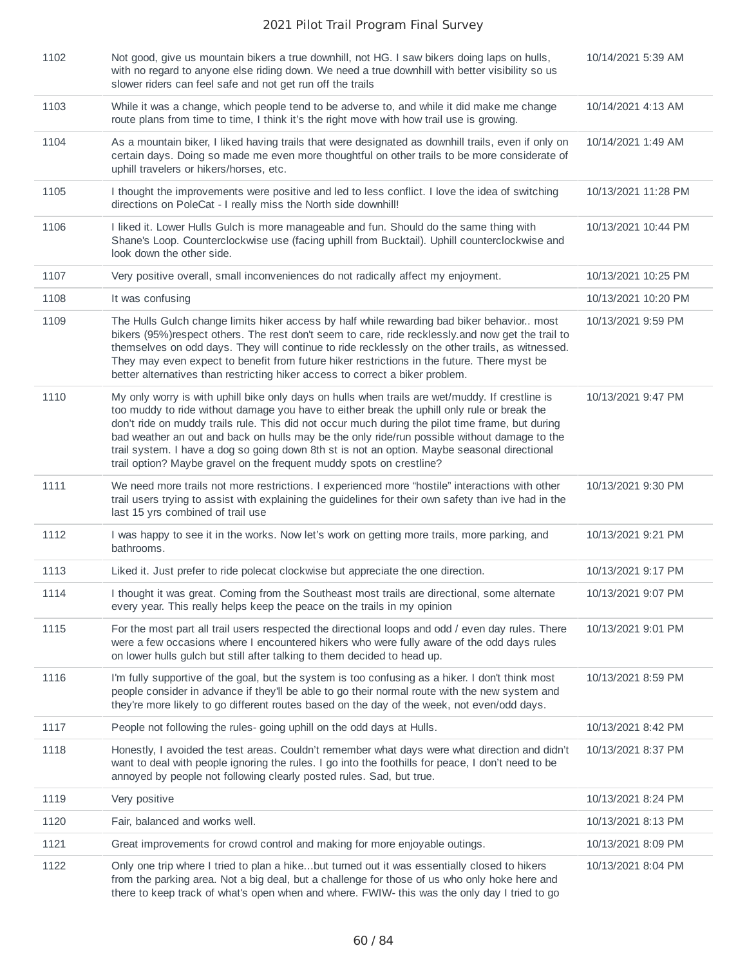| 1102 | Not good, give us mountain bikers a true downhill, not HG. I saw bikers doing laps on hulls,<br>with no regard to anyone else riding down. We need a true downhill with better visibility so us<br>slower riders can feel safe and not get run off the trails                                                                                                                                                                                                                                                                                                              | 10/14/2021 5:39 AM  |
|------|----------------------------------------------------------------------------------------------------------------------------------------------------------------------------------------------------------------------------------------------------------------------------------------------------------------------------------------------------------------------------------------------------------------------------------------------------------------------------------------------------------------------------------------------------------------------------|---------------------|
| 1103 | While it was a change, which people tend to be adverse to, and while it did make me change<br>route plans from time to time, I think it's the right move with how trail use is growing.                                                                                                                                                                                                                                                                                                                                                                                    | 10/14/2021 4:13 AM  |
| 1104 | As a mountain biker, I liked having trails that were designated as downhill trails, even if only on<br>certain days. Doing so made me even more thoughtful on other trails to be more considerate of<br>uphill travelers or hikers/horses, etc.                                                                                                                                                                                                                                                                                                                            | 10/14/2021 1:49 AM  |
| 1105 | I thought the improvements were positive and led to less conflict. I love the idea of switching<br>directions on PoleCat - I really miss the North side downhill!                                                                                                                                                                                                                                                                                                                                                                                                          | 10/13/2021 11:28 PM |
| 1106 | I liked it. Lower Hulls Gulch is more manageable and fun. Should do the same thing with<br>Shane's Loop. Counterclockwise use (facing uphill from Bucktail). Uphill counterclockwise and<br>look down the other side.                                                                                                                                                                                                                                                                                                                                                      | 10/13/2021 10:44 PM |
| 1107 | Very positive overall, small inconveniences do not radically affect my enjoyment.                                                                                                                                                                                                                                                                                                                                                                                                                                                                                          | 10/13/2021 10:25 PM |
| 1108 | It was confusing                                                                                                                                                                                                                                                                                                                                                                                                                                                                                                                                                           | 10/13/2021 10:20 PM |
| 1109 | The Hulls Gulch change limits hiker access by half while rewarding bad biker behavior most<br>bikers (95%)respect others. The rest don't seem to care, ride recklessly and now get the trail to<br>themselves on odd days. They will continue to ride recklessly on the other trails, as witnessed.<br>They may even expect to benefit from future hiker restrictions in the future. There myst be<br>better alternatives than restricting hiker access to correct a biker problem.                                                                                        | 10/13/2021 9:59 PM  |
| 1110 | My only worry is with uphill bike only days on hulls when trails are wet/muddy. If crestline is<br>too muddy to ride without damage you have to either break the uphill only rule or break the<br>don't ride on muddy trails rule. This did not occur much during the pilot time frame, but during<br>bad weather an out and back on hulls may be the only ride/run possible without damage to the<br>trail system. I have a dog so going down 8th st is not an option. Maybe seasonal directional<br>trail option? Maybe gravel on the frequent muddy spots on crestline? | 10/13/2021 9:47 PM  |
| 1111 | We need more trails not more restrictions. I experienced more "hostile" interactions with other<br>trail users trying to assist with explaining the guidelines for their own safety than ive had in the<br>last 15 yrs combined of trail use                                                                                                                                                                                                                                                                                                                               | 10/13/2021 9:30 PM  |
| 1112 | I was happy to see it in the works. Now let's work on getting more trails, more parking, and<br>bathrooms.                                                                                                                                                                                                                                                                                                                                                                                                                                                                 | 10/13/2021 9:21 PM  |
| 1113 | Liked it. Just prefer to ride polecat clockwise but appreciate the one direction.                                                                                                                                                                                                                                                                                                                                                                                                                                                                                          | 10/13/2021 9:17 PM  |
| 1114 | I thought it was great. Coming from the Southeast most trails are directional, some alternate<br>every year. This really helps keep the peace on the trails in my opinion                                                                                                                                                                                                                                                                                                                                                                                                  | 10/13/2021 9:07 PM  |
| 1115 | For the most part all trail users respected the directional loops and odd / even day rules. There<br>were a few occasions where I encountered hikers who were fully aware of the odd days rules<br>on lower hulls gulch but still after talking to them decided to head up.                                                                                                                                                                                                                                                                                                | 10/13/2021 9:01 PM  |
| 1116 | I'm fully supportive of the goal, but the system is too confusing as a hiker. I don't think most<br>people consider in advance if they'll be able to go their normal route with the new system and<br>they're more likely to go different routes based on the day of the week, not even/odd days.                                                                                                                                                                                                                                                                          | 10/13/2021 8:59 PM  |
| 1117 | People not following the rules-going uphill on the odd days at Hulls.                                                                                                                                                                                                                                                                                                                                                                                                                                                                                                      | 10/13/2021 8:42 PM  |
| 1118 | Honestly, I avoided the test areas. Couldn't remember what days were what direction and didn't<br>want to deal with people ignoring the rules. I go into the foothills for peace, I don't need to be<br>annoyed by people not following clearly posted rules. Sad, but true.                                                                                                                                                                                                                                                                                               | 10/13/2021 8:37 PM  |
| 1119 | Very positive                                                                                                                                                                                                                                                                                                                                                                                                                                                                                                                                                              | 10/13/2021 8:24 PM  |
| 1120 | Fair, balanced and works well.                                                                                                                                                                                                                                                                                                                                                                                                                                                                                                                                             | 10/13/2021 8:13 PM  |
| 1121 | Great improvements for crowd control and making for more enjoyable outings.                                                                                                                                                                                                                                                                                                                                                                                                                                                                                                | 10/13/2021 8:09 PM  |
| 1122 | Only one trip where I tried to plan a hikebut turned out it was essentially closed to hikers<br>from the parking area. Not a big deal, but a challenge for those of us who only hoke here and<br>there to keep track of what's open when and where. FWIW- this was the only day I tried to go                                                                                                                                                                                                                                                                              | 10/13/2021 8:04 PM  |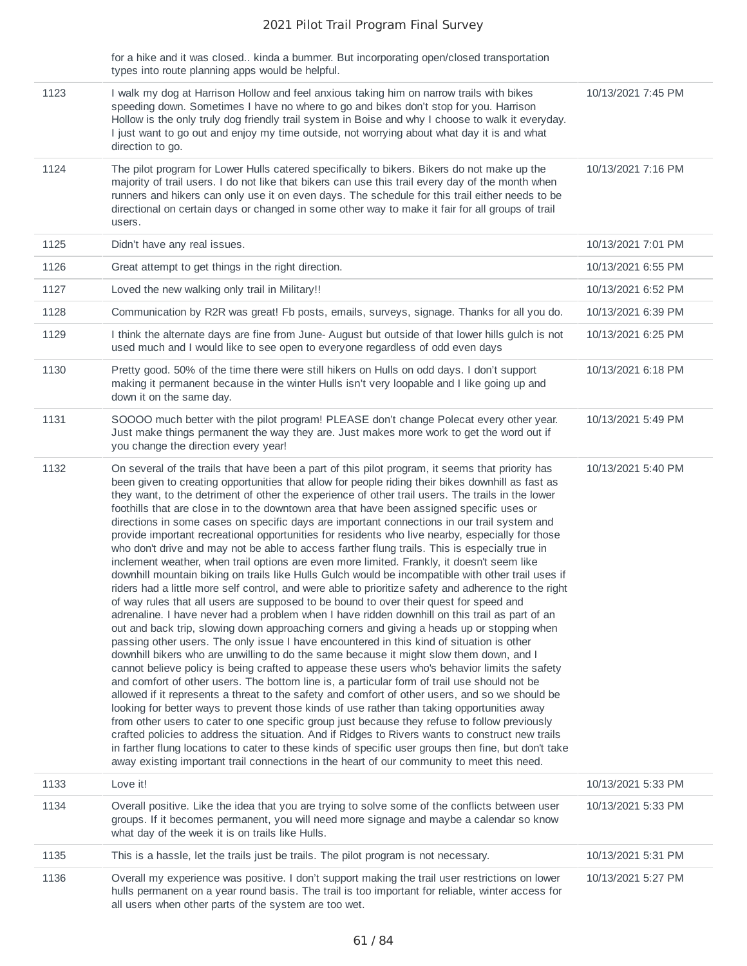for a hike and it was closed.. kinda a bummer. But incorporating open/closed transportation types into route planning apps would be helpful.

| 1123 | I walk my dog at Harrison Hollow and feel anxious taking him on narrow trails with bikes<br>speeding down. Sometimes I have no where to go and bikes don't stop for you. Harrison<br>Hollow is the only truly dog friendly trail system in Boise and why I choose to walk it everyday.<br>I just want to go out and enjoy my time outside, not worrying about what day it is and what<br>direction to go.                                                                                                                                                                                                                                                                                                                                                                                                                                                                                                                                                                                                                                                                                                                                                                                                                                                                                                                                                                                                                                                                                                                                                                                                                                                                                                                                                                                                                                                                                                                                                                                                                                                                                                                                                                                                                                                                                                                 | 10/13/2021 7:45 PM |
|------|---------------------------------------------------------------------------------------------------------------------------------------------------------------------------------------------------------------------------------------------------------------------------------------------------------------------------------------------------------------------------------------------------------------------------------------------------------------------------------------------------------------------------------------------------------------------------------------------------------------------------------------------------------------------------------------------------------------------------------------------------------------------------------------------------------------------------------------------------------------------------------------------------------------------------------------------------------------------------------------------------------------------------------------------------------------------------------------------------------------------------------------------------------------------------------------------------------------------------------------------------------------------------------------------------------------------------------------------------------------------------------------------------------------------------------------------------------------------------------------------------------------------------------------------------------------------------------------------------------------------------------------------------------------------------------------------------------------------------------------------------------------------------------------------------------------------------------------------------------------------------------------------------------------------------------------------------------------------------------------------------------------------------------------------------------------------------------------------------------------------------------------------------------------------------------------------------------------------------------------------------------------------------------------------------------------------------|--------------------|
| 1124 | The pilot program for Lower Hulls catered specifically to bikers. Bikers do not make up the<br>majority of trail users. I do not like that bikers can use this trail every day of the month when<br>runners and hikers can only use it on even days. The schedule for this trail either needs to be<br>directional on certain days or changed in some other way to make it fair for all groups of trail<br>users.                                                                                                                                                                                                                                                                                                                                                                                                                                                                                                                                                                                                                                                                                                                                                                                                                                                                                                                                                                                                                                                                                                                                                                                                                                                                                                                                                                                                                                                                                                                                                                                                                                                                                                                                                                                                                                                                                                         | 10/13/2021 7:16 PM |
| 1125 | Didn't have any real issues.                                                                                                                                                                                                                                                                                                                                                                                                                                                                                                                                                                                                                                                                                                                                                                                                                                                                                                                                                                                                                                                                                                                                                                                                                                                                                                                                                                                                                                                                                                                                                                                                                                                                                                                                                                                                                                                                                                                                                                                                                                                                                                                                                                                                                                                                                              | 10/13/2021 7:01 PM |
| 1126 | Great attempt to get things in the right direction.                                                                                                                                                                                                                                                                                                                                                                                                                                                                                                                                                                                                                                                                                                                                                                                                                                                                                                                                                                                                                                                                                                                                                                                                                                                                                                                                                                                                                                                                                                                                                                                                                                                                                                                                                                                                                                                                                                                                                                                                                                                                                                                                                                                                                                                                       | 10/13/2021 6:55 PM |
| 1127 | Loved the new walking only trail in Military!!                                                                                                                                                                                                                                                                                                                                                                                                                                                                                                                                                                                                                                                                                                                                                                                                                                                                                                                                                                                                                                                                                                                                                                                                                                                                                                                                                                                                                                                                                                                                                                                                                                                                                                                                                                                                                                                                                                                                                                                                                                                                                                                                                                                                                                                                            | 10/13/2021 6:52 PM |
| 1128 | Communication by R2R was great! Fb posts, emails, surveys, signage. Thanks for all you do.                                                                                                                                                                                                                                                                                                                                                                                                                                                                                                                                                                                                                                                                                                                                                                                                                                                                                                                                                                                                                                                                                                                                                                                                                                                                                                                                                                                                                                                                                                                                                                                                                                                                                                                                                                                                                                                                                                                                                                                                                                                                                                                                                                                                                                | 10/13/2021 6:39 PM |
| 1129 | I think the alternate days are fine from June-August but outside of that lower hills gulch is not<br>used much and I would like to see open to everyone regardless of odd even days                                                                                                                                                                                                                                                                                                                                                                                                                                                                                                                                                                                                                                                                                                                                                                                                                                                                                                                                                                                                                                                                                                                                                                                                                                                                                                                                                                                                                                                                                                                                                                                                                                                                                                                                                                                                                                                                                                                                                                                                                                                                                                                                       | 10/13/2021 6:25 PM |
| 1130 | Pretty good. 50% of the time there were still hikers on Hulls on odd days. I don't support<br>making it permanent because in the winter Hulls isn't very loopable and I like going up and<br>down it on the same day.                                                                                                                                                                                                                                                                                                                                                                                                                                                                                                                                                                                                                                                                                                                                                                                                                                                                                                                                                                                                                                                                                                                                                                                                                                                                                                                                                                                                                                                                                                                                                                                                                                                                                                                                                                                                                                                                                                                                                                                                                                                                                                     | 10/13/2021 6:18 PM |
| 1131 | SOOOO much better with the pilot program! PLEASE don't change Polecat every other year.<br>Just make things permanent the way they are. Just makes more work to get the word out if<br>you change the direction every year!                                                                                                                                                                                                                                                                                                                                                                                                                                                                                                                                                                                                                                                                                                                                                                                                                                                                                                                                                                                                                                                                                                                                                                                                                                                                                                                                                                                                                                                                                                                                                                                                                                                                                                                                                                                                                                                                                                                                                                                                                                                                                               | 10/13/2021 5:49 PM |
| 1132 | On several of the trails that have been a part of this pilot program, it seems that priority has<br>been given to creating opportunities that allow for people riding their bikes downhill as fast as<br>they want, to the detriment of other the experience of other trail users. The trails in the lower<br>foothills that are close in to the downtown area that have been assigned specific uses or<br>directions in some cases on specific days are important connections in our trail system and<br>provide important recreational opportunities for residents who live nearby, especially for those<br>who don't drive and may not be able to access farther flung trails. This is especially true in<br>inclement weather, when trail options are even more limited. Frankly, it doesn't seem like<br>downhill mountain biking on trails like Hulls Gulch would be incompatible with other trail uses if<br>riders had a little more self control, and were able to prioritize safety and adherence to the right<br>of way rules that all users are supposed to be bound to over their quest for speed and<br>adrenaline. I have never had a problem when I have ridden downhill on this trail as part of an<br>out and back trip, slowing down approaching corners and giving a heads up or stopping when<br>passing other users. The only issue I have encountered in this kind of situation is other<br>downhill bikers who are unwilling to do the same because it might slow them down, and I<br>cannot believe policy is being crafted to appease these users who's behavior limits the safety<br>and comfort of other users. The bottom line is, a particular form of trail use should not be<br>allowed if it represents a threat to the safety and comfort of other users, and so we should be<br>looking for better ways to prevent those kinds of use rather than taking opportunities away<br>from other users to cater to one specific group just because they refuse to follow previously<br>crafted policies to address the situation. And if Ridges to Rivers wants to construct new trails<br>in farther flung locations to cater to these kinds of specific user groups then fine, but don't take<br>away existing important trail connections in the heart of our community to meet this need. | 10/13/2021 5:40 PM |
| 1133 | Love it!                                                                                                                                                                                                                                                                                                                                                                                                                                                                                                                                                                                                                                                                                                                                                                                                                                                                                                                                                                                                                                                                                                                                                                                                                                                                                                                                                                                                                                                                                                                                                                                                                                                                                                                                                                                                                                                                                                                                                                                                                                                                                                                                                                                                                                                                                                                  | 10/13/2021 5:33 PM |
| 1134 | Overall positive. Like the idea that you are trying to solve some of the conflicts between user<br>groups. If it becomes permanent, you will need more signage and maybe a calendar so know<br>what day of the week it is on trails like Hulls.                                                                                                                                                                                                                                                                                                                                                                                                                                                                                                                                                                                                                                                                                                                                                                                                                                                                                                                                                                                                                                                                                                                                                                                                                                                                                                                                                                                                                                                                                                                                                                                                                                                                                                                                                                                                                                                                                                                                                                                                                                                                           | 10/13/2021 5:33 PM |
| 1135 | This is a hassle, let the trails just be trails. The pilot program is not necessary.                                                                                                                                                                                                                                                                                                                                                                                                                                                                                                                                                                                                                                                                                                                                                                                                                                                                                                                                                                                                                                                                                                                                                                                                                                                                                                                                                                                                                                                                                                                                                                                                                                                                                                                                                                                                                                                                                                                                                                                                                                                                                                                                                                                                                                      | 10/13/2021 5:31 PM |
| 1136 | Overall my experience was positive. I don't support making the trail user restrictions on lower<br>hulls permanent on a year round basis. The trail is too important for reliable, winter access for<br>all users when other parts of the system are too wet.                                                                                                                                                                                                                                                                                                                                                                                                                                                                                                                                                                                                                                                                                                                                                                                                                                                                                                                                                                                                                                                                                                                                                                                                                                                                                                                                                                                                                                                                                                                                                                                                                                                                                                                                                                                                                                                                                                                                                                                                                                                             | 10/13/2021 5:27 PM |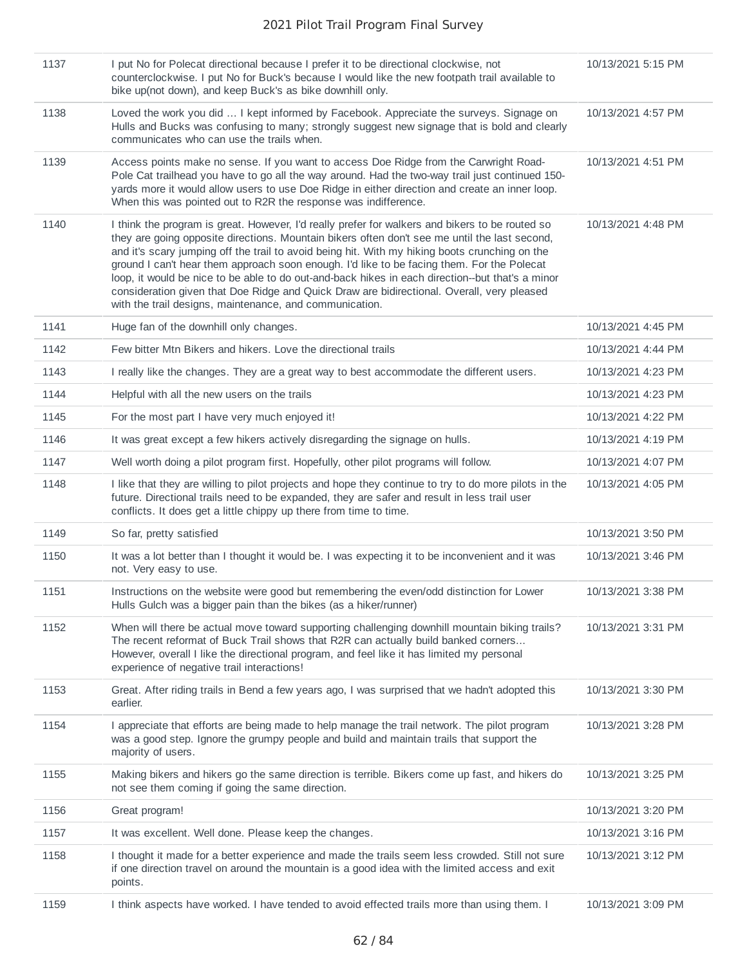| 1137 | I put No for Polecat directional because I prefer it to be directional clockwise, not<br>counterclockwise. I put No for Buck's because I would like the new footpath trail available to<br>bike up(not down), and keep Buck's as bike downhill only.                                                                                                                                                                                                                                                                                                                                                                                                          | 10/13/2021 5:15 PM |
|------|---------------------------------------------------------------------------------------------------------------------------------------------------------------------------------------------------------------------------------------------------------------------------------------------------------------------------------------------------------------------------------------------------------------------------------------------------------------------------------------------------------------------------------------------------------------------------------------------------------------------------------------------------------------|--------------------|
| 1138 | Loved the work you did  I kept informed by Facebook. Appreciate the surveys. Signage on<br>Hulls and Bucks was confusing to many; strongly suggest new signage that is bold and clearly<br>communicates who can use the trails when.                                                                                                                                                                                                                                                                                                                                                                                                                          | 10/13/2021 4:57 PM |
| 1139 | Access points make no sense. If you want to access Doe Ridge from the Carwright Road-<br>Pole Cat trailhead you have to go all the way around. Had the two-way trail just continued 150-<br>yards more it would allow users to use Doe Ridge in either direction and create an inner loop.<br>When this was pointed out to R2R the response was indifference.                                                                                                                                                                                                                                                                                                 | 10/13/2021 4:51 PM |
| 1140 | I think the program is great. However, I'd really prefer for walkers and bikers to be routed so<br>they are going opposite directions. Mountain bikers often don't see me until the last second,<br>and it's scary jumping off the trail to avoid being hit. With my hiking boots crunching on the<br>ground I can't hear them approach soon enough. I'd like to be facing them. For the Polecat<br>loop, it would be nice to be able to do out-and-back hikes in each direction--but that's a minor<br>consideration given that Doe Ridge and Quick Draw are bidirectional. Overall, very pleased<br>with the trail designs, maintenance, and communication. | 10/13/2021 4:48 PM |
| 1141 | Huge fan of the downhill only changes.                                                                                                                                                                                                                                                                                                                                                                                                                                                                                                                                                                                                                        | 10/13/2021 4:45 PM |
| 1142 | Few bitter Mtn Bikers and hikers. Love the directional trails                                                                                                                                                                                                                                                                                                                                                                                                                                                                                                                                                                                                 | 10/13/2021 4:44 PM |
| 1143 | I really like the changes. They are a great way to best accommodate the different users.                                                                                                                                                                                                                                                                                                                                                                                                                                                                                                                                                                      | 10/13/2021 4:23 PM |
| 1144 | Helpful with all the new users on the trails                                                                                                                                                                                                                                                                                                                                                                                                                                                                                                                                                                                                                  | 10/13/2021 4:23 PM |
| 1145 | For the most part I have very much enjoyed it!                                                                                                                                                                                                                                                                                                                                                                                                                                                                                                                                                                                                                | 10/13/2021 4:22 PM |
| 1146 | It was great except a few hikers actively disregarding the signage on hulls.                                                                                                                                                                                                                                                                                                                                                                                                                                                                                                                                                                                  | 10/13/2021 4:19 PM |
| 1147 | Well worth doing a pilot program first. Hopefully, other pilot programs will follow.                                                                                                                                                                                                                                                                                                                                                                                                                                                                                                                                                                          | 10/13/2021 4:07 PM |
| 1148 | I like that they are willing to pilot projects and hope they continue to try to do more pilots in the<br>future. Directional trails need to be expanded, they are safer and result in less trail user<br>conflicts. It does get a little chippy up there from time to time.                                                                                                                                                                                                                                                                                                                                                                                   | 10/13/2021 4:05 PM |
| 1149 | So far, pretty satisfied                                                                                                                                                                                                                                                                                                                                                                                                                                                                                                                                                                                                                                      | 10/13/2021 3:50 PM |
| 1150 | It was a lot better than I thought it would be. I was expecting it to be inconvenient and it was<br>not. Very easy to use.                                                                                                                                                                                                                                                                                                                                                                                                                                                                                                                                    | 10/13/2021 3:46 PM |
| 1151 | Instructions on the website were good but remembering the even/odd distinction for Lower<br>Hulls Gulch was a bigger pain than the bikes (as a hiker/runner)                                                                                                                                                                                                                                                                                                                                                                                                                                                                                                  | 10/13/2021 3:38 PM |
| 1152 | When will there be actual move toward supporting challenging downhill mountain biking trails?<br>The recent reformat of Buck Trail shows that R2R can actually build banked corners<br>However, overall I like the directional program, and feel like it has limited my personal<br>experience of negative trail interactions!                                                                                                                                                                                                                                                                                                                                | 10/13/2021 3:31 PM |
| 1153 | Great. After riding trails in Bend a few years ago, I was surprised that we hadn't adopted this<br>earlier.                                                                                                                                                                                                                                                                                                                                                                                                                                                                                                                                                   | 10/13/2021 3:30 PM |
| 1154 | I appreciate that efforts are being made to help manage the trail network. The pilot program<br>was a good step. Ignore the grumpy people and build and maintain trails that support the<br>majority of users.                                                                                                                                                                                                                                                                                                                                                                                                                                                | 10/13/2021 3:28 PM |
| 1155 | Making bikers and hikers go the same direction is terrible. Bikers come up fast, and hikers do<br>not see them coming if going the same direction.                                                                                                                                                                                                                                                                                                                                                                                                                                                                                                            | 10/13/2021 3:25 PM |
| 1156 | Great program!                                                                                                                                                                                                                                                                                                                                                                                                                                                                                                                                                                                                                                                | 10/13/2021 3:20 PM |
| 1157 | It was excellent. Well done. Please keep the changes.                                                                                                                                                                                                                                                                                                                                                                                                                                                                                                                                                                                                         | 10/13/2021 3:16 PM |
| 1158 | I thought it made for a better experience and made the trails seem less crowded. Still not sure<br>if one direction travel on around the mountain is a good idea with the limited access and exit<br>points.                                                                                                                                                                                                                                                                                                                                                                                                                                                  | 10/13/2021 3:12 PM |
| 1159 | I think aspects have worked. I have tended to avoid effected trails more than using them. I                                                                                                                                                                                                                                                                                                                                                                                                                                                                                                                                                                   | 10/13/2021 3:09 PM |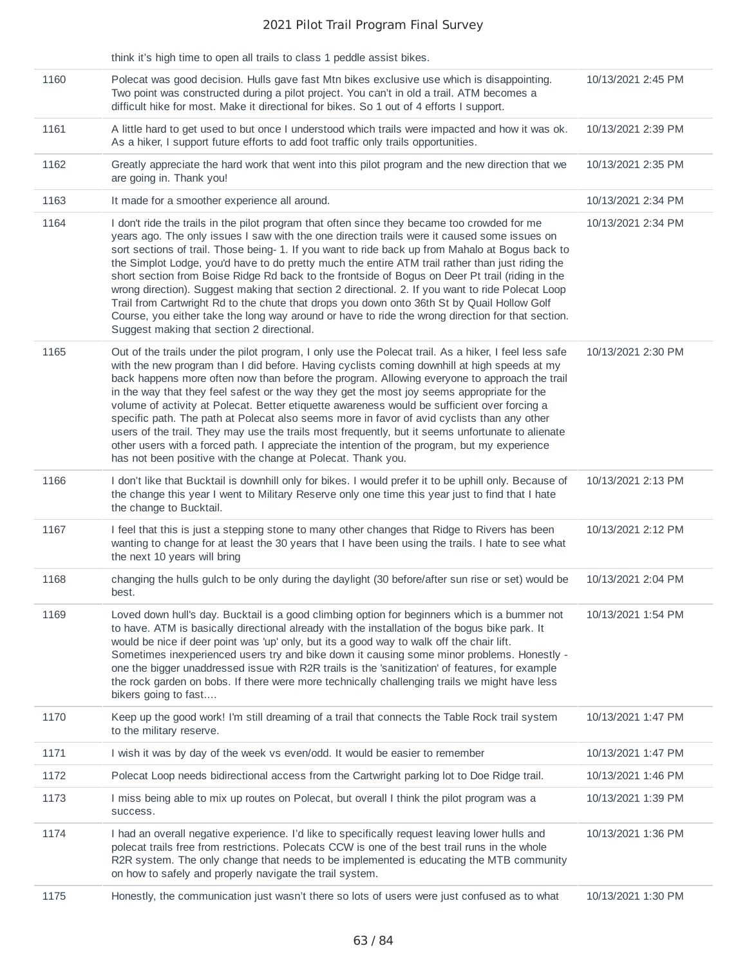|      | think it's high time to open all trails to class 1 peddle assist bikes.                                                                                                                                                                                                                                                                                                                                                                                                                                                                                                                                                                                                                                                                                                                                                                                                  |                    |
|------|--------------------------------------------------------------------------------------------------------------------------------------------------------------------------------------------------------------------------------------------------------------------------------------------------------------------------------------------------------------------------------------------------------------------------------------------------------------------------------------------------------------------------------------------------------------------------------------------------------------------------------------------------------------------------------------------------------------------------------------------------------------------------------------------------------------------------------------------------------------------------|--------------------|
| 1160 | Polecat was good decision. Hulls gave fast Mtn bikes exclusive use which is disappointing.<br>Two point was constructed during a pilot project. You can't in old a trail. ATM becomes a<br>difficult hike for most. Make it directional for bikes. So 1 out of 4 efforts I support.                                                                                                                                                                                                                                                                                                                                                                                                                                                                                                                                                                                      | 10/13/2021 2:45 PM |
| 1161 | A little hard to get used to but once I understood which trails were impacted and how it was ok.<br>As a hiker, I support future efforts to add foot traffic only trails opportunities.                                                                                                                                                                                                                                                                                                                                                                                                                                                                                                                                                                                                                                                                                  | 10/13/2021 2:39 PM |
| 1162 | Greatly appreciate the hard work that went into this pilot program and the new direction that we<br>are going in. Thank you!                                                                                                                                                                                                                                                                                                                                                                                                                                                                                                                                                                                                                                                                                                                                             | 10/13/2021 2:35 PM |
| 1163 | It made for a smoother experience all around.                                                                                                                                                                                                                                                                                                                                                                                                                                                                                                                                                                                                                                                                                                                                                                                                                            | 10/13/2021 2:34 PM |
| 1164 | I don't ride the trails in the pilot program that often since they became too crowded for me<br>years ago. The only issues I saw with the one direction trails were it caused some issues on<br>sort sections of trail. Those being- 1. If you want to ride back up from Mahalo at Bogus back to<br>the Simplot Lodge, you'd have to do pretty much the entire ATM trail rather than just riding the<br>short section from Boise Ridge Rd back to the frontside of Bogus on Deer Pt trail (riding in the<br>wrong direction). Suggest making that section 2 directional. 2. If you want to ride Polecat Loop<br>Trail from Cartwright Rd to the chute that drops you down onto 36th St by Quail Hollow Golf<br>Course, you either take the long way around or have to ride the wrong direction for that section.<br>Suggest making that section 2 directional.           | 10/13/2021 2:34 PM |
| 1165 | Out of the trails under the pilot program, I only use the Polecat trail. As a hiker, I feel less safe<br>with the new program than I did before. Having cyclists coming downhill at high speeds at my<br>back happens more often now than before the program. Allowing everyone to approach the trail<br>in the way that they feel safest or the way they get the most joy seems appropriate for the<br>volume of activity at Polecat. Better etiquette awareness would be sufficient over forcing a<br>specific path. The path at Polecat also seems more in favor of avid cyclists than any other<br>users of the trail. They may use the trails most frequently, but it seems unfortunate to alienate<br>other users with a forced path. I appreciate the intention of the program, but my experience<br>has not been positive with the change at Polecat. Thank you. | 10/13/2021 2:30 PM |
| 1166 | I don't like that Bucktail is downhill only for bikes. I would prefer it to be uphill only. Because of<br>the change this year I went to Military Reserve only one time this year just to find that I hate<br>the change to Bucktail.                                                                                                                                                                                                                                                                                                                                                                                                                                                                                                                                                                                                                                    | 10/13/2021 2:13 PM |
| 1167 | I feel that this is just a stepping stone to many other changes that Ridge to Rivers has been<br>wanting to change for at least the 30 years that I have been using the trails. I hate to see what<br>the next 10 years will bring                                                                                                                                                                                                                                                                                                                                                                                                                                                                                                                                                                                                                                       | 10/13/2021 2:12 PM |
| 1168 | changing the hulls gulch to be only during the daylight (30 before/after sun rise or set) would be<br>best.                                                                                                                                                                                                                                                                                                                                                                                                                                                                                                                                                                                                                                                                                                                                                              | 10/13/2021 2:04 PM |
| 1169 | Loved down hull's day. Bucktail is a good climbing option for beginners which is a bummer not<br>to have. ATM is basically directional already with the installation of the bogus bike park. It<br>would be nice if deer point was 'up' only, but its a good way to walk off the chair lift.<br>Sometimes inexperienced users try and bike down it causing some minor problems. Honestly -<br>one the bigger unaddressed issue with R2R trails is the 'sanitization' of features, for example<br>the rock garden on bobs. If there were more technically challenging trails we might have less<br>bikers going to fast                                                                                                                                                                                                                                                   | 10/13/2021 1:54 PM |
| 1170 | Keep up the good work! I'm still dreaming of a trail that connects the Table Rock trail system<br>to the military reserve.                                                                                                                                                                                                                                                                                                                                                                                                                                                                                                                                                                                                                                                                                                                                               | 10/13/2021 1:47 PM |
| 1171 | I wish it was by day of the week vs even/odd. It would be easier to remember                                                                                                                                                                                                                                                                                                                                                                                                                                                                                                                                                                                                                                                                                                                                                                                             | 10/13/2021 1:47 PM |
| 1172 | Polecat Loop needs bidirectional access from the Cartwright parking lot to Doe Ridge trail.                                                                                                                                                                                                                                                                                                                                                                                                                                                                                                                                                                                                                                                                                                                                                                              | 10/13/2021 1:46 PM |
| 1173 | I miss being able to mix up routes on Polecat, but overall I think the pilot program was a<br>success.                                                                                                                                                                                                                                                                                                                                                                                                                                                                                                                                                                                                                                                                                                                                                                   | 10/13/2021 1:39 PM |
| 1174 | I had an overall negative experience. I'd like to specifically request leaving lower hulls and<br>polecat trails free from restrictions. Polecats CCW is one of the best trail runs in the whole<br>R2R system. The only change that needs to be implemented is educating the MTB community<br>on how to safely and properly navigate the trail system.                                                                                                                                                                                                                                                                                                                                                                                                                                                                                                                  | 10/13/2021 1:36 PM |
| 1175 | Honestly, the communication just wasn't there so lots of users were just confused as to what                                                                                                                                                                                                                                                                                                                                                                                                                                                                                                                                                                                                                                                                                                                                                                             | 10/13/2021 1:30 PM |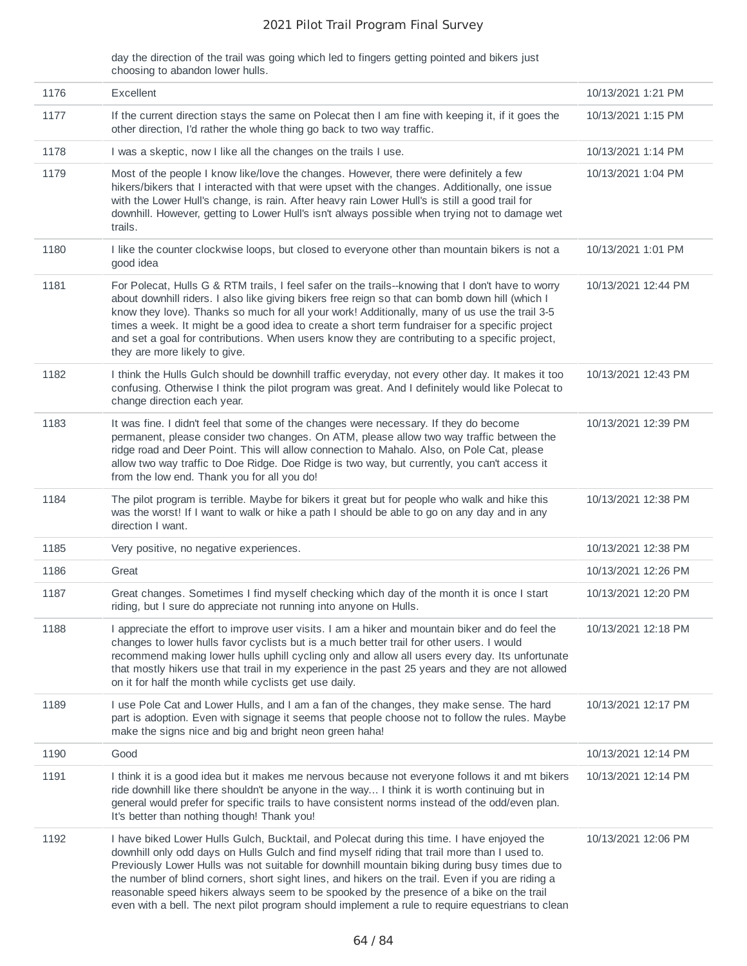day the direction of the trail was going which led to fingers getting pointed and bikers just choosing to abandon lower hulls.

| 1176 | Excellent                                                                                                                                                                                                                                                                                                                                                                                                                                                                                                                                                                                        | 10/13/2021 1:21 PM  |
|------|--------------------------------------------------------------------------------------------------------------------------------------------------------------------------------------------------------------------------------------------------------------------------------------------------------------------------------------------------------------------------------------------------------------------------------------------------------------------------------------------------------------------------------------------------------------------------------------------------|---------------------|
| 1177 | If the current direction stays the same on Polecat then I am fine with keeping it, if it goes the<br>other direction, I'd rather the whole thing go back to two way traffic.                                                                                                                                                                                                                                                                                                                                                                                                                     | 10/13/2021 1:15 PM  |
| 1178 | I was a skeptic, now I like all the changes on the trails I use.                                                                                                                                                                                                                                                                                                                                                                                                                                                                                                                                 | 10/13/2021 1:14 PM  |
| 1179 | Most of the people I know like/love the changes. However, there were definitely a few<br>hikers/bikers that I interacted with that were upset with the changes. Additionally, one issue<br>with the Lower Hull's change, is rain. After heavy rain Lower Hull's is still a good trail for<br>downhill. However, getting to Lower Hull's isn't always possible when trying not to damage wet<br>trails.                                                                                                                                                                                           | 10/13/2021 1:04 PM  |
| 1180 | I like the counter clockwise loops, but closed to everyone other than mountain bikers is not a<br>good idea                                                                                                                                                                                                                                                                                                                                                                                                                                                                                      | 10/13/2021 1:01 PM  |
| 1181 | For Polecat, Hulls G & RTM trails, I feel safer on the trails--knowing that I don't have to worry<br>about downhill riders. I also like giving bikers free reign so that can bomb down hill (which I<br>know they love). Thanks so much for all your work! Additionally, many of us use the trail 3-5<br>times a week. It might be a good idea to create a short term fundraiser for a specific project<br>and set a goal for contributions. When users know they are contributing to a specific project,<br>they are more likely to give.                                                       | 10/13/2021 12:44 PM |
| 1182 | I think the Hulls Gulch should be downhill traffic everyday, not every other day. It makes it too<br>confusing. Otherwise I think the pilot program was great. And I definitely would like Polecat to<br>change direction each year.                                                                                                                                                                                                                                                                                                                                                             | 10/13/2021 12:43 PM |
| 1183 | It was fine. I didn't feel that some of the changes were necessary. If they do become<br>permanent, please consider two changes. On ATM, please allow two way traffic between the<br>ridge road and Deer Point. This will allow connection to Mahalo. Also, on Pole Cat, please<br>allow two way traffic to Doe Ridge. Doe Ridge is two way, but currently, you can't access it<br>from the low end. Thank you for all you do!                                                                                                                                                                   | 10/13/2021 12:39 PM |
| 1184 | The pilot program is terrible. Maybe for bikers it great but for people who walk and hike this<br>was the worst! If I want to walk or hike a path I should be able to go on any day and in any<br>direction I want.                                                                                                                                                                                                                                                                                                                                                                              | 10/13/2021 12:38 PM |
| 1185 | Very positive, no negative experiences.                                                                                                                                                                                                                                                                                                                                                                                                                                                                                                                                                          | 10/13/2021 12:38 PM |
| 1186 | Great                                                                                                                                                                                                                                                                                                                                                                                                                                                                                                                                                                                            | 10/13/2021 12:26 PM |
| 1187 | Great changes. Sometimes I find myself checking which day of the month it is once I start<br>riding, but I sure do appreciate not running into anyone on Hulls.                                                                                                                                                                                                                                                                                                                                                                                                                                  | 10/13/2021 12:20 PM |
| 1188 | I appreciate the effort to improve user visits. I am a hiker and mountain biker and do feel the<br>changes to lower hulls favor cyclists but is a much better trail for other users. I would<br>recommend making lower hulls uphill cycling only and allow all users every day. Its unfortunate<br>that mostly hikers use that trail in my experience in the past 25 years and they are not allowed<br>on it for half the month while cyclists get use daily.                                                                                                                                    | 10/13/2021 12:18 PM |
| 1189 | I use Pole Cat and Lower Hulls, and I am a fan of the changes, they make sense. The hard<br>part is adoption. Even with signage it seems that people choose not to follow the rules. Maybe<br>make the signs nice and big and bright neon green haha!                                                                                                                                                                                                                                                                                                                                            | 10/13/2021 12:17 PM |
| 1190 | Good                                                                                                                                                                                                                                                                                                                                                                                                                                                                                                                                                                                             | 10/13/2021 12:14 PM |
| 1191 | I think it is a good idea but it makes me nervous because not everyone follows it and mt bikers<br>ride downhill like there shouldn't be anyone in the way I think it is worth continuing but in<br>general would prefer for specific trails to have consistent norms instead of the odd/even plan.<br>It's better than nothing though! Thank you!                                                                                                                                                                                                                                               | 10/13/2021 12:14 PM |
| 1192 | I have biked Lower Hulls Gulch, Bucktail, and Polecat during this time. I have enjoyed the<br>downhill only odd days on Hulls Gulch and find myself riding that trail more than I used to.<br>Previously Lower Hulls was not suitable for downhill mountain biking during busy times due to<br>the number of blind corners, short sight lines, and hikers on the trail. Even if you are riding a<br>reasonable speed hikers always seem to be spooked by the presence of a bike on the trail<br>even with a bell. The next pilot program should implement a rule to require equestrians to clean | 10/13/2021 12:06 PM |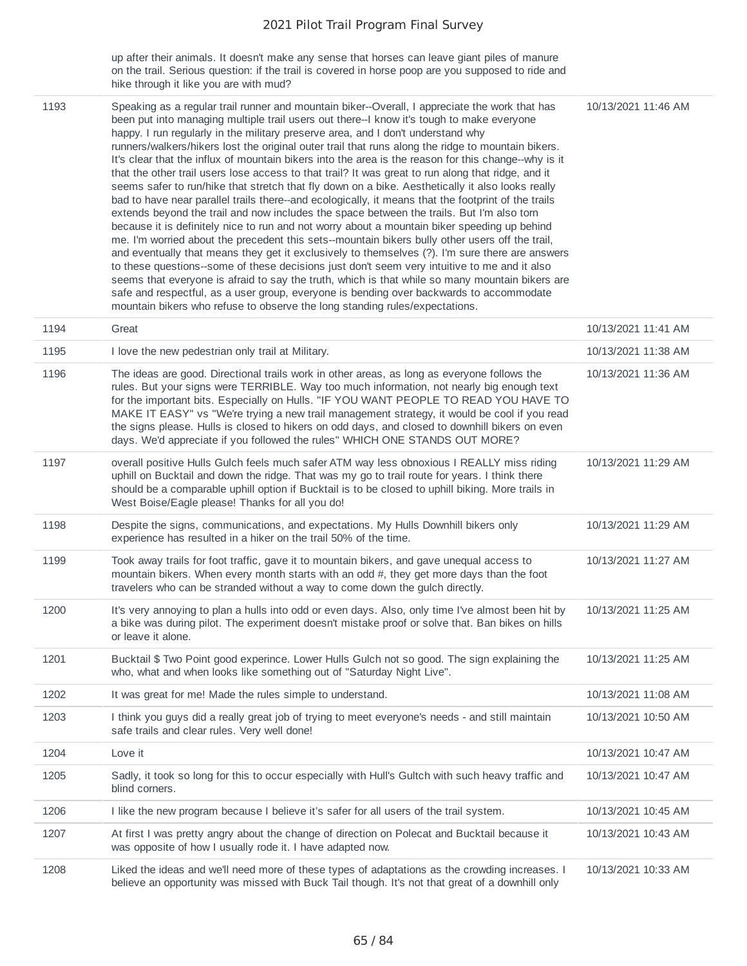up after their animals. It doesn't make any sense that horses can leave giant piles of manure on the trail. Serious question: if the trail is covered in horse poop are you supposed to ride and hike through it like you are with mud?

| 1193 | Speaking as a regular trail runner and mountain biker--Overall, I appreciate the work that has<br>been put into managing multiple trail users out there--I know it's tough to make everyone<br>happy. I run regularly in the military preserve area, and I don't understand why<br>runners/walkers/hikers lost the original outer trail that runs along the ridge to mountain bikers.<br>It's clear that the influx of mountain bikers into the area is the reason for this change--why is it<br>that the other trail users lose access to that trail? It was great to run along that ridge, and it<br>seems safer to run/hike that stretch that fly down on a bike. Aesthetically it also looks really<br>bad to have near parallel trails there--and ecologically, it means that the footprint of the trails<br>extends beyond the trail and now includes the space between the trails. But I'm also torn<br>because it is definitely nice to run and not worry about a mountain biker speeding up behind<br>me. I'm worried about the precedent this sets--mountain bikers bully other users off the trail,<br>and eventually that means they get it exclusively to themselves (?). I'm sure there are answers<br>to these questions--some of these decisions just don't seem very intuitive to me and it also<br>seems that everyone is afraid to say the truth, which is that while so many mountain bikers are<br>safe and respectful, as a user group, everyone is bending over backwards to accommodate<br>mountain bikers who refuse to observe the long standing rules/expectations. | 10/13/2021 11:46 AM |
|------|------------------------------------------------------------------------------------------------------------------------------------------------------------------------------------------------------------------------------------------------------------------------------------------------------------------------------------------------------------------------------------------------------------------------------------------------------------------------------------------------------------------------------------------------------------------------------------------------------------------------------------------------------------------------------------------------------------------------------------------------------------------------------------------------------------------------------------------------------------------------------------------------------------------------------------------------------------------------------------------------------------------------------------------------------------------------------------------------------------------------------------------------------------------------------------------------------------------------------------------------------------------------------------------------------------------------------------------------------------------------------------------------------------------------------------------------------------------------------------------------------------------------------------------------------------------------------------------------|---------------------|
| 1194 | Great                                                                                                                                                                                                                                                                                                                                                                                                                                                                                                                                                                                                                                                                                                                                                                                                                                                                                                                                                                                                                                                                                                                                                                                                                                                                                                                                                                                                                                                                                                                                                                                          | 10/13/2021 11:41 AM |
| 1195 | I love the new pedestrian only trail at Military.                                                                                                                                                                                                                                                                                                                                                                                                                                                                                                                                                                                                                                                                                                                                                                                                                                                                                                                                                                                                                                                                                                                                                                                                                                                                                                                                                                                                                                                                                                                                              | 10/13/2021 11:38 AM |
| 1196 | The ideas are good. Directional trails work in other areas, as long as everyone follows the<br>rules. But your signs were TERRIBLE. Way too much information, not nearly big enough text<br>for the important bits. Especially on Hulls. "IF YOU WANT PEOPLE TO READ YOU HAVE TO<br>MAKE IT EASY" vs "We're trying a new trail management strategy, it would be cool if you read<br>the signs please. Hulls is closed to hikers on odd days, and closed to downhill bikers on even<br>days. We'd appreciate if you followed the rules" WHICH ONE STANDS OUT MORE?                                                                                                                                                                                                                                                                                                                                                                                                                                                                                                                                                                                                                                                                                                                                                                                                                                                                                                                                                                                                                              | 10/13/2021 11:36 AM |
| 1197 | overall positive Hulls Gulch feels much safer ATM way less obnoxious I REALLY miss riding<br>uphill on Bucktail and down the ridge. That was my go to trail route for years. I think there<br>should be a comparable uphill option if Bucktail is to be closed to uphill biking. More trails in<br>West Boise/Eagle please! Thanks for all you do!                                                                                                                                                                                                                                                                                                                                                                                                                                                                                                                                                                                                                                                                                                                                                                                                                                                                                                                                                                                                                                                                                                                                                                                                                                             | 10/13/2021 11:29 AM |
| 1198 | Despite the signs, communications, and expectations. My Hulls Downhill bikers only<br>experience has resulted in a hiker on the trail 50% of the time.                                                                                                                                                                                                                                                                                                                                                                                                                                                                                                                                                                                                                                                                                                                                                                                                                                                                                                                                                                                                                                                                                                                                                                                                                                                                                                                                                                                                                                         | 10/13/2021 11:29 AM |
| 1199 | Took away trails for foot traffic, gave it to mountain bikers, and gave unequal access to<br>mountain bikers. When every month starts with an odd #, they get more days than the foot<br>travelers who can be stranded without a way to come down the gulch directly.                                                                                                                                                                                                                                                                                                                                                                                                                                                                                                                                                                                                                                                                                                                                                                                                                                                                                                                                                                                                                                                                                                                                                                                                                                                                                                                          | 10/13/2021 11:27 AM |
| 1200 | It's very annoying to plan a hulls into odd or even days. Also, only time I've almost been hit by<br>a bike was during pilot. The experiment doesn't mistake proof or solve that. Ban bikes on hills<br>or leave it alone.                                                                                                                                                                                                                                                                                                                                                                                                                                                                                                                                                                                                                                                                                                                                                                                                                                                                                                                                                                                                                                                                                                                                                                                                                                                                                                                                                                     | 10/13/2021 11:25 AM |
| 1201 | Bucktail \$ Two Point good experince. Lower Hulls Gulch not so good. The sign explaining the<br>who, what and when looks like something out of "Saturday Night Live".                                                                                                                                                                                                                                                                                                                                                                                                                                                                                                                                                                                                                                                                                                                                                                                                                                                                                                                                                                                                                                                                                                                                                                                                                                                                                                                                                                                                                          | 10/13/2021 11:25 AM |
| 1202 | It was great for me! Made the rules simple to understand.                                                                                                                                                                                                                                                                                                                                                                                                                                                                                                                                                                                                                                                                                                                                                                                                                                                                                                                                                                                                                                                                                                                                                                                                                                                                                                                                                                                                                                                                                                                                      | 10/13/2021 11:08 AM |
| 1203 | I think you guys did a really great job of trying to meet everyone's needs - and still maintain<br>safe trails and clear rules. Very well done!                                                                                                                                                                                                                                                                                                                                                                                                                                                                                                                                                                                                                                                                                                                                                                                                                                                                                                                                                                                                                                                                                                                                                                                                                                                                                                                                                                                                                                                | 10/13/2021 10:50 AM |
| 1204 | Love it                                                                                                                                                                                                                                                                                                                                                                                                                                                                                                                                                                                                                                                                                                                                                                                                                                                                                                                                                                                                                                                                                                                                                                                                                                                                                                                                                                                                                                                                                                                                                                                        | 10/13/2021 10:47 AM |
| 1205 | Sadly, it took so long for this to occur especially with Hull's Gultch with such heavy traffic and<br>blind corners.                                                                                                                                                                                                                                                                                                                                                                                                                                                                                                                                                                                                                                                                                                                                                                                                                                                                                                                                                                                                                                                                                                                                                                                                                                                                                                                                                                                                                                                                           | 10/13/2021 10:47 AM |
| 1206 | I like the new program because I believe it's safer for all users of the trail system.                                                                                                                                                                                                                                                                                                                                                                                                                                                                                                                                                                                                                                                                                                                                                                                                                                                                                                                                                                                                                                                                                                                                                                                                                                                                                                                                                                                                                                                                                                         | 10/13/2021 10:45 AM |
| 1207 | At first I was pretty angry about the change of direction on Polecat and Bucktail because it<br>was opposite of how I usually rode it. I have adapted now.                                                                                                                                                                                                                                                                                                                                                                                                                                                                                                                                                                                                                                                                                                                                                                                                                                                                                                                                                                                                                                                                                                                                                                                                                                                                                                                                                                                                                                     | 10/13/2021 10:43 AM |
| 1208 | Liked the ideas and we'll need more of these types of adaptations as the crowding increases. I<br>believe an opportunity was missed with Buck Tail though. It's not that great of a downhill only                                                                                                                                                                                                                                                                                                                                                                                                                                                                                                                                                                                                                                                                                                                                                                                                                                                                                                                                                                                                                                                                                                                                                                                                                                                                                                                                                                                              | 10/13/2021 10:33 AM |

i.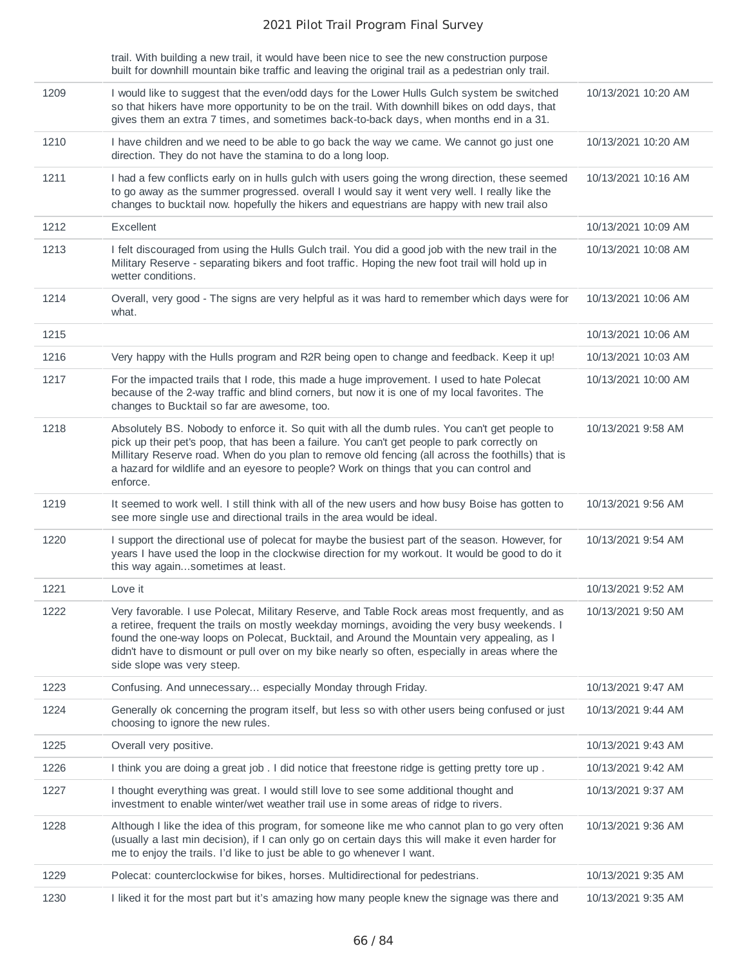trail. With building a new trail, it would have been nice to see the new construction purpose built for downhill mountain bike traffic and leaving the original trail as a pedestrian only trail.

| 1209 | I would like to suggest that the even/odd days for the Lower Hulls Gulch system be switched<br>so that hikers have more opportunity to be on the trail. With downhill bikes on odd days, that<br>gives them an extra 7 times, and sometimes back-to-back days, when months end in a 31.                                                                                                                                      | 10/13/2021 10:20 AM |
|------|------------------------------------------------------------------------------------------------------------------------------------------------------------------------------------------------------------------------------------------------------------------------------------------------------------------------------------------------------------------------------------------------------------------------------|---------------------|
| 1210 | I have children and we need to be able to go back the way we came. We cannot go just one<br>direction. They do not have the stamina to do a long loop.                                                                                                                                                                                                                                                                       | 10/13/2021 10:20 AM |
| 1211 | I had a few conflicts early on in hulls gulch with users going the wrong direction, these seemed<br>to go away as the summer progressed. overall I would say it went very well. I really like the<br>changes to bucktail now. hopefully the hikers and equestrians are happy with new trail also                                                                                                                             | 10/13/2021 10:16 AM |
| 1212 | Excellent                                                                                                                                                                                                                                                                                                                                                                                                                    | 10/13/2021 10:09 AM |
| 1213 | I felt discouraged from using the Hulls Gulch trail. You did a good job with the new trail in the<br>Military Reserve - separating bikers and foot traffic. Hoping the new foot trail will hold up in<br>wetter conditions.                                                                                                                                                                                                  | 10/13/2021 10:08 AM |
| 1214 | Overall, very good - The signs are very helpful as it was hard to remember which days were for<br>what.                                                                                                                                                                                                                                                                                                                      | 10/13/2021 10:06 AM |
| 1215 |                                                                                                                                                                                                                                                                                                                                                                                                                              | 10/13/2021 10:06 AM |
| 1216 | Very happy with the Hulls program and R2R being open to change and feedback. Keep it up!                                                                                                                                                                                                                                                                                                                                     | 10/13/2021 10:03 AM |
| 1217 | For the impacted trails that I rode, this made a huge improvement. I used to hate Polecat<br>because of the 2-way traffic and blind corners, but now it is one of my local favorites. The<br>changes to Bucktail so far are awesome, too.                                                                                                                                                                                    | 10/13/2021 10:00 AM |
| 1218 | Absolutely BS. Nobody to enforce it. So quit with all the dumb rules. You can't get people to<br>pick up their pet's poop, that has been a failure. You can't get people to park correctly on<br>Millitary Reserve road. When do you plan to remove old fencing (all across the foothills) that is<br>a hazard for wildlife and an eyesore to people? Work on things that you can control and<br>enforce.                    | 10/13/2021 9:58 AM  |
| 1219 | It seemed to work well. I still think with all of the new users and how busy Boise has gotten to<br>see more single use and directional trails in the area would be ideal.                                                                                                                                                                                                                                                   | 10/13/2021 9:56 AM  |
| 1220 | I support the directional use of polecat for maybe the busiest part of the season. However, for<br>years I have used the loop in the clockwise direction for my workout. It would be good to do it<br>this way againsometimes at least.                                                                                                                                                                                      | 10/13/2021 9:54 AM  |
| 1221 | Love it                                                                                                                                                                                                                                                                                                                                                                                                                      | 10/13/2021 9:52 AM  |
| 1222 | Very favorable. I use Polecat, Military Reserve, and Table Rock areas most frequently, and as<br>a retiree, frequent the trails on mostly weekday mornings, avoiding the very busy weekends. I<br>found the one-way loops on Polecat, Bucktail, and Around the Mountain very appealing, as I<br>didn't have to dismount or pull over on my bike nearly so often, especially in areas where the<br>side slope was very steep. | 10/13/2021 9:50 AM  |
| 1223 | Confusing. And unnecessary especially Monday through Friday.                                                                                                                                                                                                                                                                                                                                                                 | 10/13/2021 9:47 AM  |
| 1224 | Generally ok concerning the program itself, but less so with other users being confused or just<br>choosing to ignore the new rules.                                                                                                                                                                                                                                                                                         | 10/13/2021 9:44 AM  |
| 1225 | Overall very positive.                                                                                                                                                                                                                                                                                                                                                                                                       | 10/13/2021 9:43 AM  |
| 1226 | I think you are doing a great job. I did notice that freestone ridge is getting pretty tore up.                                                                                                                                                                                                                                                                                                                              | 10/13/2021 9:42 AM  |
| 1227 | I thought everything was great. I would still love to see some additional thought and<br>investment to enable winter/wet weather trail use in some areas of ridge to rivers.                                                                                                                                                                                                                                                 | 10/13/2021 9:37 AM  |
| 1228 | Although I like the idea of this program, for someone like me who cannot plan to go very often<br>(usually a last min decision), if I can only go on certain days this will make it even harder for<br>me to enjoy the trails. I'd like to just be able to go whenever I want.                                                                                                                                               | 10/13/2021 9:36 AM  |
| 1229 | Polecat: counterclockwise for bikes, horses. Multidirectional for pedestrians.                                                                                                                                                                                                                                                                                                                                               | 10/13/2021 9:35 AM  |
| 1230 | I liked it for the most part but it's amazing how many people knew the signage was there and                                                                                                                                                                                                                                                                                                                                 | 10/13/2021 9:35 AM  |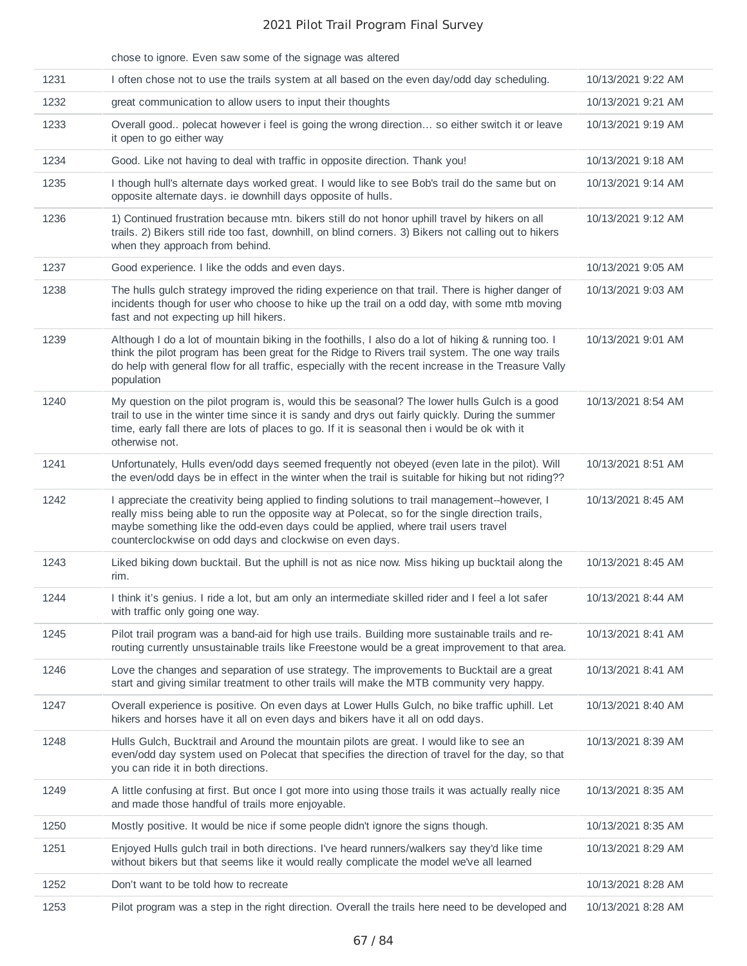|      | chose to ignore. Even saw some of the signage was altered                                                                                                                                                                                                                                                                                         |                    |
|------|---------------------------------------------------------------------------------------------------------------------------------------------------------------------------------------------------------------------------------------------------------------------------------------------------------------------------------------------------|--------------------|
| 1231 | I often chose not to use the trails system at all based on the even day/odd day scheduling.                                                                                                                                                                                                                                                       | 10/13/2021 9:22 AM |
| 1232 | great communication to allow users to input their thoughts                                                                                                                                                                                                                                                                                        | 10/13/2021 9:21 AM |
| 1233 | Overall good polecat however i feel is going the wrong direction so either switch it or leave<br>it open to go either way                                                                                                                                                                                                                         | 10/13/2021 9:19 AM |
| 1234 | Good. Like not having to deal with traffic in opposite direction. Thank you!                                                                                                                                                                                                                                                                      | 10/13/2021 9:18 AM |
| 1235 | I though hull's alternate days worked great. I would like to see Bob's trail do the same but on<br>opposite alternate days. ie downhill days opposite of hulls.                                                                                                                                                                                   | 10/13/2021 9:14 AM |
| 1236 | 1) Continued frustration because mtn. bikers still do not honor uphill travel by hikers on all<br>trails. 2) Bikers still ride too fast, downhill, on blind corners. 3) Bikers not calling out to hikers<br>when they approach from behind.                                                                                                       | 10/13/2021 9:12 AM |
| 1237 | Good experience. I like the odds and even days.                                                                                                                                                                                                                                                                                                   | 10/13/2021 9:05 AM |
| 1238 | The hulls gulch strategy improved the riding experience on that trail. There is higher danger of<br>incidents though for user who choose to hike up the trail on a odd day, with some mtb moving<br>fast and not expecting up hill hikers.                                                                                                        | 10/13/2021 9:03 AM |
| 1239 | Although I do a lot of mountain biking in the foothills, I also do a lot of hiking & running too. I<br>think the pilot program has been great for the Ridge to Rivers trail system. The one way trails<br>do help with general flow for all traffic, especially with the recent increase in the Treasure Vally<br>population                      | 10/13/2021 9:01 AM |
| 1240 | My question on the pilot program is, would this be seasonal? The lower hulls Gulch is a good<br>trail to use in the winter time since it is sandy and drys out fairly quickly. During the summer<br>time, early fall there are lots of places to go. If it is seasonal then i would be ok with it<br>otherwise not.                               | 10/13/2021 8:54 AM |
| 1241 | Unfortunately, Hulls even/odd days seemed frequently not obeyed (even late in the pilot). Will<br>the even/odd days be in effect in the winter when the trail is suitable for hiking but not riding??                                                                                                                                             | 10/13/2021 8:51 AM |
| 1242 | I appreciate the creativity being applied to finding solutions to trail management--however, I<br>really miss being able to run the opposite way at Polecat, so for the single direction trails,<br>maybe something like the odd-even days could be applied, where trail users travel<br>counterclockwise on odd days and clockwise on even days. | 10/13/2021 8:45 AM |
| 1243 | Liked biking down bucktail. But the uphill is not as nice now. Miss hiking up bucktail along the<br>rim.                                                                                                                                                                                                                                          | 10/13/2021 8:45 AM |
| 1244 | I think it's genius. I ride a lot, but am only an intermediate skilled rider and I feel a lot safer<br>with traffic only going one way.                                                                                                                                                                                                           | 10/13/2021 8:44 AM |
| 1245 | Pilot trail program was a band-aid for high use trails. Building more sustainable trails and re-<br>routing currently unsustainable trails like Freestone would be a great improvement to that area.                                                                                                                                              | 10/13/2021 8:41 AM |
| 1246 | Love the changes and separation of use strategy. The improvements to Bucktail are a great<br>start and giving similar treatment to other trails will make the MTB community very happy.                                                                                                                                                           | 10/13/2021 8:41 AM |
| 1247 | Overall experience is positive. On even days at Lower Hulls Gulch, no bike traffic uphill. Let<br>hikers and horses have it all on even days and bikers have it all on odd days.                                                                                                                                                                  | 10/13/2021 8:40 AM |
| 1248 | Hulls Gulch, Bucktrail and Around the mountain pilots are great. I would like to see an<br>even/odd day system used on Polecat that specifies the direction of travel for the day, so that<br>you can ride it in both directions.                                                                                                                 | 10/13/2021 8:39 AM |
| 1249 | A little confusing at first. But once I got more into using those trails it was actually really nice<br>and made those handful of trails more enjoyable.                                                                                                                                                                                          | 10/13/2021 8:35 AM |
| 1250 | Mostly positive. It would be nice if some people didn't ignore the signs though.                                                                                                                                                                                                                                                                  | 10/13/2021 8:35 AM |
| 1251 | Enjoyed Hulls gulch trail in both directions. I've heard runners/walkers say they'd like time<br>without bikers but that seems like it would really complicate the model we've all learned                                                                                                                                                        | 10/13/2021 8:29 AM |
| 1252 | Don't want to be told how to recreate                                                                                                                                                                                                                                                                                                             | 10/13/2021 8:28 AM |
| 1253 | Pilot program was a step in the right direction. Overall the trails here need to be developed and                                                                                                                                                                                                                                                 | 10/13/2021 8:28 AM |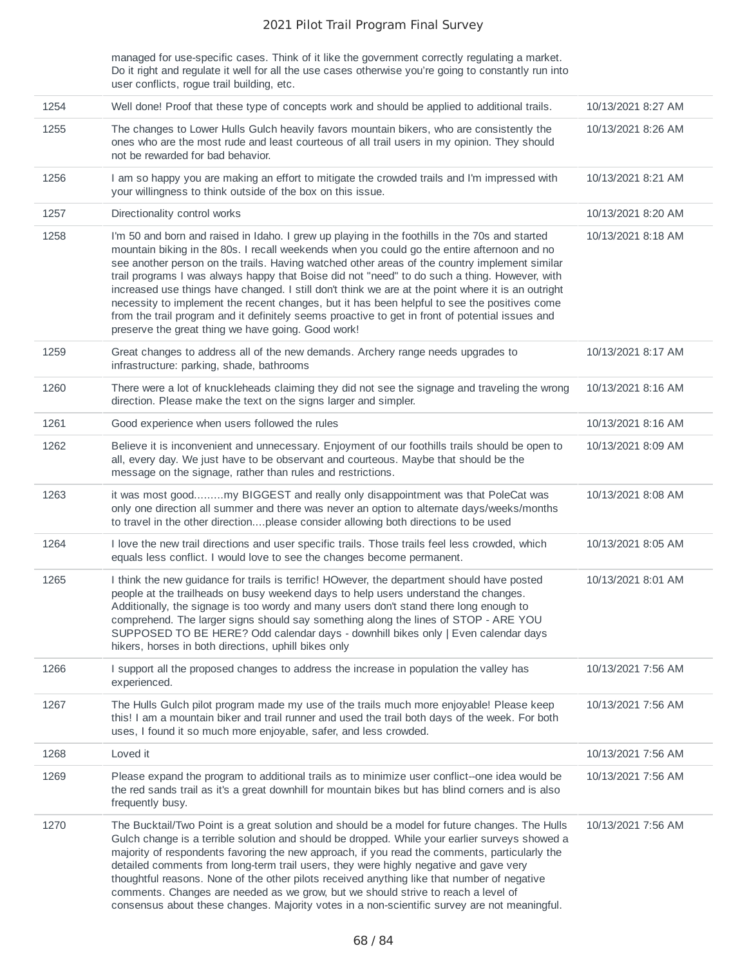managed for use-specific cases. Think of it like the government correctly regulating a market. Do it right and regulate it well for all the use cases otherwise you're going to constantly run into user conflicts, rogue trail building, etc.

| 1254 | Well done! Proof that these type of concepts work and should be applied to additional trails.                                                                                                                                                                                                                                                                                                                                                                                                                                                                                                                                                                                                                                                                   | 10/13/2021 8:27 AM |
|------|-----------------------------------------------------------------------------------------------------------------------------------------------------------------------------------------------------------------------------------------------------------------------------------------------------------------------------------------------------------------------------------------------------------------------------------------------------------------------------------------------------------------------------------------------------------------------------------------------------------------------------------------------------------------------------------------------------------------------------------------------------------------|--------------------|
| 1255 | The changes to Lower Hulls Gulch heavily favors mountain bikers, who are consistently the<br>ones who are the most rude and least courteous of all trail users in my opinion. They should<br>not be rewarded for bad behavior.                                                                                                                                                                                                                                                                                                                                                                                                                                                                                                                                  | 10/13/2021 8:26 AM |
| 1256 | I am so happy you are making an effort to mitigate the crowded trails and I'm impressed with<br>your willingness to think outside of the box on this issue.                                                                                                                                                                                                                                                                                                                                                                                                                                                                                                                                                                                                     | 10/13/2021 8:21 AM |
| 1257 | Directionality control works                                                                                                                                                                                                                                                                                                                                                                                                                                                                                                                                                                                                                                                                                                                                    | 10/13/2021 8:20 AM |
| 1258 | I'm 50 and born and raised in Idaho. I grew up playing in the foothills in the 70s and started<br>mountain biking in the 80s. I recall weekends when you could go the entire afternoon and no<br>see another person on the trails. Having watched other areas of the country implement similar<br>trail programs I was always happy that Boise did not "need" to do such a thing. However, with<br>increased use things have changed. I still don't think we are at the point where it is an outright<br>necessity to implement the recent changes, but it has been helpful to see the positives come<br>from the trail program and it definitely seems proactive to get in front of potential issues and<br>preserve the great thing we have going. Good work! | 10/13/2021 8:18 AM |
| 1259 | Great changes to address all of the new demands. Archery range needs upgrades to<br>infrastructure: parking, shade, bathrooms                                                                                                                                                                                                                                                                                                                                                                                                                                                                                                                                                                                                                                   | 10/13/2021 8:17 AM |
| 1260 | There were a lot of knuckleheads claiming they did not see the signage and traveling the wrong<br>direction. Please make the text on the signs larger and simpler.                                                                                                                                                                                                                                                                                                                                                                                                                                                                                                                                                                                              | 10/13/2021 8:16 AM |
| 1261 | Good experience when users followed the rules                                                                                                                                                                                                                                                                                                                                                                                                                                                                                                                                                                                                                                                                                                                   | 10/13/2021 8:16 AM |
| 1262 | Believe it is inconvenient and unnecessary. Enjoyment of our foothills trails should be open to<br>all, every day. We just have to be observant and courteous. Maybe that should be the<br>message on the signage, rather than rules and restrictions.                                                                                                                                                                                                                                                                                                                                                                                                                                                                                                          | 10/13/2021 8:09 AM |
| 1263 | it was most goodmy BIGGEST and really only disappointment was that PoleCat was<br>only one direction all summer and there was never an option to alternate days/weeks/months<br>to travel in the other directionplease consider allowing both directions to be used                                                                                                                                                                                                                                                                                                                                                                                                                                                                                             | 10/13/2021 8:08 AM |
| 1264 | I love the new trail directions and user specific trails. Those trails feel less crowded, which<br>equals less conflict. I would love to see the changes become permanent.                                                                                                                                                                                                                                                                                                                                                                                                                                                                                                                                                                                      | 10/13/2021 8:05 AM |
| 1265 | I think the new guidance for trails is terrific! HOwever, the department should have posted<br>people at the trailheads on busy weekend days to help users understand the changes.<br>Additionally, the signage is too wordy and many users don't stand there long enough to<br>comprehend. The larger signs should say something along the lines of STOP - ARE YOU<br>SUPPOSED TO BE HERE? Odd calendar days - downhill bikes only   Even calendar days<br>hikers, horses in both directions, uphill bikes only                                                                                                                                                                                                                                                | 10/13/2021 8:01 AM |
| 1266 | I support all the proposed changes to address the increase in population the valley has<br>experienced.                                                                                                                                                                                                                                                                                                                                                                                                                                                                                                                                                                                                                                                         | 10/13/2021 7:56 AM |
| 1267 | The Hulls Gulch pilot program made my use of the trails much more enjoyable! Please keep<br>this! I am a mountain biker and trail runner and used the trail both days of the week. For both<br>uses, I found it so much more enjoyable, safer, and less crowded.                                                                                                                                                                                                                                                                                                                                                                                                                                                                                                | 10/13/2021 7:56 AM |
| 1268 | Loved it                                                                                                                                                                                                                                                                                                                                                                                                                                                                                                                                                                                                                                                                                                                                                        | 10/13/2021 7:56 AM |
| 1269 | Please expand the program to additional trails as to minimize user conflict--one idea would be<br>the red sands trail as it's a great downhill for mountain bikes but has blind corners and is also<br>frequently busy.                                                                                                                                                                                                                                                                                                                                                                                                                                                                                                                                         | 10/13/2021 7:56 AM |
| 1270 | The Bucktail/Two Point is a great solution and should be a model for future changes. The Hulls<br>Gulch change is a terrible solution and should be dropped. While your earlier surveys showed a<br>majority of respondents favoring the new approach, if you read the comments, particularly the<br>detailed comments from long-term trail users, they were highly negative and gave very<br>thoughtful reasons. None of the other pilots received anything like that number of negative<br>comments. Changes are needed as we grow, but we should strive to reach a level of<br>consensus about these changes. Majority votes in a non-scientific survey are not meaningful.                                                                                  | 10/13/2021 7:56 AM |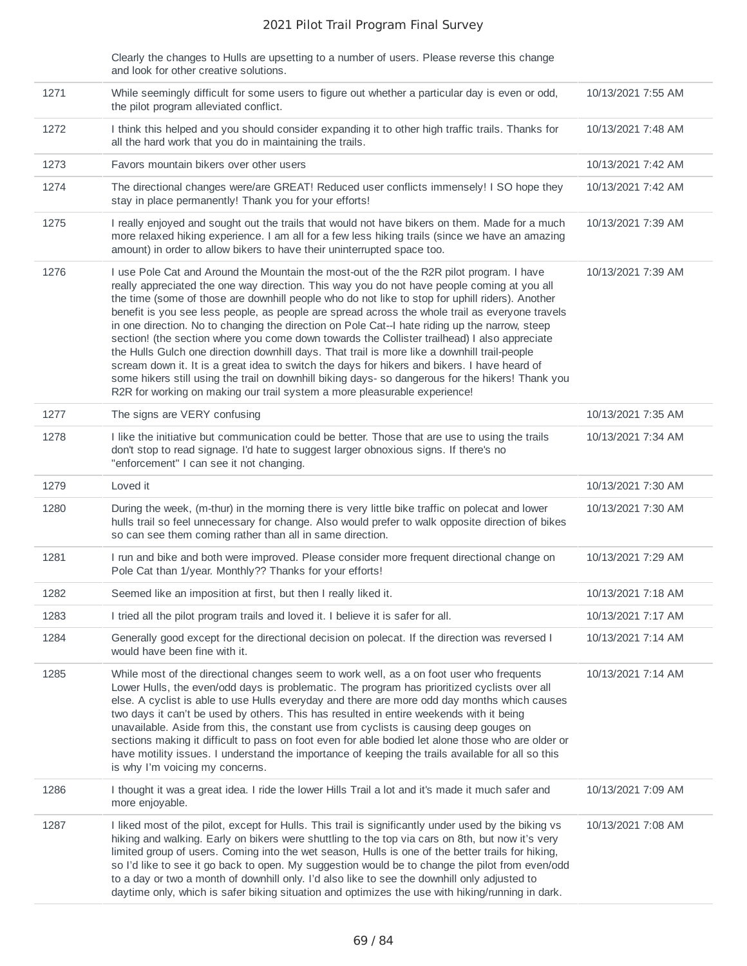|      | Clearly the changes to Hulls are upsetting to a number of users. Please reverse this change<br>and look for other creative solutions.                                                                                                                                                                                                                                                                                                                                                                                                                                                                                                                                                                                                                                                                                                                                                                                                                                             |                    |
|------|-----------------------------------------------------------------------------------------------------------------------------------------------------------------------------------------------------------------------------------------------------------------------------------------------------------------------------------------------------------------------------------------------------------------------------------------------------------------------------------------------------------------------------------------------------------------------------------------------------------------------------------------------------------------------------------------------------------------------------------------------------------------------------------------------------------------------------------------------------------------------------------------------------------------------------------------------------------------------------------|--------------------|
| 1271 | While seemingly difficult for some users to figure out whether a particular day is even or odd,<br>the pilot program alleviated conflict.                                                                                                                                                                                                                                                                                                                                                                                                                                                                                                                                                                                                                                                                                                                                                                                                                                         | 10/13/2021 7:55 AM |
| 1272 | I think this helped and you should consider expanding it to other high traffic trails. Thanks for<br>all the hard work that you do in maintaining the trails.                                                                                                                                                                                                                                                                                                                                                                                                                                                                                                                                                                                                                                                                                                                                                                                                                     | 10/13/2021 7:48 AM |
| 1273 | Favors mountain bikers over other users                                                                                                                                                                                                                                                                                                                                                                                                                                                                                                                                                                                                                                                                                                                                                                                                                                                                                                                                           | 10/13/2021 7:42 AM |
| 1274 | The directional changes were/are GREAT! Reduced user conflicts immensely! I SO hope they<br>stay in place permanently! Thank you for your efforts!                                                                                                                                                                                                                                                                                                                                                                                                                                                                                                                                                                                                                                                                                                                                                                                                                                | 10/13/2021 7:42 AM |
| 1275 | I really enjoyed and sought out the trails that would not have bikers on them. Made for a much<br>more relaxed hiking experience. I am all for a few less hiking trails (since we have an amazing<br>amount) in order to allow bikers to have their uninterrupted space too.                                                                                                                                                                                                                                                                                                                                                                                                                                                                                                                                                                                                                                                                                                      | 10/13/2021 7:39 AM |
| 1276 | I use Pole Cat and Around the Mountain the most-out of the the R2R pilot program. I have<br>really appreciated the one way direction. This way you do not have people coming at you all<br>the time (some of those are downhill people who do not like to stop for uphill riders). Another<br>benefit is you see less people, as people are spread across the whole trail as everyone travels<br>in one direction. No to changing the direction on Pole Cat--I hate riding up the narrow, steep<br>section! (the section where you come down towards the Collister trailhead) I also appreciate<br>the Hulls Gulch one direction downhill days. That trail is more like a downhill trail-people<br>scream down it. It is a great idea to switch the days for hikers and bikers. I have heard of<br>some hikers still using the trail on downhill biking days- so dangerous for the hikers! Thank you<br>R2R for working on making our trail system a more pleasurable experience! | 10/13/2021 7:39 AM |
| 1277 | The signs are VERY confusing                                                                                                                                                                                                                                                                                                                                                                                                                                                                                                                                                                                                                                                                                                                                                                                                                                                                                                                                                      | 10/13/2021 7:35 AM |
| 1278 | I like the initiative but communication could be better. Those that are use to using the trails<br>don't stop to read signage. I'd hate to suggest larger obnoxious signs. If there's no<br>"enforcement" I can see it not changing.                                                                                                                                                                                                                                                                                                                                                                                                                                                                                                                                                                                                                                                                                                                                              | 10/13/2021 7:34 AM |
| 1279 | Loved it                                                                                                                                                                                                                                                                                                                                                                                                                                                                                                                                                                                                                                                                                                                                                                                                                                                                                                                                                                          | 10/13/2021 7:30 AM |
| 1280 | During the week, (m-thur) in the morning there is very little bike traffic on polecat and lower<br>hulls trail so feel unnecessary for change. Also would prefer to walk opposite direction of bikes<br>so can see them coming rather than all in same direction.                                                                                                                                                                                                                                                                                                                                                                                                                                                                                                                                                                                                                                                                                                                 | 10/13/2021 7:30 AM |
| 1281 | I run and bike and both were improved. Please consider more frequent directional change on<br>Pole Cat than 1/year. Monthly?? Thanks for your efforts!                                                                                                                                                                                                                                                                                                                                                                                                                                                                                                                                                                                                                                                                                                                                                                                                                            | 10/13/2021 7:29 AM |
| 1282 | Seemed like an imposition at first, but then I really liked it.                                                                                                                                                                                                                                                                                                                                                                                                                                                                                                                                                                                                                                                                                                                                                                                                                                                                                                                   | 10/13/2021 7:18 AM |
| 1283 | I tried all the pilot program trails and loved it. I believe it is safer for all.                                                                                                                                                                                                                                                                                                                                                                                                                                                                                                                                                                                                                                                                                                                                                                                                                                                                                                 | 10/13/2021 7:17 AM |
| 1284 | Generally good except for the directional decision on polecat. If the direction was reversed I<br>would have been fine with it.                                                                                                                                                                                                                                                                                                                                                                                                                                                                                                                                                                                                                                                                                                                                                                                                                                                   | 10/13/2021 7:14 AM |
| 1285 | While most of the directional changes seem to work well, as a on foot user who frequents<br>Lower Hulls, the even/odd days is problematic. The program has prioritized cyclists over all<br>else. A cyclist is able to use Hulls everyday and there are more odd day months which causes<br>two days it can't be used by others. This has resulted in entire weekends with it being<br>unavailable. Aside from this, the constant use from cyclists is causing deep gouges on<br>sections making it difficult to pass on foot even for able bodied let alone those who are older or<br>have motility issues. I understand the importance of keeping the trails available for all so this<br>is why I'm voicing my concerns.                                                                                                                                                                                                                                                       | 10/13/2021 7:14 AM |
| 1286 | I thought it was a great idea. I ride the lower Hills Trail a lot and it's made it much safer and<br>more enjoyable.                                                                                                                                                                                                                                                                                                                                                                                                                                                                                                                                                                                                                                                                                                                                                                                                                                                              | 10/13/2021 7:09 AM |
| 1287 | I liked most of the pilot, except for Hulls. This trail is significantly under used by the biking vs<br>hiking and walking. Early on bikers were shuttling to the top via cars on 8th, but now it's very<br>limited group of users. Coming into the wet season, Hulls is one of the better trails for hiking,                                                                                                                                                                                                                                                                                                                                                                                                                                                                                                                                                                                                                                                                     | 10/13/2021 7:08 AM |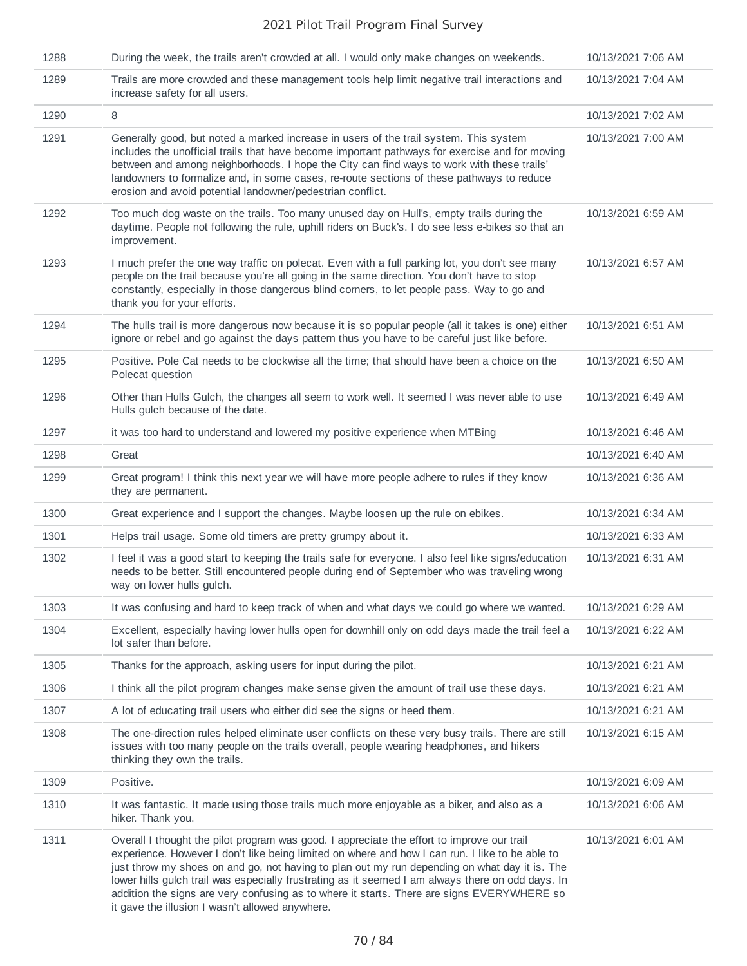| 1288 | During the week, the trails aren't crowded at all. I would only make changes on weekends.                                                                                                                                                                                                                                                                                                                                                                                                                                                            | 10/13/2021 7:06 AM |
|------|------------------------------------------------------------------------------------------------------------------------------------------------------------------------------------------------------------------------------------------------------------------------------------------------------------------------------------------------------------------------------------------------------------------------------------------------------------------------------------------------------------------------------------------------------|--------------------|
| 1289 | Trails are more crowded and these management tools help limit negative trail interactions and<br>increase safety for all users.                                                                                                                                                                                                                                                                                                                                                                                                                      | 10/13/2021 7:04 AM |
| 1290 | 8                                                                                                                                                                                                                                                                                                                                                                                                                                                                                                                                                    | 10/13/2021 7:02 AM |
| 1291 | Generally good, but noted a marked increase in users of the trail system. This system<br>includes the unofficial trails that have become important pathways for exercise and for moving<br>between and among neighborhoods. I hope the City can find ways to work with these trails'<br>landowners to formalize and, in some cases, re-route sections of these pathways to reduce<br>erosion and avoid potential landowner/pedestrian conflict.                                                                                                      | 10/13/2021 7:00 AM |
| 1292 | Too much dog waste on the trails. Too many unused day on Hull's, empty trails during the<br>daytime. People not following the rule, uphill riders on Buck's. I do see less e-bikes so that an<br>improvement.                                                                                                                                                                                                                                                                                                                                        | 10/13/2021 6:59 AM |
| 1293 | I much prefer the one way traffic on polecat. Even with a full parking lot, you don't see many<br>people on the trail because you're all going in the same direction. You don't have to stop<br>constantly, especially in those dangerous blind corners, to let people pass. Way to go and<br>thank you for your efforts.                                                                                                                                                                                                                            | 10/13/2021 6:57 AM |
| 1294 | The hulls trail is more dangerous now because it is so popular people (all it takes is one) either<br>ignore or rebel and go against the days pattern thus you have to be careful just like before.                                                                                                                                                                                                                                                                                                                                                  | 10/13/2021 6:51 AM |
| 1295 | Positive. Pole Cat needs to be clockwise all the time; that should have been a choice on the<br>Polecat question                                                                                                                                                                                                                                                                                                                                                                                                                                     | 10/13/2021 6:50 AM |
| 1296 | Other than Hulls Gulch, the changes all seem to work well. It seemed I was never able to use<br>Hulls gulch because of the date.                                                                                                                                                                                                                                                                                                                                                                                                                     | 10/13/2021 6:49 AM |
| 1297 | it was too hard to understand and lowered my positive experience when MTBing                                                                                                                                                                                                                                                                                                                                                                                                                                                                         | 10/13/2021 6:46 AM |
| 1298 | Great                                                                                                                                                                                                                                                                                                                                                                                                                                                                                                                                                | 10/13/2021 6:40 AM |
| 1299 | Great program! I think this next year we will have more people adhere to rules if they know<br>they are permanent.                                                                                                                                                                                                                                                                                                                                                                                                                                   | 10/13/2021 6:36 AM |
| 1300 | Great experience and I support the changes. Maybe loosen up the rule on ebikes.                                                                                                                                                                                                                                                                                                                                                                                                                                                                      | 10/13/2021 6:34 AM |
| 1301 | Helps trail usage. Some old timers are pretty grumpy about it.                                                                                                                                                                                                                                                                                                                                                                                                                                                                                       | 10/13/2021 6:33 AM |
| 1302 | I feel it was a good start to keeping the trails safe for everyone. I also feel like signs/education<br>needs to be better. Still encountered people during end of September who was traveling wrong<br>way on lower hulls gulch.                                                                                                                                                                                                                                                                                                                    | 10/13/2021 6:31 AM |
| 1303 | It was confusing and hard to keep track of when and what days we could go where we wanted.                                                                                                                                                                                                                                                                                                                                                                                                                                                           | 10/13/2021 6:29 AM |
| 1304 | Excellent, especially having lower hulls open for downhill only on odd days made the trail feel a<br>lot safer than before.                                                                                                                                                                                                                                                                                                                                                                                                                          | 10/13/2021 6:22 AM |
| 1305 | Thanks for the approach, asking users for input during the pilot.                                                                                                                                                                                                                                                                                                                                                                                                                                                                                    | 10/13/2021 6:21 AM |
| 1306 | I think all the pilot program changes make sense given the amount of trail use these days.                                                                                                                                                                                                                                                                                                                                                                                                                                                           | 10/13/2021 6:21 AM |
| 1307 | A lot of educating trail users who either did see the signs or heed them.                                                                                                                                                                                                                                                                                                                                                                                                                                                                            | 10/13/2021 6:21 AM |
| 1308 | The one-direction rules helped eliminate user conflicts on these very busy trails. There are still<br>issues with too many people on the trails overall, people wearing headphones, and hikers<br>thinking they own the trails.                                                                                                                                                                                                                                                                                                                      | 10/13/2021 6:15 AM |
| 1309 | Positive.                                                                                                                                                                                                                                                                                                                                                                                                                                                                                                                                            | 10/13/2021 6:09 AM |
| 1310 | It was fantastic. It made using those trails much more enjoyable as a biker, and also as a<br>hiker. Thank you.                                                                                                                                                                                                                                                                                                                                                                                                                                      | 10/13/2021 6:06 AM |
| 1311 | Overall I thought the pilot program was good. I appreciate the effort to improve our trail<br>experience. However I don't like being limited on where and how I can run. I like to be able to<br>just throw my shoes on and go, not having to plan out my run depending on what day it is. The<br>lower hills gulch trail was especially frustrating as it seemed I am always there on odd days. In<br>addition the signs are very confusing as to where it starts. There are signs EVERYWHERE so<br>it gave the illusion I wasn't allowed anywhere. | 10/13/2021 6:01 AM |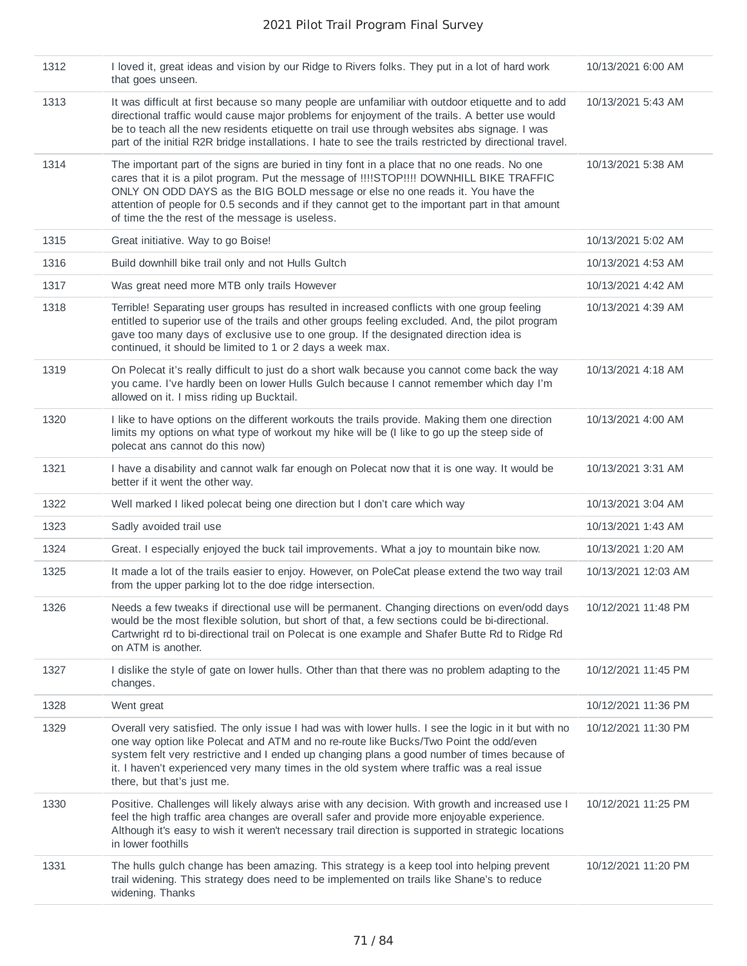| 1312 | I loved it, great ideas and vision by our Ridge to Rivers folks. They put in a lot of hard work<br>that goes unseen.                                                                                                                                                                                                                                                                                                            | 10/13/2021 6:00 AM  |
|------|---------------------------------------------------------------------------------------------------------------------------------------------------------------------------------------------------------------------------------------------------------------------------------------------------------------------------------------------------------------------------------------------------------------------------------|---------------------|
| 1313 | It was difficult at first because so many people are unfamiliar with outdoor etiquette and to add<br>directional traffic would cause major problems for enjoyment of the trails. A better use would<br>be to teach all the new residents etiquette on trail use through websites abs signage. I was<br>part of the initial R2R bridge installations. I hate to see the trails restricted by directional travel.                 | 10/13/2021 5:43 AM  |
| 1314 | The important part of the signs are buried in tiny font in a place that no one reads. No one<br>cares that it is a pilot program. Put the message of !!!!STOP!!!! DOWNHILL BIKE TRAFFIC<br>ONLY ON ODD DAYS as the BIG BOLD message or else no one reads it. You have the<br>attention of people for 0.5 seconds and if they cannot get to the important part in that amount<br>of time the the rest of the message is useless. | 10/13/2021 5:38 AM  |
| 1315 | Great initiative. Way to go Boise!                                                                                                                                                                                                                                                                                                                                                                                              | 10/13/2021 5:02 AM  |
| 1316 | Build downhill bike trail only and not Hulls Gultch                                                                                                                                                                                                                                                                                                                                                                             | 10/13/2021 4:53 AM  |
| 1317 | Was great need more MTB only trails However                                                                                                                                                                                                                                                                                                                                                                                     | 10/13/2021 4:42 AM  |
| 1318 | Terrible! Separating user groups has resulted in increased conflicts with one group feeling<br>entitled to superior use of the trails and other groups feeling excluded. And, the pilot program<br>gave too many days of exclusive use to one group. If the designated direction idea is<br>continued, it should be limited to 1 or 2 days a week max.                                                                          | 10/13/2021 4:39 AM  |
| 1319 | On Polecat it's really difficult to just do a short walk because you cannot come back the way<br>you came. I've hardly been on lower Hulls Gulch because I cannot remember which day I'm<br>allowed on it. I miss riding up Bucktail.                                                                                                                                                                                           | 10/13/2021 4:18 AM  |
| 1320 | I like to have options on the different workouts the trails provide. Making them one direction<br>limits my options on what type of workout my hike will be (I like to go up the steep side of<br>polecat ans cannot do this now)                                                                                                                                                                                               | 10/13/2021 4:00 AM  |
| 1321 | I have a disability and cannot walk far enough on Polecat now that it is one way. It would be<br>better if it went the other way.                                                                                                                                                                                                                                                                                               | 10/13/2021 3:31 AM  |
| 1322 | Well marked I liked polecat being one direction but I don't care which way                                                                                                                                                                                                                                                                                                                                                      | 10/13/2021 3:04 AM  |
| 1323 | Sadly avoided trail use                                                                                                                                                                                                                                                                                                                                                                                                         | 10/13/2021 1:43 AM  |
| 1324 | Great. I especially enjoyed the buck tail improvements. What a joy to mountain bike now.                                                                                                                                                                                                                                                                                                                                        | 10/13/2021 1:20 AM  |
| 1325 | It made a lot of the trails easier to enjoy. However, on PoleCat please extend the two way trail<br>from the upper parking lot to the doe ridge intersection.                                                                                                                                                                                                                                                                   | 10/13/2021 12:03 AM |
| 1326 | Needs a few tweaks if directional use will be permanent. Changing directions on even/odd days<br>would be the most flexible solution, but short of that, a few sections could be bi-directional.<br>Cartwright rd to bi-directional trail on Polecat is one example and Shafer Butte Rd to Ridge Rd<br>on ATM is another.                                                                                                       | 10/12/2021 11:48 PM |
| 1327 | I dislike the style of gate on lower hulls. Other than that there was no problem adapting to the<br>changes.                                                                                                                                                                                                                                                                                                                    | 10/12/2021 11:45 PM |
| 1328 | Went great                                                                                                                                                                                                                                                                                                                                                                                                                      | 10/12/2021 11:36 PM |
| 1329 | Overall very satisfied. The only issue I had was with lower hulls. I see the logic in it but with no<br>one way option like Polecat and ATM and no re-route like Bucks/Two Point the odd/even<br>system felt very restrictive and I ended up changing plans a good number of times because of<br>it. I haven't experienced very many times in the old system where traffic was a real issue<br>there, but that's just me.       | 10/12/2021 11:30 PM |
| 1330 | Positive. Challenges will likely always arise with any decision. With growth and increased use I<br>feel the high traffic area changes are overall safer and provide more enjoyable experience.<br>Although it's easy to wish it weren't necessary trail direction is supported in strategic locations<br>in lower foothills                                                                                                    | 10/12/2021 11:25 PM |
| 1331 | The hulls gulch change has been amazing. This strategy is a keep tool into helping prevent<br>trail widening. This strategy does need to be implemented on trails like Shane's to reduce<br>widening. Thanks                                                                                                                                                                                                                    | 10/12/2021 11:20 PM |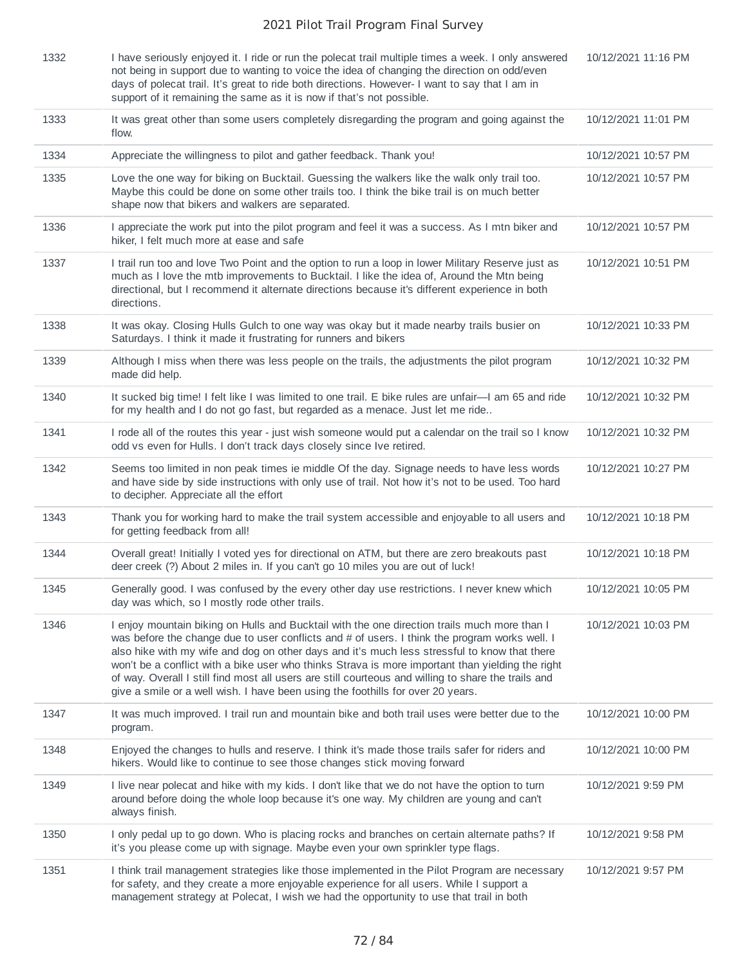| 1332 | I have seriously enjoyed it. I ride or run the polecat trail multiple times a week. I only answered<br>not being in support due to wanting to voice the idea of changing the direction on odd/even<br>days of polecat trail. It's great to ride both directions. However- I want to say that I am in<br>support of it remaining the same as it is now if that's not possible.                                                                                                                                                                                                               | 10/12/2021 11:16 PM |
|------|---------------------------------------------------------------------------------------------------------------------------------------------------------------------------------------------------------------------------------------------------------------------------------------------------------------------------------------------------------------------------------------------------------------------------------------------------------------------------------------------------------------------------------------------------------------------------------------------|---------------------|
| 1333 | It was great other than some users completely disregarding the program and going against the<br>flow.                                                                                                                                                                                                                                                                                                                                                                                                                                                                                       | 10/12/2021 11:01 PM |
| 1334 | Appreciate the willingness to pilot and gather feedback. Thank you!                                                                                                                                                                                                                                                                                                                                                                                                                                                                                                                         | 10/12/2021 10:57 PM |
| 1335 | Love the one way for biking on Bucktail. Guessing the walkers like the walk only trail too.<br>Maybe this could be done on some other trails too. I think the bike trail is on much better<br>shape now that bikers and walkers are separated.                                                                                                                                                                                                                                                                                                                                              | 10/12/2021 10:57 PM |
| 1336 | I appreciate the work put into the pilot program and feel it was a success. As I mtn biker and<br>hiker, I felt much more at ease and safe                                                                                                                                                                                                                                                                                                                                                                                                                                                  | 10/12/2021 10:57 PM |
| 1337 | I trail run too and love Two Point and the option to run a loop in lower Military Reserve just as<br>much as I love the mtb improvements to Bucktail. I like the idea of, Around the Mtn being<br>directional, but I recommend it alternate directions because it's different experience in both<br>directions.                                                                                                                                                                                                                                                                             | 10/12/2021 10:51 PM |
| 1338 | It was okay. Closing Hulls Gulch to one way was okay but it made nearby trails busier on<br>Saturdays. I think it made it frustrating for runners and bikers                                                                                                                                                                                                                                                                                                                                                                                                                                | 10/12/2021 10:33 PM |
| 1339 | Although I miss when there was less people on the trails, the adjustments the pilot program<br>made did help.                                                                                                                                                                                                                                                                                                                                                                                                                                                                               | 10/12/2021 10:32 PM |
| 1340 | It sucked big time! I felt like I was limited to one trail. E bike rules are unfair—I am 65 and ride<br>for my health and I do not go fast, but regarded as a menace. Just let me ride                                                                                                                                                                                                                                                                                                                                                                                                      | 10/12/2021 10:32 PM |
| 1341 | I rode all of the routes this year - just wish someone would put a calendar on the trail so I know<br>odd vs even for Hulls. I don't track days closely since Ive retired.                                                                                                                                                                                                                                                                                                                                                                                                                  | 10/12/2021 10:32 PM |
| 1342 | Seems too limited in non peak times ie middle Of the day. Signage needs to have less words<br>and have side by side instructions with only use of trail. Not how it's not to be used. Too hard<br>to decipher. Appreciate all the effort                                                                                                                                                                                                                                                                                                                                                    | 10/12/2021 10:27 PM |
| 1343 | Thank you for working hard to make the trail system accessible and enjoyable to all users and<br>for getting feedback from all!                                                                                                                                                                                                                                                                                                                                                                                                                                                             | 10/12/2021 10:18 PM |
| 1344 | Overall great! Initially I voted yes for directional on ATM, but there are zero breakouts past<br>deer creek (?) About 2 miles in. If you can't go 10 miles you are out of luck!                                                                                                                                                                                                                                                                                                                                                                                                            | 10/12/2021 10:18 PM |
| 1345 | Generally good. I was confused by the every other day use restrictions. I never knew which<br>day was which, so I mostly rode other trails.                                                                                                                                                                                                                                                                                                                                                                                                                                                 | 10/12/2021 10:05 PM |
| 1346 | I enjoy mountain biking on Hulls and Bucktail with the one direction trails much more than I<br>was before the change due to user conflicts and # of users. I think the program works well. I<br>also hike with my wife and dog on other days and it's much less stressful to know that there<br>won't be a conflict with a bike user who thinks Strava is more important than yielding the right<br>of way. Overall I still find most all users are still courteous and willing to share the trails and<br>give a smile or a well wish. I have been using the foothills for over 20 years. | 10/12/2021 10:03 PM |
| 1347 | It was much improved. I trail run and mountain bike and both trail uses were better due to the<br>program.                                                                                                                                                                                                                                                                                                                                                                                                                                                                                  | 10/12/2021 10:00 PM |
| 1348 | Enjoyed the changes to hulls and reserve. I think it's made those trails safer for riders and<br>hikers. Would like to continue to see those changes stick moving forward                                                                                                                                                                                                                                                                                                                                                                                                                   | 10/12/2021 10:00 PM |
| 1349 | I live near polecat and hike with my kids. I don't like that we do not have the option to turn<br>around before doing the whole loop because it's one way. My children are young and can't<br>always finish.                                                                                                                                                                                                                                                                                                                                                                                | 10/12/2021 9:59 PM  |
| 1350 | I only pedal up to go down. Who is placing rocks and branches on certain alternate paths? If<br>it's you please come up with signage. Maybe even your own sprinkler type flags.                                                                                                                                                                                                                                                                                                                                                                                                             | 10/12/2021 9:58 PM  |
| 1351 | I think trail management strategies like those implemented in the Pilot Program are necessary<br>for safety, and they create a more enjoyable experience for all users. While I support a<br>management strategy at Polecat, I wish we had the opportunity to use that trail in both                                                                                                                                                                                                                                                                                                        | 10/12/2021 9:57 PM  |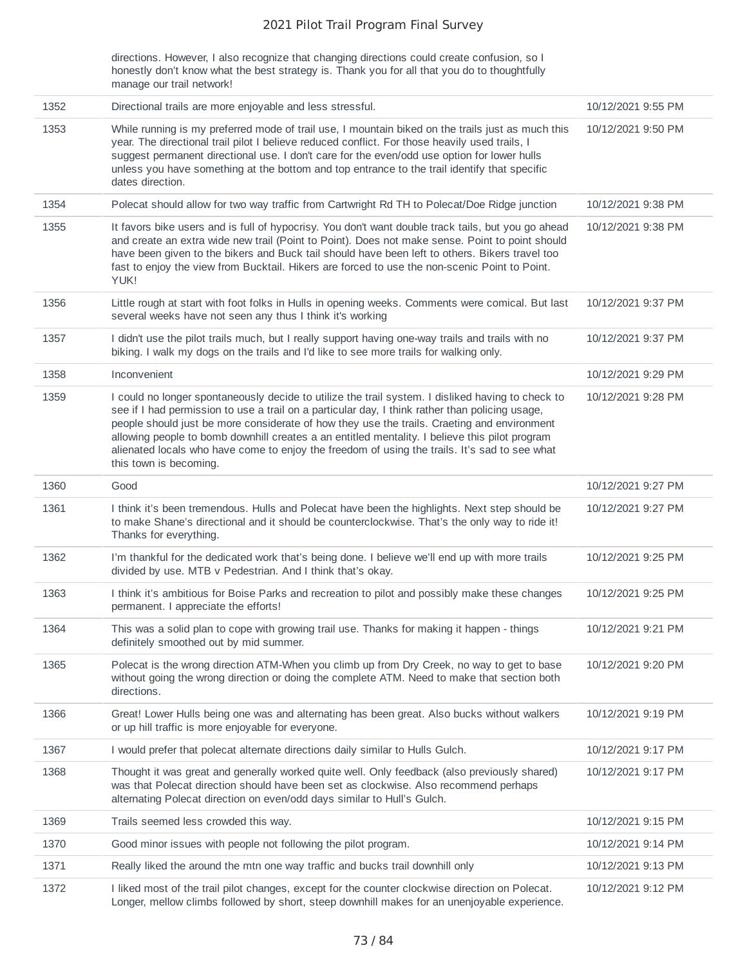directions. However, I also recognize that changing directions could create confusion, so I honestly don't know what the best strategy is. Thank you for all that you do to thoughtfully manage our trail network!

| 1352 | Directional trails are more enjoyable and less stressful.                                                                                                                                                                                                                                                                                                                                                                                                                                                                        | 10/12/2021 9:55 PM |
|------|----------------------------------------------------------------------------------------------------------------------------------------------------------------------------------------------------------------------------------------------------------------------------------------------------------------------------------------------------------------------------------------------------------------------------------------------------------------------------------------------------------------------------------|--------------------|
|      |                                                                                                                                                                                                                                                                                                                                                                                                                                                                                                                                  |                    |
| 1353 | While running is my preferred mode of trail use, I mountain biked on the trails just as much this<br>year. The directional trail pilot I believe reduced conflict. For those heavily used trails, I<br>suggest permanent directional use. I don't care for the even/odd use option for lower hulls<br>unless you have something at the bottom and top entrance to the trail identify that specific<br>dates direction.                                                                                                           | 10/12/2021 9:50 PM |
| 1354 | Polecat should allow for two way traffic from Cartwright Rd TH to Polecat/Doe Ridge junction                                                                                                                                                                                                                                                                                                                                                                                                                                     | 10/12/2021 9:38 PM |
| 1355 | It favors bike users and is full of hypocrisy. You don't want double track tails, but you go ahead<br>and create an extra wide new trail (Point to Point). Does not make sense. Point to point should<br>have been given to the bikers and Buck tail should have been left to others. Bikers travel too<br>fast to enjoy the view from Bucktail. Hikers are forced to use the non-scenic Point to Point.<br>YUK!                                                                                                                 | 10/12/2021 9:38 PM |
| 1356 | Little rough at start with foot folks in Hulls in opening weeks. Comments were comical. But last<br>several weeks have not seen any thus I think it's working                                                                                                                                                                                                                                                                                                                                                                    | 10/12/2021 9:37 PM |
| 1357 | I didn't use the pilot trails much, but I really support having one-way trails and trails with no<br>biking. I walk my dogs on the trails and I'd like to see more trails for walking only.                                                                                                                                                                                                                                                                                                                                      | 10/12/2021 9:37 PM |
| 1358 | Inconvenient                                                                                                                                                                                                                                                                                                                                                                                                                                                                                                                     | 10/12/2021 9:29 PM |
| 1359 | I could no longer spontaneously decide to utilize the trail system. I disliked having to check to<br>see if I had permission to use a trail on a particular day, I think rather than policing usage,<br>people should just be more considerate of how they use the trails. Craeting and environment<br>allowing people to bomb downhill creates a an entitled mentality. I believe this pilot program<br>alienated locals who have come to enjoy the freedom of using the trails. It's sad to see what<br>this town is becoming. | 10/12/2021 9:28 PM |
| 1360 | Good                                                                                                                                                                                                                                                                                                                                                                                                                                                                                                                             | 10/12/2021 9:27 PM |
| 1361 | I think it's been tremendous. Hulls and Polecat have been the highlights. Next step should be<br>to make Shane's directional and it should be counterclockwise. That's the only way to ride it!<br>Thanks for everything.                                                                                                                                                                                                                                                                                                        | 10/12/2021 9:27 PM |
| 1362 | I'm thankful for the dedicated work that's being done. I believe we'll end up with more trails<br>divided by use. MTB v Pedestrian. And I think that's okay.                                                                                                                                                                                                                                                                                                                                                                     | 10/12/2021 9:25 PM |
| 1363 | I think it's ambitious for Boise Parks and recreation to pilot and possibly make these changes<br>permanent. I appreciate the efforts!                                                                                                                                                                                                                                                                                                                                                                                           | 10/12/2021 9:25 PM |
| 1364 | This was a solid plan to cope with growing trail use. Thanks for making it happen - things<br>definitely smoothed out by mid summer.                                                                                                                                                                                                                                                                                                                                                                                             | 10/12/2021 9:21 PM |
| 1365 | Polecat is the wrong direction ATM-When you climb up from Dry Creek, no way to get to base<br>without going the wrong direction or doing the complete ATM. Need to make that section both<br>directions.                                                                                                                                                                                                                                                                                                                         | 10/12/2021 9:20 PM |
| 1366 | Great! Lower Hulls being one was and alternating has been great. Also bucks without walkers<br>or up hill traffic is more enjoyable for everyone.                                                                                                                                                                                                                                                                                                                                                                                | 10/12/2021 9:19 PM |
| 1367 | I would prefer that polecat alternate directions daily similar to Hulls Gulch.                                                                                                                                                                                                                                                                                                                                                                                                                                                   | 10/12/2021 9:17 PM |
| 1368 | Thought it was great and generally worked quite well. Only feedback (also previously shared)<br>was that Polecat direction should have been set as clockwise. Also recommend perhaps<br>alternating Polecat direction on even/odd days similar to Hull's Gulch.                                                                                                                                                                                                                                                                  | 10/12/2021 9:17 PM |
| 1369 | Trails seemed less crowded this way.                                                                                                                                                                                                                                                                                                                                                                                                                                                                                             | 10/12/2021 9:15 PM |
| 1370 | Good minor issues with people not following the pilot program.                                                                                                                                                                                                                                                                                                                                                                                                                                                                   | 10/12/2021 9:14 PM |
| 1371 | Really liked the around the mtn one way traffic and bucks trail downhill only                                                                                                                                                                                                                                                                                                                                                                                                                                                    | 10/12/2021 9:13 PM |
| 1372 | I liked most of the trail pilot changes, except for the counter clockwise direction on Polecat.<br>Longer, mellow climbs followed by short, steep downhill makes for an unenjoyable experience.                                                                                                                                                                                                                                                                                                                                  | 10/12/2021 9:12 PM |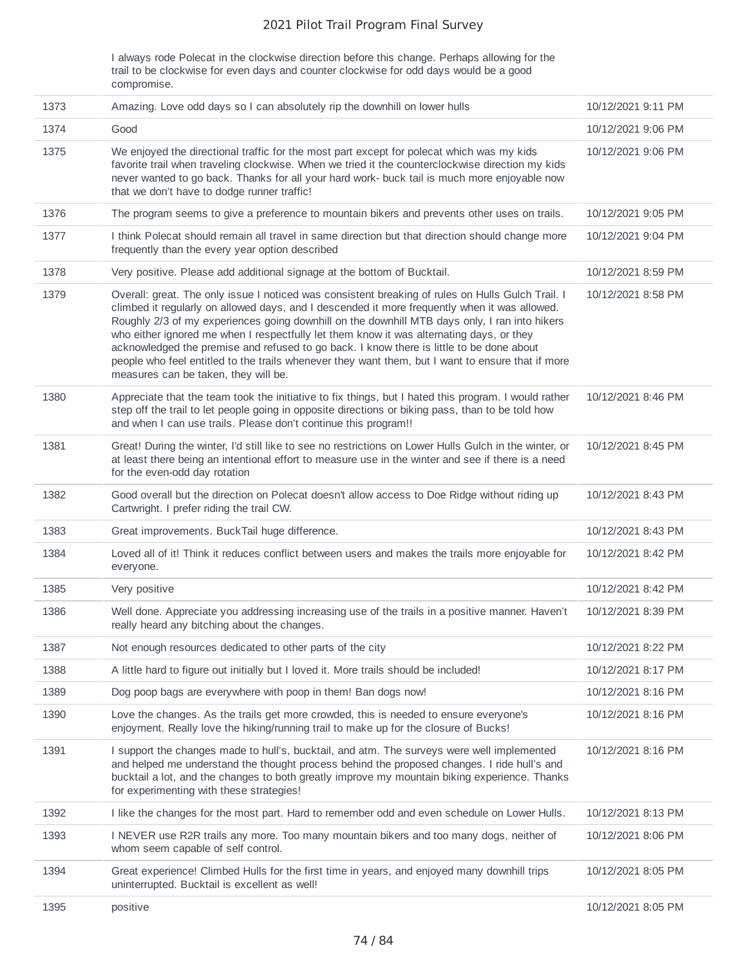I always rode Polecat in the clockwise direction before this change. Perhaps allowing for the trail to be clockwise for even days and counter clockwise for odd days would be a good compromise.

| 1373 | Amazing. Love odd days so I can absolutely rip the downhill on lower hulls                                                                                                                                                                                                                                                                                                                                                                                                                                                                                                                                                               | 10/12/2021 9:11 PM |
|------|------------------------------------------------------------------------------------------------------------------------------------------------------------------------------------------------------------------------------------------------------------------------------------------------------------------------------------------------------------------------------------------------------------------------------------------------------------------------------------------------------------------------------------------------------------------------------------------------------------------------------------------|--------------------|
| 1374 | Good                                                                                                                                                                                                                                                                                                                                                                                                                                                                                                                                                                                                                                     | 10/12/2021 9:06 PM |
| 1375 | We enjoyed the directional traffic for the most part except for polecat which was my kids<br>favorite trail when traveling clockwise. When we tried it the counterclockwise direction my kids<br>never wanted to go back. Thanks for all your hard work- buck tail is much more enjoyable now<br>that we don't have to dodge runner traffic!                                                                                                                                                                                                                                                                                             | 10/12/2021 9:06 PM |
| 1376 | The program seems to give a preference to mountain bikers and prevents other uses on trails.                                                                                                                                                                                                                                                                                                                                                                                                                                                                                                                                             | 10/12/2021 9:05 PM |
| 1377 | I think Polecat should remain all travel in same direction but that direction should change more<br>frequently than the every year option described                                                                                                                                                                                                                                                                                                                                                                                                                                                                                      | 10/12/2021 9:04 PM |
| 1378 | Very positive. Please add additional signage at the bottom of Bucktail.                                                                                                                                                                                                                                                                                                                                                                                                                                                                                                                                                                  | 10/12/2021 8:59 PM |
| 1379 | Overall: great. The only issue I noticed was consistent breaking of rules on Hulls Gulch Trail. I<br>climbed it regularly on allowed days, and I descended it more frequently when it was allowed.<br>Roughly 2/3 of my experiences going downhill on the downhill MTB days only, I ran into hikers<br>who either ignored me when I respectfully let them know it was alternating days, or they<br>acknowledged the premise and refused to go back. I know there is little to be done about<br>people who feel entitled to the trails whenever they want them, but I want to ensure that if more<br>measures can be taken, they will be. | 10/12/2021 8:58 PM |
| 1380 | Appreciate that the team took the initiative to fix things, but I hated this program. I would rather<br>step off the trail to let people going in opposite directions or biking pass, than to be told how<br>and when I can use trails. Please don't continue this program!!                                                                                                                                                                                                                                                                                                                                                             | 10/12/2021 8:46 PM |
| 1381 | Great! During the winter, I'd still like to see no restrictions on Lower Hulls Gulch in the winter, or<br>at least there being an intentional effort to measure use in the winter and see if there is a need<br>for the even-odd day rotation                                                                                                                                                                                                                                                                                                                                                                                            | 10/12/2021 8:45 PM |
| 1382 | Good overall but the direction on Polecat doesn't allow access to Doe Ridge without riding up<br>Cartwright. I prefer riding the trail CW.                                                                                                                                                                                                                                                                                                                                                                                                                                                                                               | 10/12/2021 8:43 PM |
| 1383 | Great improvements. BuckTail huge difference.                                                                                                                                                                                                                                                                                                                                                                                                                                                                                                                                                                                            | 10/12/2021 8:43 PM |
| 1384 | Loved all of it! Think it reduces conflict between users and makes the trails more enjoyable for<br>everyone.                                                                                                                                                                                                                                                                                                                                                                                                                                                                                                                            | 10/12/2021 8:42 PM |
| 1385 | Very positive                                                                                                                                                                                                                                                                                                                                                                                                                                                                                                                                                                                                                            | 10/12/2021 8:42 PM |
| 1386 | Well done. Appreciate you addressing increasing use of the trails in a positive manner. Haven't<br>really heard any bitching about the changes.                                                                                                                                                                                                                                                                                                                                                                                                                                                                                          | 10/12/2021 8:39 PM |
| 1387 | Not enough resources dedicated to other parts of the city                                                                                                                                                                                                                                                                                                                                                                                                                                                                                                                                                                                | 10/12/2021 8:22 PM |
| 1388 | A little hard to figure out initially but I loved it. More trails should be included!                                                                                                                                                                                                                                                                                                                                                                                                                                                                                                                                                    | 10/12/2021 8:17 PM |
| 1389 | Dog poop bags are everywhere with poop in them! Ban dogs now!                                                                                                                                                                                                                                                                                                                                                                                                                                                                                                                                                                            | 10/12/2021 8:16 PM |
| 1390 | Love the changes. As the trails get more crowded, this is needed to ensure everyone's<br>enjoyment. Really love the hiking/running trail to make up for the closure of Bucks!                                                                                                                                                                                                                                                                                                                                                                                                                                                            | 10/12/2021 8:16 PM |
| 1391 | I support the changes made to hull's, bucktail, and atm. The surveys were well implemented<br>and helped me understand the thought process behind the proposed changes. I ride hull's and<br>bucktail a lot, and the changes to both greatly improve my mountain biking experience. Thanks<br>for experimenting with these strategies!                                                                                                                                                                                                                                                                                                   | 10/12/2021 8:16 PM |
| 1392 | I like the changes for the most part. Hard to remember odd and even schedule on Lower Hulls.                                                                                                                                                                                                                                                                                                                                                                                                                                                                                                                                             | 10/12/2021 8:13 PM |
| 1393 | I NEVER use R2R trails any more. Too many mountain bikers and too many dogs, neither of<br>whom seem capable of self control.                                                                                                                                                                                                                                                                                                                                                                                                                                                                                                            | 10/12/2021 8:06 PM |
| 1394 | Great experience! Climbed Hulls for the first time in years, and enjoyed many downhill trips<br>uninterrupted. Bucktail is excellent as well!                                                                                                                                                                                                                                                                                                                                                                                                                                                                                            | 10/12/2021 8:05 PM |
| 1395 | positive                                                                                                                                                                                                                                                                                                                                                                                                                                                                                                                                                                                                                                 | 10/12/2021 8:05 PM |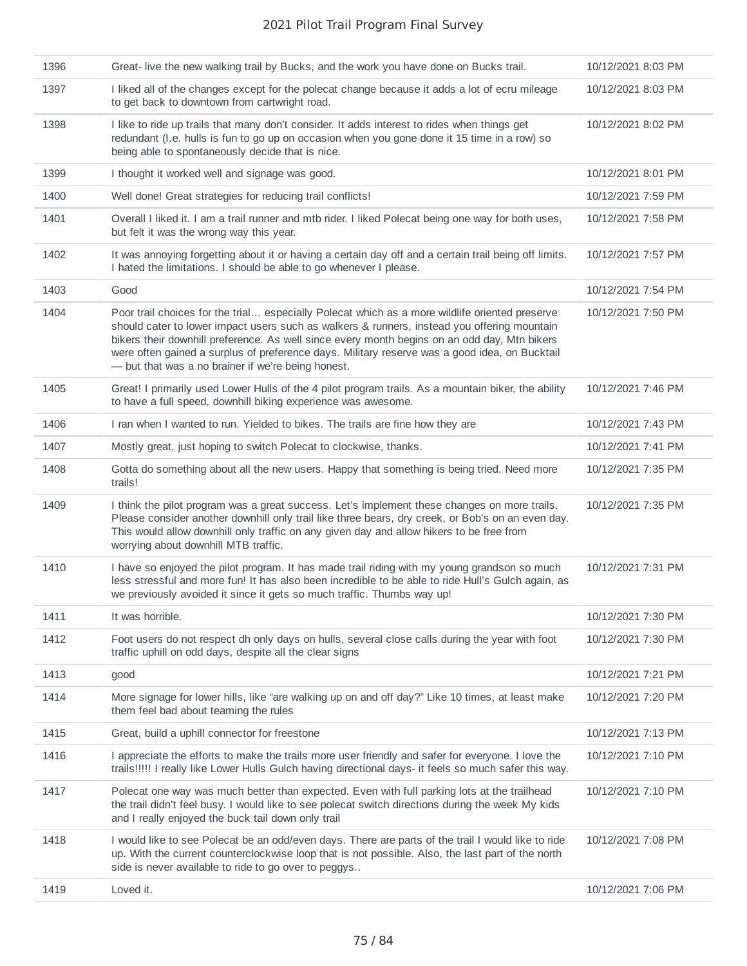| 1396 | Great-live the new walking trail by Bucks, and the work you have done on Bucks trail.                                                                                                                                                                                                                                                                                                                                                                | 10/12/2021 8:03 PM |
|------|------------------------------------------------------------------------------------------------------------------------------------------------------------------------------------------------------------------------------------------------------------------------------------------------------------------------------------------------------------------------------------------------------------------------------------------------------|--------------------|
| 1397 | I liked all of the changes except for the polecat change because it adds a lot of ecru mileage<br>to get back to downtown from cartwright road.                                                                                                                                                                                                                                                                                                      | 10/12/2021 8:03 PM |
| 1398 | I like to ride up trails that many don't consider. It adds interest to rides when things get<br>redundant (I.e. hulls is fun to go up on occasion when you gone done it 15 time in a row) so<br>being able to spontaneously decide that is nice.                                                                                                                                                                                                     | 10/12/2021 8:02 PM |
| 1399 | I thought it worked well and signage was good.                                                                                                                                                                                                                                                                                                                                                                                                       | 10/12/2021 8:01 PM |
| 1400 | Well done! Great strategies for reducing trail conflicts!                                                                                                                                                                                                                                                                                                                                                                                            | 10/12/2021 7:59 PM |
| 1401 | Overall I liked it. I am a trail runner and mtb rider. I liked Polecat being one way for both uses,<br>but felt it was the wrong way this year.                                                                                                                                                                                                                                                                                                      | 10/12/2021 7:58 PM |
| 1402 | It was annoying forgetting about it or having a certain day off and a certain trail being off limits.<br>I hated the limitations. I should be able to go whenever I please.                                                                                                                                                                                                                                                                          | 10/12/2021 7:57 PM |
| 1403 | Good                                                                                                                                                                                                                                                                                                                                                                                                                                                 | 10/12/2021 7:54 PM |
| 1404 | Poor trail choices for the trial especially Polecat which as a more wildlife oriented preserve<br>should cater to lower impact users such as walkers & runners, instead you offering mountain<br>bikers their downhill preference. As well since every month begins on an odd day, Mtn bikers<br>were often gained a surplus of preference days. Military reserve was a good idea, on Bucktail<br>- but that was a no brainer if we're being honest. | 10/12/2021 7:50 PM |
| 1405 | Great! I primarily used Lower Hulls of the 4 pilot program trails. As a mountain biker, the ability<br>to have a full speed, downhill biking experience was awesome.                                                                                                                                                                                                                                                                                 | 10/12/2021 7:46 PM |
| 1406 | I ran when I wanted to run. Yielded to bikes. The trails are fine how they are                                                                                                                                                                                                                                                                                                                                                                       | 10/12/2021 7:43 PM |
| 1407 | Mostly great, just hoping to switch Polecat to clockwise, thanks.                                                                                                                                                                                                                                                                                                                                                                                    | 10/12/2021 7:41 PM |
| 1408 | Gotta do something about all the new users. Happy that something is being tried. Need more<br>trails!                                                                                                                                                                                                                                                                                                                                                | 10/12/2021 7:35 PM |
| 1409 | I think the pilot program was a great success. Let's implement these changes on more trails.<br>Please consider another downhill only trail like three bears, dry creek, or Bob's on an even day.<br>This would allow downhill only traffic on any given day and allow hikers to be free from<br>worrying about downhill MTB traffic.                                                                                                                | 10/12/2021 7:35 PM |
| 1410 | I have so enjoyed the pilot program. It has made trail riding with my young grandson so much<br>less stressful and more fun! It has also been incredible to be able to ride Hull's Gulch again, as<br>we previously avoided it since it gets so much traffic. Thumbs way up!                                                                                                                                                                         | 10/12/2021 7:31 PM |
| 1411 | It was horrible.                                                                                                                                                                                                                                                                                                                                                                                                                                     | 10/12/2021 7:30 PM |
| 1412 | Foot users do not respect dh only days on hulls, several close calls during the year with foot<br>traffic uphill on odd days, despite all the clear signs                                                                                                                                                                                                                                                                                            | 10/12/2021 7:30 PM |
| 1413 | good                                                                                                                                                                                                                                                                                                                                                                                                                                                 | 10/12/2021 7:21 PM |
| 1414 | More signage for lower hills, like "are walking up on and off day?" Like 10 times, at least make<br>them feel bad about teaming the rules                                                                                                                                                                                                                                                                                                            | 10/12/2021 7:20 PM |
| 1415 | Great, build a uphill connector for freestone                                                                                                                                                                                                                                                                                                                                                                                                        | 10/12/2021 7:13 PM |
| 1416 | I appreciate the efforts to make the trails more user friendly and safer for everyone. I love the<br>trails!!!!! I really like Lower Hulls Gulch having directional days- it feels so much safer this way.                                                                                                                                                                                                                                           | 10/12/2021 7:10 PM |
| 1417 | Polecat one way was much better than expected. Even with full parking lots at the trailhead<br>the trail didn't feel busy. I would like to see polecat switch directions during the week My kids<br>and I really enjoyed the buck tail down only trail                                                                                                                                                                                               | 10/12/2021 7:10 PM |
| 1418 | I would like to see Polecat be an odd/even days. There are parts of the trail I would like to ride<br>up. With the current counterclockwise loop that is not possible. Also, the last part of the north<br>side is never available to ride to go over to peggys                                                                                                                                                                                      | 10/12/2021 7:08 PM |
| 1419 | Loved it.                                                                                                                                                                                                                                                                                                                                                                                                                                            | 10/12/2021 7:06 PM |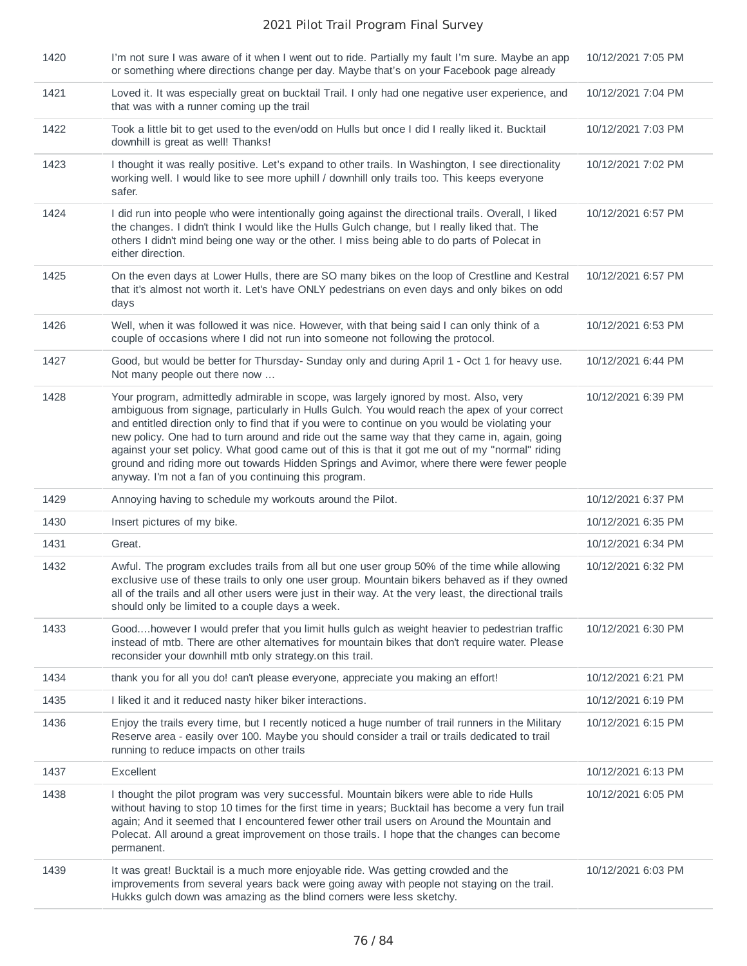| 1420 | I'm not sure I was aware of it when I went out to ride. Partially my fault I'm sure. Maybe an app<br>or something where directions change per day. Maybe that's on your Facebook page already                                                                                                                                                                                                                                                                                                                                                                                              | 10/12/2021 7:05 PM |
|------|--------------------------------------------------------------------------------------------------------------------------------------------------------------------------------------------------------------------------------------------------------------------------------------------------------------------------------------------------------------------------------------------------------------------------------------------------------------------------------------------------------------------------------------------------------------------------------------------|--------------------|
| 1421 | Loved it. It was especially great on bucktail Trail. I only had one negative user experience, and<br>that was with a runner coming up the trail                                                                                                                                                                                                                                                                                                                                                                                                                                            | 10/12/2021 7:04 PM |
| 1422 | Took a little bit to get used to the even/odd on Hulls but once I did I really liked it. Bucktail<br>downhill is great as well! Thanks!                                                                                                                                                                                                                                                                                                                                                                                                                                                    | 10/12/2021 7:03 PM |
| 1423 | I thought it was really positive. Let's expand to other trails. In Washington, I see directionality<br>working well. I would like to see more uphill / downhill only trails too. This keeps everyone<br>safer.                                                                                                                                                                                                                                                                                                                                                                             | 10/12/2021 7:02 PM |
| 1424 | I did run into people who were intentionally going against the directional trails. Overall, I liked<br>the changes. I didn't think I would like the Hulls Gulch change, but I really liked that. The<br>others I didn't mind being one way or the other. I miss being able to do parts of Polecat in<br>either direction.                                                                                                                                                                                                                                                                  | 10/12/2021 6:57 PM |
| 1425 | On the even days at Lower Hulls, there are SO many bikes on the loop of Crestline and Kestral<br>that it's almost not worth it. Let's have ONLY pedestrians on even days and only bikes on odd<br>days                                                                                                                                                                                                                                                                                                                                                                                     | 10/12/2021 6:57 PM |
| 1426 | Well, when it was followed it was nice. However, with that being said I can only think of a<br>couple of occasions where I did not run into someone not following the protocol.                                                                                                                                                                                                                                                                                                                                                                                                            | 10/12/2021 6:53 PM |
| 1427 | Good, but would be better for Thursday- Sunday only and during April 1 - Oct 1 for heavy use.<br>Not many people out there now                                                                                                                                                                                                                                                                                                                                                                                                                                                             | 10/12/2021 6:44 PM |
| 1428 | Your program, admittedly admirable in scope, was largely ignored by most. Also, very<br>ambiguous from signage, particularly in Hulls Gulch. You would reach the apex of your correct<br>and entitled direction only to find that if you were to continue on you would be violating your<br>new policy. One had to turn around and ride out the same way that they came in, again, going<br>against your set policy. What good came out of this is that it got me out of my "normal" riding<br>ground and riding more out towards Hidden Springs and Avimor, where there were fewer people | 10/12/2021 6:39 PM |
|      | anyway. I'm not a fan of you continuing this program.                                                                                                                                                                                                                                                                                                                                                                                                                                                                                                                                      |                    |
| 1429 | Annoying having to schedule my workouts around the Pilot.                                                                                                                                                                                                                                                                                                                                                                                                                                                                                                                                  | 10/12/2021 6:37 PM |
| 1430 | Insert pictures of my bike.                                                                                                                                                                                                                                                                                                                                                                                                                                                                                                                                                                | 10/12/2021 6:35 PM |
| 1431 | Great.                                                                                                                                                                                                                                                                                                                                                                                                                                                                                                                                                                                     | 10/12/2021 6:34 PM |
| 1432 | Awful. The program excludes trails from all but one user group 50% of the time while allowing<br>exclusive use of these trails to only one user group. Mountain bikers behaved as if they owned<br>all of the trails and all other users were just in their way. At the very least, the directional trails<br>should only be limited to a couple days a week.                                                                                                                                                                                                                              | 10/12/2021 6:32 PM |
| 1433 | Goodhowever I would prefer that you limit hulls gulch as weight heavier to pedestrian traffic<br>instead of mtb. There are other alternatives for mountain bikes that don't require water. Please<br>reconsider your downhill mtb only strategy on this trail.                                                                                                                                                                                                                                                                                                                             | 10/12/2021 6:30 PM |
| 1434 | thank you for all you do! can't please everyone, appreciate you making an effort!                                                                                                                                                                                                                                                                                                                                                                                                                                                                                                          | 10/12/2021 6:21 PM |
| 1435 | I liked it and it reduced nasty hiker biker interactions.                                                                                                                                                                                                                                                                                                                                                                                                                                                                                                                                  | 10/12/2021 6:19 PM |
| 1436 | Enjoy the trails every time, but I recently noticed a huge number of trail runners in the Military<br>Reserve area - easily over 100. Maybe you should consider a trail or trails dedicated to trail<br>running to reduce impacts on other trails                                                                                                                                                                                                                                                                                                                                          | 10/12/2021 6:15 PM |
| 1437 | Excellent                                                                                                                                                                                                                                                                                                                                                                                                                                                                                                                                                                                  | 10/12/2021 6:13 PM |
| 1438 | I thought the pilot program was very successful. Mountain bikers were able to ride Hulls<br>without having to stop 10 times for the first time in years; Bucktail has become a very fun trail<br>again; And it seemed that I encountered fewer other trail users on Around the Mountain and<br>Polecat. All around a great improvement on those trails. I hope that the changes can become<br>permanent.                                                                                                                                                                                   | 10/12/2021 6:05 PM |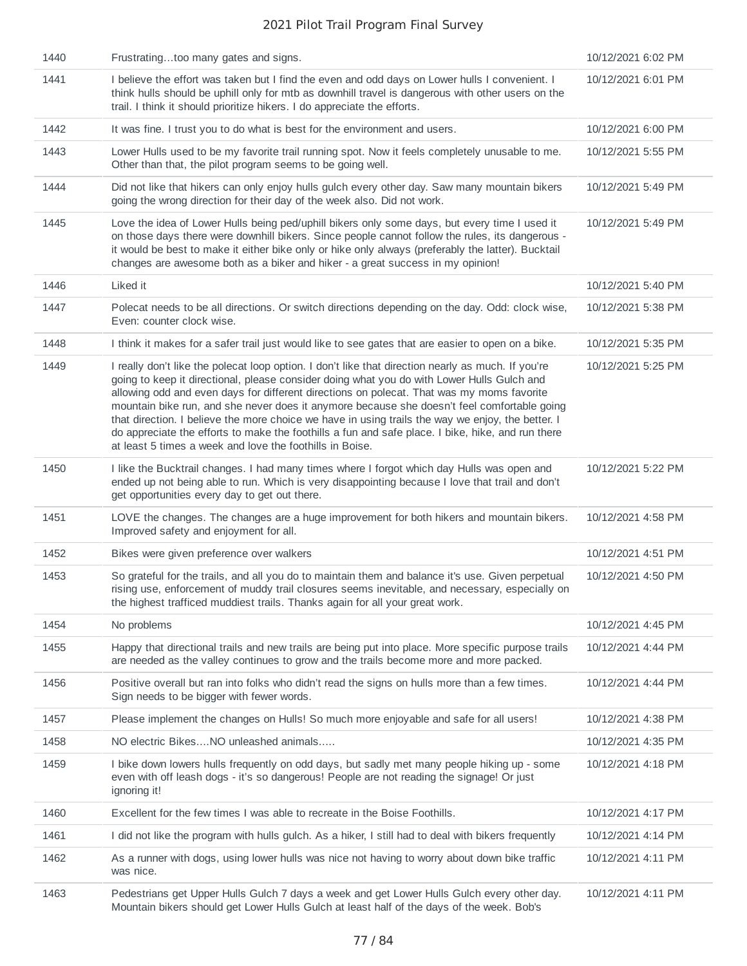| 1440 | Frustratingtoo many gates and signs.                                                                                                                                                                                                                                                                                                                                                                                                                                                                                                                                                                                                                               | 10/12/2021 6:02 PM |
|------|--------------------------------------------------------------------------------------------------------------------------------------------------------------------------------------------------------------------------------------------------------------------------------------------------------------------------------------------------------------------------------------------------------------------------------------------------------------------------------------------------------------------------------------------------------------------------------------------------------------------------------------------------------------------|--------------------|
| 1441 | I believe the effort was taken but I find the even and odd days on Lower hulls I convenient. I<br>think hulls should be uphill only for mtb as downhill travel is dangerous with other users on the<br>trail. I think it should prioritize hikers. I do appreciate the efforts.                                                                                                                                                                                                                                                                                                                                                                                    | 10/12/2021 6:01 PM |
| 1442 | It was fine. I trust you to do what is best for the environment and users.                                                                                                                                                                                                                                                                                                                                                                                                                                                                                                                                                                                         | 10/12/2021 6:00 PM |
| 1443 | Lower Hulls used to be my favorite trail running spot. Now it feels completely unusable to me.<br>Other than that, the pilot program seems to be going well.                                                                                                                                                                                                                                                                                                                                                                                                                                                                                                       | 10/12/2021 5:55 PM |
| 1444 | Did not like that hikers can only enjoy hulls gulch every other day. Saw many mountain bikers<br>going the wrong direction for their day of the week also. Did not work.                                                                                                                                                                                                                                                                                                                                                                                                                                                                                           | 10/12/2021 5:49 PM |
| 1445 | Love the idea of Lower Hulls being ped/uphill bikers only some days, but every time I used it<br>on those days there were downhill bikers. Since people cannot follow the rules, its dangerous -<br>it would be best to make it either bike only or hike only always (preferably the latter). Bucktail<br>changes are awesome both as a biker and hiker - a great success in my opinion!                                                                                                                                                                                                                                                                           | 10/12/2021 5:49 PM |
| 1446 | Liked it                                                                                                                                                                                                                                                                                                                                                                                                                                                                                                                                                                                                                                                           | 10/12/2021 5:40 PM |
| 1447 | Polecat needs to be all directions. Or switch directions depending on the day. Odd: clock wise,<br>Even: counter clock wise.                                                                                                                                                                                                                                                                                                                                                                                                                                                                                                                                       | 10/12/2021 5:38 PM |
| 1448 | I think it makes for a safer trail just would like to see gates that are easier to open on a bike.                                                                                                                                                                                                                                                                                                                                                                                                                                                                                                                                                                 | 10/12/2021 5:35 PM |
| 1449 | I really don't like the polecat loop option. I don't like that direction nearly as much. If you're<br>going to keep it directional, please consider doing what you do with Lower Hulls Gulch and<br>allowing odd and even days for different directions on polecat. That was my moms favorite<br>mountain bike run, and she never does it anymore because she doesn't feel comfortable going<br>that direction. I believe the more choice we have in using trails the way we enjoy, the better. I<br>do appreciate the efforts to make the foothills a fun and safe place. I bike, hike, and run there<br>at least 5 times a week and love the foothills in Boise. | 10/12/2021 5:25 PM |
| 1450 | I like the Bucktrail changes. I had many times where I forgot which day Hulls was open and<br>ended up not being able to run. Which is very disappointing because I love that trail and don't<br>get opportunities every day to get out there.                                                                                                                                                                                                                                                                                                                                                                                                                     | 10/12/2021 5:22 PM |
| 1451 | LOVE the changes. The changes are a huge improvement for both hikers and mountain bikers.<br>Improved safety and enjoyment for all.                                                                                                                                                                                                                                                                                                                                                                                                                                                                                                                                | 10/12/2021 4:58 PM |
| 1452 | Bikes were given preference over walkers                                                                                                                                                                                                                                                                                                                                                                                                                                                                                                                                                                                                                           | 10/12/2021 4:51 PM |
| 1453 | So grateful for the trails, and all you do to maintain them and balance it's use. Given perpetual<br>rising use, enforcement of muddy trail closures seems inevitable, and necessary, especially on<br>the highest trafficed muddiest trails. Thanks again for all your great work.                                                                                                                                                                                                                                                                                                                                                                                | 10/12/2021 4:50 PM |
| 1454 | No problems                                                                                                                                                                                                                                                                                                                                                                                                                                                                                                                                                                                                                                                        | 10/12/2021 4:45 PM |
| 1455 | Happy that directional trails and new trails are being put into place. More specific purpose trails<br>are needed as the valley continues to grow and the trails become more and more packed.                                                                                                                                                                                                                                                                                                                                                                                                                                                                      | 10/12/2021 4:44 PM |
| 1456 | Positive overall but ran into folks who didn't read the signs on hulls more than a few times.<br>Sign needs to be bigger with fewer words.                                                                                                                                                                                                                                                                                                                                                                                                                                                                                                                         | 10/12/2021 4:44 PM |
| 1457 | Please implement the changes on Hulls! So much more enjoyable and safe for all users!                                                                                                                                                                                                                                                                                                                                                                                                                                                                                                                                                                              | 10/12/2021 4:38 PM |
| 1458 | NO electric BikesNO unleashed animals                                                                                                                                                                                                                                                                                                                                                                                                                                                                                                                                                                                                                              | 10/12/2021 4:35 PM |
| 1459 | I bike down lowers hulls frequently on odd days, but sadly met many people hiking up - some<br>even with off leash dogs - it's so dangerous! People are not reading the signage! Or just<br>ignoring it!                                                                                                                                                                                                                                                                                                                                                                                                                                                           | 10/12/2021 4:18 PM |
| 1460 | Excellent for the few times I was able to recreate in the Boise Foothills.                                                                                                                                                                                                                                                                                                                                                                                                                                                                                                                                                                                         | 10/12/2021 4:17 PM |
| 1461 | I did not like the program with hulls gulch. As a hiker, I still had to deal with bikers frequently                                                                                                                                                                                                                                                                                                                                                                                                                                                                                                                                                                | 10/12/2021 4:14 PM |
| 1462 | As a runner with dogs, using lower hulls was nice not having to worry about down bike traffic<br>was nice.                                                                                                                                                                                                                                                                                                                                                                                                                                                                                                                                                         | 10/12/2021 4:11 PM |
| 1463 | Pedestrians get Upper Hulls Gulch 7 days a week and get Lower Hulls Gulch every other day.<br>Mountain bikers should get Lower Hulls Gulch at least half of the days of the week. Bob's                                                                                                                                                                                                                                                                                                                                                                                                                                                                            | 10/12/2021 4:11 PM |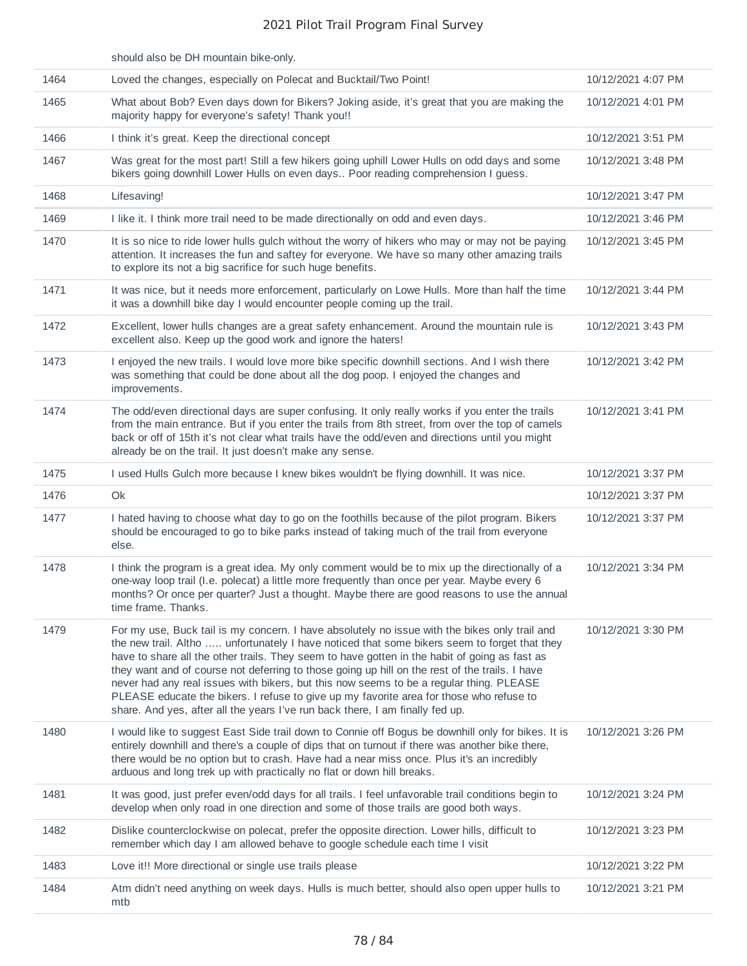|      | should also be DH mountain bike-only.                                                                                                                                                                                                                                                                                                                                                                                                                                                                                                                                                                                                                                   |                    |
|------|-------------------------------------------------------------------------------------------------------------------------------------------------------------------------------------------------------------------------------------------------------------------------------------------------------------------------------------------------------------------------------------------------------------------------------------------------------------------------------------------------------------------------------------------------------------------------------------------------------------------------------------------------------------------------|--------------------|
| 1464 | Loved the changes, especially on Polecat and Bucktail/Two Point!                                                                                                                                                                                                                                                                                                                                                                                                                                                                                                                                                                                                        | 10/12/2021 4:07 PM |
| 1465 | What about Bob? Even days down for Bikers? Joking aside, it's great that you are making the<br>majority happy for everyone's safety! Thank you!!                                                                                                                                                                                                                                                                                                                                                                                                                                                                                                                        | 10/12/2021 4:01 PM |
| 1466 | I think it's great. Keep the directional concept                                                                                                                                                                                                                                                                                                                                                                                                                                                                                                                                                                                                                        | 10/12/2021 3:51 PM |
| 1467 | Was great for the most part! Still a few hikers going uphill Lower Hulls on odd days and some<br>bikers going downhill Lower Hulls on even days Poor reading comprehension I guess.                                                                                                                                                                                                                                                                                                                                                                                                                                                                                     | 10/12/2021 3:48 PM |
| 1468 | Lifesaving!                                                                                                                                                                                                                                                                                                                                                                                                                                                                                                                                                                                                                                                             | 10/12/2021 3:47 PM |
| 1469 | I like it. I think more trail need to be made directionally on odd and even days.                                                                                                                                                                                                                                                                                                                                                                                                                                                                                                                                                                                       | 10/12/2021 3:46 PM |
| 1470 | It is so nice to ride lower hulls gulch without the worry of hikers who may or may not be paying<br>attention. It increases the fun and saftey for everyone. We have so many other amazing trails<br>to explore its not a big sacrifice for such huge benefits.                                                                                                                                                                                                                                                                                                                                                                                                         | 10/12/2021 3:45 PM |
| 1471 | It was nice, but it needs more enforcement, particularly on Lowe Hulls. More than half the time<br>it was a downhill bike day I would encounter people coming up the trail.                                                                                                                                                                                                                                                                                                                                                                                                                                                                                             | 10/12/2021 3:44 PM |
| 1472 | Excellent, lower hulls changes are a great safety enhancement. Around the mountain rule is<br>excellent also. Keep up the good work and ignore the haters!                                                                                                                                                                                                                                                                                                                                                                                                                                                                                                              | 10/12/2021 3:43 PM |
| 1473 | I enjoyed the new trails. I would love more bike specific downhill sections. And I wish there<br>was something that could be done about all the dog poop. I enjoyed the changes and<br>improvements.                                                                                                                                                                                                                                                                                                                                                                                                                                                                    | 10/12/2021 3:42 PM |
| 1474 | The odd/even directional days are super confusing. It only really works if you enter the trails<br>from the main entrance. But if you enter the trails from 8th street, from over the top of camels<br>back or off of 15th it's not clear what trails have the odd/even and directions until you might<br>already be on the trail. It just doesn't make any sense.                                                                                                                                                                                                                                                                                                      | 10/12/2021 3:41 PM |
| 1475 | I used Hulls Gulch more because I knew bikes wouldn't be flying downhill. It was nice.                                                                                                                                                                                                                                                                                                                                                                                                                                                                                                                                                                                  | 10/12/2021 3:37 PM |
| 1476 | Ok                                                                                                                                                                                                                                                                                                                                                                                                                                                                                                                                                                                                                                                                      | 10/12/2021 3:37 PM |
| 1477 | I hated having to choose what day to go on the foothills because of the pilot program. Bikers<br>should be encouraged to go to bike parks instead of taking much of the trail from everyone<br>else.                                                                                                                                                                                                                                                                                                                                                                                                                                                                    | 10/12/2021 3:37 PM |
| 1478 | I think the program is a great idea. My only comment would be to mix up the directionally of a<br>one-way loop trail (I.e. polecat) a little more frequently than once per year. Maybe every 6<br>months? Or once per quarter? Just a thought. Maybe there are good reasons to use the annual<br>time frame. Thanks.                                                                                                                                                                                                                                                                                                                                                    | 10/12/2021 3:34 PM |
| 1479 | For my use, Buck tail is my concern. I have absolutely no issue with the bikes only trail and<br>the new trail. Altho  unfortunately I have noticed that some bikers seem to forget that they<br>have to share all the other trails. They seem to have gotten in the habit of going as fast as<br>they want and of course not deferring to those going up hill on the rest of the trails. I have<br>never had any real issues with bikers, but this now seems to be a regular thing. PLEASE<br>PLEASE educate the bikers. I refuse to give up my favorite area for those who refuse to<br>share. And yes, after all the years I've run back there, I am finally fed up. | 10/12/2021 3:30 PM |
| 1480 | I would like to suggest East Side trail down to Connie off Bogus be downhill only for bikes. It is<br>entirely downhill and there's a couple of dips that on turnout if there was another bike there,<br>there would be no option but to crash. Have had a near miss once. Plus it's an incredibly<br>arduous and long trek up with practically no flat or down hill breaks.                                                                                                                                                                                                                                                                                            | 10/12/2021 3:26 PM |
| 1481 | It was good, just prefer even/odd days for all trails. I feel unfavorable trail conditions begin to<br>develop when only road in one direction and some of those trails are good both ways.                                                                                                                                                                                                                                                                                                                                                                                                                                                                             | 10/12/2021 3:24 PM |
| 1482 | Dislike counterclockwise on polecat, prefer the opposite direction. Lower hills, difficult to<br>remember which day I am allowed behave to google schedule each time I visit                                                                                                                                                                                                                                                                                                                                                                                                                                                                                            | 10/12/2021 3:23 PM |
| 1483 | Love it!! More directional or single use trails please                                                                                                                                                                                                                                                                                                                                                                                                                                                                                                                                                                                                                  | 10/12/2021 3:22 PM |
| 1484 | Atm didn't need anything on week days. Hulls is much better, should also open upper hulls to<br>mtb                                                                                                                                                                                                                                                                                                                                                                                                                                                                                                                                                                     | 10/12/2021 3:21 PM |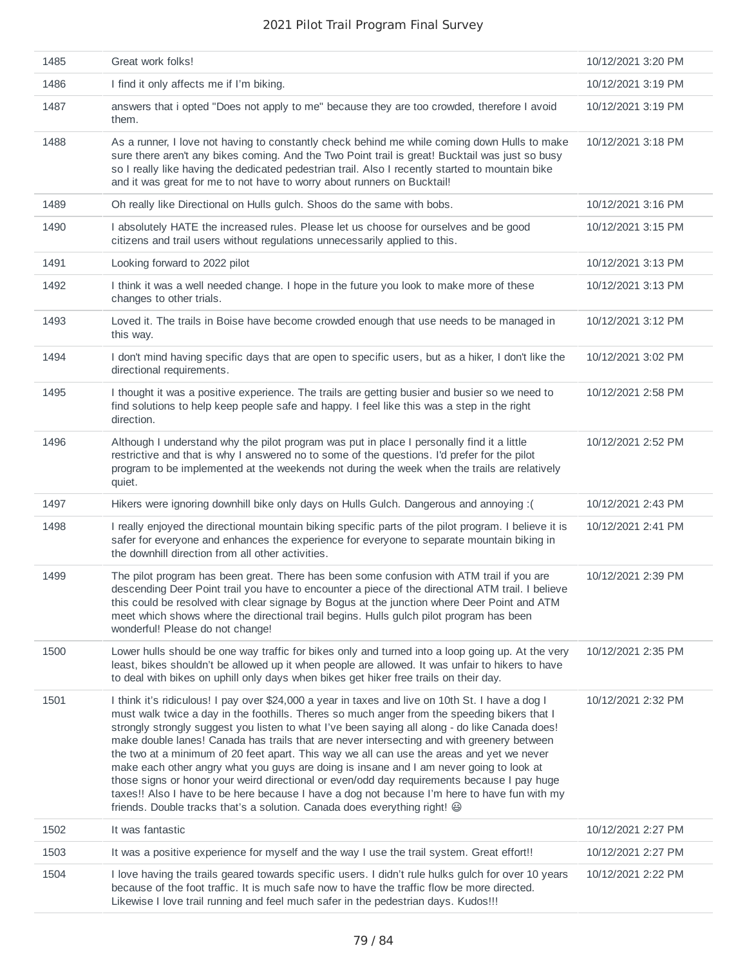| 1485 | Great work folks!                                                                                                                                                                                                                                                                                                                                                                                                                                                                                                                                                                                                                                                                                                                                                                                                                                                    | 10/12/2021 3:20 PM |
|------|----------------------------------------------------------------------------------------------------------------------------------------------------------------------------------------------------------------------------------------------------------------------------------------------------------------------------------------------------------------------------------------------------------------------------------------------------------------------------------------------------------------------------------------------------------------------------------------------------------------------------------------------------------------------------------------------------------------------------------------------------------------------------------------------------------------------------------------------------------------------|--------------------|
| 1486 | I find it only affects me if I'm biking.                                                                                                                                                                                                                                                                                                                                                                                                                                                                                                                                                                                                                                                                                                                                                                                                                             | 10/12/2021 3:19 PM |
| 1487 | answers that i opted "Does not apply to me" because they are too crowded, therefore I avoid<br>them.                                                                                                                                                                                                                                                                                                                                                                                                                                                                                                                                                                                                                                                                                                                                                                 | 10/12/2021 3:19 PM |
| 1488 | As a runner, I love not having to constantly check behind me while coming down Hulls to make<br>sure there aren't any bikes coming. And the Two Point trail is great! Bucktail was just so busy<br>so I really like having the dedicated pedestrian trail. Also I recently started to mountain bike<br>and it was great for me to not have to worry about runners on Bucktail!                                                                                                                                                                                                                                                                                                                                                                                                                                                                                       | 10/12/2021 3:18 PM |
| 1489 | Oh really like Directional on Hulls gulch. Shoos do the same with bobs.                                                                                                                                                                                                                                                                                                                                                                                                                                                                                                                                                                                                                                                                                                                                                                                              | 10/12/2021 3:16 PM |
| 1490 | I absolutely HATE the increased rules. Please let us choose for ourselves and be good<br>citizens and trail users without regulations unnecessarily applied to this.                                                                                                                                                                                                                                                                                                                                                                                                                                                                                                                                                                                                                                                                                                 | 10/12/2021 3:15 PM |
| 1491 | Looking forward to 2022 pilot                                                                                                                                                                                                                                                                                                                                                                                                                                                                                                                                                                                                                                                                                                                                                                                                                                        | 10/12/2021 3:13 PM |
| 1492 | I think it was a well needed change. I hope in the future you look to make more of these<br>changes to other trials.                                                                                                                                                                                                                                                                                                                                                                                                                                                                                                                                                                                                                                                                                                                                                 | 10/12/2021 3:13 PM |
| 1493 | Loved it. The trails in Boise have become crowded enough that use needs to be managed in<br>this way.                                                                                                                                                                                                                                                                                                                                                                                                                                                                                                                                                                                                                                                                                                                                                                | 10/12/2021 3:12 PM |
| 1494 | I don't mind having specific days that are open to specific users, but as a hiker, I don't like the<br>directional requirements.                                                                                                                                                                                                                                                                                                                                                                                                                                                                                                                                                                                                                                                                                                                                     | 10/12/2021 3:02 PM |
| 1495 | I thought it was a positive experience. The trails are getting busier and busier so we need to<br>find solutions to help keep people safe and happy. I feel like this was a step in the right<br>direction.                                                                                                                                                                                                                                                                                                                                                                                                                                                                                                                                                                                                                                                          | 10/12/2021 2:58 PM |
| 1496 | Although I understand why the pilot program was put in place I personally find it a little<br>restrictive and that is why I answered no to some of the questions. I'd prefer for the pilot<br>program to be implemented at the weekends not during the week when the trails are relatively<br>quiet.                                                                                                                                                                                                                                                                                                                                                                                                                                                                                                                                                                 | 10/12/2021 2:52 PM |
| 1497 | Hikers were ignoring downhill bike only days on Hulls Gulch. Dangerous and annoying :(                                                                                                                                                                                                                                                                                                                                                                                                                                                                                                                                                                                                                                                                                                                                                                               | 10/12/2021 2:43 PM |
| 1498 | I really enjoyed the directional mountain biking specific parts of the pilot program. I believe it is<br>safer for everyone and enhances the experience for everyone to separate mountain biking in<br>the downhill direction from all other activities.                                                                                                                                                                                                                                                                                                                                                                                                                                                                                                                                                                                                             | 10/12/2021 2:41 PM |
| 1499 | The pilot program has been great. There has been some confusion with ATM trail if you are<br>descending Deer Point trail you have to encounter a piece of the directional ATM trail. I believe<br>this could be resolved with clear signage by Bogus at the junction where Deer Point and ATM<br>meet which shows where the directional trail begins. Hulls gulch pilot program has been<br>wonderful! Please do not change!                                                                                                                                                                                                                                                                                                                                                                                                                                         | 10/12/2021 2:39 PM |
| 1500 | Lower hulls should be one way traffic for bikes only and turned into a loop going up. At the very<br>least, bikes shouldn't be allowed up it when people are allowed. It was unfair to hikers to have<br>to deal with bikes on uphill only days when bikes get hiker free trails on their day.                                                                                                                                                                                                                                                                                                                                                                                                                                                                                                                                                                       | 10/12/2021 2:35 PM |
| 1501 | I think it's ridiculous! I pay over \$24,000 a year in taxes and live on 10th St. I have a dog I<br>must walk twice a day in the foothills. Theres so much anger from the speeding bikers that I<br>strongly strongly suggest you listen to what I've been saying all along - do like Canada does!<br>make double lanes! Canada has trails that are never intersecting and with greenery between<br>the two at a minimum of 20 feet apart. This way we all can use the areas and yet we never<br>make each other angry what you guys are doing is insane and I am never going to look at<br>those signs or honor your weird directional or even/odd day requirements because I pay huge<br>taxes!! Also I have to be here because I have a dog not because I'm here to have fun with my<br>friends. Double tracks that's a solution. Canada does everything right! @ | 10/12/2021 2:32 PM |
| 1502 | It was fantastic                                                                                                                                                                                                                                                                                                                                                                                                                                                                                                                                                                                                                                                                                                                                                                                                                                                     | 10/12/2021 2:27 PM |
| 1503 | It was a positive experience for myself and the way I use the trail system. Great effort!!                                                                                                                                                                                                                                                                                                                                                                                                                                                                                                                                                                                                                                                                                                                                                                           | 10/12/2021 2:27 PM |
| 1504 | I love having the trails geared towards specific users. I didn't rule hulks gulch for over 10 years<br>because of the foot traffic. It is much safe now to have the traffic flow be more directed.<br>Likewise I love trail running and feel much safer in the pedestrian days. Kudos!!!                                                                                                                                                                                                                                                                                                                                                                                                                                                                                                                                                                             | 10/12/2021 2:22 PM |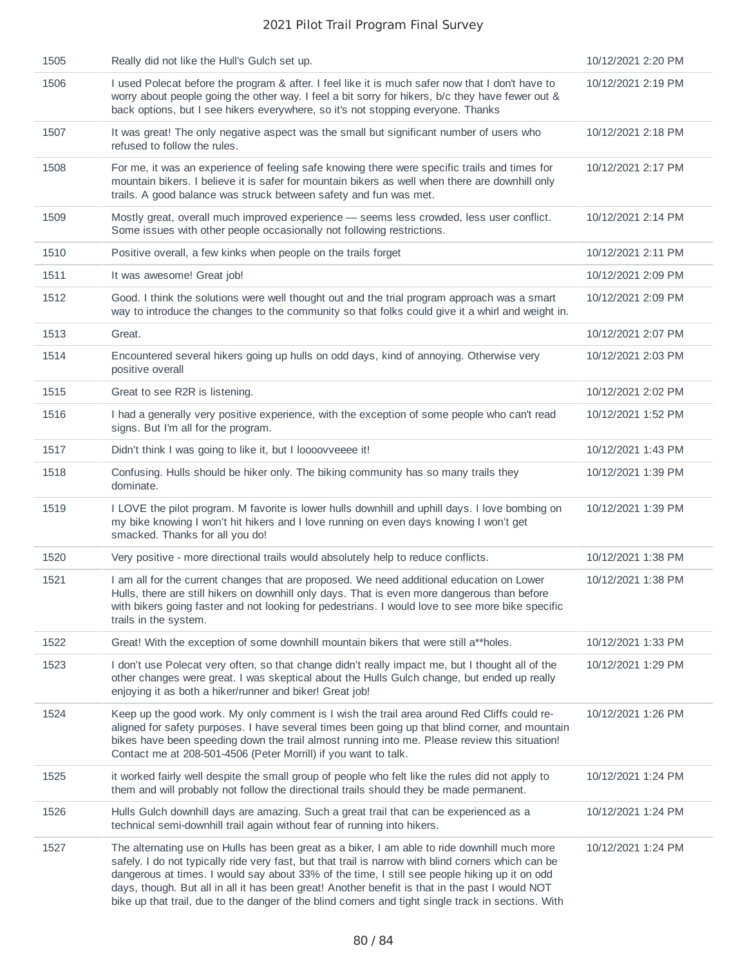| 1505 | Really did not like the Hull's Gulch set up.                                                                                                                                                                                                                                                                                                                                                                                                                                                                   | 10/12/2021 2:20 PM |
|------|----------------------------------------------------------------------------------------------------------------------------------------------------------------------------------------------------------------------------------------------------------------------------------------------------------------------------------------------------------------------------------------------------------------------------------------------------------------------------------------------------------------|--------------------|
| 1506 | I used Polecat before the program & after. I feel like it is much safer now that I don't have to<br>worry about people going the other way. I feel a bit sorry for hikers, b/c they have fewer out &<br>back options, but I see hikers everywhere, so it's not stopping everyone. Thanks                                                                                                                                                                                                                       | 10/12/2021 2:19 PM |
| 1507 | It was great! The only negative aspect was the small but significant number of users who<br>refused to follow the rules.                                                                                                                                                                                                                                                                                                                                                                                       | 10/12/2021 2:18 PM |
| 1508 | For me, it was an experience of feeling safe knowing there were specific trails and times for<br>mountain bikers. I believe it is safer for mountain bikers as well when there are downhill only<br>trails. A good balance was struck between safety and fun was met.                                                                                                                                                                                                                                          | 10/12/2021 2:17 PM |
| 1509 | Mostly great, overall much improved experience - seems less crowded, less user conflict.<br>Some issues with other people occasionally not following restrictions.                                                                                                                                                                                                                                                                                                                                             | 10/12/2021 2:14 PM |
| 1510 | Positive overall, a few kinks when people on the trails forget                                                                                                                                                                                                                                                                                                                                                                                                                                                 | 10/12/2021 2:11 PM |
| 1511 | It was awesome! Great job!                                                                                                                                                                                                                                                                                                                                                                                                                                                                                     | 10/12/2021 2:09 PM |
| 1512 | Good. I think the solutions were well thought out and the trial program approach was a smart<br>way to introduce the changes to the community so that folks could give it a whirl and weight in.                                                                                                                                                                                                                                                                                                               | 10/12/2021 2:09 PM |
| 1513 | Great.                                                                                                                                                                                                                                                                                                                                                                                                                                                                                                         | 10/12/2021 2:07 PM |
| 1514 | Encountered several hikers going up hulls on odd days, kind of annoying. Otherwise very<br>positive overall                                                                                                                                                                                                                                                                                                                                                                                                    | 10/12/2021 2:03 PM |
| 1515 | Great to see R2R is listening.                                                                                                                                                                                                                                                                                                                                                                                                                                                                                 | 10/12/2021 2:02 PM |
| 1516 | I had a generally very positive experience, with the exception of some people who can't read<br>signs. But I'm all for the program.                                                                                                                                                                                                                                                                                                                                                                            | 10/12/2021 1:52 PM |
| 1517 | Didn't think I was going to like it, but I loooovveeee it!                                                                                                                                                                                                                                                                                                                                                                                                                                                     | 10/12/2021 1:43 PM |
| 1518 | Confusing. Hulls should be hiker only. The biking community has so many trails they<br>dominate.                                                                                                                                                                                                                                                                                                                                                                                                               | 10/12/2021 1:39 PM |
| 1519 | I LOVE the pilot program. M favorite is lower hulls downhill and uphill days. I love bombing on<br>my bike knowing I won't hit hikers and I love running on even days knowing I won't get<br>smacked. Thanks for all you do!                                                                                                                                                                                                                                                                                   | 10/12/2021 1:39 PM |
| 1520 | Very positive - more directional trails would absolutely help to reduce conflicts.                                                                                                                                                                                                                                                                                                                                                                                                                             | 10/12/2021 1:38 PM |
| 1521 | I am all for the current changes that are proposed. We need additional education on Lower<br>Hulls, there are still hikers on downhill only days. That is even more dangerous than before<br>with bikers going faster and not looking for pedestrians. I would love to see more bike specific<br>trails in the system.                                                                                                                                                                                         | 10/12/2021 1:38 PM |
| 1522 | Great! With the exception of some downhill mountain bikers that were still a**holes.                                                                                                                                                                                                                                                                                                                                                                                                                           | 10/12/2021 1:33 PM |
| 1523 | I don't use Polecat very often, so that change didn't really impact me, but I thought all of the<br>other changes were great. I was skeptical about the Hulls Gulch change, but ended up really<br>enjoying it as both a hiker/runner and biker! Great job!                                                                                                                                                                                                                                                    | 10/12/2021 1:29 PM |
| 1524 | Keep up the good work. My only comment is I wish the trail area around Red Cliffs could re-<br>aligned for safety purposes. I have several times been going up that blind corner, and mountain<br>bikes have been speeding down the trail almost running into me. Please review this situation!<br>Contact me at 208-501-4506 (Peter Morrill) if you want to talk.                                                                                                                                             | 10/12/2021 1:26 PM |
| 1525 | it worked fairly well despite the small group of people who felt like the rules did not apply to<br>them and will probably not follow the directional trails should they be made permanent.                                                                                                                                                                                                                                                                                                                    | 10/12/2021 1:24 PM |
| 1526 | Hulls Gulch downhill days are amazing. Such a great trail that can be experienced as a<br>technical semi-downhill trail again without fear of running into hikers.                                                                                                                                                                                                                                                                                                                                             | 10/12/2021 1:24 PM |
| 1527 | The alternating use on Hulls has been great as a biker, I am able to ride downhill much more<br>safely. I do not typically ride very fast, but that trail is narrow with blind corners which can be<br>dangerous at times. I would say about 33% of the time, I still see people hiking up it on odd<br>days, though. But all in all it has been great! Another benefit is that in the past I would NOT<br>bike up that trail, due to the danger of the blind corners and tight single track in sections. With | 10/12/2021 1:24 PM |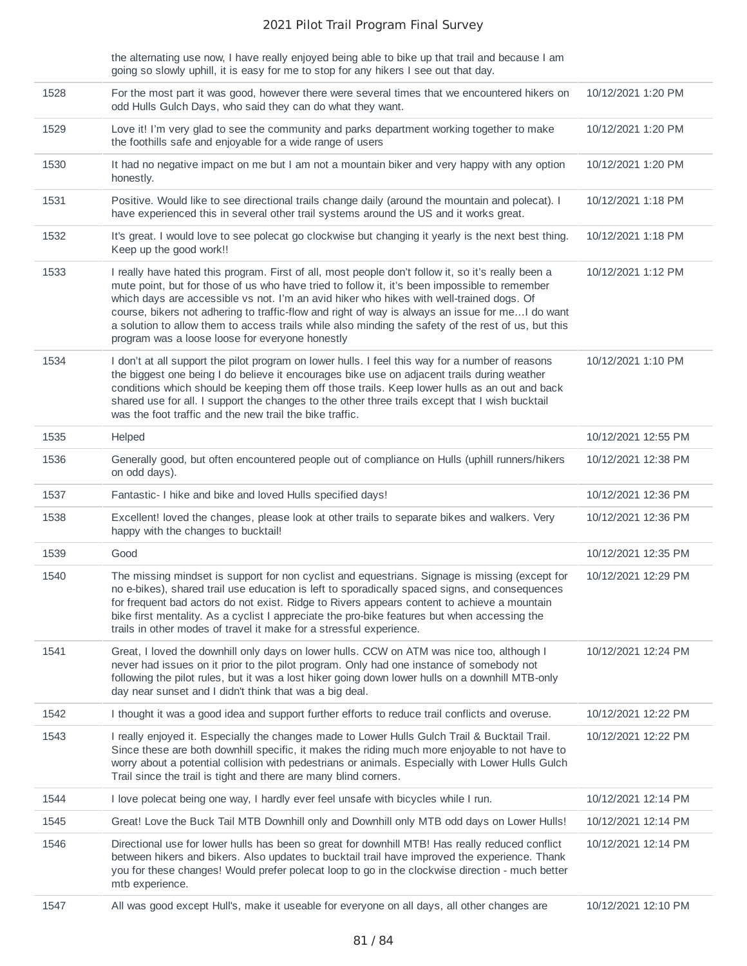the alternating use now, I have really enjoyed being able to bike up that trail and because I am going so slowly uphill, it is easy for me to stop for any hikers I see out that day.

| 1528 | For the most part it was good, however there were several times that we encountered hikers on<br>odd Hulls Gulch Days, who said they can do what they want.                                                                                                                                                                                                                                                                                                                                                                                                   | 10/12/2021 1:20 PM  |
|------|---------------------------------------------------------------------------------------------------------------------------------------------------------------------------------------------------------------------------------------------------------------------------------------------------------------------------------------------------------------------------------------------------------------------------------------------------------------------------------------------------------------------------------------------------------------|---------------------|
| 1529 | Love it! I'm very glad to see the community and parks department working together to make<br>the foothills safe and enjoyable for a wide range of users                                                                                                                                                                                                                                                                                                                                                                                                       | 10/12/2021 1:20 PM  |
| 1530 | It had no negative impact on me but I am not a mountain biker and very happy with any option<br>honestly.                                                                                                                                                                                                                                                                                                                                                                                                                                                     | 10/12/2021 1:20 PM  |
| 1531 | Positive. Would like to see directional trails change daily (around the mountain and polecat). I<br>have experienced this in several other trail systems around the US and it works great.                                                                                                                                                                                                                                                                                                                                                                    | 10/12/2021 1:18 PM  |
| 1532 | It's great. I would love to see polecat go clockwise but changing it yearly is the next best thing.<br>Keep up the good work!!                                                                                                                                                                                                                                                                                                                                                                                                                                | 10/12/2021 1:18 PM  |
| 1533 | I really have hated this program. First of all, most people don't follow it, so it's really been a<br>mute point, but for those of us who have tried to follow it, it's been impossible to remember<br>which days are accessible vs not. I'm an avid hiker who hikes with well-trained dogs. Of<br>course, bikers not adhering to traffic-flow and right of way is always an issue for me I do want<br>a solution to allow them to access trails while also minding the safety of the rest of us, but this<br>program was a loose loose for everyone honestly | 10/12/2021 1:12 PM  |
| 1534 | I don't at all support the pilot program on lower hulls. I feel this way for a number of reasons<br>the biggest one being I do believe it encourages bike use on adjacent trails during weather<br>conditions which should be keeping them off those trails. Keep lower hulls as an out and back<br>shared use for all. I support the changes to the other three trails except that I wish bucktail<br>was the foot traffic and the new trail the bike traffic.                                                                                               | 10/12/2021 1:10 PM  |
| 1535 | Helped                                                                                                                                                                                                                                                                                                                                                                                                                                                                                                                                                        | 10/12/2021 12:55 PM |
| 1536 | Generally good, but often encountered people out of compliance on Hulls (uphill runners/hikers<br>on odd days).                                                                                                                                                                                                                                                                                                                                                                                                                                               | 10/12/2021 12:38 PM |
| 1537 | Fantastic- I hike and bike and loved Hulls specified days!                                                                                                                                                                                                                                                                                                                                                                                                                                                                                                    | 10/12/2021 12:36 PM |
| 1538 | Excellent! loved the changes, please look at other trails to separate bikes and walkers. Very<br>happy with the changes to bucktail!                                                                                                                                                                                                                                                                                                                                                                                                                          | 10/12/2021 12:36 PM |
| 1539 | Good                                                                                                                                                                                                                                                                                                                                                                                                                                                                                                                                                          | 10/12/2021 12:35 PM |
| 1540 | The missing mindset is support for non cyclist and equestrians. Signage is missing (except for<br>no e-bikes), shared trail use education is left to sporadically spaced signs, and consequences<br>for frequent bad actors do not exist. Ridge to Rivers appears content to achieve a mountain<br>bike first mentality. As a cyclist I appreciate the pro-bike features but when accessing the<br>trails in other modes of travel it make for a stressful experience.                                                                                        | 10/12/2021 12:29 PM |
| 1541 | Great, I loved the downhill only days on lower hulls. CCW on ATM was nice too, although I<br>never had issues on it prior to the pilot program. Only had one instance of somebody not<br>following the pilot rules, but it was a lost hiker going down lower hulls on a downhill MTB-only<br>day near sunset and I didn't think that was a big deal.                                                                                                                                                                                                          | 10/12/2021 12:24 PM |
| 1542 | I thought it was a good idea and support further efforts to reduce trail conflicts and overuse.                                                                                                                                                                                                                                                                                                                                                                                                                                                               | 10/12/2021 12:22 PM |
| 1543 | I really enjoyed it. Especially the changes made to Lower Hulls Gulch Trail & Bucktail Trail.<br>Since these are both downhill specific, it makes the riding much more enjoyable to not have to<br>worry about a potential collision with pedestrians or animals. Especially with Lower Hulls Gulch<br>Trail since the trail is tight and there are many blind corners.                                                                                                                                                                                       | 10/12/2021 12:22 PM |
| 1544 | I love polecat being one way, I hardly ever feel unsafe with bicycles while I run.                                                                                                                                                                                                                                                                                                                                                                                                                                                                            | 10/12/2021 12:14 PM |
| 1545 | Great! Love the Buck Tail MTB Downhill only and Downhill only MTB odd days on Lower Hulls!                                                                                                                                                                                                                                                                                                                                                                                                                                                                    | 10/12/2021 12:14 PM |
| 1546 | Directional use for lower hulls has been so great for downhill MTB! Has really reduced conflict<br>between hikers and bikers. Also updates to bucktail trail have improved the experience. Thank<br>you for these changes! Would prefer polecat loop to go in the clockwise direction - much better<br>mtb experience.                                                                                                                                                                                                                                        | 10/12/2021 12:14 PM |
| 1547 | All was good except Hull's, make it useable for everyone on all days, all other changes are                                                                                                                                                                                                                                                                                                                                                                                                                                                                   | 10/12/2021 12:10 PM |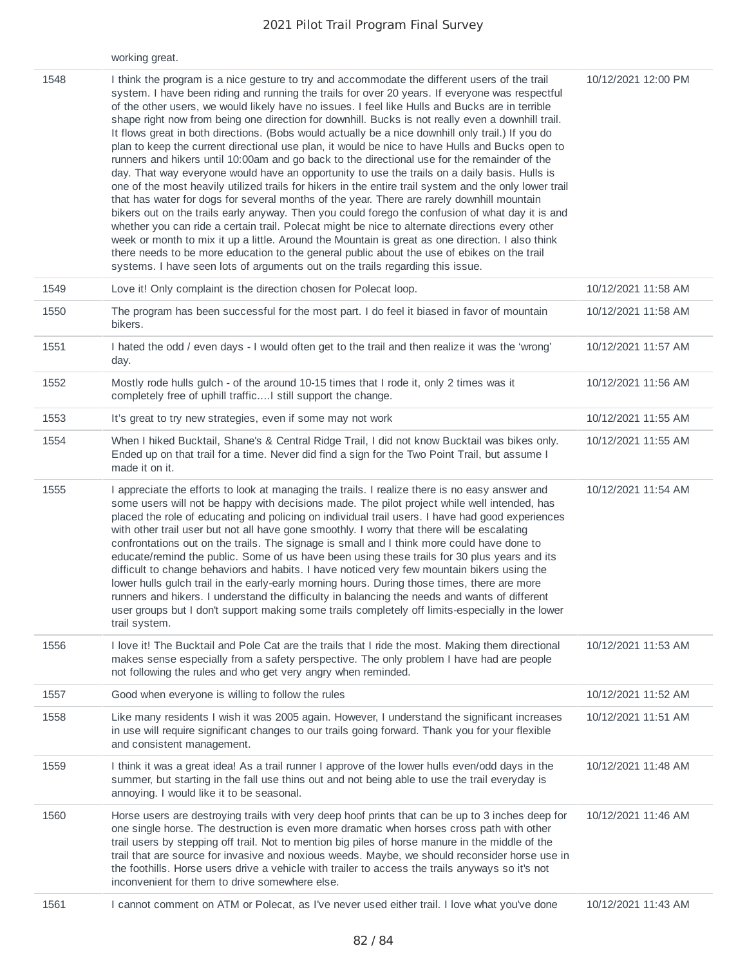|      | working great.                                                                                                                                                                                                                                                                                                                                                                                                                                                                                                                                                                                                                                                                                                                                                                                                                                                                                                                                                                                                                                                                                                                                                                                                                                                                                                                                                                                                                                                                                                        |                     |
|------|-----------------------------------------------------------------------------------------------------------------------------------------------------------------------------------------------------------------------------------------------------------------------------------------------------------------------------------------------------------------------------------------------------------------------------------------------------------------------------------------------------------------------------------------------------------------------------------------------------------------------------------------------------------------------------------------------------------------------------------------------------------------------------------------------------------------------------------------------------------------------------------------------------------------------------------------------------------------------------------------------------------------------------------------------------------------------------------------------------------------------------------------------------------------------------------------------------------------------------------------------------------------------------------------------------------------------------------------------------------------------------------------------------------------------------------------------------------------------------------------------------------------------|---------------------|
| 1548 | I think the program is a nice gesture to try and accommodate the different users of the trail<br>system. I have been riding and running the trails for over 20 years. If everyone was respectful<br>of the other users, we would likely have no issues. I feel like Hulls and Bucks are in terrible<br>shape right now from being one direction for downhill. Bucks is not really even a downhill trail.<br>It flows great in both directions. (Bobs would actually be a nice downhill only trail.) If you do<br>plan to keep the current directional use plan, it would be nice to have Hulls and Bucks open to<br>runners and hikers until 10:00am and go back to the directional use for the remainder of the<br>day. That way everyone would have an opportunity to use the trails on a daily basis. Hulls is<br>one of the most heavily utilized trails for hikers in the entire trail system and the only lower trail<br>that has water for dogs for several months of the year. There are rarely downhill mountain<br>bikers out on the trails early anyway. Then you could forego the confusion of what day it is and<br>whether you can ride a certain trail. Polecat might be nice to alternate directions every other<br>week or month to mix it up a little. Around the Mountain is great as one direction. I also think<br>there needs to be more education to the general public about the use of ebikes on the trail<br>systems. I have seen lots of arguments out on the trails regarding this issue. | 10/12/2021 12:00 PM |
| 1549 | Love it! Only complaint is the direction chosen for Polecat loop.                                                                                                                                                                                                                                                                                                                                                                                                                                                                                                                                                                                                                                                                                                                                                                                                                                                                                                                                                                                                                                                                                                                                                                                                                                                                                                                                                                                                                                                     | 10/12/2021 11:58 AM |
| 1550 | The program has been successful for the most part. I do feel it biased in favor of mountain<br>bikers.                                                                                                                                                                                                                                                                                                                                                                                                                                                                                                                                                                                                                                                                                                                                                                                                                                                                                                                                                                                                                                                                                                                                                                                                                                                                                                                                                                                                                | 10/12/2021 11:58 AM |
| 1551 | I hated the odd / even days - I would often get to the trail and then realize it was the 'wrong'<br>day.                                                                                                                                                                                                                                                                                                                                                                                                                                                                                                                                                                                                                                                                                                                                                                                                                                                                                                                                                                                                                                                                                                                                                                                                                                                                                                                                                                                                              | 10/12/2021 11:57 AM |
| 1552 | Mostly rode hulls gulch - of the around 10-15 times that I rode it, only 2 times was it<br>completely free of uphill traffic I still support the change.                                                                                                                                                                                                                                                                                                                                                                                                                                                                                                                                                                                                                                                                                                                                                                                                                                                                                                                                                                                                                                                                                                                                                                                                                                                                                                                                                              | 10/12/2021 11:56 AM |
| 1553 | It's great to try new strategies, even if some may not work                                                                                                                                                                                                                                                                                                                                                                                                                                                                                                                                                                                                                                                                                                                                                                                                                                                                                                                                                                                                                                                                                                                                                                                                                                                                                                                                                                                                                                                           | 10/12/2021 11:55 AM |
| 1554 | When I hiked Bucktail, Shane's & Central Ridge Trail, I did not know Bucktail was bikes only.<br>Ended up on that trail for a time. Never did find a sign for the Two Point Trail, but assume I<br>made it on it.                                                                                                                                                                                                                                                                                                                                                                                                                                                                                                                                                                                                                                                                                                                                                                                                                                                                                                                                                                                                                                                                                                                                                                                                                                                                                                     | 10/12/2021 11:55 AM |
| 1555 | I appreciate the efforts to look at managing the trails. I realize there is no easy answer and<br>some users will not be happy with decisions made. The pilot project while well intended, has<br>placed the role of educating and policing on individual trail users. I have had good experiences<br>with other trail user but not all have gone smoothly. I worry that there will be escalating<br>confrontations out on the trails. The signage is small and I think more could have done to<br>educate/remind the public. Some of us have been using these trails for 30 plus years and its<br>difficult to change behaviors and habits. I have noticed very few mountain bikers using the<br>lower hulls gulch trail in the early-early morning hours. During those times, there are more<br>runners and hikers. I understand the difficulty in balancing the needs and wants of different<br>user groups but I don't support making some trails completely off limits-especially in the lower<br>trail system.                                                                                                                                                                                                                                                                                                                                                                                                                                                                                                  | 10/12/2021 11:54 AM |
| 1556 | I love it! The Bucktail and Pole Cat are the trails that I ride the most. Making them directional<br>makes sense especially from a safety perspective. The only problem I have had are people<br>not following the rules and who get very angry when reminded.                                                                                                                                                                                                                                                                                                                                                                                                                                                                                                                                                                                                                                                                                                                                                                                                                                                                                                                                                                                                                                                                                                                                                                                                                                                        | 10/12/2021 11:53 AM |
| 1557 | Good when everyone is willing to follow the rules                                                                                                                                                                                                                                                                                                                                                                                                                                                                                                                                                                                                                                                                                                                                                                                                                                                                                                                                                                                                                                                                                                                                                                                                                                                                                                                                                                                                                                                                     | 10/12/2021 11:52 AM |
| 1558 | Like many residents I wish it was 2005 again. However, I understand the significant increases<br>in use will require significant changes to our trails going forward. Thank you for your flexible<br>and consistent management.                                                                                                                                                                                                                                                                                                                                                                                                                                                                                                                                                                                                                                                                                                                                                                                                                                                                                                                                                                                                                                                                                                                                                                                                                                                                                       | 10/12/2021 11:51 AM |
| 1559 | I think it was a great idea! As a trail runner I approve of the lower hulls even/odd days in the<br>summer, but starting in the fall use thins out and not being able to use the trail everyday is<br>annoying. I would like it to be seasonal.                                                                                                                                                                                                                                                                                                                                                                                                                                                                                                                                                                                                                                                                                                                                                                                                                                                                                                                                                                                                                                                                                                                                                                                                                                                                       | 10/12/2021 11:48 AM |
| 1560 | Horse users are destroying trails with very deep hoof prints that can be up to 3 inches deep for<br>one single horse. The destruction is even more dramatic when horses cross path with other<br>trail users by stepping off trail. Not to mention big piles of horse manure in the middle of the<br>trail that are source for invasive and noxious weeds. Maybe, we should reconsider horse use in<br>the foothills. Horse users drive a vehicle with trailer to access the trails anyways so it's not<br>inconvenient for them to drive somewhere else.                                                                                                                                                                                                                                                                                                                                                                                                                                                                                                                                                                                                                                                                                                                                                                                                                                                                                                                                                             | 10/12/2021 11:46 AM |
| 1561 | I cannot comment on ATM or Polecat, as I've never used either trail. I love what you've done                                                                                                                                                                                                                                                                                                                                                                                                                                                                                                                                                                                                                                                                                                                                                                                                                                                                                                                                                                                                                                                                                                                                                                                                                                                                                                                                                                                                                          | 10/12/2021 11:43 AM |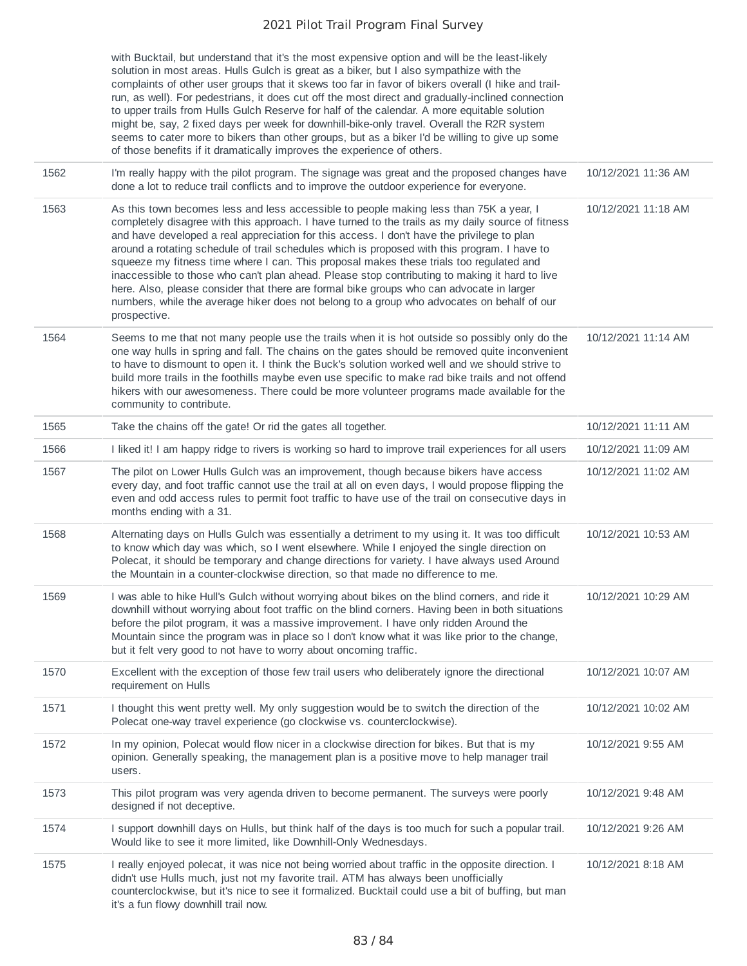|      | with Bucktail, but understand that it's the most expensive option and will be the least-likely<br>solution in most areas. Hulls Gulch is great as a biker, but I also sympathize with the<br>complaints of other user groups that it skews too far in favor of bikers overall (I hike and trail-<br>run, as well). For pedestrians, it does cut off the most direct and gradually-inclined connection<br>to upper trails from Hulls Gulch Reserve for half of the calendar. A more equitable solution<br>might be, say, 2 fixed days per week for downhill-bike-only travel. Overall the R2R system<br>seems to cater more to bikers than other groups, but as a biker I'd be willing to give up some<br>of those benefits if it dramatically improves the experience of others.                 |                     |
|------|--------------------------------------------------------------------------------------------------------------------------------------------------------------------------------------------------------------------------------------------------------------------------------------------------------------------------------------------------------------------------------------------------------------------------------------------------------------------------------------------------------------------------------------------------------------------------------------------------------------------------------------------------------------------------------------------------------------------------------------------------------------------------------------------------|---------------------|
| 1562 | I'm really happy with the pilot program. The signage was great and the proposed changes have<br>done a lot to reduce trail conflicts and to improve the outdoor experience for everyone.                                                                                                                                                                                                                                                                                                                                                                                                                                                                                                                                                                                                         | 10/12/2021 11:36 AM |
| 1563 | As this town becomes less and less accessible to people making less than 75K a year, I<br>completely disagree with this approach. I have turned to the trails as my daily source of fitness<br>and have developed a real appreciation for this access. I don't have the privilege to plan<br>around a rotating schedule of trail schedules which is proposed with this program. I have to<br>squeeze my fitness time where I can. This proposal makes these trials too regulated and<br>inaccessible to those who can't plan ahead. Please stop contributing to making it hard to live<br>here. Also, please consider that there are formal bike groups who can advocate in larger<br>numbers, while the average hiker does not belong to a group who advocates on behalf of our<br>prospective. | 10/12/2021 11:18 AM |
| 1564 | Seems to me that not many people use the trails when it is hot outside so possibly only do the<br>one way hulls in spring and fall. The chains on the gates should be removed quite inconvenient<br>to have to dismount to open it. I think the Buck's solution worked well and we should strive to<br>build more trails in the foothills maybe even use specific to make rad bike trails and not offend<br>hikers with our awesomeness. There could be more volunteer programs made available for the<br>community to contribute.                                                                                                                                                                                                                                                               | 10/12/2021 11:14 AM |
| 1565 | Take the chains off the gate! Or rid the gates all together.                                                                                                                                                                                                                                                                                                                                                                                                                                                                                                                                                                                                                                                                                                                                     | 10/12/2021 11:11 AM |
| 1566 | I liked it! I am happy ridge to rivers is working so hard to improve trail experiences for all users                                                                                                                                                                                                                                                                                                                                                                                                                                                                                                                                                                                                                                                                                             | 10/12/2021 11:09 AM |
| 1567 | The pilot on Lower Hulls Gulch was an improvement, though because bikers have access<br>every day, and foot traffic cannot use the trail at all on even days, I would propose flipping the<br>even and odd access rules to permit foot traffic to have use of the trail on consecutive days in<br>months ending with a 31.                                                                                                                                                                                                                                                                                                                                                                                                                                                                       | 10/12/2021 11:02 AM |
| 1568 | Alternating days on Hulls Gulch was essentially a detriment to my using it. It was too difficult<br>to know which day was which, so I went elsewhere. While I enjoyed the single direction on<br>Polecat, it should be temporary and change directions for variety. I have always used Around<br>the Mountain in a counter-clockwise direction, so that made no difference to me.                                                                                                                                                                                                                                                                                                                                                                                                                | 10/12/2021 10:53 AM |
| 1569 | I was able to hike Hull's Gulch without worrying about bikes on the blind corners, and ride it<br>downhill without worrying about foot traffic on the blind corners. Having been in both situations<br>before the pilot program, it was a massive improvement. I have only ridden Around the<br>Mountain since the program was in place so I don't know what it was like prior to the change,<br>but it felt very good to not have to worry about oncoming traffic.                                                                                                                                                                                                                                                                                                                              | 10/12/2021 10:29 AM |
| 1570 | Excellent with the exception of those few trail users who deliberately ignore the directional<br>requirement on Hulls                                                                                                                                                                                                                                                                                                                                                                                                                                                                                                                                                                                                                                                                            | 10/12/2021 10:07 AM |
| 1571 | I thought this went pretty well. My only suggestion would be to switch the direction of the<br>Polecat one-way travel experience (go clockwise vs. counterclockwise).                                                                                                                                                                                                                                                                                                                                                                                                                                                                                                                                                                                                                            | 10/12/2021 10:02 AM |
| 1572 | In my opinion, Polecat would flow nicer in a clockwise direction for bikes. But that is my<br>opinion. Generally speaking, the management plan is a positive move to help manager trail<br>users.                                                                                                                                                                                                                                                                                                                                                                                                                                                                                                                                                                                                | 10/12/2021 9:55 AM  |
| 1573 | This pilot program was very agenda driven to become permanent. The surveys were poorly<br>designed if not deceptive.                                                                                                                                                                                                                                                                                                                                                                                                                                                                                                                                                                                                                                                                             | 10/12/2021 9:48 AM  |
| 1574 | I support downhill days on Hulls, but think half of the days is too much for such a popular trail.<br>Would like to see it more limited, like Downhill-Only Wednesdays.                                                                                                                                                                                                                                                                                                                                                                                                                                                                                                                                                                                                                          | 10/12/2021 9:26 AM  |
| 1575 | I really enjoyed polecat, it was nice not being worried about traffic in the opposite direction. I<br>didn't use Hulls much, just not my favorite trail. ATM has always been unofficially<br>counterclockwise, but it's nice to see it formalized. Bucktail could use a bit of buffing, but man<br>it's a fun flowy downhill trail now.                                                                                                                                                                                                                                                                                                                                                                                                                                                          | 10/12/2021 8:18 AM  |